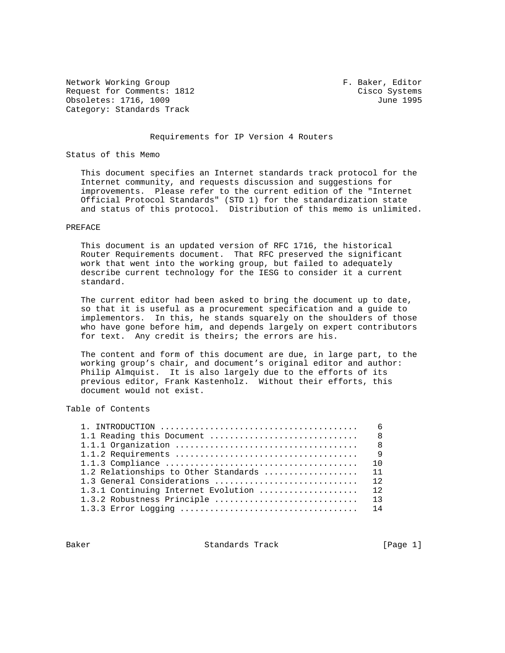Network Working Group **F. Baker, Editor** Request for Comments: 1812 Cisco Systems Obsoletes: 1716, 1009 June 1995 Category: Standards Track

### Requirements for IP Version 4 Routers

### Status of this Memo

 This document specifies an Internet standards track protocol for the Internet community, and requests discussion and suggestions for improvements. Please refer to the current edition of the "Internet Official Protocol Standards" (STD 1) for the standardization state and status of this protocol. Distribution of this memo is unlimited.

### PREFACE

 This document is an updated version of RFC 1716, the historical Router Requirements document. That RFC preserved the significant work that went into the working group, but failed to adequately describe current technology for the IESG to consider it a current standard.

 The current editor had been asked to bring the document up to date, so that it is useful as a procurement specification and a guide to implementors. In this, he stands squarely on the shoulders of those who have gone before him, and depends largely on expert contributors for text. Any credit is theirs; the errors are his.

 The content and form of this document are due, in large part, to the working group's chair, and document's original editor and author: Philip Almquist. It is also largely due to the efforts of its previous editor, Frank Kastenholz. Without their efforts, this document would not exist.

# Table of Contents

| $1.$ INTRODUCTION $\ldots \ldots \ldots \ldots \ldots \ldots \ldots \ldots \ldots \ldots \ldots \ldots$ | - 6            |
|---------------------------------------------------------------------------------------------------------|----------------|
|                                                                                                         |                |
|                                                                                                         |                |
|                                                                                                         | $\overline{Q}$ |
|                                                                                                         | 10             |
| 1.2 Relationships to Other Standards  11                                                                |                |
| 1.3 General Considerations  12                                                                          |                |
| 1.3.1 Continuing Internet Evolution                                                                     | 12             |
| 1.3.2 Robustness Principle  13                                                                          |                |
|                                                                                                         |                |
|                                                                                                         |                |

Baker Standards Track [Page 1]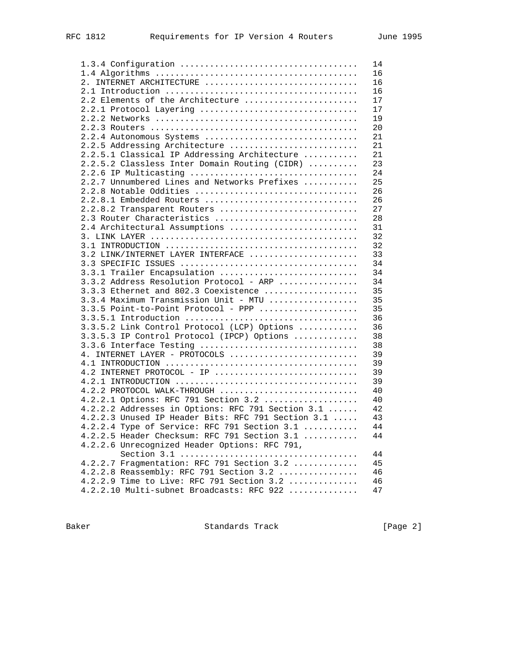|                                                    | 14 |
|----------------------------------------------------|----|
|                                                    | 16 |
| 2. INTERNET ARCHITECTURE                           | 16 |
|                                                    | 16 |
| 2.2 Elements of the Architecture                   | 17 |
| 2.2.1 Protocol Layering                            | 17 |
|                                                    | 19 |
|                                                    | 20 |
| 2.2.4 Autonomous Systems                           | 21 |
| 2.2.5 Addressing Architecture                      | 21 |
| 2.2.5.1 Classical IP Addressing Architecture       | 21 |
|                                                    |    |
| 2.2.5.2 Classless Inter Domain Routing (CIDR)      | 23 |
| 2.2.6 IP Multicasting                              | 24 |
| 2.2.7 Unnumbered Lines and Networks Prefixes       | 25 |
| 2.2.8 Notable Oddities                             | 26 |
| 2.2.8.1 Embedded Routers                           | 26 |
| 2.2.8.2 Transparent Routers                        | 27 |
| 2.3 Router Characteristics                         | 28 |
| 2.4 Architectural Assumptions                      | 31 |
|                                                    | 32 |
|                                                    | 32 |
| 3.2 LINK/INTERNET LAYER INTERFACE                  | 33 |
|                                                    | 34 |
| 3.3.1 Trailer Encapsulation                        | 34 |
| 3.3.2 Address Resolution Protocol - ARP            | 34 |
| 3.3.3 Ethernet and 802.3 Coexistence               | 35 |
| 3.3.4 Maximum Transmission Unit - MTU              | 35 |
| 3.3.5 Point-to-Point Protocol - PPP                | 35 |
|                                                    | 36 |
| 3.3.5.2 Link Control Protocol (LCP) Options        | 36 |
| 3.3.5.3 IP Control Protocol (IPCP) Options         | 38 |
| 3.3.6 Interface Testing                            | 38 |
| 4. INTERNET LAYER - PROTOCOLS                      | 39 |
|                                                    | 39 |
| 4.2 INTERNET PROTOCOL - IP                         | 39 |
|                                                    |    |
|                                                    | 39 |
| 4.2.2 PROTOCOL WALK-THROUGH                        | 40 |
| 4.2.2.1 Options: RFC 791 Section 3.2               | 40 |
| 4.2.2.2 Addresses in Options: RFC 791 Section 3.1  | 42 |
| 4.2.2.3 Unused IP Header Bits: RFC 791 Section 3.1 | 43 |
| 4.2.2.4 Type of Service: RFC 791 Section $3.1$     | 44 |
| 4.2.2.5 Header Checksum: RFC 791 Section 3.1       | 44 |
| 4.2.2.6 Unrecognized Header Options: RFC 791,      |    |
|                                                    | 44 |
| 4.2.2.7 Fragmentation: RFC 791 Section 3.2         | 45 |
| 4.2.2.8 Reassembly: RFC 791 Section 3.2            | 46 |
| 4.2.2.9 Time to Live: RFC 791 Section 3.2          | 46 |
| 4.2.2.10 Multi-subnet Broadcasts: RFC 922          | 47 |

Baker Standards Track [Page 2]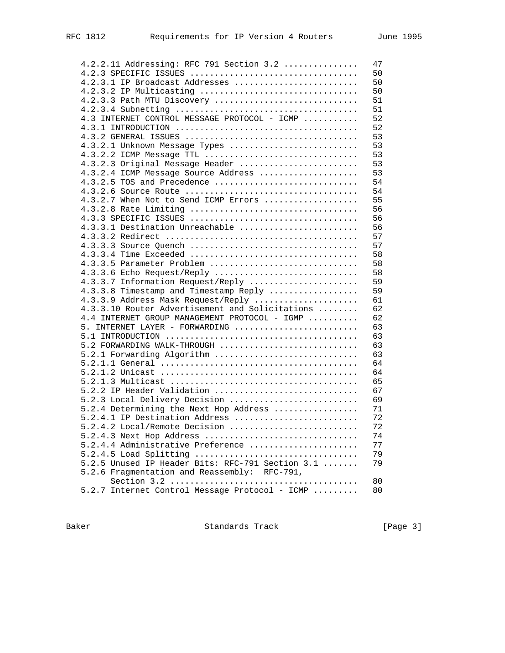| 4.2.2.11 Addressing: RFC 791 Section 3.2         | 47          |
|--------------------------------------------------|-------------|
|                                                  | 50          |
| 4.2.3.1 IP Broadcast Addresses                   | 50          |
| 4.2.3.2 IP Multicasting                          | 50          |
|                                                  |             |
| 4.2.3.3 Path MTU Discovery                       | 51          |
|                                                  | 51          |
| 4.3 INTERNET CONTROL MESSAGE PROTOCOL - ICMP     | 52          |
|                                                  | 52          |
|                                                  | 53          |
| 4.3.2.1 Unknown Message Types                    | 53          |
| 4.3.2.2 ICMP Message TTL                         | 53          |
| 4.3.2.3 Original Message Header                  | 53          |
| 4.3.2.4 ICMP Message Source Address              | 53          |
| 4.3.2.5 TOS and Precedence                       | 54          |
|                                                  | 54          |
|                                                  |             |
| 4.3.2.7 When Not to Send ICMP Errors             | 55          |
| 4.3.2.8 Rate Limiting                            | 56          |
|                                                  | 56          |
| 4.3.3.1 Destination Unreachable                  | 56          |
|                                                  | 57          |
| 4.3.3.3 Source Quench                            | 57          |
|                                                  | 58          |
| 4.3.3.5 Parameter Problem                        | 58          |
| $4.3.3.6$ Echo Request/Reply                     | 58          |
| 4.3.3.7 Information Request/Reply                | 59          |
| 4.3.3.8 Timestamp and Timestamp Reply            | 59          |
|                                                  |             |
| 4.3.3.9 Address Mask Request/Reply               | 61          |
| 4.3.3.10 Router Advertisement and Solicitations  | 62          |
| 4.4 INTERNET GROUP MANAGEMENT PROTOCOL - IGMP    | 62          |
| 5. INTERNET LAYER - FORWARDING                   | 63          |
|                                                  | 63          |
| 5.2 FORWARDING WALK-THROUGH                      | 63          |
| 5.2.1 Forwarding Algorithm                       | 63          |
|                                                  | 64          |
|                                                  | 64          |
|                                                  | 65          |
| 5.2.2 IP Header Validation                       | 67          |
| 5.2.3 Local Delivery Decision                    | 69          |
|                                                  |             |
| 5.2.4 Determining the Next Hop Address           | 71          |
| 5.2.4.1 IP Destination Address                   | 72          |
| $5.2.4.2$ Local/Remote Decision                  | $7\sqrt{2}$ |
| 5.2.4.3 Next Hop Address                         | 74          |
| 5.2.4.4 Administrative Preference                | 77          |
| 5.2.4.5 Load Splitting                           | 79          |
| 5.2.5 Unused IP Header Bits: RFC-791 Section 3.1 | 79          |
| 5.2.6 Fragmentation and Reassembly: RFC-791,     |             |
|                                                  | 80          |
| 5.2.7 Internet Control Message Protocol - ICMP   | 80          |
|                                                  |             |

Baker Standards Track [Page 3]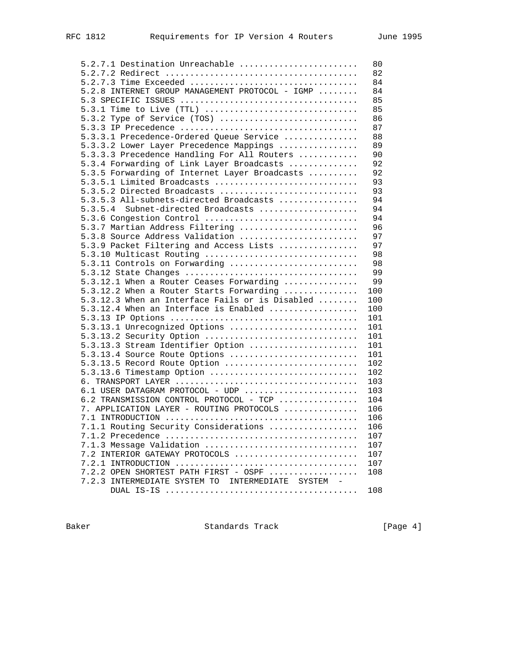| 5.2.7.1 Destination Unreachable                  | 80  |
|--------------------------------------------------|-----|
|                                                  | 82  |
|                                                  | 84  |
| 5.2.8 INTERNET GROUP MANAGEMENT PROTOCOL - IGMP  | 84  |
|                                                  | 85  |
|                                                  | 85  |
| 5.3.2 Type of Service (TOS)                      | 86  |
|                                                  | 87  |
| 5.3.3.1 Precedence-Ordered Queue Service         | 88  |
| 5.3.3.2 Lower Layer Precedence Mappings          | 89  |
| 5.3.3.3 Precedence Handling For All Routers      | 90  |
| 5.3.4 Forwarding of Link Layer Broadcasts        | 92  |
| 5.3.5 Forwarding of Internet Layer Broadcasts    | 92  |
| 5.3.5.1 Limited Broadcasts                       | 93  |
| 5.3.5.2 Directed Broadcasts                      | 93  |
| 5.3.5.3 All-subnets-directed Broadcasts          | 94  |
|                                                  | 94  |
| Subnet-directed Broadcasts<br>5.3.5.4            |     |
| 5.3.6 Congestion Control                         | 94  |
| 5.3.7 Martian Address Filtering                  | 96  |
| 5.3.8 Source Address Validation                  | 97  |
| 5.3.9 Packet Filtering and Access Lists          | 97  |
| 5.3.10 Multicast Routing                         | 98  |
| 5.3.11 Controls on Forwarding                    | 98  |
|                                                  | 99  |
| 5.3.12.1 When a Router Ceases Forwarding         | 99  |
| 5.3.12.2 When a Router Starts Forwarding         | 100 |
| 5.3.12.3 When an Interface Fails or is Disabled  | 100 |
| 5.3.12.4 When an Interface is Enabled            | 100 |
|                                                  | 101 |
| 5.3.13.1 Unrecognized Options                    | 101 |
| 5.3.13.2 Security Option                         | 101 |
| 5.3.13.3 Stream Identifier Option                | 101 |
| 5.3.13.4 Source Route Options                    | 101 |
| 5.3.13.5 Record Route Option                     | 102 |
| 5.3.13.6 Timestamp Option                        | 102 |
|                                                  | 103 |
| 6.1 USER DATAGRAM PROTOCOL - UDP                 | 103 |
| 6.2 TRANSMISSION CONTROL PROTOCOL - TCP          | 104 |
| 7. APPLICATION LAYER - ROUTING PROTOCOLS         | 106 |
|                                                  | 106 |
| 7.1.1 Routing Security Considerations            | 106 |
|                                                  |     |
|                                                  | 107 |
| 7.1.3 Message Validation                         | 107 |
| 7.2 INTERIOR GATEWAY PROTOCOLS                   | 107 |
|                                                  | 107 |
| 7.2.2 OPEN SHORTEST PATH FIRST - OSPF            | 108 |
| 7.2.3 INTERMEDIATE SYSTEM TO INTERMEDIATE SYSTEM |     |
|                                                  | 108 |

Baker Standards Track [Page 4]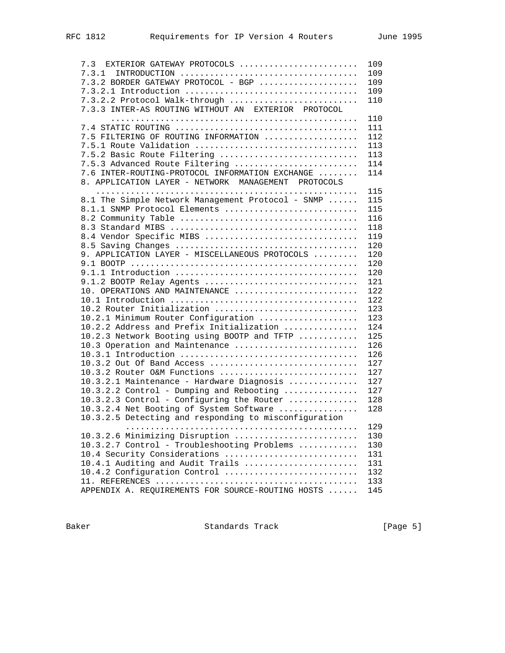| 7.3 EXTERIOR GATEWAY PROTOCOLS                        | 109 |
|-------------------------------------------------------|-----|
| 7.3.1                                                 | 109 |
| 7.3.2 BORDER GATEWAY PROTOCOL - BGP                   | 109 |
|                                                       | 109 |
| 7.3.2.2 Protocol Walk-through                         | 110 |
| 7.3.3 INTER-AS ROUTING WITHOUT AN EXTERIOR PROTOCOL   |     |
|                                                       | 110 |
|                                                       | 111 |
| 7.5 FILTERING OF ROUTING INFORMATION                  | 112 |
| 7.5.1 Route Validation                                | 113 |
| 7.5.2 Basic Route Filtering                           | 113 |
| 7.5.3 Advanced Route Filtering                        | 114 |
| 7.6 INTER-ROUTING-PROTOCOL INFORMATION EXCHANGE       | 114 |
| 8. APPLICATION LAYER - NETWORK MANAGEMENT PROTOCOLS   |     |
|                                                       | 115 |
| 8.1 The Simple Network Management Protocol - SNMP     | 115 |
| 8.1.1 SNMP Protocol Elements                          | 115 |
|                                                       | 116 |
|                                                       | 118 |
| 8.4 Vendor Specific MIBS                              | 119 |
|                                                       | 120 |
| 9. APPLICATION LAYER - MISCELLANEOUS PROTOCOLS        | 120 |
|                                                       | 120 |
|                                                       | 120 |
| 9.1.2 BOOTP Relay Agents                              | 121 |
| 10. OPERATIONS AND MAINTENANCE                        | 122 |
|                                                       |     |
|                                                       | 122 |
| 10.2 Router Initialization                            | 123 |
| 10.2.1 Minimum Router Configuration                   | 123 |
| 10.2.2 Address and Prefix Initialization              | 124 |
| 10.2.3 Network Booting using BOOTP and TFTP           | 125 |
| 10.3 Operation and Maintenance                        | 126 |
|                                                       | 126 |
| 10.3.2 Out Of Band Access                             | 127 |
| 10.3.2 Router O&M Functions                           | 127 |
| 10.3.2.1 Maintenance - Hardware Diagnosis             | 127 |
| 10.3.2.2 Control - Dumping and Rebooting              | 127 |
| 10.3.2.3 Control - Configuring the Router             | 128 |
| 10.3.2.4 Net Booting of System Software               | 128 |
| 10.3.2.5 Detecting and responding to misconfiguration |     |
|                                                       | 129 |
| 10.3.2.6 Minimizing Disruption                        | 130 |
| 10.3.2.7 Control - Troubleshooting Problems           | 130 |
| 10.4 Security Considerations                          | 131 |
| 10.4.1 Auditing and Audit Trails                      | 131 |
| 10.4.2 Configuration Control                          | 132 |
|                                                       | 133 |
| APPENDIX A. REQUIREMENTS FOR SOURCE-ROUTING HOSTS     | 145 |
|                                                       |     |

Baker Standards Track [Page 5]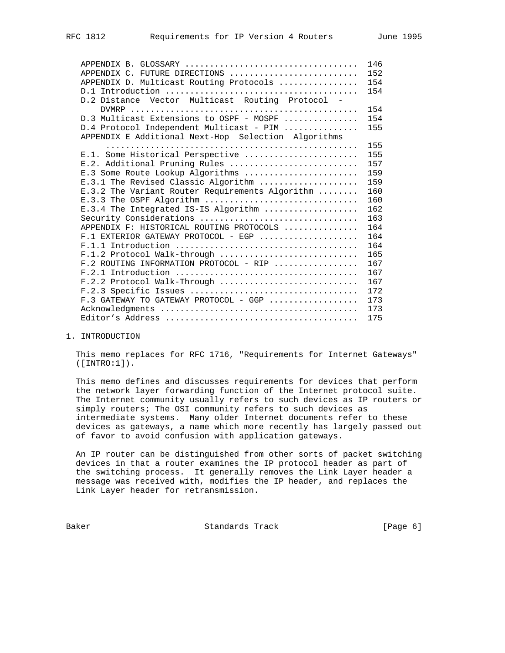|                                                     | 146 |
|-----------------------------------------------------|-----|
| APPENDIX C. FUTURE DIRECTIONS                       | 152 |
| APPENDIX D. Multicast Routing Protocols             | 154 |
|                                                     | 154 |
| D.2 Distance Vector Multicast Routing Protocol -    |     |
|                                                     | 154 |
| D.3 Multicast Extensions to OSPF - MOSPF            | 154 |
| D.4 Protocol Independent Multicast - PIM            | 155 |
| APPENDIX E Additional Next-Hop Selection Algorithms |     |
|                                                     | 155 |
| E.1. Some Historical Perspective                    | 155 |
| E.2. Additional Pruning Rules                       | 157 |
| E.3 Some Route Lookup Algorithms                    | 159 |
| E.3.1 The Revised Classic Algorithm                 | 159 |
| E.3.2 The Variant Router Requirements Algorithm     | 160 |
| E.3.3 The OSPF Algorithm                            | 160 |
| E.3.4 The Integrated IS-IS Algorithm                | 162 |
| Security Considerations                             | 163 |
| APPENDIX F: HISTORICAL ROUTING PROTOCOLS            | 164 |
| $F.1$ EXTERIOR GATEWAY PROTOCOL - EGP               | 164 |
|                                                     | 164 |
| F.1.2 Protocol Walk-through                         | 165 |
| $F.2$ ROUTING INFORMATION PROTOCOL - RIP            | 167 |
|                                                     | 167 |
| $F.2.2$ Protocol Walk-Through                       | 167 |
|                                                     | 172 |
| F.3 GATEWAY TO GATEWAY PROTOCOL - GGP               | 173 |
|                                                     | 173 |
|                                                     | 175 |

1. INTRODUCTION

 This memo replaces for RFC 1716, "Requirements for Internet Gateways" ([INTRO:1]).

 This memo defines and discusses requirements for devices that perform the network layer forwarding function of the Internet protocol suite. The Internet community usually refers to such devices as IP routers or simply routers; The OSI community refers to such devices as intermediate systems. Many older Internet documents refer to these devices as gateways, a name which more recently has largely passed out of favor to avoid confusion with application gateways.

 An IP router can be distinguished from other sorts of packet switching devices in that a router examines the IP protocol header as part of the switching process. It generally removes the Link Layer header a message was received with, modifies the IP header, and replaces the Link Layer header for retransmission.

Baker Standards Track [Page 6]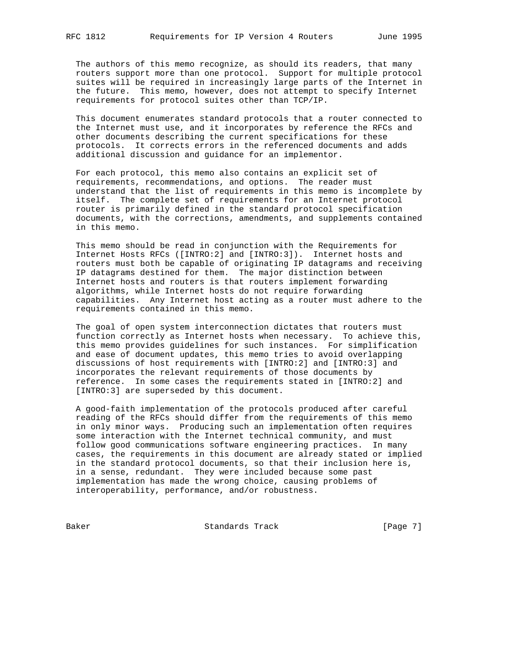The authors of this memo recognize, as should its readers, that many routers support more than one protocol. Support for multiple protocol suites will be required in increasingly large parts of the Internet in the future. This memo, however, does not attempt to specify Internet requirements for protocol suites other than TCP/IP.

 This document enumerates standard protocols that a router connected to the Internet must use, and it incorporates by reference the RFCs and other documents describing the current specifications for these protocols. It corrects errors in the referenced documents and adds additional discussion and guidance for an implementor.

 For each protocol, this memo also contains an explicit set of requirements, recommendations, and options. The reader must understand that the list of requirements in this memo is incomplete by itself. The complete set of requirements for an Internet protocol router is primarily defined in the standard protocol specification documents, with the corrections, amendments, and supplements contained in this memo.

 This memo should be read in conjunction with the Requirements for Internet Hosts RFCs ([INTRO:2] and [INTRO:3]). Internet hosts and routers must both be capable of originating IP datagrams and receiving IP datagrams destined for them. The major distinction between Internet hosts and routers is that routers implement forwarding algorithms, while Internet hosts do not require forwarding capabilities. Any Internet host acting as a router must adhere to the requirements contained in this memo.

 The goal of open system interconnection dictates that routers must function correctly as Internet hosts when necessary. To achieve this, this memo provides guidelines for such instances. For simplification and ease of document updates, this memo tries to avoid overlapping discussions of host requirements with [INTRO:2] and [INTRO:3] and incorporates the relevant requirements of those documents by reference. In some cases the requirements stated in [INTRO:2] and [INTRO:3] are superseded by this document.

 A good-faith implementation of the protocols produced after careful reading of the RFCs should differ from the requirements of this memo in only minor ways. Producing such an implementation often requires some interaction with the Internet technical community, and must follow good communications software engineering practices. In many cases, the requirements in this document are already stated or implied in the standard protocol documents, so that their inclusion here is, in a sense, redundant. They were included because some past implementation has made the wrong choice, causing problems of interoperability, performance, and/or robustness.

Baker Standards Track [Page 7]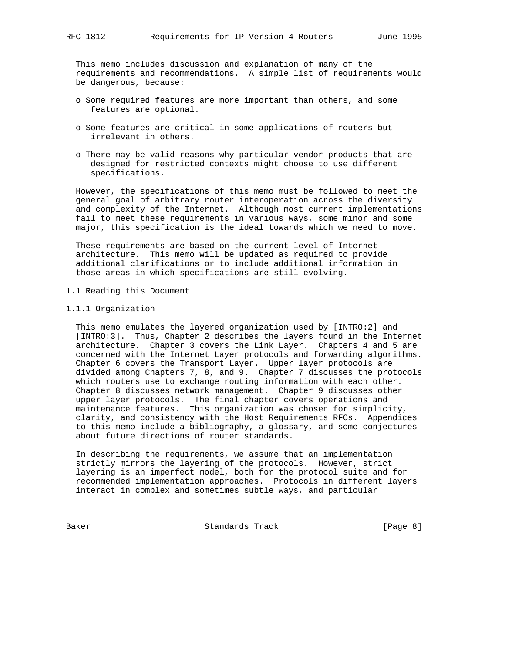This memo includes discussion and explanation of many of the requirements and recommendations. A simple list of requirements would be dangerous, because:

- o Some required features are more important than others, and some features are optional.
- o Some features are critical in some applications of routers but irrelevant in others.
- o There may be valid reasons why particular vendor products that are designed for restricted contexts might choose to use different specifications.

 However, the specifications of this memo must be followed to meet the general goal of arbitrary router interoperation across the diversity and complexity of the Internet. Although most current implementations fail to meet these requirements in various ways, some minor and some major, this specification is the ideal towards which we need to move.

 These requirements are based on the current level of Internet architecture. This memo will be updated as required to provide additional clarifications or to include additional information in those areas in which specifications are still evolving.

- 1.1 Reading this Document
- 1.1.1 Organization

 This memo emulates the layered organization used by [INTRO:2] and [INTRO:3]. Thus, Chapter 2 describes the layers found in the Internet architecture. Chapter 3 covers the Link Layer. Chapters 4 and 5 are concerned with the Internet Layer protocols and forwarding algorithms. Chapter 6 covers the Transport Layer. Upper layer protocols are divided among Chapters 7, 8, and 9. Chapter 7 discusses the protocols which routers use to exchange routing information with each other. Chapter 8 discusses network management. Chapter 9 discusses other upper layer protocols. The final chapter covers operations and maintenance features. This organization was chosen for simplicity, clarity, and consistency with the Host Requirements RFCs. Appendices to this memo include a bibliography, a glossary, and some conjectures about future directions of router standards.

 In describing the requirements, we assume that an implementation strictly mirrors the layering of the protocols. However, strict layering is an imperfect model, both for the protocol suite and for recommended implementation approaches. Protocols in different layers interact in complex and sometimes subtle ways, and particular

Baker Standards Track [Page 8]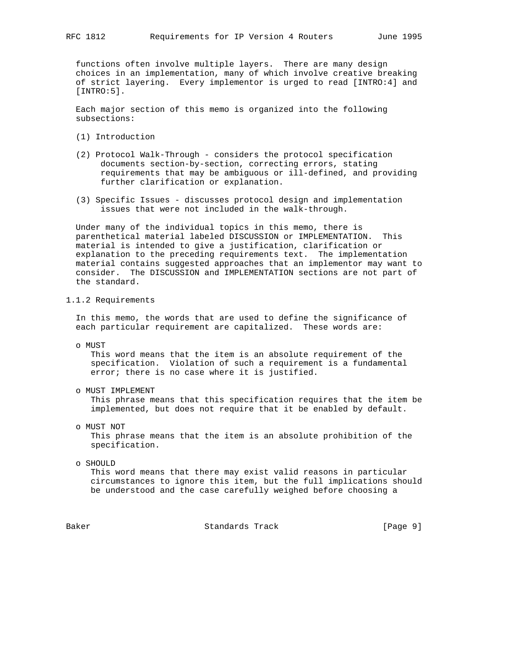functions often involve multiple layers. There are many design choices in an implementation, many of which involve creative breaking of strict layering. Every implementor is urged to read [INTRO:4] and [INTRO:5].

 Each major section of this memo is organized into the following subsections:

- (1) Introduction
- (2) Protocol Walk-Through considers the protocol specification documents section-by-section, correcting errors, stating requirements that may be ambiguous or ill-defined, and providing further clarification or explanation.
- (3) Specific Issues discusses protocol design and implementation issues that were not included in the walk-through.

 Under many of the individual topics in this memo, there is parenthetical material labeled DISCUSSION or IMPLEMENTATION. This material is intended to give a justification, clarification or explanation to the preceding requirements text. The implementation material contains suggested approaches that an implementor may want to consider. The DISCUSSION and IMPLEMENTATION sections are not part of the standard.

1.1.2 Requirements

 In this memo, the words that are used to define the significance of each particular requirement are capitalized. These words are:

o MUST

 This word means that the item is an absolute requirement of the specification. Violation of such a requirement is a fundamental error; there is no case where it is justified.

o MUST IMPLEMENT

 This phrase means that this specification requires that the item be implemented, but does not require that it be enabled by default.

o MUST NOT

 This phrase means that the item is an absolute prohibition of the specification.

 o SHOULD This word means that there may exist valid reasons in particular circumstances to ignore this item, but the full implications should be understood and the case carefully weighed before choosing a

Baker Standards Track [Page 9]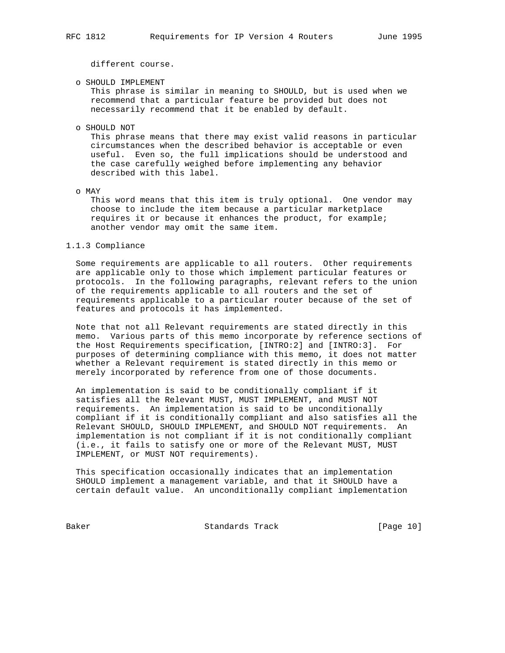different course.

o SHOULD IMPLEMENT

 This phrase is similar in meaning to SHOULD, but is used when we recommend that a particular feature be provided but does not necessarily recommend that it be enabled by default.

o SHOULD NOT

 This phrase means that there may exist valid reasons in particular circumstances when the described behavior is acceptable or even useful. Even so, the full implications should be understood and the case carefully weighed before implementing any behavior described with this label.

o MAY

 This word means that this item is truly optional. One vendor may choose to include the item because a particular marketplace requires it or because it enhances the product, for example; another vendor may omit the same item.

1.1.3 Compliance

 Some requirements are applicable to all routers. Other requirements are applicable only to those which implement particular features or protocols. In the following paragraphs, relevant refers to the union of the requirements applicable to all routers and the set of requirements applicable to a particular router because of the set of features and protocols it has implemented.

 Note that not all Relevant requirements are stated directly in this memo. Various parts of this memo incorporate by reference sections of the Host Requirements specification, [INTRO:2] and [INTRO:3]. For purposes of determining compliance with this memo, it does not matter whether a Relevant requirement is stated directly in this memo or merely incorporated by reference from one of those documents.

 An implementation is said to be conditionally compliant if it satisfies all the Relevant MUST, MUST IMPLEMENT, and MUST NOT requirements. An implementation is said to be unconditionally compliant if it is conditionally compliant and also satisfies all the Relevant SHOULD, SHOULD IMPLEMENT, and SHOULD NOT requirements. An implementation is not compliant if it is not conditionally compliant (i.e., it fails to satisfy one or more of the Relevant MUST, MUST IMPLEMENT, or MUST NOT requirements).

 This specification occasionally indicates that an implementation SHOULD implement a management variable, and that it SHOULD have a certain default value. An unconditionally compliant implementation

Baker Standards Track [Page 10]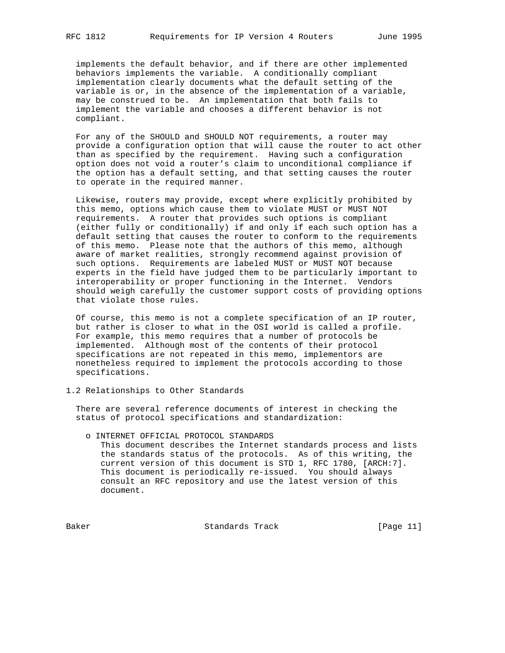implements the default behavior, and if there are other implemented behaviors implements the variable. A conditionally compliant implementation clearly documents what the default setting of the variable is or, in the absence of the implementation of a variable, may be construed to be. An implementation that both fails to implement the variable and chooses a different behavior is not compliant.

 For any of the SHOULD and SHOULD NOT requirements, a router may provide a configuration option that will cause the router to act other than as specified by the requirement. Having such a configuration option does not void a router's claim to unconditional compliance if the option has a default setting, and that setting causes the router to operate in the required manner.

 Likewise, routers may provide, except where explicitly prohibited by this memo, options which cause them to violate MUST or MUST NOT requirements. A router that provides such options is compliant (either fully or conditionally) if and only if each such option has a default setting that causes the router to conform to the requirements of this memo. Please note that the authors of this memo, although aware of market realities, strongly recommend against provision of such options. Requirements are labeled MUST or MUST NOT because experts in the field have judged them to be particularly important to interoperability or proper functioning in the Internet. Vendors should weigh carefully the customer support costs of providing options that violate those rules.

 Of course, this memo is not a complete specification of an IP router, but rather is closer to what in the OSI world is called a profile. For example, this memo requires that a number of protocols be implemented. Although most of the contents of their protocol specifications are not repeated in this memo, implementors are nonetheless required to implement the protocols according to those specifications.

1.2 Relationships to Other Standards

 There are several reference documents of interest in checking the status of protocol specifications and standardization:

 o INTERNET OFFICIAL PROTOCOL STANDARDS This document describes the Internet standards process and lists the standards status of the protocols. As of this writing, the current version of this document is STD 1, RFC 1780, [ARCH:7]. This document is periodically re-issued. You should always consult an RFC repository and use the latest version of this document.

Baker Standards Track [Page 11]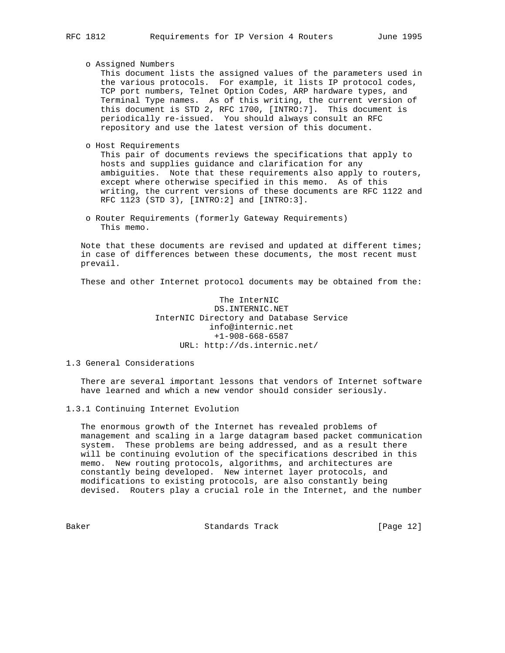o Assigned Numbers

 This document lists the assigned values of the parameters used in the various protocols. For example, it lists IP protocol codes, TCP port numbers, Telnet Option Codes, ARP hardware types, and Terminal Type names. As of this writing, the current version of this document is STD 2, RFC 1700, [INTRO:7]. This document is periodically re-issued. You should always consult an RFC repository and use the latest version of this document.

o Host Requirements

 This pair of documents reviews the specifications that apply to hosts and supplies guidance and clarification for any ambiguities. Note that these requirements also apply to routers, except where otherwise specified in this memo. As of this writing, the current versions of these documents are RFC 1122 and RFC 1123 (STD 3), [INTRO:2] and [INTRO:3].

 o Router Requirements (formerly Gateway Requirements) This memo.

 Note that these documents are revised and updated at different times; in case of differences between these documents, the most recent must prevail.

These and other Internet protocol documents may be obtained from the:

 The InterNIC DS.INTERNIC.NET InterNIC Directory and Database Service info@internic.net +1-908-668-6587 URL: http://ds.internic.net/

## 1.3 General Considerations

 There are several important lessons that vendors of Internet software have learned and which a new vendor should consider seriously.

1.3.1 Continuing Internet Evolution

 The enormous growth of the Internet has revealed problems of management and scaling in a large datagram based packet communication system. These problems are being addressed, and as a result there will be continuing evolution of the specifications described in this memo. New routing protocols, algorithms, and architectures are constantly being developed. New internet layer protocols, and modifications to existing protocols, are also constantly being devised. Routers play a crucial role in the Internet, and the number

Baker Standards Track [Page 12]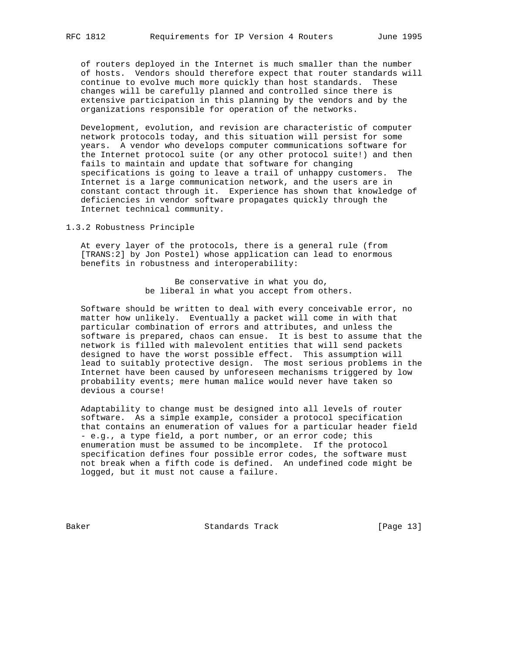of routers deployed in the Internet is much smaller than the number of hosts. Vendors should therefore expect that router standards will continue to evolve much more quickly than host standards. These changes will be carefully planned and controlled since there is extensive participation in this planning by the vendors and by the organizations responsible for operation of the networks.

 Development, evolution, and revision are characteristic of computer network protocols today, and this situation will persist for some years. A vendor who develops computer communications software for the Internet protocol suite (or any other protocol suite!) and then fails to maintain and update that software for changing specifications is going to leave a trail of unhappy customers. The Internet is a large communication network, and the users are in constant contact through it. Experience has shown that knowledge of deficiencies in vendor software propagates quickly through the Internet technical community.

## 1.3.2 Robustness Principle

 At every layer of the protocols, there is a general rule (from [TRANS:2] by Jon Postel) whose application can lead to enormous benefits in robustness and interoperability:

> Be conservative in what you do, be liberal in what you accept from others.

 Software should be written to deal with every conceivable error, no matter how unlikely. Eventually a packet will come in with that particular combination of errors and attributes, and unless the software is prepared, chaos can ensue. It is best to assume that the network is filled with malevolent entities that will send packets designed to have the worst possible effect. This assumption will lead to suitably protective design. The most serious problems in the Internet have been caused by unforeseen mechanisms triggered by low probability events; mere human malice would never have taken so devious a course!

 Adaptability to change must be designed into all levels of router software. As a simple example, consider a protocol specification that contains an enumeration of values for a particular header field - e.g., a type field, a port number, or an error code; this enumeration must be assumed to be incomplete. If the protocol specification defines four possible error codes, the software must not break when a fifth code is defined. An undefined code might be logged, but it must not cause a failure.

Baker Standards Track [Page 13]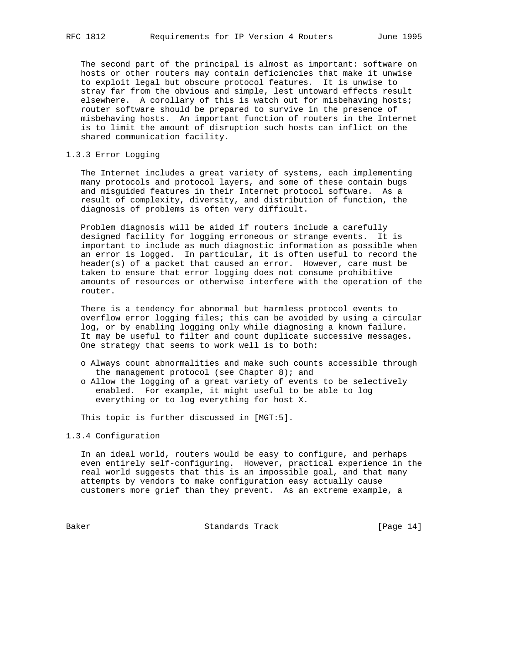The second part of the principal is almost as important: software on hosts or other routers may contain deficiencies that make it unwise to exploit legal but obscure protocol features. It is unwise to stray far from the obvious and simple, lest untoward effects result elsewhere. A corollary of this is watch out for misbehaving hosts; router software should be prepared to survive in the presence of misbehaving hosts. An important function of routers in the Internet is to limit the amount of disruption such hosts can inflict on the shared communication facility.

## 1.3.3 Error Logging

 The Internet includes a great variety of systems, each implementing many protocols and protocol layers, and some of these contain bugs and misguided features in their Internet protocol software. As a result of complexity, diversity, and distribution of function, the diagnosis of problems is often very difficult.

 Problem diagnosis will be aided if routers include a carefully designed facility for logging erroneous or strange events. It is important to include as much diagnostic information as possible when an error is logged. In particular, it is often useful to record the header(s) of a packet that caused an error. However, care must be taken to ensure that error logging does not consume prohibitive amounts of resources or otherwise interfere with the operation of the router.

 There is a tendency for abnormal but harmless protocol events to overflow error logging files; this can be avoided by using a circular log, or by enabling logging only while diagnosing a known failure. It may be useful to filter and count duplicate successive messages. One strategy that seems to work well is to both:

- o Always count abnormalities and make such counts accessible through the management protocol (see Chapter 8); and
- o Allow the logging of a great variety of events to be selectively enabled. For example, it might useful to be able to log everything or to log everything for host X.

This topic is further discussed in [MGT:5].

## 1.3.4 Configuration

 In an ideal world, routers would be easy to configure, and perhaps even entirely self-configuring. However, practical experience in the real world suggests that this is an impossible goal, and that many attempts by vendors to make configuration easy actually cause customers more grief than they prevent. As an extreme example, a

Baker Standards Track [Page 14]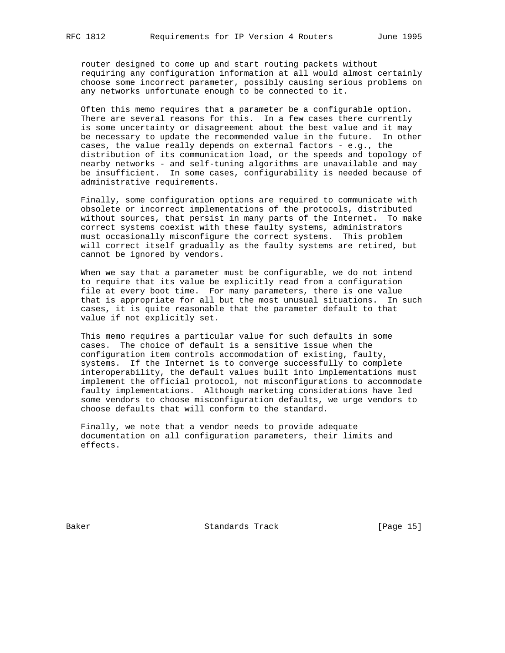router designed to come up and start routing packets without requiring any configuration information at all would almost certainly choose some incorrect parameter, possibly causing serious problems on any networks unfortunate enough to be connected to it.

 Often this memo requires that a parameter be a configurable option. There are several reasons for this. In a few cases there currently is some uncertainty or disagreement about the best value and it may be necessary to update the recommended value in the future. In other cases, the value really depends on external factors - e.g., the distribution of its communication load, or the speeds and topology of nearby networks - and self-tuning algorithms are unavailable and may be insufficient. In some cases, configurability is needed because of administrative requirements.

 Finally, some configuration options are required to communicate with obsolete or incorrect implementations of the protocols, distributed without sources, that persist in many parts of the Internet. To make correct systems coexist with these faulty systems, administrators must occasionally misconfigure the correct systems. This problem will correct itself gradually as the faulty systems are retired, but cannot be ignored by vendors.

 When we say that a parameter must be configurable, we do not intend to require that its value be explicitly read from a configuration file at every boot time. For many parameters, there is one value that is appropriate for all but the most unusual situations. In such cases, it is quite reasonable that the parameter default to that value if not explicitly set.

 This memo requires a particular value for such defaults in some cases. The choice of default is a sensitive issue when the configuration item controls accommodation of existing, faulty, systems. If the Internet is to converge successfully to complete interoperability, the default values built into implementations must implement the official protocol, not misconfigurations to accommodate faulty implementations. Although marketing considerations have led some vendors to choose misconfiguration defaults, we urge vendors to choose defaults that will conform to the standard.

 Finally, we note that a vendor needs to provide adequate documentation on all configuration parameters, their limits and effects.

Baker Standards Track [Page 15]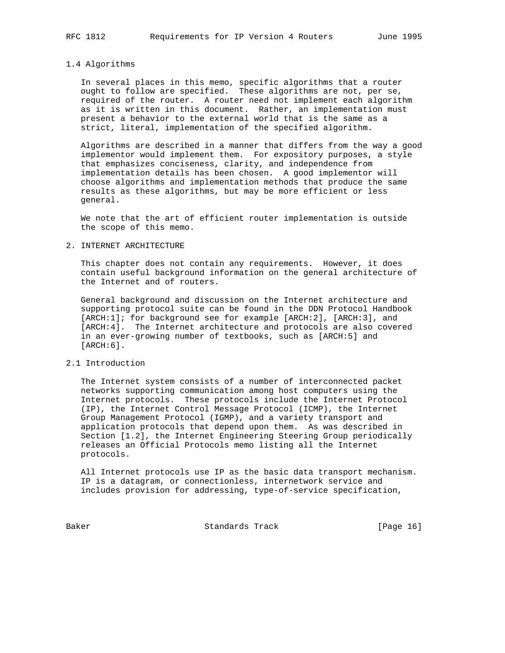### 1.4 Algorithms

 In several places in this memo, specific algorithms that a router ought to follow are specified. These algorithms are not, per se, required of the router. A router need not implement each algorithm as it is written in this document. Rather, an implementation must present a behavior to the external world that is the same as a strict, literal, implementation of the specified algorithm.

 Algorithms are described in a manner that differs from the way a good implementor would implement them. For expository purposes, a style that emphasizes conciseness, clarity, and independence from implementation details has been chosen. A good implementor will choose algorithms and implementation methods that produce the same results as these algorithms, but may be more efficient or less general.

 We note that the art of efficient router implementation is outside the scope of this memo.

### 2. INTERNET ARCHITECTURE

 This chapter does not contain any requirements. However, it does contain useful background information on the general architecture of the Internet and of routers.

 General background and discussion on the Internet architecture and supporting protocol suite can be found in the DDN Protocol Handbook [ARCH:1]; for background see for example [ARCH:2], [ARCH:3], and [ARCH:4]. The Internet architecture and protocols are also covered in an ever-growing number of textbooks, such as [ARCH:5] and  $[ARCH:6]$ .

### 2.1 Introduction

 The Internet system consists of a number of interconnected packet networks supporting communication among host computers using the Internet protocols. These protocols include the Internet Protocol (IP), the Internet Control Message Protocol (ICMP), the Internet Group Management Protocol (IGMP), and a variety transport and application protocols that depend upon them. As was described in Section [1.2], the Internet Engineering Steering Group periodically releases an Official Protocols memo listing all the Internet protocols.

 All Internet protocols use IP as the basic data transport mechanism. IP is a datagram, or connectionless, internetwork service and includes provision for addressing, type-of-service specification,

Baker Standards Track [Page 16]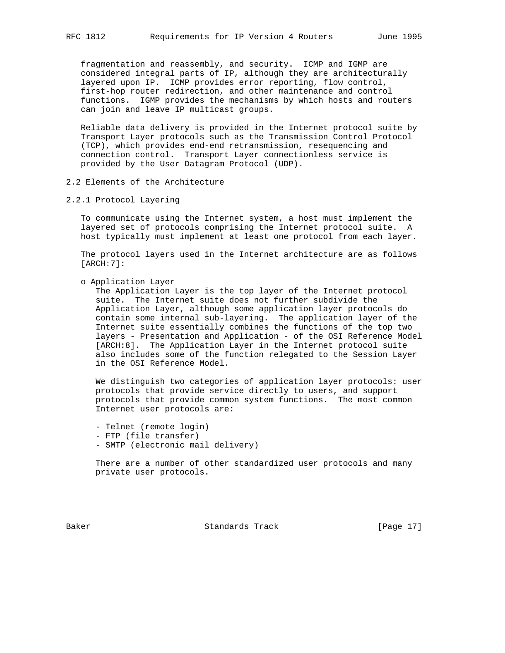fragmentation and reassembly, and security. ICMP and IGMP are considered integral parts of IP, although they are architecturally layered upon IP. ICMP provides error reporting, flow control, first-hop router redirection, and other maintenance and control functions. IGMP provides the mechanisms by which hosts and routers can join and leave IP multicast groups.

 Reliable data delivery is provided in the Internet protocol suite by Transport Layer protocols such as the Transmission Control Protocol (TCP), which provides end-end retransmission, resequencing and connection control. Transport Layer connectionless service is provided by the User Datagram Protocol (UDP).

- 2.2 Elements of the Architecture
- 2.2.1 Protocol Layering

 To communicate using the Internet system, a host must implement the layered set of protocols comprising the Internet protocol suite. A host typically must implement at least one protocol from each layer.

 The protocol layers used in the Internet architecture are as follows [ARCH:7]:

o Application Layer

 The Application Layer is the top layer of the Internet protocol suite. The Internet suite does not further subdivide the Application Layer, although some application layer protocols do contain some internal sub-layering. The application layer of the Internet suite essentially combines the functions of the top two layers - Presentation and Application - of the OSI Reference Model [ARCH:8]. The Application Layer in the Internet protocol suite also includes some of the function relegated to the Session Layer in the OSI Reference Model.

 We distinguish two categories of application layer protocols: user protocols that provide service directly to users, and support protocols that provide common system functions. The most common Internet user protocols are:

- Telnet (remote login)
- FTP (file transfer)
- SMTP (electronic mail delivery)

 There are a number of other standardized user protocols and many private user protocols.

Baker Standards Track [Page 17]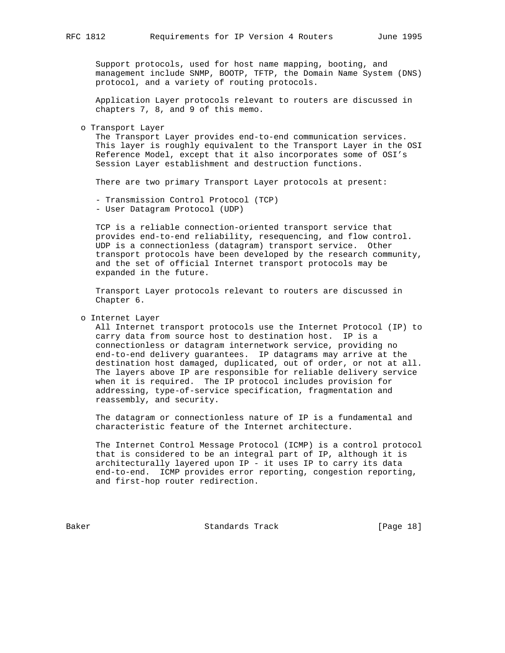Support protocols, used for host name mapping, booting, and management include SNMP, BOOTP, TFTP, the Domain Name System (DNS) protocol, and a variety of routing protocols.

 Application Layer protocols relevant to routers are discussed in chapters 7, 8, and 9 of this memo.

#### o Transport Layer

 The Transport Layer provides end-to-end communication services. This layer is roughly equivalent to the Transport Layer in the OSI Reference Model, except that it also incorporates some of OSI's Session Layer establishment and destruction functions.

There are two primary Transport Layer protocols at present:

 - Transmission Control Protocol (TCP) - User Datagram Protocol (UDP)

 TCP is a reliable connection-oriented transport service that provides end-to-end reliability, resequencing, and flow control. UDP is a connectionless (datagram) transport service. Other transport protocols have been developed by the research community, and the set of official Internet transport protocols may be expanded in the future.

 Transport Layer protocols relevant to routers are discussed in Chapter 6.

### o Internet Layer

 All Internet transport protocols use the Internet Protocol (IP) to carry data from source host to destination host. IP is a connectionless or datagram internetwork service, providing no end-to-end delivery guarantees. IP datagrams may arrive at the destination host damaged, duplicated, out of order, or not at all. The layers above IP are responsible for reliable delivery service when it is required. The IP protocol includes provision for addressing, type-of-service specification, fragmentation and reassembly, and security.

 The datagram or connectionless nature of IP is a fundamental and characteristic feature of the Internet architecture.

 The Internet Control Message Protocol (ICMP) is a control protocol that is considered to be an integral part of IP, although it is architecturally layered upon IP - it uses IP to carry its data end-to-end. ICMP provides error reporting, congestion reporting, and first-hop router redirection.

Baker Standards Track [Page 18]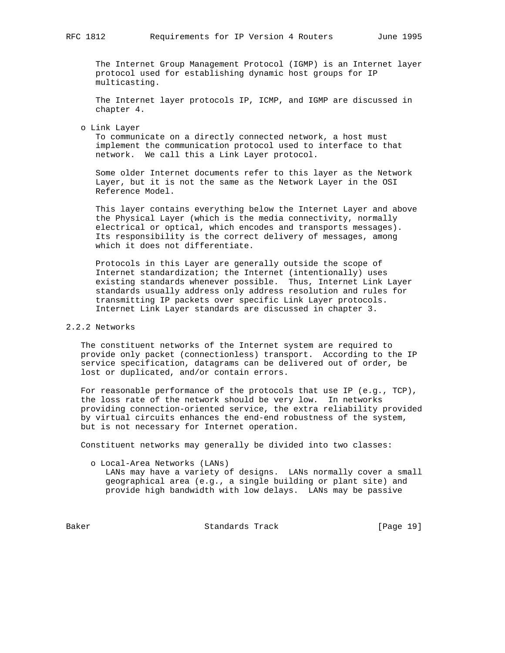The Internet Group Management Protocol (IGMP) is an Internet layer protocol used for establishing dynamic host groups for IP multicasting.

 The Internet layer protocols IP, ICMP, and IGMP are discussed in chapter 4.

o Link Layer

 To communicate on a directly connected network, a host must implement the communication protocol used to interface to that network. We call this a Link Layer protocol.

 Some older Internet documents refer to this layer as the Network Layer, but it is not the same as the Network Layer in the OSI Reference Model.

 This layer contains everything below the Internet Layer and above the Physical Layer (which is the media connectivity, normally electrical or optical, which encodes and transports messages). Its responsibility is the correct delivery of messages, among which it does not differentiate.

 Protocols in this Layer are generally outside the scope of Internet standardization; the Internet (intentionally) uses existing standards whenever possible. Thus, Internet Link Layer standards usually address only address resolution and rules for transmitting IP packets over specific Link Layer protocols. Internet Link Layer standards are discussed in chapter 3.

## 2.2.2 Networks

 The constituent networks of the Internet system are required to provide only packet (connectionless) transport. According to the IP service specification, datagrams can be delivered out of order, be lost or duplicated, and/or contain errors.

 For reasonable performance of the protocols that use IP (e.g., TCP), the loss rate of the network should be very low. In networks providing connection-oriented service, the extra reliability provided by virtual circuits enhances the end-end robustness of the system, but is not necessary for Internet operation.

Constituent networks may generally be divided into two classes:

o Local-Area Networks (LANs)

 LANs may have a variety of designs. LANs normally cover a small geographical area (e.g., a single building or plant site) and provide high bandwidth with low delays. LANs may be passive

Baker Standards Track [Page 19]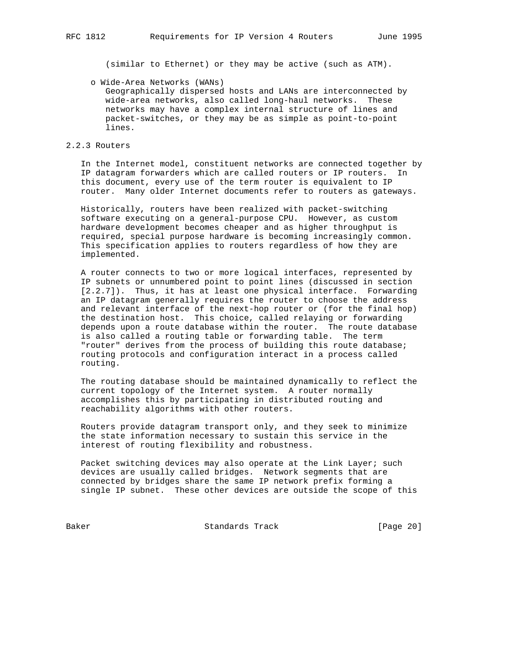(similar to Ethernet) or they may be active (such as ATM).

o Wide-Area Networks (WANs)

 Geographically dispersed hosts and LANs are interconnected by wide-area networks, also called long-haul networks. These networks may have a complex internal structure of lines and packet-switches, or they may be as simple as point-to-point lines.

2.2.3 Routers

 In the Internet model, constituent networks are connected together by IP datagram forwarders which are called routers or IP routers. In this document, every use of the term router is equivalent to IP router. Many older Internet documents refer to routers as gateways.

 Historically, routers have been realized with packet-switching software executing on a general-purpose CPU. However, as custom hardware development becomes cheaper and as higher throughput is required, special purpose hardware is becoming increasingly common. This specification applies to routers regardless of how they are implemented.

 A router connects to two or more logical interfaces, represented by IP subnets or unnumbered point to point lines (discussed in section [2.2.7]). Thus, it has at least one physical interface. Forwarding an IP datagram generally requires the router to choose the address and relevant interface of the next-hop router or (for the final hop) the destination host. This choice, called relaying or forwarding depends upon a route database within the router. The route database is also called a routing table or forwarding table. The term "router" derives from the process of building this route database; routing protocols and configuration interact in a process called routing.

 The routing database should be maintained dynamically to reflect the current topology of the Internet system. A router normally accomplishes this by participating in distributed routing and reachability algorithms with other routers.

 Routers provide datagram transport only, and they seek to minimize the state information necessary to sustain this service in the interest of routing flexibility and robustness.

Packet switching devices may also operate at the Link Layer; such devices are usually called bridges. Network segments that are connected by bridges share the same IP network prefix forming a single IP subnet. These other devices are outside the scope of this

Baker Standards Track [Page 20]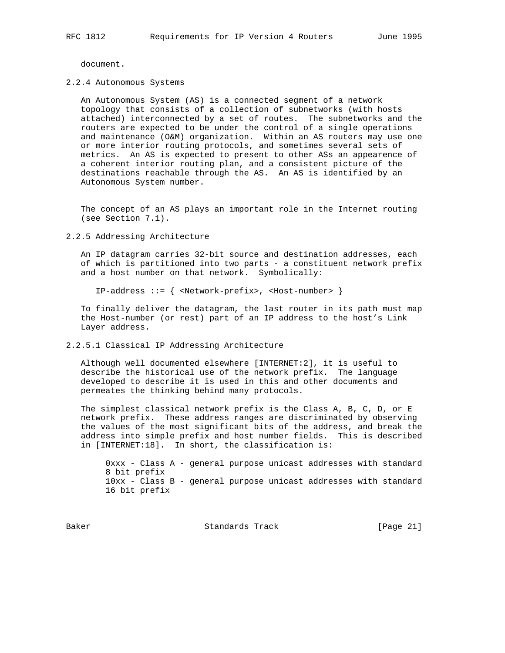document.

#### 2.2.4 Autonomous Systems

 An Autonomous System (AS) is a connected segment of a network topology that consists of a collection of subnetworks (with hosts attached) interconnected by a set of routes. The subnetworks and the routers are expected to be under the control of a single operations and maintenance (O&M) organization. Within an AS routers may use one or more interior routing protocols, and sometimes several sets of metrics. An AS is expected to present to other ASs an appearence of a coherent interior routing plan, and a consistent picture of the destinations reachable through the AS. An AS is identified by an Autonomous System number.

 The concept of an AS plays an important role in the Internet routing (see Section 7.1).

#### 2.2.5 Addressing Architecture

 An IP datagram carries 32-bit source and destination addresses, each of which is partitioned into two parts - a constituent network prefix and a host number on that network. Symbolically:

IP-address ::= { <Network-prefix>, <Host-number> }

 To finally deliver the datagram, the last router in its path must map the Host-number (or rest) part of an IP address to the host's Link Layer address.

## 2.2.5.1 Classical IP Addressing Architecture

 Although well documented elsewhere [INTERNET:2], it is useful to describe the historical use of the network prefix. The language developed to describe it is used in this and other documents and permeates the thinking behind many protocols.

 The simplest classical network prefix is the Class A, B, C, D, or E network prefix. These address ranges are discriminated by observing the values of the most significant bits of the address, and break the address into simple prefix and host number fields. This is described in [INTERNET:18]. In short, the classification is:

 0xxx - Class A - general purpose unicast addresses with standard 8 bit prefix 10xx - Class B - general purpose unicast addresses with standard 16 bit prefix

Baker Standards Track [Page 21]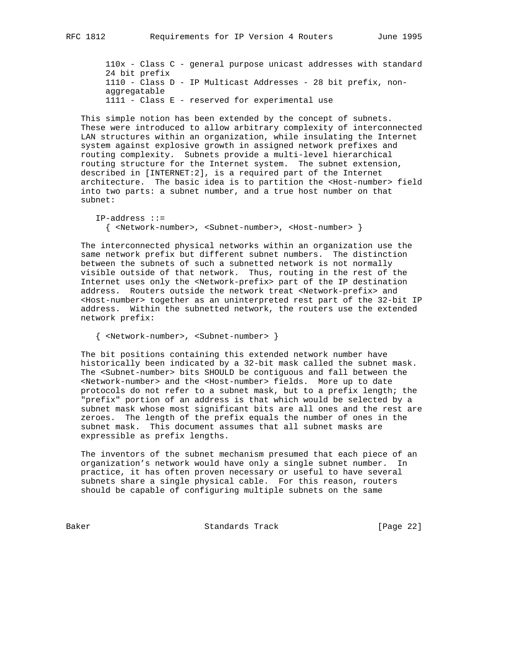110x - Class C - general purpose unicast addresses with standard 24 bit prefix 1110 - Class D - IP Multicast Addresses - 28 bit prefix, non aggregatable 1111 - Class E - reserved for experimental use

 This simple notion has been extended by the concept of subnets. These were introduced to allow arbitrary complexity of interconnected LAN structures within an organization, while insulating the Internet system against explosive growth in assigned network prefixes and routing complexity. Subnets provide a multi-level hierarchical routing structure for the Internet system. The subnet extension, described in [INTERNET:2], is a required part of the Internet architecture. The basic idea is to partition the <Host-number> field into two parts: a subnet number, and a true host number on that subnet:

 IP-address ::= { <Network-number>, <Subnet-number>, <Host-number> }

 The interconnected physical networks within an organization use the same network prefix but different subnet numbers. The distinction between the subnets of such a subnetted network is not normally visible outside of that network. Thus, routing in the rest of the Internet uses only the <Network-prefix> part of the IP destination address. Routers outside the network treat <Network-prefix> and <Host-number> together as an uninterpreted rest part of the 32-bit IP address. Within the subnetted network, the routers use the extended network prefix:

{ <Network-number>, <Subnet-number> }

 The bit positions containing this extended network number have historically been indicated by a 32-bit mask called the subnet mask. The <Subnet-number> bits SHOULD be contiguous and fall between the <Network-number> and the <Host-number> fields. More up to date protocols do not refer to a subnet mask, but to a prefix length; the "prefix" portion of an address is that which would be selected by a subnet mask whose most significant bits are all ones and the rest are zeroes. The length of the prefix equals the number of ones in the subnet mask. This document assumes that all subnet masks are expressible as prefix lengths.

 The inventors of the subnet mechanism presumed that each piece of an organization's network would have only a single subnet number. In practice, it has often proven necessary or useful to have several subnets share a single physical cable. For this reason, routers should be capable of configuring multiple subnets on the same

Baker Standards Track [Page 22]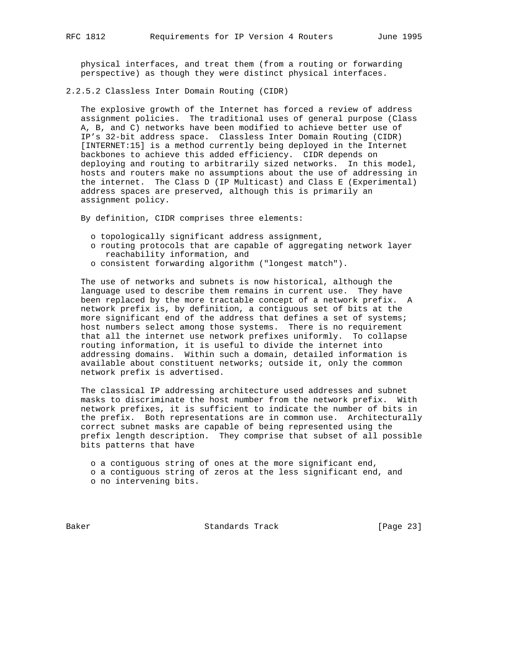physical interfaces, and treat them (from a routing or forwarding perspective) as though they were distinct physical interfaces.

2.2.5.2 Classless Inter Domain Routing (CIDR)

 The explosive growth of the Internet has forced a review of address assignment policies. The traditional uses of general purpose (Class A, B, and C) networks have been modified to achieve better use of IP's 32-bit address space. Classless Inter Domain Routing (CIDR) [INTERNET:15] is a method currently being deployed in the Internet backbones to achieve this added efficiency. CIDR depends on deploying and routing to arbitrarily sized networks. In this model, hosts and routers make no assumptions about the use of addressing in the internet. The Class D (IP Multicast) and Class E (Experimental) address spaces are preserved, although this is primarily an assignment policy.

By definition, CIDR comprises three elements:

- o topologically significant address assignment,
- o routing protocols that are capable of aggregating network layer reachability information, and
- o consistent forwarding algorithm ("longest match").

 The use of networks and subnets is now historical, although the language used to describe them remains in current use. They have been replaced by the more tractable concept of a network prefix. A network prefix is, by definition, a contiguous set of bits at the more significant end of the address that defines a set of systems; host numbers select among those systems. There is no requirement that all the internet use network prefixes uniformly. To collapse routing information, it is useful to divide the internet into addressing domains. Within such a domain, detailed information is available about constituent networks; outside it, only the common network prefix is advertised.

 The classical IP addressing architecture used addresses and subnet masks to discriminate the host number from the network prefix. With network prefixes, it is sufficient to indicate the number of bits in the prefix. Both representations are in common use. Architecturally correct subnet masks are capable of being represented using the prefix length description. They comprise that subset of all possible bits patterns that have

 o a contiguous string of ones at the more significant end, o a contiguous string of zeros at the less significant end, and o no intervening bits.

Baker Standards Track [Page 23]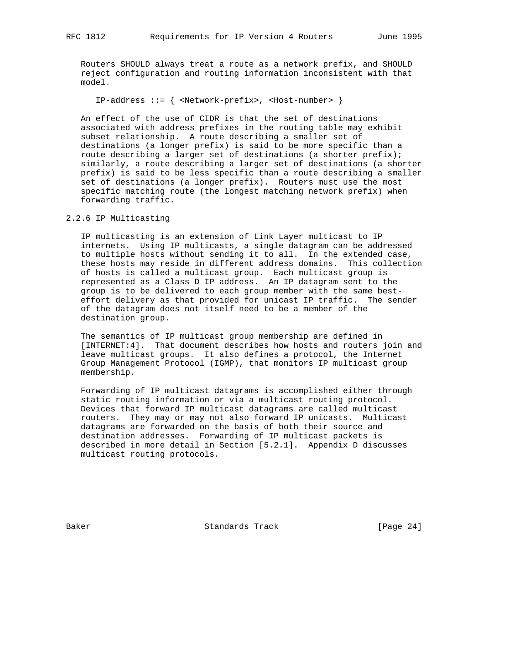Routers SHOULD always treat a route as a network prefix, and SHOULD reject configuration and routing information inconsistent with that model.

IP-address ::= { <Network-prefix>, <Host-number> }

 An effect of the use of CIDR is that the set of destinations associated with address prefixes in the routing table may exhibit subset relationship. A route describing a smaller set of destinations (a longer prefix) is said to be more specific than a route describing a larger set of destinations (a shorter prefix); similarly, a route describing a larger set of destinations (a shorter prefix) is said to be less specific than a route describing a smaller set of destinations (a longer prefix). Routers must use the most specific matching route (the longest matching network prefix) when forwarding traffic.

# 2.2.6 IP Multicasting

 IP multicasting is an extension of Link Layer multicast to IP internets. Using IP multicasts, a single datagram can be addressed to multiple hosts without sending it to all. In the extended case, these hosts may reside in different address domains. This collection of hosts is called a multicast group. Each multicast group is represented as a Class D IP address. An IP datagram sent to the group is to be delivered to each group member with the same best effort delivery as that provided for unicast IP traffic. The sender of the datagram does not itself need to be a member of the destination group.

 The semantics of IP multicast group membership are defined in [INTERNET:4]. That document describes how hosts and routers join and leave multicast groups. It also defines a protocol, the Internet Group Management Protocol (IGMP), that monitors IP multicast group membership.

 Forwarding of IP multicast datagrams is accomplished either through static routing information or via a multicast routing protocol. Devices that forward IP multicast datagrams are called multicast routers. They may or may not also forward IP unicasts. Multicast datagrams are forwarded on the basis of both their source and destination addresses. Forwarding of IP multicast packets is described in more detail in Section [5.2.1]. Appendix D discusses multicast routing protocols.

Baker Standards Track [Page 24]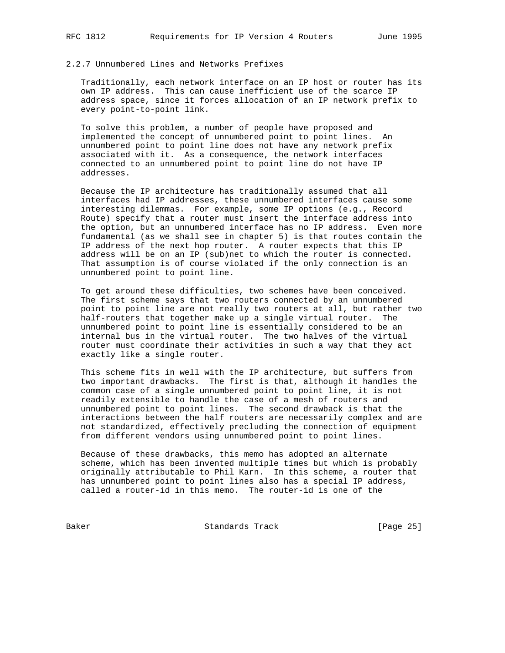## 2.2.7 Unnumbered Lines and Networks Prefixes

 Traditionally, each network interface on an IP host or router has its own IP address. This can cause inefficient use of the scarce IP address space, since it forces allocation of an IP network prefix to every point-to-point link.

 To solve this problem, a number of people have proposed and implemented the concept of unnumbered point to point lines. An unnumbered point to point line does not have any network prefix associated with it. As a consequence, the network interfaces connected to an unnumbered point to point line do not have IP addresses.

 Because the IP architecture has traditionally assumed that all interfaces had IP addresses, these unnumbered interfaces cause some interesting dilemmas. For example, some IP options (e.g., Record Route) specify that a router must insert the interface address into the option, but an unnumbered interface has no IP address. Even more fundamental (as we shall see in chapter 5) is that routes contain the IP address of the next hop router. A router expects that this IP address will be on an IP (sub)net to which the router is connected. That assumption is of course violated if the only connection is an unnumbered point to point line.

 To get around these difficulties, two schemes have been conceived. The first scheme says that two routers connected by an unnumbered point to point line are not really two routers at all, but rather two half-routers that together make up a single virtual router. The unnumbered point to point line is essentially considered to be an internal bus in the virtual router. The two halves of the virtual router must coordinate their activities in such a way that they act exactly like a single router.

 This scheme fits in well with the IP architecture, but suffers from two important drawbacks. The first is that, although it handles the common case of a single unnumbered point to point line, it is not readily extensible to handle the case of a mesh of routers and unnumbered point to point lines. The second drawback is that the interactions between the half routers are necessarily complex and are not standardized, effectively precluding the connection of equipment from different vendors using unnumbered point to point lines.

 Because of these drawbacks, this memo has adopted an alternate scheme, which has been invented multiple times but which is probably originally attributable to Phil Karn. In this scheme, a router that has unnumbered point to point lines also has a special IP address, called a router-id in this memo. The router-id is one of the

Baker Standards Track [Page 25]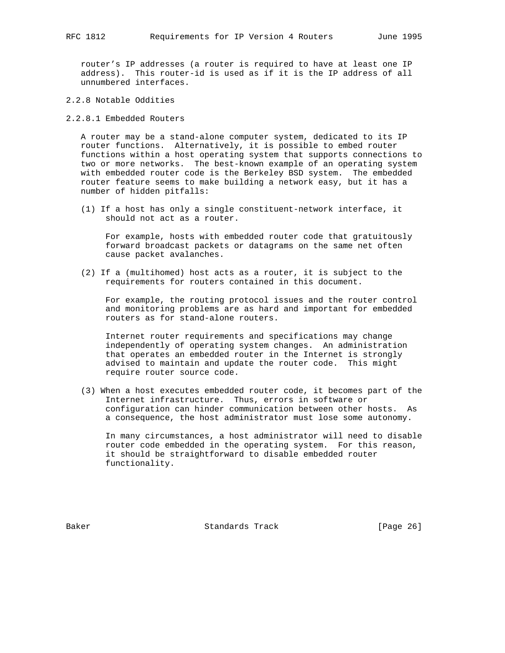router's IP addresses (a router is required to have at least one IP address). This router-id is used as if it is the IP address of all unnumbered interfaces.

2.2.8 Notable Oddities

2.2.8.1 Embedded Routers

 A router may be a stand-alone computer system, dedicated to its IP router functions. Alternatively, it is possible to embed router functions within a host operating system that supports connections to two or more networks. The best-known example of an operating system with embedded router code is the Berkeley BSD system. The embedded router feature seems to make building a network easy, but it has a number of hidden pitfalls:

 (1) If a host has only a single constituent-network interface, it should not act as a router.

 For example, hosts with embedded router code that gratuitously forward broadcast packets or datagrams on the same net often cause packet avalanches.

 (2) If a (multihomed) host acts as a router, it is subject to the requirements for routers contained in this document.

 For example, the routing protocol issues and the router control and monitoring problems are as hard and important for embedded routers as for stand-alone routers.

 Internet router requirements and specifications may change independently of operating system changes. An administration that operates an embedded router in the Internet is strongly advised to maintain and update the router code. This might require router source code.

 (3) When a host executes embedded router code, it becomes part of the Internet infrastructure. Thus, errors in software or configuration can hinder communication between other hosts. As a consequence, the host administrator must lose some autonomy.

 In many circumstances, a host administrator will need to disable router code embedded in the operating system. For this reason, it should be straightforward to disable embedded router functionality.

Baker Standards Track [Page 26]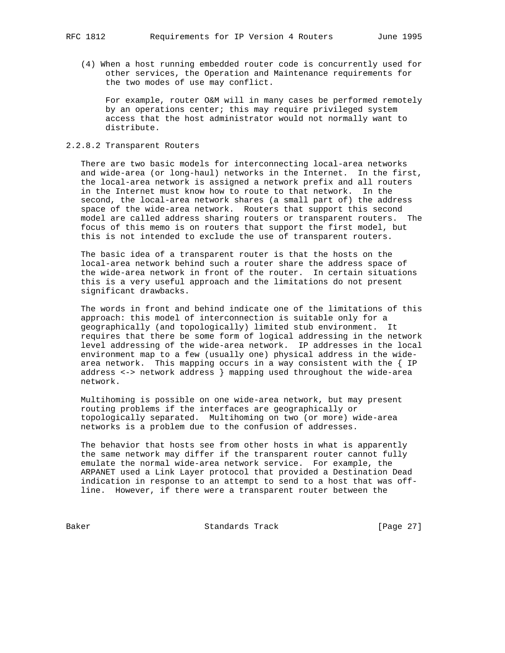(4) When a host running embedded router code is concurrently used for other services, the Operation and Maintenance requirements for the two modes of use may conflict.

 For example, router O&M will in many cases be performed remotely by an operations center; this may require privileged system access that the host administrator would not normally want to distribute.

## 2.2.8.2 Transparent Routers

 There are two basic models for interconnecting local-area networks and wide-area (or long-haul) networks in the Internet. In the first, the local-area network is assigned a network prefix and all routers in the Internet must know how to route to that network. In the second, the local-area network shares (a small part of) the address space of the wide-area network. Routers that support this second model are called address sharing routers or transparent routers. The focus of this memo is on routers that support the first model, but this is not intended to exclude the use of transparent routers.

 The basic idea of a transparent router is that the hosts on the local-area network behind such a router share the address space of the wide-area network in front of the router. In certain situations this is a very useful approach and the limitations do not present significant drawbacks.

 The words in front and behind indicate one of the limitations of this approach: this model of interconnection is suitable only for a geographically (and topologically) limited stub environment. It requires that there be some form of logical addressing in the network level addressing of the wide-area network. IP addresses in the local environment map to a few (usually one) physical address in the wide area network. This mapping occurs in a way consistent with the  $\{IP\}$  address <-> network address } mapping used throughout the wide-area network.

 Multihoming is possible on one wide-area network, but may present routing problems if the interfaces are geographically or topologically separated. Multihoming on two (or more) wide-area networks is a problem due to the confusion of addresses.

 The behavior that hosts see from other hosts in what is apparently the same network may differ if the transparent router cannot fully emulate the normal wide-area network service. For example, the ARPANET used a Link Layer protocol that provided a Destination Dead indication in response to an attempt to send to a host that was off line. However, if there were a transparent router between the

Baker Standards Track [Page 27]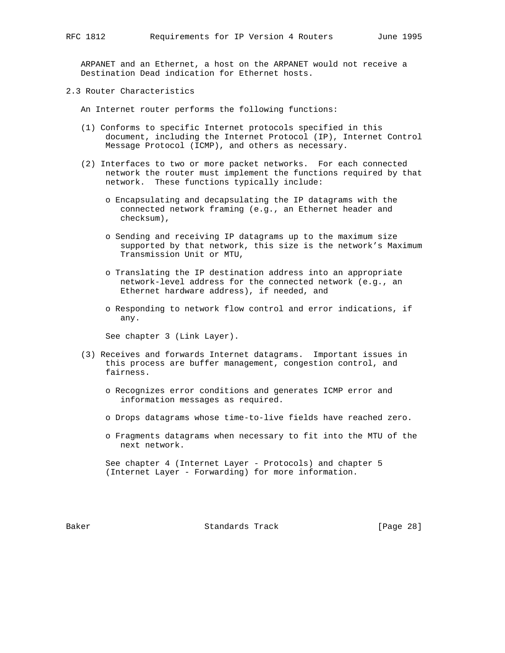ARPANET and an Ethernet, a host on the ARPANET would not receive a Destination Dead indication for Ethernet hosts.

2.3 Router Characteristics

An Internet router performs the following functions:

- (1) Conforms to specific Internet protocols specified in this document, including the Internet Protocol (IP), Internet Control Message Protocol (ICMP), and others as necessary.
- (2) Interfaces to two or more packet networks. For each connected network the router must implement the functions required by that network. These functions typically include:
	- o Encapsulating and decapsulating the IP datagrams with the connected network framing (e.g., an Ethernet header and checksum),
	- o Sending and receiving IP datagrams up to the maximum size supported by that network, this size is the network's Maximum Transmission Unit or MTU,
	- o Translating the IP destination address into an appropriate network-level address for the connected network (e.g., an Ethernet hardware address), if needed, and
	- o Responding to network flow control and error indications, if any.

See chapter 3 (Link Layer).

- (3) Receives and forwards Internet datagrams. Important issues in this process are buffer management, congestion control, and fairness.
	- o Recognizes error conditions and generates ICMP error and information messages as required.
	- o Drops datagrams whose time-to-live fields have reached zero.
	- o Fragments datagrams when necessary to fit into the MTU of the next network.

 See chapter 4 (Internet Layer - Protocols) and chapter 5 (Internet Layer - Forwarding) for more information.

Baker Standards Track [Page 28]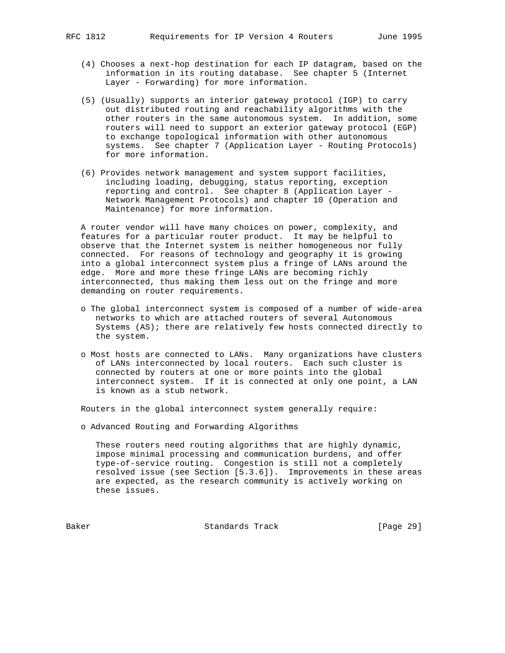- (4) Chooses a next-hop destination for each IP datagram, based on the information in its routing database. See chapter 5 (Internet Layer - Forwarding) for more information.
- (5) (Usually) supports an interior gateway protocol (IGP) to carry out distributed routing and reachability algorithms with the other routers in the same autonomous system. In addition, some routers will need to support an exterior gateway protocol (EGP) to exchange topological information with other autonomous systems. See chapter 7 (Application Layer - Routing Protocols) for more information.
- (6) Provides network management and system support facilities, including loading, debugging, status reporting, exception reporting and control. See chapter 8 (Application Layer - Network Management Protocols) and chapter 10 (Operation and Maintenance) for more information.

 A router vendor will have many choices on power, complexity, and features for a particular router product. It may be helpful to observe that the Internet system is neither homogeneous nor fully connected. For reasons of technology and geography it is growing into a global interconnect system plus a fringe of LANs around the edge. More and more these fringe LANs are becoming richly interconnected, thus making them less out on the fringe and more demanding on router requirements.

- o The global interconnect system is composed of a number of wide-area networks to which are attached routers of several Autonomous Systems (AS); there are relatively few hosts connected directly to the system.
- o Most hosts are connected to LANs. Many organizations have clusters of LANs interconnected by local routers. Each such cluster is connected by routers at one or more points into the global interconnect system. If it is connected at only one point, a LAN is known as a stub network.

Routers in the global interconnect system generally require:

o Advanced Routing and Forwarding Algorithms

 These routers need routing algorithms that are highly dynamic, impose minimal processing and communication burdens, and offer type-of-service routing. Congestion is still not a completely resolved issue (see Section [5.3.6]). Improvements in these areas are expected, as the research community is actively working on these issues.

Baker Standards Track [Page 29]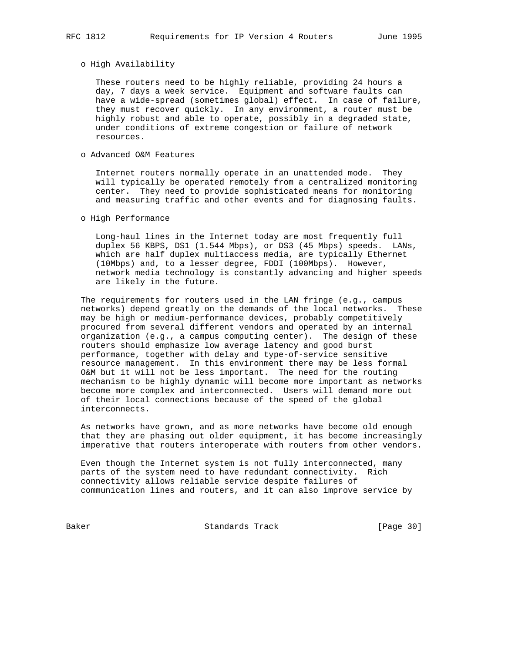# o High Availability

 These routers need to be highly reliable, providing 24 hours a day, 7 days a week service. Equipment and software faults can have a wide-spread (sometimes global) effect. In case of failure, they must recover quickly. In any environment, a router must be highly robust and able to operate, possibly in a degraded state, under conditions of extreme congestion or failure of network resources.

## o Advanced O&M Features

 Internet routers normally operate in an unattended mode. They will typically be operated remotely from a centralized monitoring center. They need to provide sophisticated means for monitoring and measuring traffic and other events and for diagnosing faults.

### o High Performance

 Long-haul lines in the Internet today are most frequently full duplex 56 KBPS, DS1 (1.544 Mbps), or DS3 (45 Mbps) speeds. LANs, which are half duplex multiaccess media, are typically Ethernet (10Mbps) and, to a lesser degree, FDDI (100Mbps). However, network media technology is constantly advancing and higher speeds are likely in the future.

 The requirements for routers used in the LAN fringe (e.g., campus networks) depend greatly on the demands of the local networks. These may be high or medium-performance devices, probably competitively procured from several different vendors and operated by an internal organization (e.g., a campus computing center). The design of these routers should emphasize low average latency and good burst performance, together with delay and type-of-service sensitive resource management. In this environment there may be less formal O&M but it will not be less important. The need for the routing mechanism to be highly dynamic will become more important as networks become more complex and interconnected. Users will demand more out of their local connections because of the speed of the global interconnects.

 As networks have grown, and as more networks have become old enough that they are phasing out older equipment, it has become increasingly imperative that routers interoperate with routers from other vendors.

 Even though the Internet system is not fully interconnected, many parts of the system need to have redundant connectivity. Rich connectivity allows reliable service despite failures of communication lines and routers, and it can also improve service by

Baker Standards Track [Page 30]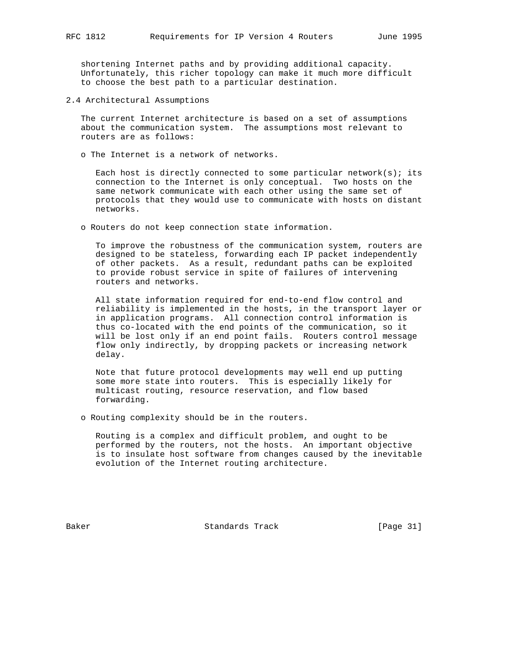shortening Internet paths and by providing additional capacity. Unfortunately, this richer topology can make it much more difficult to choose the best path to a particular destination.

2.4 Architectural Assumptions

 The current Internet architecture is based on a set of assumptions about the communication system. The assumptions most relevant to routers are as follows:

o The Internet is a network of networks.

Each host is directly connected to some particular network(s); its connection to the Internet is only conceptual. Two hosts on the same network communicate with each other using the same set of protocols that they would use to communicate with hosts on distant networks.

o Routers do not keep connection state information.

 To improve the robustness of the communication system, routers are designed to be stateless, forwarding each IP packet independently of other packets. As a result, redundant paths can be exploited to provide robust service in spite of failures of intervening routers and networks.

 All state information required for end-to-end flow control and reliability is implemented in the hosts, in the transport layer or in application programs. All connection control information is thus co-located with the end points of the communication, so it will be lost only if an end point fails. Routers control message flow only indirectly, by dropping packets or increasing network delay.

 Note that future protocol developments may well end up putting some more state into routers. This is especially likely for multicast routing, resource reservation, and flow based forwarding.

o Routing complexity should be in the routers.

 Routing is a complex and difficult problem, and ought to be performed by the routers, not the hosts. An important objective is to insulate host software from changes caused by the inevitable evolution of the Internet routing architecture.

Baker Standards Track [Page 31]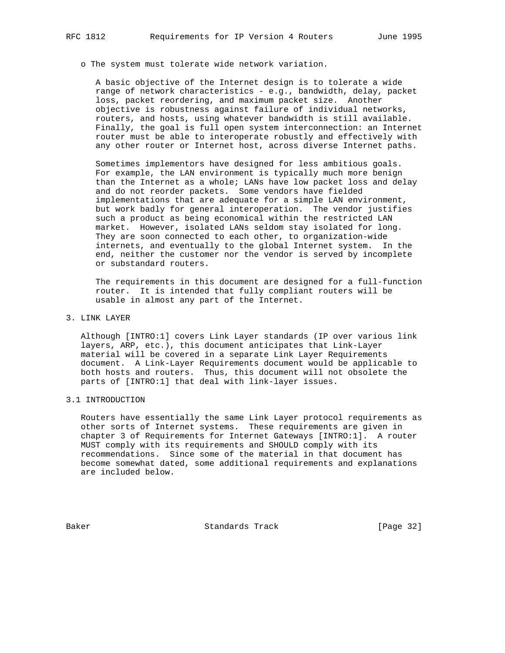o The system must tolerate wide network variation.

 A basic objective of the Internet design is to tolerate a wide range of network characteristics - e.g., bandwidth, delay, packet loss, packet reordering, and maximum packet size. Another objective is robustness against failure of individual networks, routers, and hosts, using whatever bandwidth is still available. Finally, the goal is full open system interconnection: an Internet router must be able to interoperate robustly and effectively with any other router or Internet host, across diverse Internet paths.

 Sometimes implementors have designed for less ambitious goals. For example, the LAN environment is typically much more benign than the Internet as a whole; LANs have low packet loss and delay and do not reorder packets. Some vendors have fielded implementations that are adequate for a simple LAN environment, but work badly for general interoperation. The vendor justifies such a product as being economical within the restricted LAN market. However, isolated LANs seldom stay isolated for long. They are soon connected to each other, to organization-wide internets, and eventually to the global Internet system. In the end, neither the customer nor the vendor is served by incomplete or substandard routers.

 The requirements in this document are designed for a full-function router. It is intended that fully compliant routers will be usable in almost any part of the Internet.

3. LINK LAYER

 Although [INTRO:1] covers Link Layer standards (IP over various link layers, ARP, etc.), this document anticipates that Link-Layer material will be covered in a separate Link Layer Requirements document. A Link-Layer Requirements document would be applicable to both hosts and routers. Thus, this document will not obsolete the parts of [INTRO:1] that deal with link-layer issues.

3.1 INTRODUCTION

 Routers have essentially the same Link Layer protocol requirements as other sorts of Internet systems. These requirements are given in chapter 3 of Requirements for Internet Gateways [INTRO:1]. A router MUST comply with its requirements and SHOULD comply with its recommendations. Since some of the material in that document has become somewhat dated, some additional requirements and explanations are included below.

Baker Standards Track [Page 32]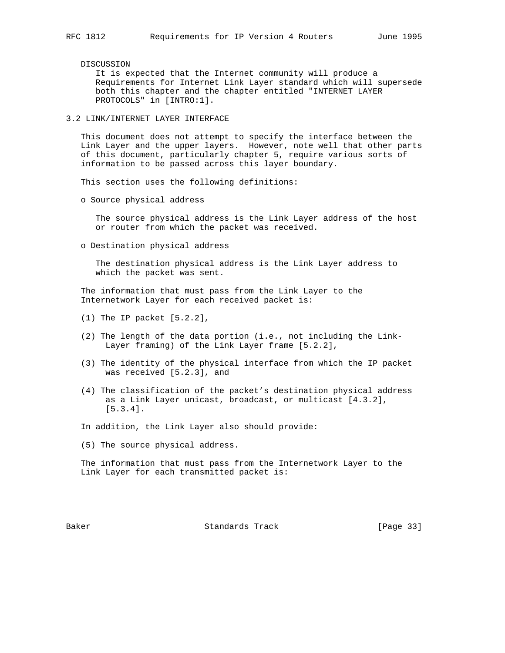DISCUSSION

 It is expected that the Internet community will produce a Requirements for Internet Link Layer standard which will supersede both this chapter and the chapter entitled "INTERNET LAYER PROTOCOLS" in [INTRO:1].

3.2 LINK/INTERNET LAYER INTERFACE

 This document does not attempt to specify the interface between the Link Layer and the upper layers. However, note well that other parts of this document, particularly chapter 5, require various sorts of information to be passed across this layer boundary.

This section uses the following definitions:

o Source physical address

 The source physical address is the Link Layer address of the host or router from which the packet was received.

o Destination physical address

 The destination physical address is the Link Layer address to which the packet was sent.

 The information that must pass from the Link Layer to the Internetwork Layer for each received packet is:

- (1) The IP packet [5.2.2],
- (2) The length of the data portion (i.e., not including the Link- Layer framing) of the Link Layer frame [5.2.2],
- (3) The identity of the physical interface from which the IP packet was received [5.2.3], and
- (4) The classification of the packet's destination physical address as a Link Layer unicast, broadcast, or multicast [4.3.2], [5.3.4].

In addition, the Link Layer also should provide:

(5) The source physical address.

 The information that must pass from the Internetwork Layer to the Link Layer for each transmitted packet is:

Baker Standards Track [Page 33]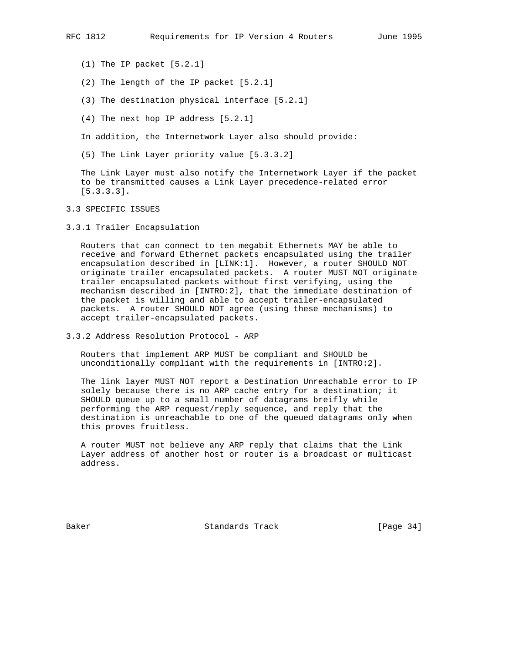- (1) The IP packet [5.2.1]
- (2) The length of the IP packet [5.2.1]
- (3) The destination physical interface [5.2.1]
- (4) The next hop IP address [5.2.1]

In addition, the Internetwork Layer also should provide:

(5) The Link Layer priority value [5.3.3.2]

 The Link Layer must also notify the Internetwork Layer if the packet to be transmitted causes a Link Layer precedence-related error [5.3.3.3].

### 3.3 SPECIFIC ISSUES

3.3.1 Trailer Encapsulation

 Routers that can connect to ten megabit Ethernets MAY be able to receive and forward Ethernet packets encapsulated using the trailer encapsulation described in [LINK:1]. However, a router SHOULD NOT originate trailer encapsulated packets. A router MUST NOT originate trailer encapsulated packets without first verifying, using the mechanism described in [INTRO:2], that the immediate destination of the packet is willing and able to accept trailer-encapsulated packets. A router SHOULD NOT agree (using these mechanisms) to accept trailer-encapsulated packets.

3.3.2 Address Resolution Protocol - ARP

 Routers that implement ARP MUST be compliant and SHOULD be unconditionally compliant with the requirements in [INTRO:2].

 The link layer MUST NOT report a Destination Unreachable error to IP solely because there is no ARP cache entry for a destination; it SHOULD queue up to a small number of datagrams breifly while performing the ARP request/reply sequence, and reply that the destination is unreachable to one of the queued datagrams only when this proves fruitless.

 A router MUST not believe any ARP reply that claims that the Link Layer address of another host or router is a broadcast or multicast address.

Baker Standards Track [Page 34]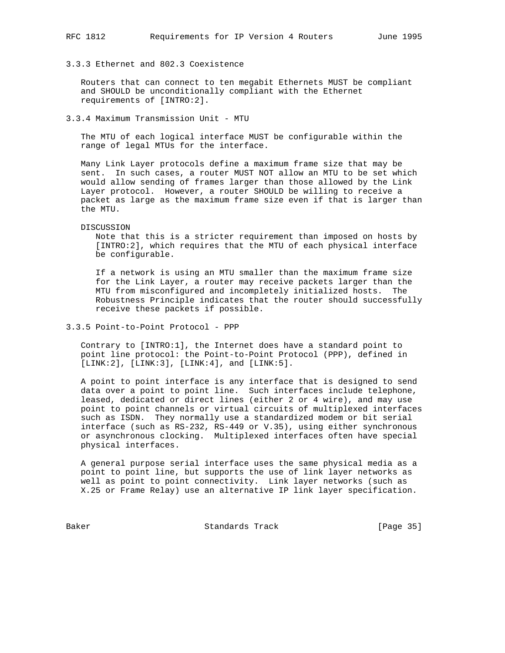3.3.3 Ethernet and 802.3 Coexistence

 Routers that can connect to ten megabit Ethernets MUST be compliant and SHOULD be unconditionally compliant with the Ethernet requirements of [INTRO:2].

3.3.4 Maximum Transmission Unit - MTU

 The MTU of each logical interface MUST be configurable within the range of legal MTUs for the interface.

 Many Link Layer protocols define a maximum frame size that may be sent. In such cases, a router MUST NOT allow an MTU to be set which would allow sending of frames larger than those allowed by the Link Layer protocol. However, a router SHOULD be willing to receive a packet as large as the maximum frame size even if that is larger than the MTU.

DISCUSSION

 Note that this is a stricter requirement than imposed on hosts by [INTRO:2], which requires that the MTU of each physical interface be configurable.

 If a network is using an MTU smaller than the maximum frame size for the Link Layer, a router may receive packets larger than the MTU from misconfigured and incompletely initialized hosts. The Robustness Principle indicates that the router should successfully receive these packets if possible.

3.3.5 Point-to-Point Protocol - PPP

 Contrary to [INTRO:1], the Internet does have a standard point to point line protocol: the Point-to-Point Protocol (PPP), defined in [LINK:2], [LINK:3], [LINK:4], and [LINK:5].

 A point to point interface is any interface that is designed to send data over a point to point line. Such interfaces include telephone, leased, dedicated or direct lines (either 2 or 4 wire), and may use point to point channels or virtual circuits of multiplexed interfaces such as ISDN. They normally use a standardized modem or bit serial interface (such as RS-232, RS-449 or V.35), using either synchronous or asynchronous clocking. Multiplexed interfaces often have special physical interfaces.

 A general purpose serial interface uses the same physical media as a point to point line, but supports the use of link layer networks as well as point to point connectivity. Link layer networks (such as X.25 or Frame Relay) use an alternative IP link layer specification.

Baker Standards Track [Page 35]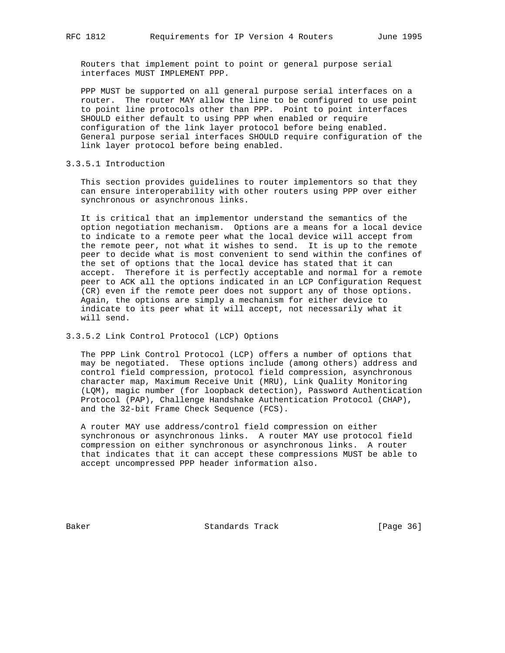Routers that implement point to point or general purpose serial interfaces MUST IMPLEMENT PPP.

 PPP MUST be supported on all general purpose serial interfaces on a router. The router MAY allow the line to be configured to use point to point line protocols other than PPP. Point to point interfaces SHOULD either default to using PPP when enabled or require configuration of the link layer protocol before being enabled. General purpose serial interfaces SHOULD require configuration of the link layer protocol before being enabled.

# 3.3.5.1 Introduction

 This section provides guidelines to router implementors so that they can ensure interoperability with other routers using PPP over either synchronous or asynchronous links.

 It is critical that an implementor understand the semantics of the option negotiation mechanism. Options are a means for a local device to indicate to a remote peer what the local device will accept from the remote peer, not what it wishes to send. It is up to the remote peer to decide what is most convenient to send within the confines of the set of options that the local device has stated that it can accept. Therefore it is perfectly acceptable and normal for a remote peer to ACK all the options indicated in an LCP Configuration Request (CR) even if the remote peer does not support any of those options. Again, the options are simply a mechanism for either device to indicate to its peer what it will accept, not necessarily what it will send.

# 3.3.5.2 Link Control Protocol (LCP) Options

 The PPP Link Control Protocol (LCP) offers a number of options that may be negotiated. These options include (among others) address and control field compression, protocol field compression, asynchronous character map, Maximum Receive Unit (MRU), Link Quality Monitoring (LQM), magic number (for loopback detection), Password Authentication Protocol (PAP), Challenge Handshake Authentication Protocol (CHAP), and the 32-bit Frame Check Sequence (FCS).

 A router MAY use address/control field compression on either synchronous or asynchronous links. A router MAY use protocol field compression on either synchronous or asynchronous links. A router that indicates that it can accept these compressions MUST be able to accept uncompressed PPP header information also.

Baker Standards Track [Page 36]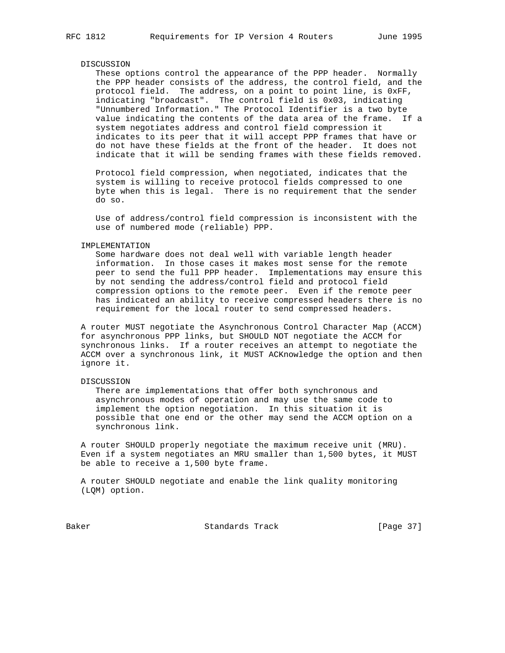### DISCUSSION

 These options control the appearance of the PPP header. Normally the PPP header consists of the address, the control field, and the protocol field. The address, on a point to point line, is 0xFF, indicating "broadcast". The control field is 0x03, indicating "Unnumbered Information." The Protocol Identifier is a two byte value indicating the contents of the data area of the frame. If a system negotiates address and control field compression it indicates to its peer that it will accept PPP frames that have or do not have these fields at the front of the header. It does not indicate that it will be sending frames with these fields removed.

 Protocol field compression, when negotiated, indicates that the system is willing to receive protocol fields compressed to one byte when this is legal. There is no requirement that the sender do so.

 Use of address/control field compression is inconsistent with the use of numbered mode (reliable) PPP.

#### IMPLEMENTATION

 Some hardware does not deal well with variable length header information. In those cases it makes most sense for the remote peer to send the full PPP header. Implementations may ensure this by not sending the address/control field and protocol field compression options to the remote peer. Even if the remote peer has indicated an ability to receive compressed headers there is no requirement for the local router to send compressed headers.

 A router MUST negotiate the Asynchronous Control Character Map (ACCM) for asynchronous PPP links, but SHOULD NOT negotiate the ACCM for synchronous links. If a router receives an attempt to negotiate the ACCM over a synchronous link, it MUST ACKnowledge the option and then ignore it.

#### DISCUSSION

 There are implementations that offer both synchronous and asynchronous modes of operation and may use the same code to implement the option negotiation. In this situation it is possible that one end or the other may send the ACCM option on a synchronous link.

 A router SHOULD properly negotiate the maximum receive unit (MRU). Even if a system negotiates an MRU smaller than 1,500 bytes, it MUST be able to receive a 1,500 byte frame.

 A router SHOULD negotiate and enable the link quality monitoring (LQM) option.

Baker Standards Track [Page 37]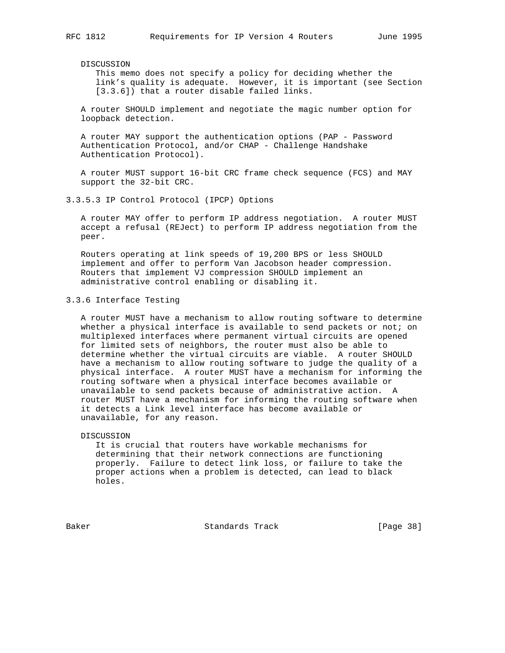#### DISCUSSION

 This memo does not specify a policy for deciding whether the link's quality is adequate. However, it is important (see Section [3.3.6]) that a router disable failed links.

 A router SHOULD implement and negotiate the magic number option for loopback detection.

 A router MAY support the authentication options (PAP - Password Authentication Protocol, and/or CHAP - Challenge Handshake Authentication Protocol).

 A router MUST support 16-bit CRC frame check sequence (FCS) and MAY support the 32-bit CRC.

## 3.3.5.3 IP Control Protocol (IPCP) Options

 A router MAY offer to perform IP address negotiation. A router MUST accept a refusal (REJect) to perform IP address negotiation from the peer.

 Routers operating at link speeds of 19,200 BPS or less SHOULD implement and offer to perform Van Jacobson header compression. Routers that implement VJ compression SHOULD implement an administrative control enabling or disabling it.

# 3.3.6 Interface Testing

 A router MUST have a mechanism to allow routing software to determine whether a physical interface is available to send packets or not; on multiplexed interfaces where permanent virtual circuits are opened for limited sets of neighbors, the router must also be able to determine whether the virtual circuits are viable. A router SHOULD have a mechanism to allow routing software to judge the quality of a physical interface. A router MUST have a mechanism for informing the routing software when a physical interface becomes available or unavailable to send packets because of administrative action. A router MUST have a mechanism for informing the routing software when it detects a Link level interface has become available or unavailable, for any reason.

## DISCUSSION

 It is crucial that routers have workable mechanisms for determining that their network connections are functioning properly. Failure to detect link loss, or failure to take the proper actions when a problem is detected, can lead to black holes.

Baker Standards Track [Page 38]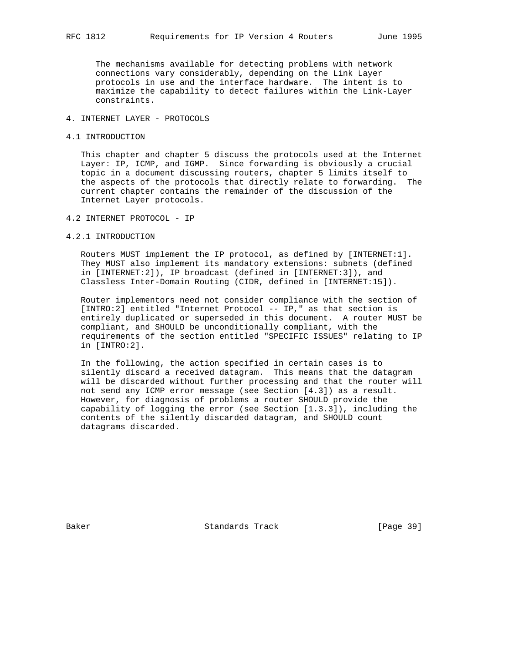The mechanisms available for detecting problems with network connections vary considerably, depending on the Link Layer protocols in use and the interface hardware. The intent is to maximize the capability to detect failures within the Link-Layer constraints.

# 4. INTERNET LAYER - PROTOCOLS

## 4.1 INTRODUCTION

 This chapter and chapter 5 discuss the protocols used at the Internet Layer: IP, ICMP, and IGMP. Since forwarding is obviously a crucial topic in a document discussing routers, chapter 5 limits itself to the aspects of the protocols that directly relate to forwarding. The current chapter contains the remainder of the discussion of the Internet Layer protocols.

- 4.2 INTERNET PROTOCOL IP
- 4.2.1 INTRODUCTION

 Routers MUST implement the IP protocol, as defined by [INTERNET:1]. They MUST also implement its mandatory extensions: subnets (defined in [INTERNET:2]), IP broadcast (defined in [INTERNET:3]), and Classless Inter-Domain Routing (CIDR, defined in [INTERNET:15]).

 Router implementors need not consider compliance with the section of [INTRO:2] entitled "Internet Protocol -- IP," as that section is entirely duplicated or superseded in this document. A router MUST be compliant, and SHOULD be unconditionally compliant, with the requirements of the section entitled "SPECIFIC ISSUES" relating to IP in [INTRO:2].

 In the following, the action specified in certain cases is to silently discard a received datagram. This means that the datagram will be discarded without further processing and that the router will not send any ICMP error message (see Section [4.3]) as a result. However, for diagnosis of problems a router SHOULD provide the capability of logging the error (see Section [1.3.3]), including the contents of the silently discarded datagram, and SHOULD count datagrams discarded.

Baker Standards Track [Page 39]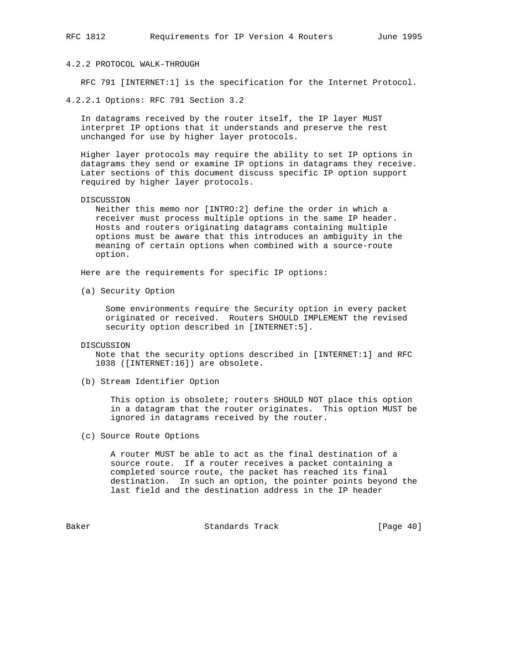# 4.2.2 PROTOCOL WALK-THROUGH

RFC 791 [INTERNET:1] is the specification for the Internet Protocol.

4.2.2.1 Options: RFC 791 Section 3.2

 In datagrams received by the router itself, the IP layer MUST interpret IP options that it understands and preserve the rest unchanged for use by higher layer protocols.

 Higher layer protocols may require the ability to set IP options in datagrams they send or examine IP options in datagrams they receive. Later sections of this document discuss specific IP option support required by higher layer protocols.

## DISCUSSION

 Neither this memo nor [INTRO:2] define the order in which a receiver must process multiple options in the same IP header. Hosts and routers originating datagrams containing multiple options must be aware that this introduces an ambiguity in the meaning of certain options when combined with a source-route option.

Here are the requirements for specific IP options:

(a) Security Option

 Some environments require the Security option in every packet originated or received. Routers SHOULD IMPLEMENT the revised security option described in [INTERNET:5].

#### DISCUSSION

 Note that the security options described in [INTERNET:1] and RFC 1038 ([INTERNET:16]) are obsolete.

(b) Stream Identifier Option

 This option is obsolete; routers SHOULD NOT place this option in a datagram that the router originates. This option MUST be ignored in datagrams received by the router.

(c) Source Route Options

 A router MUST be able to act as the final destination of a source route. If a router receives a packet containing a completed source route, the packet has reached its final destination. In such an option, the pointer points beyond the last field and the destination address in the IP header

Baker Standards Track [Page 40]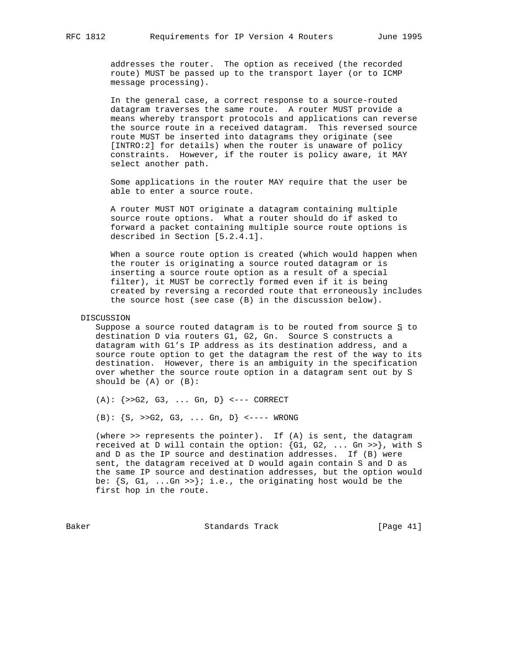addresses the router. The option as received (the recorded route) MUST be passed up to the transport layer (or to ICMP message processing).

 In the general case, a correct response to a source-routed datagram traverses the same route. A router MUST provide a means whereby transport protocols and applications can reverse the source route in a received datagram. This reversed source route MUST be inserted into datagrams they originate (see [INTRO:2] for details) when the router is unaware of policy constraints. However, if the router is policy aware, it MAY select another path.

 Some applications in the router MAY require that the user be able to enter a source route.

 A router MUST NOT originate a datagram containing multiple source route options. What a router should do if asked to forward a packet containing multiple source route options is described in Section [5.2.4.1].

 When a source route option is created (which would happen when the router is originating a source routed datagram or is inserting a source route option as a result of a special filter), it MUST be correctly formed even if it is being created by reversing a recorded route that erroneously includes the source host (see case (B) in the discussion below).

## DISCUSSION

Suppose a source routed datagram is to be routed from source  $S$  to destination D via routers G1, G2, Gn. Source S constructs a datagram with G1's IP address as its destination address, and a source route option to get the datagram the rest of the way to its destination. However, there is an ambiguity in the specification over whether the source route option in a datagram sent out by S should be (A) or (B):

 $(A): \{>>G2, G3, ... Gn, D\}$  <--- CORRECT

 $(B): {S, >>G2, G3, ... Gn, D} < --- WROMG$ 

 (where >> represents the pointer). If (A) is sent, the datagram received at D will contain the option: {G1, G2, ... Gn >>}, with S and D as the IP source and destination addresses. If (B) were sent, the datagram received at D would again contain S and D as the same IP source and destination addresses, but the option would be:  $\{S, G1, \ldots, Gn \gg\}$ ; i.e., the originating host would be the first hop in the route.

Baker Standards Track [Page 41]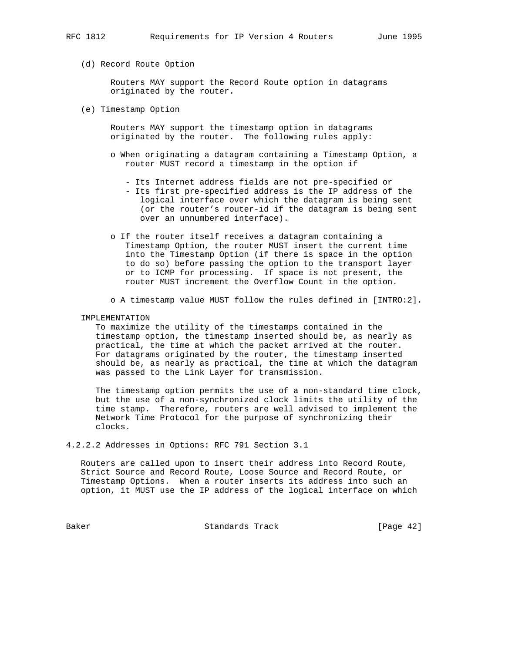(d) Record Route Option

 Routers MAY support the Record Route option in datagrams originated by the router.

(e) Timestamp Option

 Routers MAY support the timestamp option in datagrams originated by the router. The following rules apply:

- o When originating a datagram containing a Timestamp Option, a router MUST record a timestamp in the option if
	- Its Internet address fields are not pre-specified or
	- Its first pre-specified address is the IP address of the logical interface over which the datagram is being sent (or the router's router-id if the datagram is being sent over an unnumbered interface).
- o If the router itself receives a datagram containing a Timestamp Option, the router MUST insert the current time into the Timestamp Option (if there is space in the option to do so) before passing the option to the transport layer or to ICMP for processing. If space is not present, the router MUST increment the Overflow Count in the option.
- o A timestamp value MUST follow the rules defined in [INTRO:2].

IMPLEMENTATION

 To maximize the utility of the timestamps contained in the timestamp option, the timestamp inserted should be, as nearly as practical, the time at which the packet arrived at the router. For datagrams originated by the router, the timestamp inserted should be, as nearly as practical, the time at which the datagram was passed to the Link Layer for transmission.

 The timestamp option permits the use of a non-standard time clock, but the use of a non-synchronized clock limits the utility of the time stamp. Therefore, routers are well advised to implement the Network Time Protocol for the purpose of synchronizing their clocks.

4.2.2.2 Addresses in Options: RFC 791 Section 3.1

 Routers are called upon to insert their address into Record Route, Strict Source and Record Route, Loose Source and Record Route, or Timestamp Options. When a router inserts its address into such an option, it MUST use the IP address of the logical interface on which

Baker Standards Track [Page 42]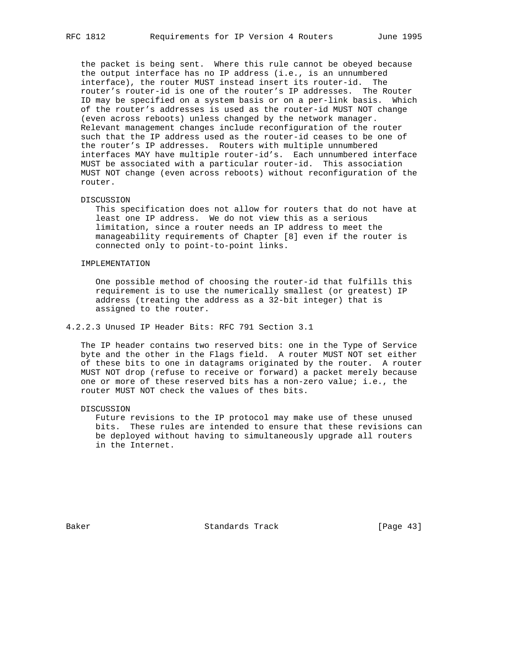the packet is being sent. Where this rule cannot be obeyed because the output interface has no IP address (i.e., is an unnumbered interface), the router MUST instead insert its router-id. The router's router-id is one of the router's IP addresses. The Router ID may be specified on a system basis or on a per-link basis. Which of the router's addresses is used as the router-id MUST NOT change (even across reboots) unless changed by the network manager. Relevant management changes include reconfiguration of the router such that the IP address used as the router-id ceases to be one of the router's IP addresses. Routers with multiple unnumbered interfaces MAY have multiple router-id's. Each unnumbered interface MUST be associated with a particular router-id. This association MUST NOT change (even across reboots) without reconfiguration of the router.

#### DISCUSSION

 This specification does not allow for routers that do not have at least one IP address. We do not view this as a serious limitation, since a router needs an IP address to meet the manageability requirements of Chapter [8] even if the router is connected only to point-to-point links.

## IMPLEMENTATION

 One possible method of choosing the router-id that fulfills this requirement is to use the numerically smallest (or greatest) IP address (treating the address as a 32-bit integer) that is assigned to the router.

4.2.2.3 Unused IP Header Bits: RFC 791 Section 3.1

 The IP header contains two reserved bits: one in the Type of Service byte and the other in the Flags field. A router MUST NOT set either of these bits to one in datagrams originated by the router. A router MUST NOT drop (refuse to receive or forward) a packet merely because one or more of these reserved bits has a non-zero value; i.e., the router MUST NOT check the values of thes bits.

#### DISCUSSION

 Future revisions to the IP protocol may make use of these unused bits. These rules are intended to ensure that these revisions can be deployed without having to simultaneously upgrade all routers in the Internet.

Baker Standards Track [Page 43]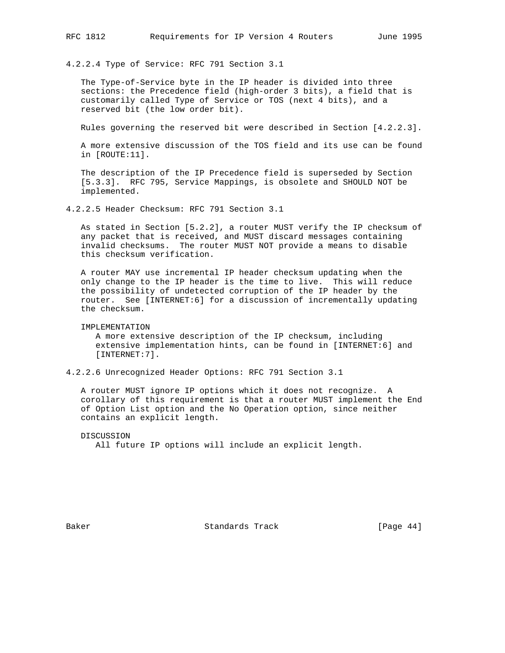4.2.2.4 Type of Service: RFC 791 Section 3.1

 The Type-of-Service byte in the IP header is divided into three sections: the Precedence field (high-order 3 bits), a field that is customarily called Type of Service or TOS (next 4 bits), and a reserved bit (the low order bit).

Rules governing the reserved bit were described in Section [4.2.2.3].

 A more extensive discussion of the TOS field and its use can be found in [ROUTE:11].

 The description of the IP Precedence field is superseded by Section [5.3.3]. RFC 795, Service Mappings, is obsolete and SHOULD NOT be implemented.

4.2.2.5 Header Checksum: RFC 791 Section 3.1

 As stated in Section [5.2.2], a router MUST verify the IP checksum of any packet that is received, and MUST discard messages containing invalid checksums. The router MUST NOT provide a means to disable this checksum verification.

 A router MAY use incremental IP header checksum updating when the only change to the IP header is the time to live. This will reduce the possibility of undetected corruption of the IP header by the router. See [INTERNET:6] for a discussion of incrementally updating the checksum.

IMPLEMENTATION

 A more extensive description of the IP checksum, including extensive implementation hints, can be found in [INTERNET:6] and [INTERNET:7].

4.2.2.6 Unrecognized Header Options: RFC 791 Section 3.1

 A router MUST ignore IP options which it does not recognize. A corollary of this requirement is that a router MUST implement the End of Option List option and the No Operation option, since neither contains an explicit length.

 DISCUSSION All future IP options will include an explicit length.

Baker Standards Track [Page 44]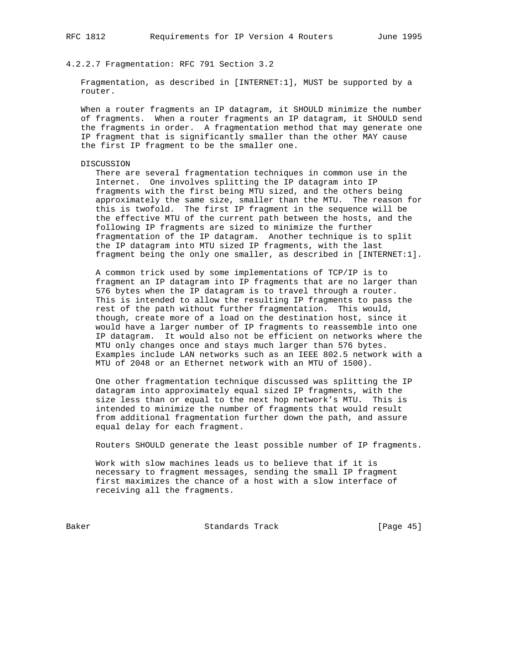4.2.2.7 Fragmentation: RFC 791 Section 3.2

 Fragmentation, as described in [INTERNET:1], MUST be supported by a router.

 When a router fragments an IP datagram, it SHOULD minimize the number of fragments. When a router fragments an IP datagram, it SHOULD send the fragments in order. A fragmentation method that may generate one IP fragment that is significantly smaller than the other MAY cause the first IP fragment to be the smaller one.

#### DISCUSSION

 There are several fragmentation techniques in common use in the Internet. One involves splitting the IP datagram into IP fragments with the first being MTU sized, and the others being approximately the same size, smaller than the MTU. The reason for this is twofold. The first IP fragment in the sequence will be the effective MTU of the current path between the hosts, and the following IP fragments are sized to minimize the further fragmentation of the IP datagram. Another technique is to split the IP datagram into MTU sized IP fragments, with the last fragment being the only one smaller, as described in [INTERNET:1].

 A common trick used by some implementations of TCP/IP is to fragment an IP datagram into IP fragments that are no larger than 576 bytes when the IP datagram is to travel through a router. This is intended to allow the resulting IP fragments to pass the rest of the path without further fragmentation. This would, though, create more of a load on the destination host, since it would have a larger number of IP fragments to reassemble into one IP datagram. It would also not be efficient on networks where the MTU only changes once and stays much larger than 576 bytes. Examples include LAN networks such as an IEEE 802.5 network with a MTU of 2048 or an Ethernet network with an MTU of 1500).

 One other fragmentation technique discussed was splitting the IP datagram into approximately equal sized IP fragments, with the size less than or equal to the next hop network's MTU. This is intended to minimize the number of fragments that would result from additional fragmentation further down the path, and assure equal delay for each fragment.

Routers SHOULD generate the least possible number of IP fragments.

 Work with slow machines leads us to believe that if it is necessary to fragment messages, sending the small IP fragment first maximizes the chance of a host with a slow interface of receiving all the fragments.

Baker Standards Track [Page 45]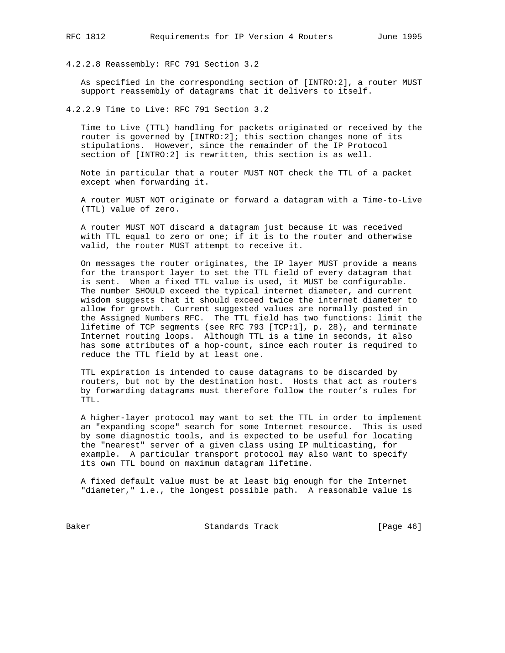4.2.2.8 Reassembly: RFC 791 Section 3.2

 As specified in the corresponding section of [INTRO:2], a router MUST support reassembly of datagrams that it delivers to itself.

4.2.2.9 Time to Live: RFC 791 Section 3.2

 Time to Live (TTL) handling for packets originated or received by the router is governed by [INTRO:2]; this section changes none of its stipulations. However, since the remainder of the IP Protocol section of [INTRO:2] is rewritten, this section is as well.

 Note in particular that a router MUST NOT check the TTL of a packet except when forwarding it.

 A router MUST NOT originate or forward a datagram with a Time-to-Live (TTL) value of zero.

 A router MUST NOT discard a datagram just because it was received with TTL equal to zero or one; if it is to the router and otherwise valid, the router MUST attempt to receive it.

 On messages the router originates, the IP layer MUST provide a means for the transport layer to set the TTL field of every datagram that is sent. When a fixed TTL value is used, it MUST be configurable. The number SHOULD exceed the typical internet diameter, and current wisdom suggests that it should exceed twice the internet diameter to allow for growth. Current suggested values are normally posted in the Assigned Numbers RFC. The TTL field has two functions: limit the lifetime of TCP segments (see RFC 793 [TCP:1], p. 28), and terminate Internet routing loops. Although TTL is a time in seconds, it also has some attributes of a hop-count, since each router is required to reduce the TTL field by at least one.

 TTL expiration is intended to cause datagrams to be discarded by routers, but not by the destination host. Hosts that act as routers by forwarding datagrams must therefore follow the router's rules for TTL.

 A higher-layer protocol may want to set the TTL in order to implement an "expanding scope" search for some Internet resource. This is used by some diagnostic tools, and is expected to be useful for locating the "nearest" server of a given class using IP multicasting, for example. A particular transport protocol may also want to specify its own TTL bound on maximum datagram lifetime.

 A fixed default value must be at least big enough for the Internet "diameter," i.e., the longest possible path. A reasonable value is

Baker Standards Track [Page 46]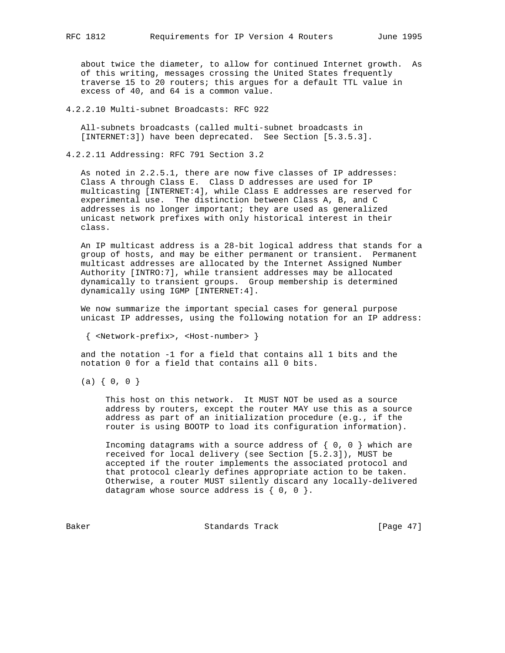about twice the diameter, to allow for continued Internet growth. As of this writing, messages crossing the United States frequently traverse 15 to 20 routers; this argues for a default TTL value in excess of 40, and 64 is a common value.

4.2.2.10 Multi-subnet Broadcasts: RFC 922

 All-subnets broadcasts (called multi-subnet broadcasts in [INTERNET:3]) have been deprecated. See Section [5.3.5.3].

4.2.2.11 Addressing: RFC 791 Section 3.2

 As noted in 2.2.5.1, there are now five classes of IP addresses: Class A through Class E. Class D addresses are used for IP multicasting [INTERNET:4], while Class E addresses are reserved for experimental use. The distinction between Class A, B, and C addresses is no longer important; they are used as generalized unicast network prefixes with only historical interest in their class.

 An IP multicast address is a 28-bit logical address that stands for a group of hosts, and may be either permanent or transient. Permanent multicast addresses are allocated by the Internet Assigned Number Authority [INTRO:7], while transient addresses may be allocated dynamically to transient groups. Group membership is determined dynamically using IGMP [INTERNET:4].

 We now summarize the important special cases for general purpose unicast IP addresses, using the following notation for an IP address:

{ <Network-prefix>, <Host-number> }

 and the notation -1 for a field that contains all 1 bits and the notation 0 for a field that contains all 0 bits.

 $(a) \{ 0, 0 \}$ 

 This host on this network. It MUST NOT be used as a source address by routers, except the router MAY use this as a source address as part of an initialization procedure (e.g., if the router is using BOOTP to load its configuration information).

Incoming datagrams with a source address of  $\{ 0, 0 \}$  which are received for local delivery (see Section [5.2.3]), MUST be accepted if the router implements the associated protocol and that protocol clearly defines appropriate action to be taken. Otherwise, a router MUST silently discard any locally-delivered datagram whose source address is  $\{ 0, 0 \}$ .

Baker Standards Track [Page 47]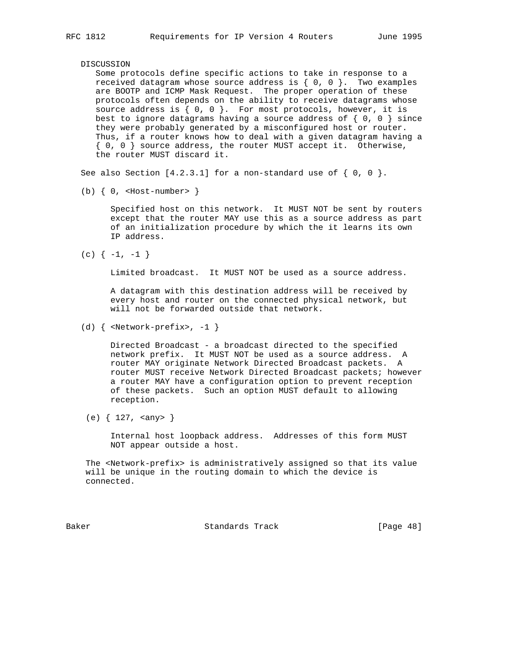## DISCUSSION

 Some protocols define specific actions to take in response to a received datagram whose source address is  $\{0, 0\}$ . Two examples are BOOTP and ICMP Mask Request. The proper operation of these protocols often depends on the ability to receive datagrams whose source address is  $\{ 0, 0 \}$ . For most protocols, however, it is best to ignore datagrams having a source address of  $\{ 0, 0 \}$  since they were probably generated by a misconfigured host or router. Thus, if a router knows how to deal with a given datagram having a { 0, 0 } source address, the router MUST accept it. Otherwise, the router MUST discard it.

See also Section  $[4.2.3.1]$  for a non-standard use of  $\{0, 0\}$ .

(b)  $\{ 0,$  <Host-number>  $\}$ 

 Specified host on this network. It MUST NOT be sent by routers except that the router MAY use this as a source address as part of an initialization procedure by which the it learns its own IP address.

 $(c)$   $\{-1, -1\}$ 

Limited broadcast. It MUST NOT be used as a source address.

 A datagram with this destination address will be received by every host and router on the connected physical network, but will not be forwarded outside that network.

 Directed Broadcast - a broadcast directed to the specified network prefix. It MUST NOT be used as a source address. A router MAY originate Network Directed Broadcast packets. A router MUST receive Network Directed Broadcast packets; however a router MAY have a configuration option to prevent reception of these packets. Such an option MUST default to allowing reception.

(e) { 127, <any> }

 Internal host loopback address. Addresses of this form MUST NOT appear outside a host.

 The <Network-prefix> is administratively assigned so that its value will be unique in the routing domain to which the device is connected.

Baker Standards Track [Page 48]

<sup>(</sup>d)  $\{$  <Network-prefix>, -1  $\}$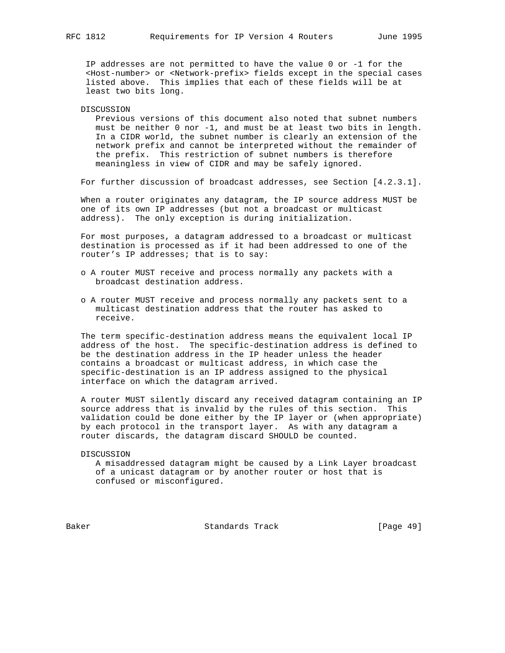IP addresses are not permitted to have the value 0 or -1 for the <Host-number> or <Network-prefix> fields except in the special cases listed above. This implies that each of these fields will be at least two bits long.

#### DISCUSSION

 Previous versions of this document also noted that subnet numbers must be neither 0 nor -1, and must be at least two bits in length. In a CIDR world, the subnet number is clearly an extension of the network prefix and cannot be interpreted without the remainder of the prefix. This restriction of subnet numbers is therefore meaningless in view of CIDR and may be safely ignored.

For further discussion of broadcast addresses, see Section [4.2.3.1].

 When a router originates any datagram, the IP source address MUST be one of its own IP addresses (but not a broadcast or multicast address). The only exception is during initialization.

 For most purposes, a datagram addressed to a broadcast or multicast destination is processed as if it had been addressed to one of the router's IP addresses; that is to say:

- o A router MUST receive and process normally any packets with a broadcast destination address.
- o A router MUST receive and process normally any packets sent to a multicast destination address that the router has asked to receive.

 The term specific-destination address means the equivalent local IP address of the host. The specific-destination address is defined to be the destination address in the IP header unless the header contains a broadcast or multicast address, in which case the specific-destination is an IP address assigned to the physical interface on which the datagram arrived.

 A router MUST silently discard any received datagram containing an IP source address that is invalid by the rules of this section. This validation could be done either by the IP layer or (when appropriate) by each protocol in the transport layer. As with any datagram a router discards, the datagram discard SHOULD be counted.

DISCUSSION

 A misaddressed datagram might be caused by a Link Layer broadcast of a unicast datagram or by another router or host that is confused or misconfigured.

Baker Standards Track [Page 49]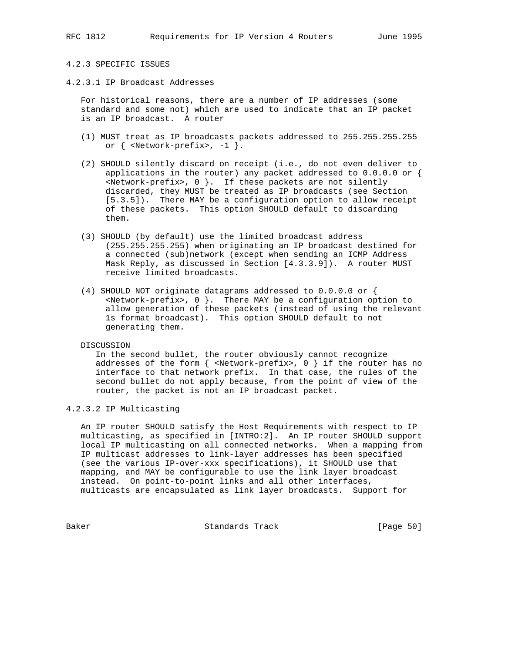## 4.2.3 SPECIFIC ISSUES

4.2.3.1 IP Broadcast Addresses

 For historical reasons, there are a number of IP addresses (some standard and some not) which are used to indicate that an IP packet is an IP broadcast. A router

- (1) MUST treat as IP broadcasts packets addressed to 255.255.255.255 or { <Network-prefix>, -1 }.
- (2) SHOULD silently discard on receipt (i.e., do not even deliver to applications in the router) any packet addressed to  $0.0.0.0$  or { <Network-prefix>, 0 }. If these packets are not silently discarded, they MUST be treated as IP broadcasts (see Section [5.3.5]). There MAY be a configuration option to allow receipt of these packets. This option SHOULD default to discarding them.
- (3) SHOULD (by default) use the limited broadcast address (255.255.255.255) when originating an IP broadcast destined for a connected (sub)network (except when sending an ICMP Address Mask Reply, as discussed in Section [4.3.3.9]). A router MUST receive limited broadcasts.
- (4) SHOULD NOT originate datagrams addressed to 0.0.0.0 or { <Network-prefix>, 0 }. There MAY be a configuration option to allow generation of these packets (instead of using the relevant 1s format broadcast). This option SHOULD default to not generating them.

#### DISCUSSION

 In the second bullet, the router obviously cannot recognize addresses of the form  $\{$  <Network-prefix>, 0  $\}$  if the router has no interface to that network prefix. In that case, the rules of the second bullet do not apply because, from the point of view of the router, the packet is not an IP broadcast packet.

# 4.2.3.2 IP Multicasting

 An IP router SHOULD satisfy the Host Requirements with respect to IP multicasting, as specified in [INTRO:2]. An IP router SHOULD support local IP multicasting on all connected networks. When a mapping from IP multicast addresses to link-layer addresses has been specified (see the various IP-over-xxx specifications), it SHOULD use that mapping, and MAY be configurable to use the link layer broadcast instead. On point-to-point links and all other interfaces, multicasts are encapsulated as link layer broadcasts. Support for

Baker Standards Track [Page 50]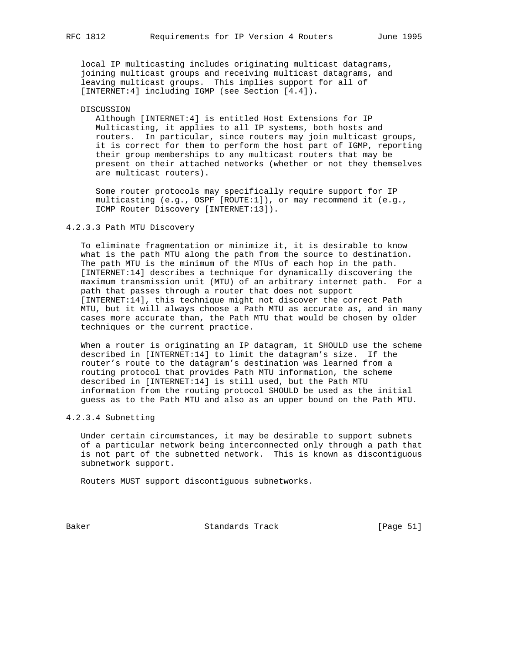local IP multicasting includes originating multicast datagrams, joining multicast groups and receiving multicast datagrams, and leaving multicast groups. This implies support for all of [INTERNET:4] including IGMP (see Section [4.4]).

#### DISCUSSION

 Although [INTERNET:4] is entitled Host Extensions for IP Multicasting, it applies to all IP systems, both hosts and routers. In particular, since routers may join multicast groups, it is correct for them to perform the host part of IGMP, reporting their group memberships to any multicast routers that may be present on their attached networks (whether or not they themselves are multicast routers).

 Some router protocols may specifically require support for IP multicasting (e.g., OSPF [ROUTE:1]), or may recommend it (e.g., ICMP Router Discovery [INTERNET:13]).

## 4.2.3.3 Path MTU Discovery

 To eliminate fragmentation or minimize it, it is desirable to know what is the path MTU along the path from the source to destination. The path MTU is the minimum of the MTUs of each hop in the path. [INTERNET:14] describes a technique for dynamically discovering the maximum transmission unit (MTU) of an arbitrary internet path. For a path that passes through a router that does not support [INTERNET:14], this technique might not discover the correct Path MTU, but it will always choose a Path MTU as accurate as, and in many cases more accurate than, the Path MTU that would be chosen by older techniques or the current practice.

 When a router is originating an IP datagram, it SHOULD use the scheme described in [INTERNET:14] to limit the datagram's size. If the router's route to the datagram's destination was learned from a routing protocol that provides Path MTU information, the scheme described in [INTERNET:14] is still used, but the Path MTU information from the routing protocol SHOULD be used as the initial guess as to the Path MTU and also as an upper bound on the Path MTU.

## 4.2.3.4 Subnetting

 Under certain circumstances, it may be desirable to support subnets of a particular network being interconnected only through a path that is not part of the subnetted network. This is known as discontiguous subnetwork support.

Routers MUST support discontiguous subnetworks.

Baker Standards Track [Page 51]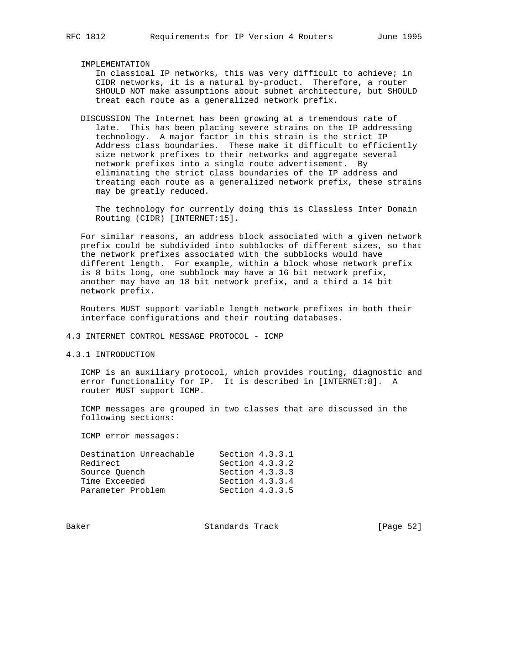IMPLEMENTATION

 In classical IP networks, this was very difficult to achieve; in CIDR networks, it is a natural by-product. Therefore, a router SHOULD NOT make assumptions about subnet architecture, but SHOULD treat each route as a generalized network prefix.

 DISCUSSION The Internet has been growing at a tremendous rate of late. This has been placing severe strains on the IP addressing technology. A major factor in this strain is the strict IP Address class boundaries. These make it difficult to efficiently size network prefixes to their networks and aggregate several network prefixes into a single route advertisement. By eliminating the strict class boundaries of the IP address and treating each route as a generalized network prefix, these strains may be greatly reduced.

 The technology for currently doing this is Classless Inter Domain Routing (CIDR) [INTERNET:15].

 For similar reasons, an address block associated with a given network prefix could be subdivided into subblocks of different sizes, so that the network prefixes associated with the subblocks would have different length. For example, within a block whose network prefix is 8 bits long, one subblock may have a 16 bit network prefix, another may have an 18 bit network prefix, and a third a 14 bit network prefix.

 Routers MUST support variable length network prefixes in both their interface configurations and their routing databases.

# 4.3 INTERNET CONTROL MESSAGE PROTOCOL - ICMP

4.3.1 INTRODUCTION

 ICMP is an auxiliary protocol, which provides routing, diagnostic and error functionality for IP. It is described in [INTERNET:8]. A router MUST support ICMP.

 ICMP messages are grouped in two classes that are discussed in the following sections:

ICMP error messages:

| Destination Unreachable | Section $4.3.3.1$ |
|-------------------------|-------------------|
| Redirect                | Section $4.3.3.2$ |
| Source Ouench           | Section $4.3.3.3$ |
| Time Exceeded           | Section $4.3.3.4$ |
| Parameter Problem       | Section $4.3.3.5$ |

Baker Standards Track [Page 52]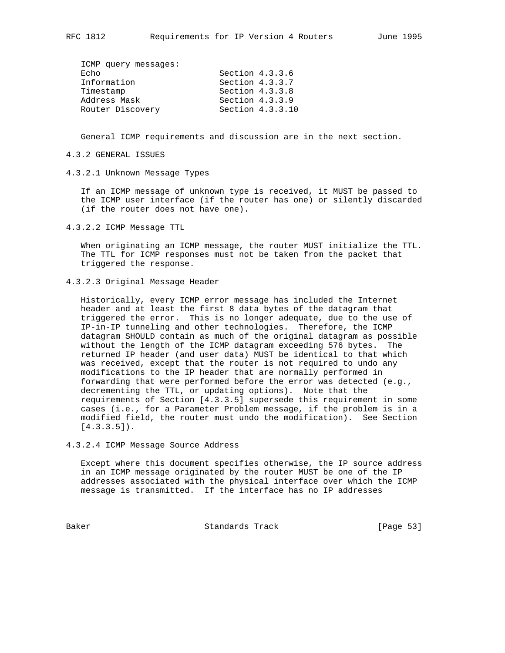| ICMP query messages: |                   |                  |
|----------------------|-------------------|------------------|
| Echo                 | Section $4.3.3.6$ |                  |
| Information          | Section 4.3.3.7   |                  |
| Timestamp            | Section $4.3.3.8$ |                  |
| Address Mask         | Section $4.3.3.9$ |                  |
| Router Discovery     |                   | Section 4.3.3.10 |
|                      |                   |                  |

General ICMP requirements and discussion are in the next section.

## 4.3.2 GENERAL ISSUES

4.3.2.1 Unknown Message Types

 If an ICMP message of unknown type is received, it MUST be passed to the ICMP user interface (if the router has one) or silently discarded (if the router does not have one).

4.3.2.2 ICMP Message TTL

 When originating an ICMP message, the router MUST initialize the TTL. The TTL for ICMP responses must not be taken from the packet that triggered the response.

4.3.2.3 Original Message Header

 Historically, every ICMP error message has included the Internet header and at least the first 8 data bytes of the datagram that triggered the error. This is no longer adequate, due to the use of IP-in-IP tunneling and other technologies. Therefore, the ICMP datagram SHOULD contain as much of the original datagram as possible without the length of the ICMP datagram exceeding 576 bytes. The returned IP header (and user data) MUST be identical to that which was received, except that the router is not required to undo any modifications to the IP header that are normally performed in forwarding that were performed before the error was detected (e.g., decrementing the TTL, or updating options). Note that the requirements of Section [4.3.3.5] supersede this requirement in some cases (i.e., for a Parameter Problem message, if the problem is in a modified field, the router must undo the modification). See Section  $[4.3.3.5]$ .

# 4.3.2.4 ICMP Message Source Address

 Except where this document specifies otherwise, the IP source address in an ICMP message originated by the router MUST be one of the IP addresses associated with the physical interface over which the ICMP message is transmitted. If the interface has no IP addresses

Baker Standards Track [Page 53]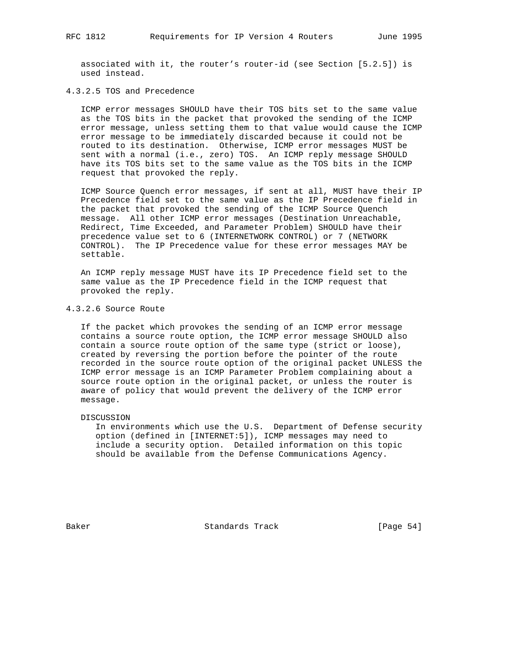associated with it, the router's router-id (see Section [5.2.5]) is used instead.

## 4.3.2.5 TOS and Precedence

 ICMP error messages SHOULD have their TOS bits set to the same value as the TOS bits in the packet that provoked the sending of the ICMP error message, unless setting them to that value would cause the ICMP error message to be immediately discarded because it could not be routed to its destination. Otherwise, ICMP error messages MUST be sent with a normal (i.e., zero) TOS. An ICMP reply message SHOULD have its TOS bits set to the same value as the TOS bits in the ICMP request that provoked the reply.

 ICMP Source Quench error messages, if sent at all, MUST have their IP Precedence field set to the same value as the IP Precedence field in the packet that provoked the sending of the ICMP Source Quench message. All other ICMP error messages (Destination Unreachable, Redirect, Time Exceeded, and Parameter Problem) SHOULD have their precedence value set to 6 (INTERNETWORK CONTROL) or 7 (NETWORK CONTROL). The IP Precedence value for these error messages MAY be settable.

 An ICMP reply message MUST have its IP Precedence field set to the same value as the IP Precedence field in the ICMP request that provoked the reply.

## 4.3.2.6 Source Route

 If the packet which provokes the sending of an ICMP error message contains a source route option, the ICMP error message SHOULD also contain a source route option of the same type (strict or loose), created by reversing the portion before the pointer of the route recorded in the source route option of the original packet UNLESS the ICMP error message is an ICMP Parameter Problem complaining about a source route option in the original packet, or unless the router is aware of policy that would prevent the delivery of the ICMP error message.

DISCUSSION

 In environments which use the U.S. Department of Defense security option (defined in [INTERNET:5]), ICMP messages may need to include a security option. Detailed information on this topic should be available from the Defense Communications Agency.

Baker Standards Track [Page 54]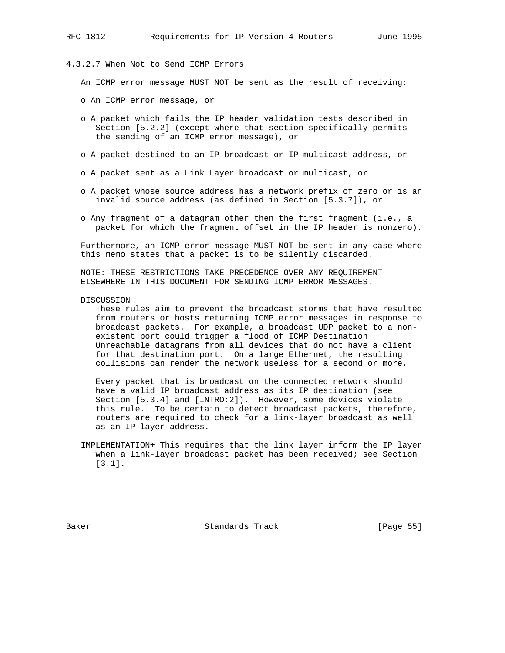# 4.3.2.7 When Not to Send ICMP Errors

An ICMP error message MUST NOT be sent as the result of receiving:

- o An ICMP error message, or
- o A packet which fails the IP header validation tests described in Section [5.2.2] (except where that section specifically permits the sending of an ICMP error message), or
- o A packet destined to an IP broadcast or IP multicast address, or
- o A packet sent as a Link Layer broadcast or multicast, or
- o A packet whose source address has a network prefix of zero or is an invalid source address (as defined in Section [5.3.7]), or
- o Any fragment of a datagram other then the first fragment (i.e., a packet for which the fragment offset in the IP header is nonzero).

 Furthermore, an ICMP error message MUST NOT be sent in any case where this memo states that a packet is to be silently discarded.

 NOTE: THESE RESTRICTIONS TAKE PRECEDENCE OVER ANY REQUIREMENT ELSEWHERE IN THIS DOCUMENT FOR SENDING ICMP ERROR MESSAGES.

DISCUSSION

 These rules aim to prevent the broadcast storms that have resulted from routers or hosts returning ICMP error messages in response to broadcast packets. For example, a broadcast UDP packet to a non existent port could trigger a flood of ICMP Destination Unreachable datagrams from all devices that do not have a client for that destination port. On a large Ethernet, the resulting collisions can render the network useless for a second or more.

 Every packet that is broadcast on the connected network should have a valid IP broadcast address as its IP destination (see Section [5.3.4] and [INTRO:2]). However, some devices violate this rule. To be certain to detect broadcast packets, therefore, routers are required to check for a link-layer broadcast as well as an IP-layer address.

 IMPLEMENTATION+ This requires that the link layer inform the IP layer when a link-layer broadcast packet has been received; see Section [3.1].

Baker Standards Track [Page 55]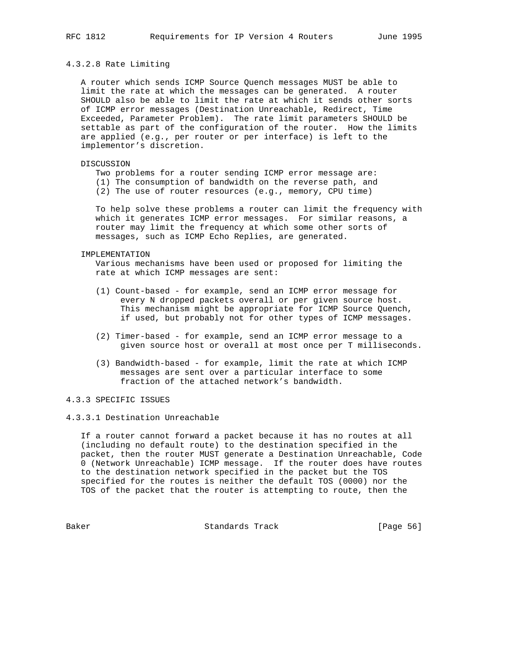## 4.3.2.8 Rate Limiting

 A router which sends ICMP Source Quench messages MUST be able to limit the rate at which the messages can be generated. A router SHOULD also be able to limit the rate at which it sends other sorts of ICMP error messages (Destination Unreachable, Redirect, Time Exceeded, Parameter Problem). The rate limit parameters SHOULD be settable as part of the configuration of the router. How the limits are applied (e.g., per router or per interface) is left to the implementor's discretion.

# DISCUSSION

- Two problems for a router sending ICMP error message are:
- (1) The consumption of bandwidth on the reverse path, and
- (2) The use of router resources (e.g., memory, CPU time)

 To help solve these problems a router can limit the frequency with which it generates ICMP error messages. For similar reasons, a router may limit the frequency at which some other sorts of messages, such as ICMP Echo Replies, are generated.

#### IMPLEMENTATION

 Various mechanisms have been used or proposed for limiting the rate at which ICMP messages are sent:

- (1) Count-based for example, send an ICMP error message for every N dropped packets overall or per given source host. This mechanism might be appropriate for ICMP Source Quench, if used, but probably not for other types of ICMP messages.
- (2) Timer-based for example, send an ICMP error message to a given source host or overall at most once per T milliseconds.
- (3) Bandwidth-based for example, limit the rate at which ICMP messages are sent over a particular interface to some fraction of the attached network's bandwidth.

## 4.3.3 SPECIFIC ISSUES

## 4.3.3.1 Destination Unreachable

 If a router cannot forward a packet because it has no routes at all (including no default route) to the destination specified in the packet, then the router MUST generate a Destination Unreachable, Code 0 (Network Unreachable) ICMP message. If the router does have routes to the destination network specified in the packet but the TOS specified for the routes is neither the default TOS (0000) nor the TOS of the packet that the router is attempting to route, then the

Baker Standards Track [Page 56]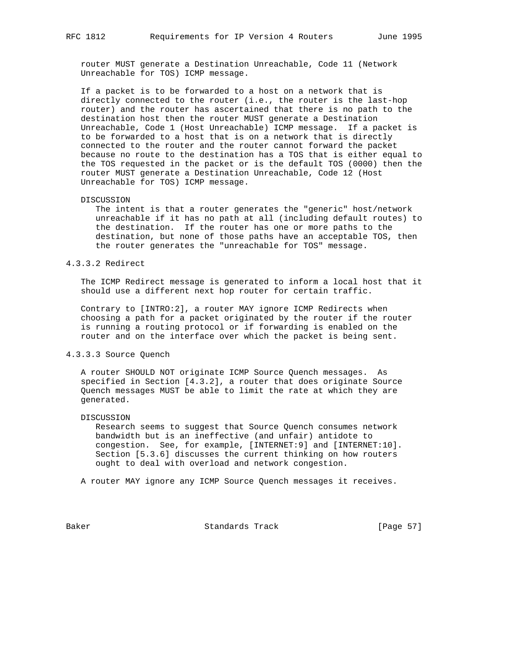router MUST generate a Destination Unreachable, Code 11 (Network Unreachable for TOS) ICMP message.

 If a packet is to be forwarded to a host on a network that is directly connected to the router (i.e., the router is the last-hop router) and the router has ascertained that there is no path to the destination host then the router MUST generate a Destination Unreachable, Code 1 (Host Unreachable) ICMP message. If a packet is to be forwarded to a host that is on a network that is directly connected to the router and the router cannot forward the packet because no route to the destination has a TOS that is either equal to the TOS requested in the packet or is the default TOS (0000) then the router MUST generate a Destination Unreachable, Code 12 (Host Unreachable for TOS) ICMP message.

#### DISCUSSION

 The intent is that a router generates the "generic" host/network unreachable if it has no path at all (including default routes) to the destination. If the router has one or more paths to the destination, but none of those paths have an acceptable TOS, then the router generates the "unreachable for TOS" message.

## 4.3.3.2 Redirect

 The ICMP Redirect message is generated to inform a local host that it should use a different next hop router for certain traffic.

 Contrary to [INTRO:2], a router MAY ignore ICMP Redirects when choosing a path for a packet originated by the router if the router is running a routing protocol or if forwarding is enabled on the router and on the interface over which the packet is being sent.

## 4.3.3.3 Source Quench

 A router SHOULD NOT originate ICMP Source Quench messages. As specified in Section [4.3.2], a router that does originate Source Quench messages MUST be able to limit the rate at which they are generated.

#### DISCUSSION

 Research seems to suggest that Source Quench consumes network bandwidth but is an ineffective (and unfair) antidote to congestion. See, for example, [INTERNET:9] and [INTERNET:10]. Section [5.3.6] discusses the current thinking on how routers ought to deal with overload and network congestion.

A router MAY ignore any ICMP Source Quench messages it receives.

Baker Standards Track [Page 57]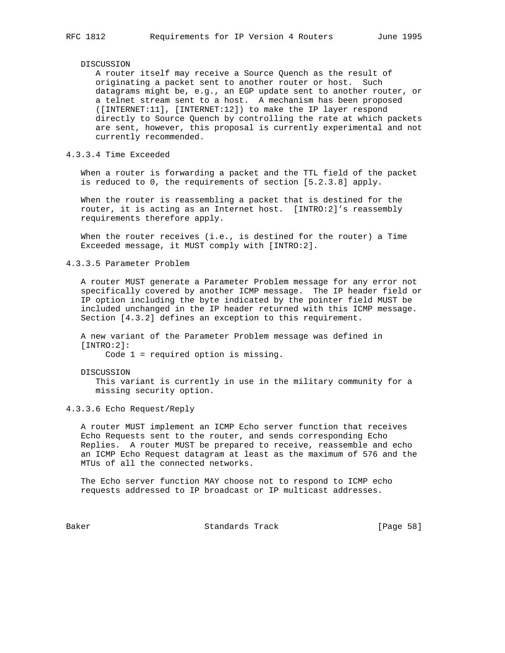#### DISCUSSION

 A router itself may receive a Source Quench as the result of originating a packet sent to another router or host. Such datagrams might be, e.g., an EGP update sent to another router, or a telnet stream sent to a host. A mechanism has been proposed ([INTERNET:11], [INTERNET:12]) to make the IP layer respond directly to Source Quench by controlling the rate at which packets are sent, however, this proposal is currently experimental and not currently recommended.

## 4.3.3.4 Time Exceeded

 When a router is forwarding a packet and the TTL field of the packet is reduced to 0, the requirements of section [5.2.3.8] apply.

 When the router is reassembling a packet that is destined for the router, it is acting as an Internet host. [INTRO:2]'s reassembly requirements therefore apply.

 When the router receives (i.e., is destined for the router) a Time Exceeded message, it MUST comply with [INTRO:2].

4.3.3.5 Parameter Problem

 A router MUST generate a Parameter Problem message for any error not specifically covered by another ICMP message. The IP header field or IP option including the byte indicated by the pointer field MUST be included unchanged in the IP header returned with this ICMP message. Section [4.3.2] defines an exception to this requirement.

 A new variant of the Parameter Problem message was defined in [INTRO:2]:

Code 1 = required option is missing.

 DISCUSSION This variant is currently in use in the military community for a missing security option.

4.3.3.6 Echo Request/Reply

 A router MUST implement an ICMP Echo server function that receives Echo Requests sent to the router, and sends corresponding Echo Replies. A router MUST be prepared to receive, reassemble and echo an ICMP Echo Request datagram at least as the maximum of 576 and the MTUs of all the connected networks.

 The Echo server function MAY choose not to respond to ICMP echo requests addressed to IP broadcast or IP multicast addresses.

Baker Standards Track [Page 58]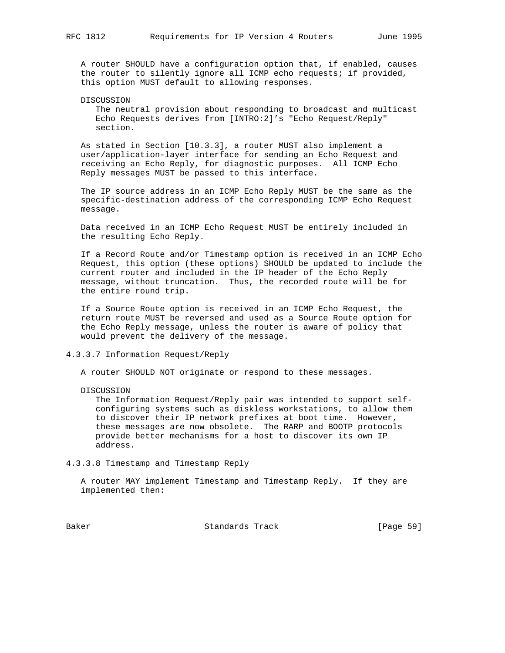A router SHOULD have a configuration option that, if enabled, causes the router to silently ignore all ICMP echo requests; if provided, this option MUST default to allowing responses.

DISCUSSION

 The neutral provision about responding to broadcast and multicast Echo Requests derives from [INTRO:2]'s "Echo Request/Reply" section.

 As stated in Section [10.3.3], a router MUST also implement a user/application-layer interface for sending an Echo Request and receiving an Echo Reply, for diagnostic purposes. All ICMP Echo Reply messages MUST be passed to this interface.

 The IP source address in an ICMP Echo Reply MUST be the same as the specific-destination address of the corresponding ICMP Echo Request message.

 Data received in an ICMP Echo Request MUST be entirely included in the resulting Echo Reply.

 If a Record Route and/or Timestamp option is received in an ICMP Echo Request, this option (these options) SHOULD be updated to include the current router and included in the IP header of the Echo Reply message, without truncation. Thus, the recorded route will be for the entire round trip.

 If a Source Route option is received in an ICMP Echo Request, the return route MUST be reversed and used as a Source Route option for the Echo Reply message, unless the router is aware of policy that would prevent the delivery of the message.

4.3.3.7 Information Request/Reply

A router SHOULD NOT originate or respond to these messages.

DISCUSSION

 The Information Request/Reply pair was intended to support self configuring systems such as diskless workstations, to allow them to discover their IP network prefixes at boot time. However, these messages are now obsolete. The RARP and BOOTP protocols provide better mechanisms for a host to discover its own IP address.

4.3.3.8 Timestamp and Timestamp Reply

 A router MAY implement Timestamp and Timestamp Reply. If they are implemented then:

Baker Standards Track [Page 59]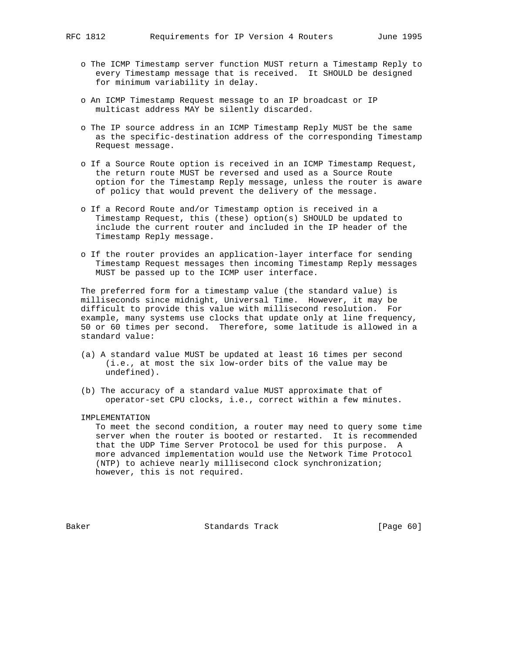- o The ICMP Timestamp server function MUST return a Timestamp Reply to every Timestamp message that is received. It SHOULD be designed for minimum variability in delay.
- o An ICMP Timestamp Request message to an IP broadcast or IP multicast address MAY be silently discarded.
- o The IP source address in an ICMP Timestamp Reply MUST be the same as the specific-destination address of the corresponding Timestamp Request message.
- o If a Source Route option is received in an ICMP Timestamp Request, the return route MUST be reversed and used as a Source Route option for the Timestamp Reply message, unless the router is aware of policy that would prevent the delivery of the message.
- o If a Record Route and/or Timestamp option is received in a Timestamp Request, this (these) option(s) SHOULD be updated to include the current router and included in the IP header of the Timestamp Reply message.
- o If the router provides an application-layer interface for sending Timestamp Request messages then incoming Timestamp Reply messages MUST be passed up to the ICMP user interface.

 The preferred form for a timestamp value (the standard value) is milliseconds since midnight, Universal Time. However, it may be difficult to provide this value with millisecond resolution. For example, many systems use clocks that update only at line frequency, 50 or 60 times per second. Therefore, some latitude is allowed in a standard value:

- (a) A standard value MUST be updated at least 16 times per second (i.e., at most the six low-order bits of the value may be undefined).
- (b) The accuracy of a standard value MUST approximate that of operator-set CPU clocks, i.e., correct within a few minutes.

#### IMPLEMENTATION

 To meet the second condition, a router may need to query some time server when the router is booted or restarted. It is recommended that the UDP Time Server Protocol be used for this purpose. A more advanced implementation would use the Network Time Protocol (NTP) to achieve nearly millisecond clock synchronization; however, this is not required.

Baker Standards Track [Page 60]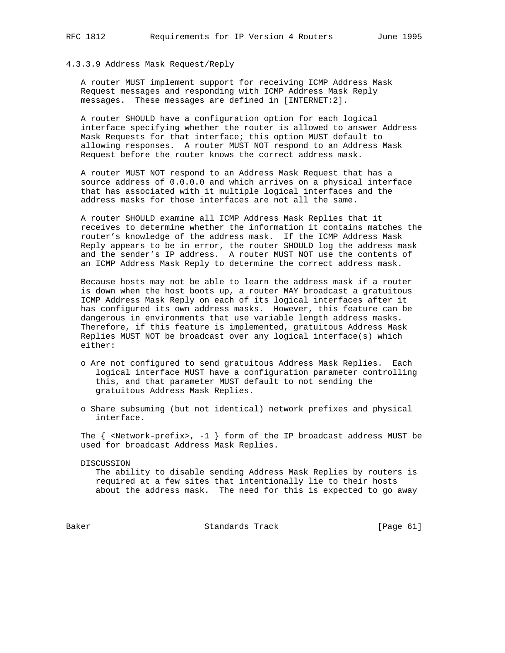# 4.3.3.9 Address Mask Request/Reply

 A router MUST implement support for receiving ICMP Address Mask Request messages and responding with ICMP Address Mask Reply messages. These messages are defined in [INTERNET:2].

 A router SHOULD have a configuration option for each logical interface specifying whether the router is allowed to answer Address Mask Requests for that interface; this option MUST default to allowing responses. A router MUST NOT respond to an Address Mask Request before the router knows the correct address mask.

 A router MUST NOT respond to an Address Mask Request that has a source address of 0.0.0.0 and which arrives on a physical interface that has associated with it multiple logical interfaces and the address masks for those interfaces are not all the same.

 A router SHOULD examine all ICMP Address Mask Replies that it receives to determine whether the information it contains matches the router's knowledge of the address mask. If the ICMP Address Mask Reply appears to be in error, the router SHOULD log the address mask and the sender's IP address. A router MUST NOT use the contents of an ICMP Address Mask Reply to determine the correct address mask.

 Because hosts may not be able to learn the address mask if a router is down when the host boots up, a router MAY broadcast a gratuitous ICMP Address Mask Reply on each of its logical interfaces after it has configured its own address masks. However, this feature can be dangerous in environments that use variable length address masks. Therefore, if this feature is implemented, gratuitous Address Mask Replies MUST NOT be broadcast over any logical interface(s) which either:

- o Are not configured to send gratuitous Address Mask Replies. Each logical interface MUST have a configuration parameter controlling this, and that parameter MUST default to not sending the gratuitous Address Mask Replies.
- o Share subsuming (but not identical) network prefixes and physical interface.

The  $\{$  <Network-prefix>, -1  $\}$  form of the IP broadcast address MUST be used for broadcast Address Mask Replies.

DISCUSSION

 The ability to disable sending Address Mask Replies by routers is required at a few sites that intentionally lie to their hosts about the address mask. The need for this is expected to go away

Baker Standards Track [Page 61]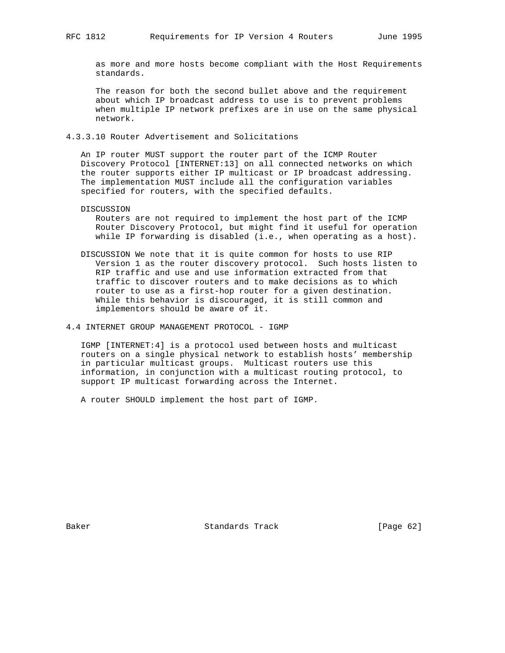as more and more hosts become compliant with the Host Requirements standards.

 The reason for both the second bullet above and the requirement about which IP broadcast address to use is to prevent problems when multiple IP network prefixes are in use on the same physical network.

4.3.3.10 Router Advertisement and Solicitations

 An IP router MUST support the router part of the ICMP Router Discovery Protocol [INTERNET:13] on all connected networks on which the router supports either IP multicast or IP broadcast addressing. The implementation MUST include all the configuration variables specified for routers, with the specified defaults.

DISCUSSION

 Routers are not required to implement the host part of the ICMP Router Discovery Protocol, but might find it useful for operation while IP forwarding is disabled (i.e., when operating as a host).

- DISCUSSION We note that it is quite common for hosts to use RIP Version 1 as the router discovery protocol. Such hosts listen to RIP traffic and use and use information extracted from that traffic to discover routers and to make decisions as to which router to use as a first-hop router for a given destination. While this behavior is discouraged, it is still common and implementors should be aware of it.
- 4.4 INTERNET GROUP MANAGEMENT PROTOCOL IGMP

 IGMP [INTERNET:4] is a protocol used between hosts and multicast routers on a single physical network to establish hosts' membership in particular multicast groups. Multicast routers use this information, in conjunction with a multicast routing protocol, to support IP multicast forwarding across the Internet.

A router SHOULD implement the host part of IGMP.

Baker Standards Track [Page 62]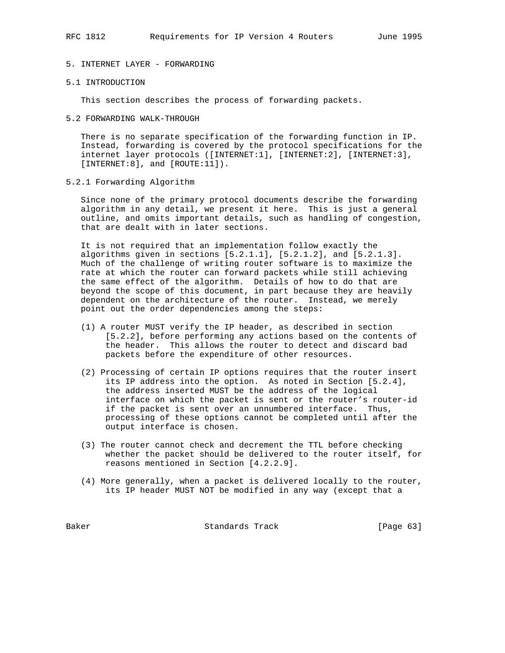# 5. INTERNET LAYER - FORWARDING

#### 5.1 INTRODUCTION

This section describes the process of forwarding packets.

5.2 FORWARDING WALK-THROUGH

 There is no separate specification of the forwarding function in IP. Instead, forwarding is covered by the protocol specifications for the internet layer protocols ([INTERNET:1], [INTERNET:2], [INTERNET:3], [INTERNET:8], and [ROUTE:11]).

5.2.1 Forwarding Algorithm

 Since none of the primary protocol documents describe the forwarding algorithm in any detail, we present it here. This is just a general outline, and omits important details, such as handling of congestion, that are dealt with in later sections.

 It is not required that an implementation follow exactly the algorithms given in sections [5.2.1.1], [5.2.1.2], and [5.2.1.3]. Much of the challenge of writing router software is to maximize the rate at which the router can forward packets while still achieving the same effect of the algorithm. Details of how to do that are beyond the scope of this document, in part because they are heavily dependent on the architecture of the router. Instead, we merely point out the order dependencies among the steps:

- (1) A router MUST verify the IP header, as described in section [5.2.2], before performing any actions based on the contents of the header. This allows the router to detect and discard bad packets before the expenditure of other resources.
- (2) Processing of certain IP options requires that the router insert its IP address into the option. As noted in Section [5.2.4], the address inserted MUST be the address of the logical interface on which the packet is sent or the router's router-id if the packet is sent over an unnumbered interface. Thus, processing of these options cannot be completed until after the output interface is chosen.
- (3) The router cannot check and decrement the TTL before checking whether the packet should be delivered to the router itself, for reasons mentioned in Section [4.2.2.9].
- (4) More generally, when a packet is delivered locally to the router, its IP header MUST NOT be modified in any way (except that a

Baker Standards Track [Page 63]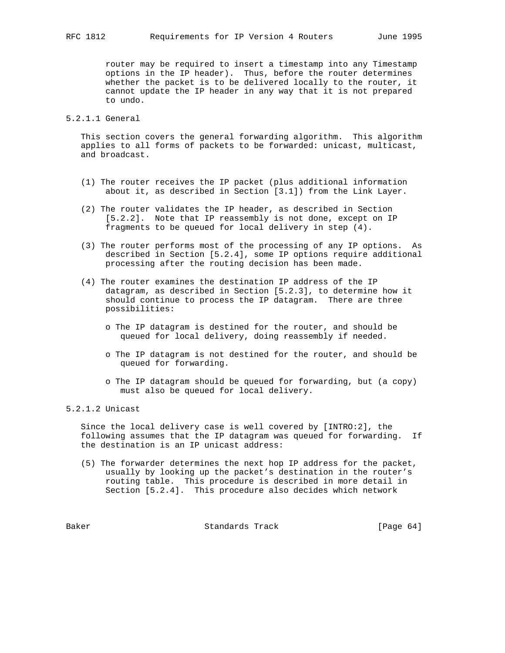router may be required to insert a timestamp into any Timestamp options in the IP header). Thus, before the router determines whether the packet is to be delivered locally to the router, it cannot update the IP header in any way that it is not prepared to undo.

# 5.2.1.1 General

 This section covers the general forwarding algorithm. This algorithm applies to all forms of packets to be forwarded: unicast, multicast, and broadcast.

- (1) The router receives the IP packet (plus additional information about it, as described in Section [3.1]) from the Link Layer.
- (2) The router validates the IP header, as described in Section [5.2.2]. Note that IP reassembly is not done, except on IP fragments to be queued for local delivery in step (4).
- (3) The router performs most of the processing of any IP options. As described in Section [5.2.4], some IP options require additional processing after the routing decision has been made.
- (4) The router examines the destination IP address of the IP datagram, as described in Section [5.2.3], to determine how it should continue to process the IP datagram. There are three possibilities:
	- o The IP datagram is destined for the router, and should be queued for local delivery, doing reassembly if needed.
	- o The IP datagram is not destined for the router, and should be queued for forwarding.
	- o The IP datagram should be queued for forwarding, but (a copy) must also be queued for local delivery.

5.2.1.2 Unicast

 Since the local delivery case is well covered by [INTRO:2], the following assumes that the IP datagram was queued for forwarding. If the destination is an IP unicast address:

 (5) The forwarder determines the next hop IP address for the packet, usually by looking up the packet's destination in the router's routing table. This procedure is described in more detail in Section [5.2.4]. This procedure also decides which network

Baker Standards Track [Page 64]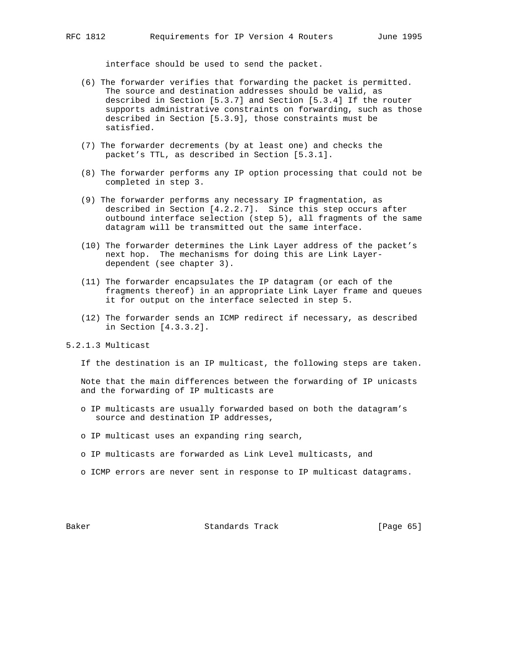interface should be used to send the packet.

- (6) The forwarder verifies that forwarding the packet is permitted. The source and destination addresses should be valid, as described in Section [5.3.7] and Section [5.3.4] If the router supports administrative constraints on forwarding, such as those described in Section [5.3.9], those constraints must be satisfied.
- (7) The forwarder decrements (by at least one) and checks the packet's TTL, as described in Section [5.3.1].
- (8) The forwarder performs any IP option processing that could not be completed in step 3.
- (9) The forwarder performs any necessary IP fragmentation, as described in Section [4.2.2.7]. Since this step occurs after outbound interface selection (step 5), all fragments of the same datagram will be transmitted out the same interface.
- (10) The forwarder determines the Link Layer address of the packet's next hop. The mechanisms for doing this are Link Layer dependent (see chapter 3).
- (11) The forwarder encapsulates the IP datagram (or each of the fragments thereof) in an appropriate Link Layer frame and queues it for output on the interface selected in step 5.
- (12) The forwarder sends an ICMP redirect if necessary, as described in Section [4.3.3.2].

5.2.1.3 Multicast

If the destination is an IP multicast, the following steps are taken.

 Note that the main differences between the forwarding of IP unicasts and the forwarding of IP multicasts are

- o IP multicasts are usually forwarded based on both the datagram's source and destination IP addresses,
- o IP multicast uses an expanding ring search,
- o IP multicasts are forwarded as Link Level multicasts, and
- o ICMP errors are never sent in response to IP multicast datagrams.

Baker Standards Track [Page 65]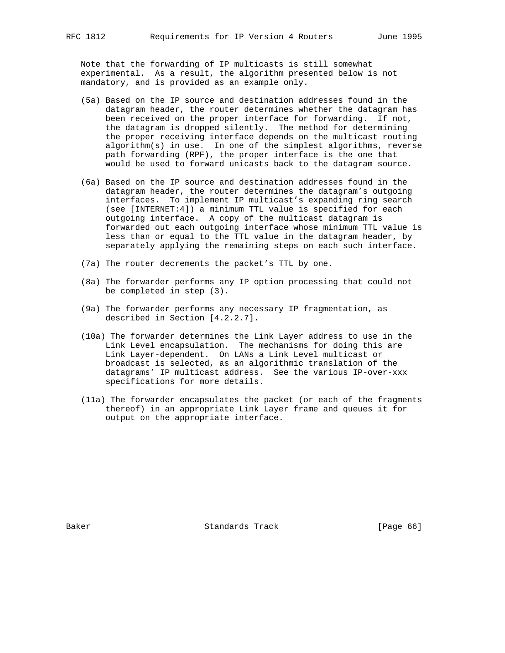Note that the forwarding of IP multicasts is still somewhat experimental. As a result, the algorithm presented below is not mandatory, and is provided as an example only.

- (5a) Based on the IP source and destination addresses found in the datagram header, the router determines whether the datagram has been received on the proper interface for forwarding. If not, the datagram is dropped silently. The method for determining the proper receiving interface depends on the multicast routing algorithm(s) in use. In one of the simplest algorithms, reverse path forwarding (RPF), the proper interface is the one that would be used to forward unicasts back to the datagram source.
- (6a) Based on the IP source and destination addresses found in the datagram header, the router determines the datagram's outgoing interfaces. To implement IP multicast's expanding ring search (see [INTERNET:4]) a minimum TTL value is specified for each outgoing interface. A copy of the multicast datagram is forwarded out each outgoing interface whose minimum TTL value is less than or equal to the TTL value in the datagram header, by separately applying the remaining steps on each such interface.
- (7a) The router decrements the packet's TTL by one.
- (8a) The forwarder performs any IP option processing that could not be completed in step (3).
- (9a) The forwarder performs any necessary IP fragmentation, as described in Section [4.2.2.7].
- (10a) The forwarder determines the Link Layer address to use in the Link Level encapsulation. The mechanisms for doing this are Link Layer-dependent. On LANs a Link Level multicast or broadcast is selected, as an algorithmic translation of the datagrams' IP multicast address. See the various IP-over-xxx specifications for more details.
- (11a) The forwarder encapsulates the packet (or each of the fragments thereof) in an appropriate Link Layer frame and queues it for output on the appropriate interface.

Baker Standards Track [Page 66]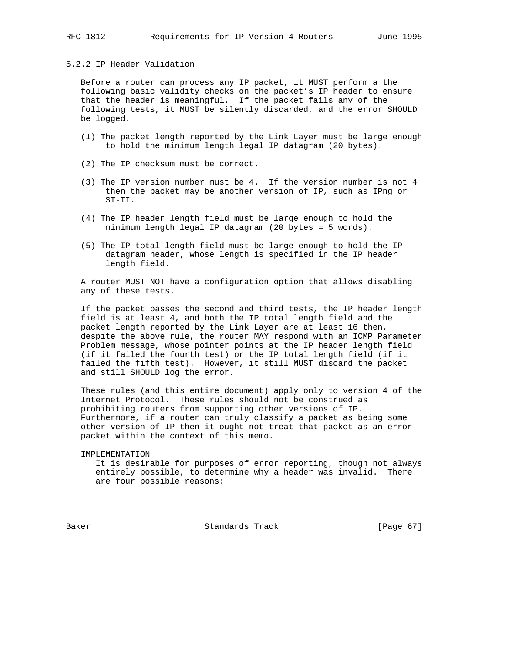# 5.2.2 IP Header Validation

 Before a router can process any IP packet, it MUST perform a the following basic validity checks on the packet's IP header to ensure that the header is meaningful. If the packet fails any of the following tests, it MUST be silently discarded, and the error SHOULD be logged.

- (1) The packet length reported by the Link Layer must be large enough to hold the minimum length legal IP datagram (20 bytes).
- (2) The IP checksum must be correct.
- (3) The IP version number must be 4. If the version number is not 4 then the packet may be another version of IP, such as IPng or ST-II.
- (4) The IP header length field must be large enough to hold the minimum length legal IP datagram (20 bytes = 5 words).
- (5) The IP total length field must be large enough to hold the IP datagram header, whose length is specified in the IP header length field.

 A router MUST NOT have a configuration option that allows disabling any of these tests.

 If the packet passes the second and third tests, the IP header length field is at least 4, and both the IP total length field and the packet length reported by the Link Layer are at least 16 then, despite the above rule, the router MAY respond with an ICMP Parameter Problem message, whose pointer points at the IP header length field (if it failed the fourth test) or the IP total length field (if it failed the fifth test). However, it still MUST discard the packet and still SHOULD log the error.

 These rules (and this entire document) apply only to version 4 of the Internet Protocol. These rules should not be construed as prohibiting routers from supporting other versions of IP. Furthermore, if a router can truly classify a packet as being some other version of IP then it ought not treat that packet as an error packet within the context of this memo.

 IMPLEMENTATION It is desirable for purposes of error reporting, though not always entirely possible, to determine why a header was invalid. There are four possible reasons:

Baker Standards Track [Page 67]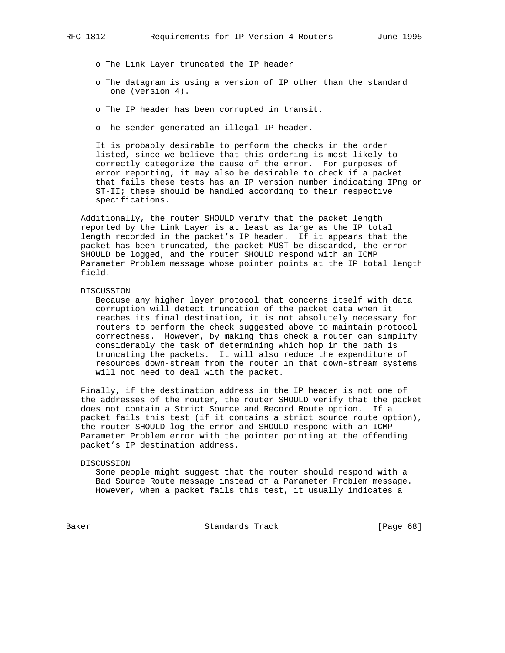- o The Link Layer truncated the IP header
- o The datagram is using a version of IP other than the standard one (version 4).
- o The IP header has been corrupted in transit.
- o The sender generated an illegal IP header.

 It is probably desirable to perform the checks in the order listed, since we believe that this ordering is most likely to correctly categorize the cause of the error. For purposes of error reporting, it may also be desirable to check if a packet that fails these tests has an IP version number indicating IPng or ST-II; these should be handled according to their respective specifications.

 Additionally, the router SHOULD verify that the packet length reported by the Link Layer is at least as large as the IP total length recorded in the packet's IP header. If it appears that the packet has been truncated, the packet MUST be discarded, the error SHOULD be logged, and the router SHOULD respond with an ICMP Parameter Problem message whose pointer points at the IP total length field.

### DISCUSSION

 Because any higher layer protocol that concerns itself with data corruption will detect truncation of the packet data when it reaches its final destination, it is not absolutely necessary for routers to perform the check suggested above to maintain protocol correctness. However, by making this check a router can simplify considerably the task of determining which hop in the path is truncating the packets. It will also reduce the expenditure of resources down-stream from the router in that down-stream systems will not need to deal with the packet.

 Finally, if the destination address in the IP header is not one of the addresses of the router, the router SHOULD verify that the packet does not contain a Strict Source and Record Route option. If a packet fails this test (if it contains a strict source route option), the router SHOULD log the error and SHOULD respond with an ICMP Parameter Problem error with the pointer pointing at the offending packet's IP destination address.

#### DISCUSSION

 Some people might suggest that the router should respond with a Bad Source Route message instead of a Parameter Problem message. However, when a packet fails this test, it usually indicates a

Baker **Standards Track** [Page 68]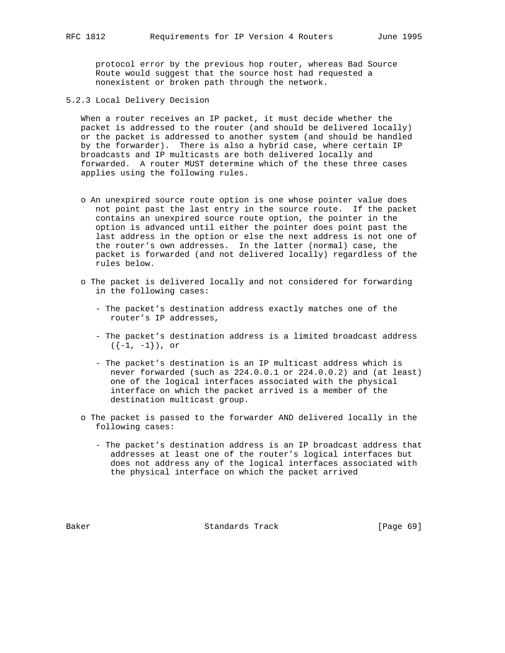protocol error by the previous hop router, whereas Bad Source Route would suggest that the source host had requested a nonexistent or broken path through the network.

5.2.3 Local Delivery Decision

 When a router receives an IP packet, it must decide whether the packet is addressed to the router (and should be delivered locally) or the packet is addressed to another system (and should be handled by the forwarder). There is also a hybrid case, where certain IP broadcasts and IP multicasts are both delivered locally and forwarded. A router MUST determine which of the these three cases applies using the following rules.

- o An unexpired source route option is one whose pointer value does not point past the last entry in the source route. If the packet contains an unexpired source route option, the pointer in the option is advanced until either the pointer does point past the last address in the option or else the next address is not one of the router's own addresses. In the latter (normal) case, the packet is forwarded (and not delivered locally) regardless of the rules below.
- o The packet is delivered locally and not considered for forwarding in the following cases:
	- The packet's destination address exactly matches one of the router's IP addresses,
	- The packet's destination address is a limited broadcast address  $({-1, -1})$ , or
	- The packet's destination is an IP multicast address which is never forwarded (such as 224.0.0.1 or 224.0.0.2) and (at least) one of the logical interfaces associated with the physical interface on which the packet arrived is a member of the destination multicast group.
- o The packet is passed to the forwarder AND delivered locally in the following cases:
	- The packet's destination address is an IP broadcast address that addresses at least one of the router's logical interfaces but does not address any of the logical interfaces associated with the physical interface on which the packet arrived

Baker Standards Track [Page 69]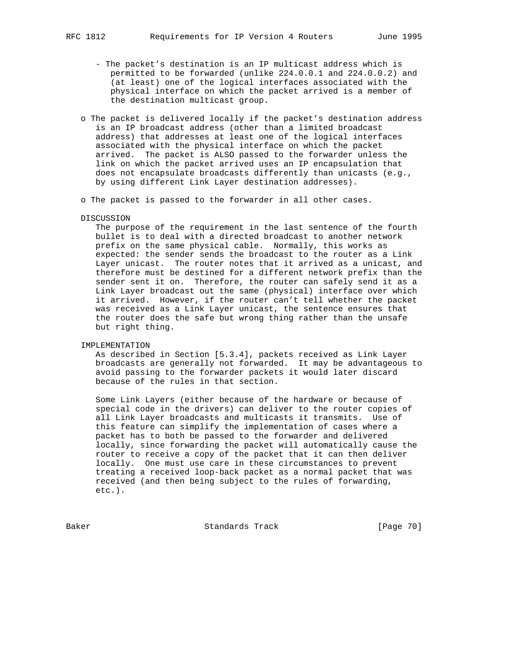- The packet's destination is an IP multicast address which is permitted to be forwarded (unlike 224.0.0.1 and 224.0.0.2) and (at least) one of the logical interfaces associated with the physical interface on which the packet arrived is a member of the destination multicast group.
- o The packet is delivered locally if the packet's destination address is an IP broadcast address (other than a limited broadcast address) that addresses at least one of the logical interfaces associated with the physical interface on which the packet arrived. The packet is ALSO passed to the forwarder unless the link on which the packet arrived uses an IP encapsulation that does not encapsulate broadcasts differently than unicasts (e.g., by using different Link Layer destination addresses).
- o The packet is passed to the forwarder in all other cases.
- DISCUSSION

 The purpose of the requirement in the last sentence of the fourth bullet is to deal with a directed broadcast to another network prefix on the same physical cable. Normally, this works as expected: the sender sends the broadcast to the router as a Link Layer unicast. The router notes that it arrived as a unicast, and therefore must be destined for a different network prefix than the sender sent it on. Therefore, the router can safely send it as a Link Layer broadcast out the same (physical) interface over which it arrived. However, if the router can't tell whether the packet was received as a Link Layer unicast, the sentence ensures that the router does the safe but wrong thing rather than the unsafe but right thing.

## IMPLEMENTATION

 As described in Section [5.3.4], packets received as Link Layer broadcasts are generally not forwarded. It may be advantageous to avoid passing to the forwarder packets it would later discard because of the rules in that section.

 Some Link Layers (either because of the hardware or because of special code in the drivers) can deliver to the router copies of all Link Layer broadcasts and multicasts it transmits. Use of this feature can simplify the implementation of cases where a packet has to both be passed to the forwarder and delivered locally, since forwarding the packet will automatically cause the router to receive a copy of the packet that it can then deliver locally. One must use care in these circumstances to prevent treating a received loop-back packet as a normal packet that was received (and then being subject to the rules of forwarding, etc.).

Baker Standards Track [Page 70]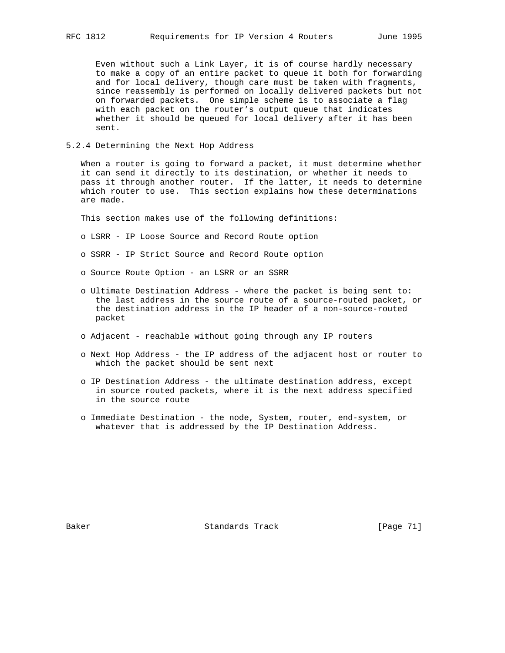Even without such a Link Layer, it is of course hardly necessary to make a copy of an entire packet to queue it both for forwarding and for local delivery, though care must be taken with fragments, since reassembly is performed on locally delivered packets but not on forwarded packets. One simple scheme is to associate a flag with each packet on the router's output queue that indicates whether it should be queued for local delivery after it has been sent.

# 5.2.4 Determining the Next Hop Address

 When a router is going to forward a packet, it must determine whether it can send it directly to its destination, or whether it needs to pass it through another router. If the latter, it needs to determine which router to use. This section explains how these determinations are made.

This section makes use of the following definitions:

- o LSRR IP Loose Source and Record Route option
- o SSRR IP Strict Source and Record Route option
- o Source Route Option an LSRR or an SSRR
- o Ultimate Destination Address where the packet is being sent to: the last address in the source route of a source-routed packet, or the destination address in the IP header of a non-source-routed packet
- o Adjacent reachable without going through any IP routers
- o Next Hop Address the IP address of the adjacent host or router to which the packet should be sent next
- o IP Destination Address the ultimate destination address, except in source routed packets, where it is the next address specified in the source route
- o Immediate Destination the node, System, router, end-system, or whatever that is addressed by the IP Destination Address.

Baker Standards Track [Page 71]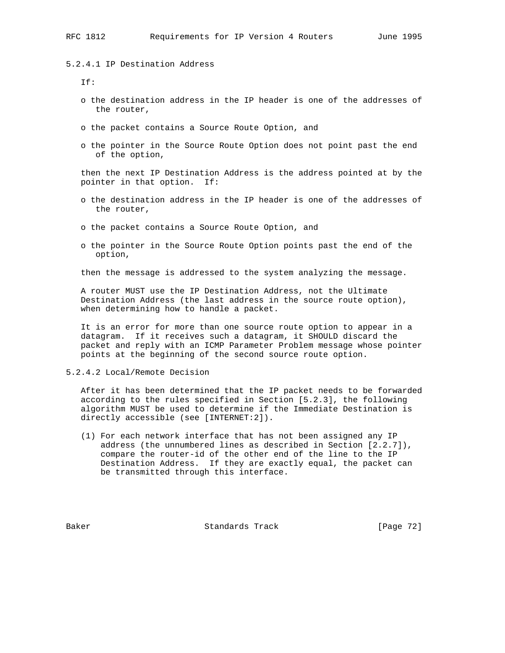5.2.4.1 IP Destination Address

If:

- o the destination address in the IP header is one of the addresses of the router,
- o the packet contains a Source Route Option, and
- o the pointer in the Source Route Option does not point past the end of the option,

 then the next IP Destination Address is the address pointed at by the pointer in that option. If:

- o the destination address in the IP header is one of the addresses of the router,
- o the packet contains a Source Route Option, and
- o the pointer in the Source Route Option points past the end of the option,

then the message is addressed to the system analyzing the message.

 A router MUST use the IP Destination Address, not the Ultimate Destination Address (the last address in the source route option), when determining how to handle a packet.

 It is an error for more than one source route option to appear in a datagram. If it receives such a datagram, it SHOULD discard the packet and reply with an ICMP Parameter Problem message whose pointer points at the beginning of the second source route option.

5.2.4.2 Local/Remote Decision

 After it has been determined that the IP packet needs to be forwarded according to the rules specified in Section [5.2.3], the following algorithm MUST be used to determine if the Immediate Destination is directly accessible (see [INTERNET:2]).

 (1) For each network interface that has not been assigned any IP address (the unnumbered lines as described in Section [2.2.7]), compare the router-id of the other end of the line to the IP Destination Address. If they are exactly equal, the packet can be transmitted through this interface.

Baker Standards Track [Page 72]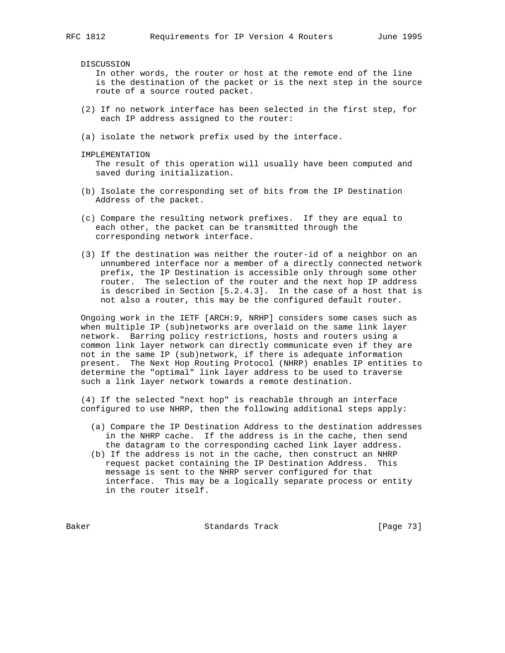DISCUSSION

 In other words, the router or host at the remote end of the line is the destination of the packet or is the next step in the source route of a source routed packet.

- (2) If no network interface has been selected in the first step, for each IP address assigned to the router:
- (a) isolate the network prefix used by the interface.

IMPLEMENTATION

 The result of this operation will usually have been computed and saved during initialization.

- (b) Isolate the corresponding set of bits from the IP Destination Address of the packet.
- (c) Compare the resulting network prefixes. If they are equal to each other, the packet can be transmitted through the corresponding network interface.
- (3) If the destination was neither the router-id of a neighbor on an unnumbered interface nor a member of a directly connected network prefix, the IP Destination is accessible only through some other router. The selection of the router and the next hop IP address is described in Section [5.2.4.3]. In the case of a host that is not also a router, this may be the configured default router.

 Ongoing work in the IETF [ARCH:9, NRHP] considers some cases such as when multiple IP (sub)networks are overlaid on the same link layer network. Barring policy restrictions, hosts and routers using a common link layer network can directly communicate even if they are not in the same IP (sub)network, if there is adequate information present. The Next Hop Routing Protocol (NHRP) enables IP entities to determine the "optimal" link layer address to be used to traverse such a link layer network towards a remote destination.

 (4) If the selected "next hop" is reachable through an interface configured to use NHRP, then the following additional steps apply:

- (a) Compare the IP Destination Address to the destination addresses in the NHRP cache. If the address is in the cache, then send the datagram to the corresponding cached link layer address.
- (b) If the address is not in the cache, then construct an NHRP request packet containing the IP Destination Address. This message is sent to the NHRP server configured for that interface. This may be a logically separate process or entity in the router itself.

Baker Standards Track [Page 73]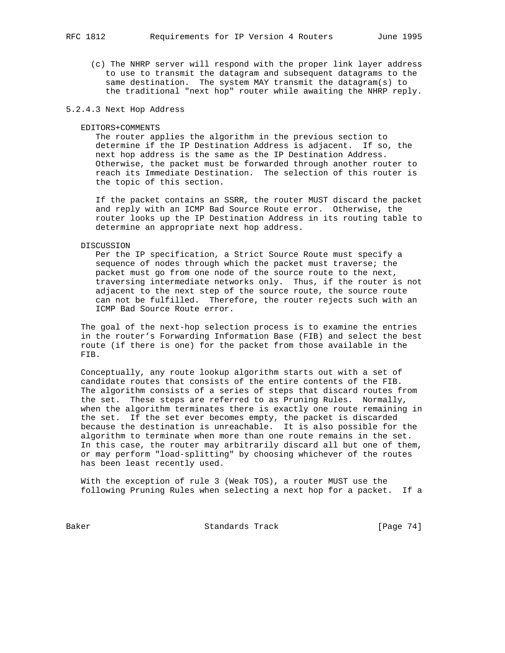(c) The NHRP server will respond with the proper link layer address to use to transmit the datagram and subsequent datagrams to the same destination. The system MAY transmit the datagram(s) to the traditional "next hop" router while awaiting the NHRP reply.

# 5.2.4.3 Next Hop Address

#### EDITORS+COMMENTS

 The router applies the algorithm in the previous section to determine if the IP Destination Address is adjacent. If so, the next hop address is the same as the IP Destination Address. Otherwise, the packet must be forwarded through another router to reach its Immediate Destination. The selection of this router is the topic of this section.

 If the packet contains an SSRR, the router MUST discard the packet and reply with an ICMP Bad Source Route error. Otherwise, the router looks up the IP Destination Address in its routing table to determine an appropriate next hop address.

#### DISCUSSION

 Per the IP specification, a Strict Source Route must specify a sequence of nodes through which the packet must traverse; the packet must go from one node of the source route to the next, traversing intermediate networks only. Thus, if the router is not adjacent to the next step of the source route, the source route can not be fulfilled. Therefore, the router rejects such with an ICMP Bad Source Route error.

 The goal of the next-hop selection process is to examine the entries in the router's Forwarding Information Base (FIB) and select the best route (if there is one) for the packet from those available in the FIB.

 Conceptually, any route lookup algorithm starts out with a set of candidate routes that consists of the entire contents of the FIB. The algorithm consists of a series of steps that discard routes from the set. These steps are referred to as Pruning Rules. Normally, when the algorithm terminates there is exactly one route remaining in the set. If the set ever becomes empty, the packet is discarded because the destination is unreachable. It is also possible for the algorithm to terminate when more than one route remains in the set. In this case, the router may arbitrarily discard all but one of them, or may perform "load-splitting" by choosing whichever of the routes has been least recently used.

 With the exception of rule 3 (Weak TOS), a router MUST use the following Pruning Rules when selecting a next hop for a packet. If a

Baker Standards Track [Page 74]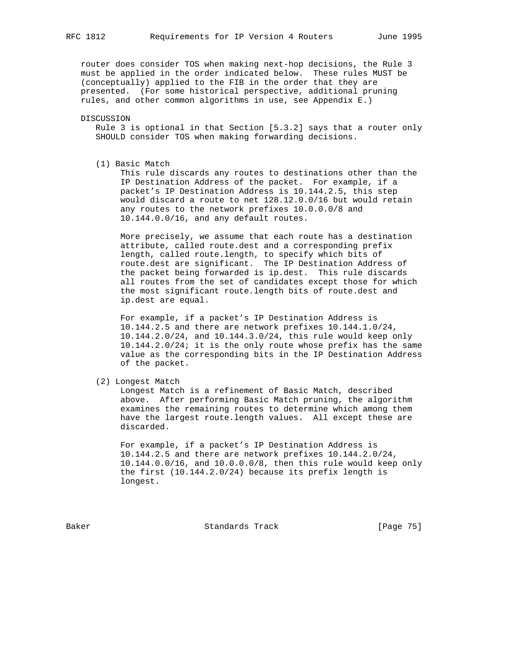router does consider TOS when making next-hop decisions, the Rule 3 must be applied in the order indicated below. These rules MUST be (conceptually) applied to the FIB in the order that they are presented. (For some historical perspective, additional pruning rules, and other common algorithms in use, see Appendix E.)

DISCUSSION

 Rule 3 is optional in that Section [5.3.2] says that a router only SHOULD consider TOS when making forwarding decisions.

(1) Basic Match

 This rule discards any routes to destinations other than the IP Destination Address of the packet. For example, if a packet's IP Destination Address is 10.144.2.5, this step would discard a route to net 128.12.0.0/16 but would retain any routes to the network prefixes 10.0.0.0/8 and 10.144.0.0/16, and any default routes.

 More precisely, we assume that each route has a destination attribute, called route.dest and a corresponding prefix length, called route.length, to specify which bits of route.dest are significant. The IP Destination Address of the packet being forwarded is ip.dest. This rule discards all routes from the set of candidates except those for which the most significant route.length bits of route.dest and ip.dest are equal.

 For example, if a packet's IP Destination Address is 10.144.2.5 and there are network prefixes 10.144.1.0/24, 10.144.2.0/24, and 10.144.3.0/24, this rule would keep only 10.144.2.0/24; it is the only route whose prefix has the same value as the corresponding bits in the IP Destination Address of the packet.

(2) Longest Match

 Longest Match is a refinement of Basic Match, described above. After performing Basic Match pruning, the algorithm examines the remaining routes to determine which among them have the largest route.length values. All except these are discarded.

 For example, if a packet's IP Destination Address is 10.144.2.5 and there are network prefixes 10.144.2.0/24, 10.144.0.0/16, and 10.0.0.0/8, then this rule would keep only the first (10.144.2.0/24) because its prefix length is longest.

Baker Standards Track [Page 75]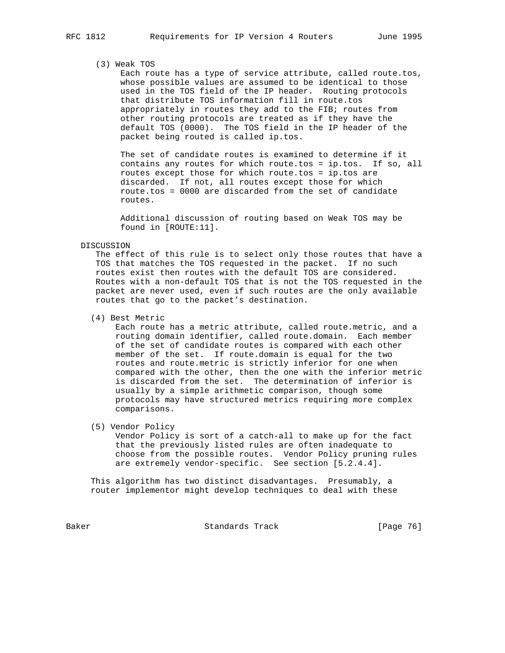# (3) Weak TOS

 Each route has a type of service attribute, called route.tos, whose possible values are assumed to be identical to those used in the TOS field of the IP header. Routing protocols that distribute TOS information fill in route.tos appropriately in routes they add to the FIB; routes from other routing protocols are treated as if they have the default TOS (0000). The TOS field in the IP header of the packet being routed is called ip.tos.

 The set of candidate routes is examined to determine if it contains any routes for which route.tos = ip.tos. If so, all routes except those for which route.tos = ip.tos are discarded. If not, all routes except those for which route.tos = 0000 are discarded from the set of candidate routes.

 Additional discussion of routing based on Weak TOS may be found in [ROUTE:11].

#### DISCUSSION

 The effect of this rule is to select only those routes that have a TOS that matches the TOS requested in the packet. If no such routes exist then routes with the default TOS are considered. Routes with a non-default TOS that is not the TOS requested in the packet are never used, even if such routes are the only available routes that go to the packet's destination.

(4) Best Metric

 Each route has a metric attribute, called route.metric, and a routing domain identifier, called route.domain. Each member of the set of candidate routes is compared with each other member of the set. If route.domain is equal for the two routes and route.metric is strictly inferior for one when compared with the other, then the one with the inferior metric is discarded from the set. The determination of inferior is usually by a simple arithmetic comparison, though some protocols may have structured metrics requiring more complex comparisons.

# (5) Vendor Policy

 Vendor Policy is sort of a catch-all to make up for the fact that the previously listed rules are often inadequate to choose from the possible routes. Vendor Policy pruning rules are extremely vendor-specific. See section [5.2.4.4].

 This algorithm has two distinct disadvantages. Presumably, a router implementor might develop techniques to deal with these

Baker Standards Track [Page 76]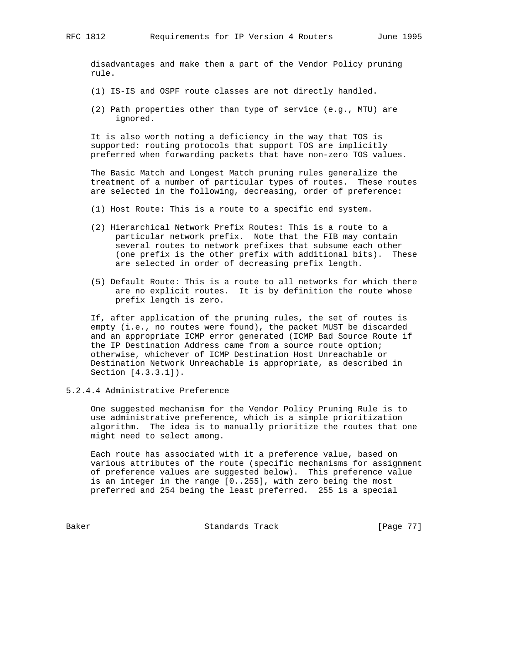disadvantages and make them a part of the Vendor Policy pruning rule.

- (1) IS-IS and OSPF route classes are not directly handled.
- (2) Path properties other than type of service (e.g., MTU) are ignored.

 It is also worth noting a deficiency in the way that TOS is supported: routing protocols that support TOS are implicitly preferred when forwarding packets that have non-zero TOS values.

 The Basic Match and Longest Match pruning rules generalize the treatment of a number of particular types of routes. These routes are selected in the following, decreasing, order of preference:

- (1) Host Route: This is a route to a specific end system.
- (2) Hierarchical Network Prefix Routes: This is a route to a particular network prefix. Note that the FIB may contain several routes to network prefixes that subsume each other (one prefix is the other prefix with additional bits). These are selected in order of decreasing prefix length.
- (5) Default Route: This is a route to all networks for which there are no explicit routes. It is by definition the route whose prefix length is zero.

 If, after application of the pruning rules, the set of routes is empty (i.e., no routes were found), the packet MUST be discarded and an appropriate ICMP error generated (ICMP Bad Source Route if the IP Destination Address came from a source route option; otherwise, whichever of ICMP Destination Host Unreachable or Destination Network Unreachable is appropriate, as described in Section [4.3.3.1]).

5.2.4.4 Administrative Preference

 One suggested mechanism for the Vendor Policy Pruning Rule is to use administrative preference, which is a simple prioritization algorithm. The idea is to manually prioritize the routes that one might need to select among.

 Each route has associated with it a preference value, based on various attributes of the route (specific mechanisms for assignment of preference values are suggested below). This preference value is an integer in the range [0..255], with zero being the most preferred and 254 being the least preferred. 255 is a special

Baker Standards Track [Page 77]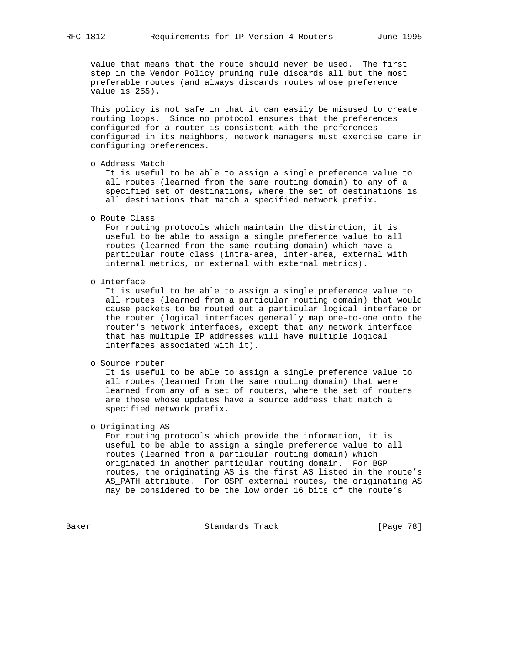value that means that the route should never be used. The first step in the Vendor Policy pruning rule discards all but the most preferable routes (and always discards routes whose preference value is 255).

 This policy is not safe in that it can easily be misused to create routing loops. Since no protocol ensures that the preferences configured for a router is consistent with the preferences configured in its neighbors, network managers must exercise care in configuring preferences.

o Address Match

 It is useful to be able to assign a single preference value to all routes (learned from the same routing domain) to any of a specified set of destinations, where the set of destinations is all destinations that match a specified network prefix.

o Route Class

 For routing protocols which maintain the distinction, it is useful to be able to assign a single preference value to all routes (learned from the same routing domain) which have a particular route class (intra-area, inter-area, external with internal metrics, or external with external metrics).

o Interface

 It is useful to be able to assign a single preference value to all routes (learned from a particular routing domain) that would cause packets to be routed out a particular logical interface on the router (logical interfaces generally map one-to-one onto the router's network interfaces, except that any network interface that has multiple IP addresses will have multiple logical interfaces associated with it).

o Source router

 It is useful to be able to assign a single preference value to all routes (learned from the same routing domain) that were learned from any of a set of routers, where the set of routers are those whose updates have a source address that match a specified network prefix.

o Originating AS

 For routing protocols which provide the information, it is useful to be able to assign a single preference value to all routes (learned from a particular routing domain) which originated in another particular routing domain. For BGP routes, the originating AS is the first AS listed in the route's AS\_PATH attribute. For OSPF external routes, the originating AS may be considered to be the low order 16 bits of the route's

Baker Standards Track [Page 78]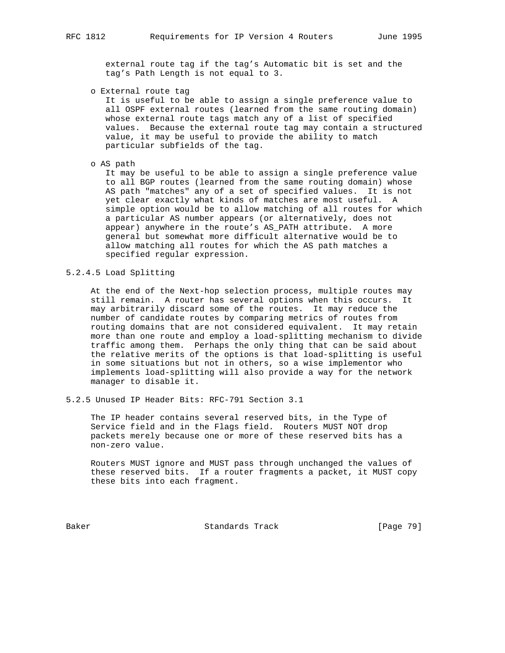external route tag if the tag's Automatic bit is set and the tag's Path Length is not equal to 3.

o External route tag

 It is useful to be able to assign a single preference value to all OSPF external routes (learned from the same routing domain) whose external route tags match any of a list of specified values. Because the external route tag may contain a structured value, it may be useful to provide the ability to match particular subfields of the tag.

o AS path

 It may be useful to be able to assign a single preference value to all BGP routes (learned from the same routing domain) whose AS path "matches" any of a set of specified values. It is not yet clear exactly what kinds of matches are most useful. A simple option would be to allow matching of all routes for which a particular AS number appears (or alternatively, does not appear) anywhere in the route's AS\_PATH attribute. A more general but somewhat more difficult alternative would be to allow matching all routes for which the AS path matches a specified regular expression.

5.2.4.5 Load Splitting

 At the end of the Next-hop selection process, multiple routes may still remain. A router has several options when this occurs. It may arbitrarily discard some of the routes. It may reduce the number of candidate routes by comparing metrics of routes from routing domains that are not considered equivalent. It may retain more than one route and employ a load-splitting mechanism to divide traffic among them. Perhaps the only thing that can be said about the relative merits of the options is that load-splitting is useful in some situations but not in others, so a wise implementor who implements load-splitting will also provide a way for the network manager to disable it.

5.2.5 Unused IP Header Bits: RFC-791 Section 3.1

 The IP header contains several reserved bits, in the Type of Service field and in the Flags field. Routers MUST NOT drop packets merely because one or more of these reserved bits has a non-zero value.

 Routers MUST ignore and MUST pass through unchanged the values of these reserved bits. If a router fragments a packet, it MUST copy these bits into each fragment.

Baker Standards Track [Page 79]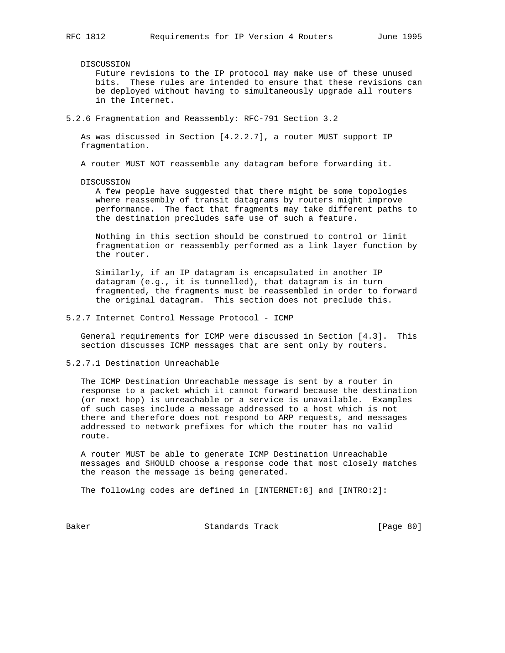DISCUSSION

 Future revisions to the IP protocol may make use of these unused bits. These rules are intended to ensure that these revisions can be deployed without having to simultaneously upgrade all routers in the Internet.

5.2.6 Fragmentation and Reassembly: RFC-791 Section 3.2

 As was discussed in Section [4.2.2.7], a router MUST support IP fragmentation.

A router MUST NOT reassemble any datagram before forwarding it.

DISCUSSION

 A few people have suggested that there might be some topologies where reassembly of transit datagrams by routers might improve performance. The fact that fragments may take different paths to the destination precludes safe use of such a feature.

 Nothing in this section should be construed to control or limit fragmentation or reassembly performed as a link layer function by the router.

 Similarly, if an IP datagram is encapsulated in another IP datagram (e.g., it is tunnelled), that datagram is in turn fragmented, the fragments must be reassembled in order to forward the original datagram. This section does not preclude this.

5.2.7 Internet Control Message Protocol - ICMP

 General requirements for ICMP were discussed in Section [4.3]. This section discusses ICMP messages that are sent only by routers.

5.2.7.1 Destination Unreachable

 The ICMP Destination Unreachable message is sent by a router in response to a packet which it cannot forward because the destination (or next hop) is unreachable or a service is unavailable. Examples of such cases include a message addressed to a host which is not there and therefore does not respond to ARP requests, and messages addressed to network prefixes for which the router has no valid route.

 A router MUST be able to generate ICMP Destination Unreachable messages and SHOULD choose a response code that most closely matches the reason the message is being generated.

The following codes are defined in [INTERNET:8] and [INTRO:2]:

Baker Standards Track [Page 80]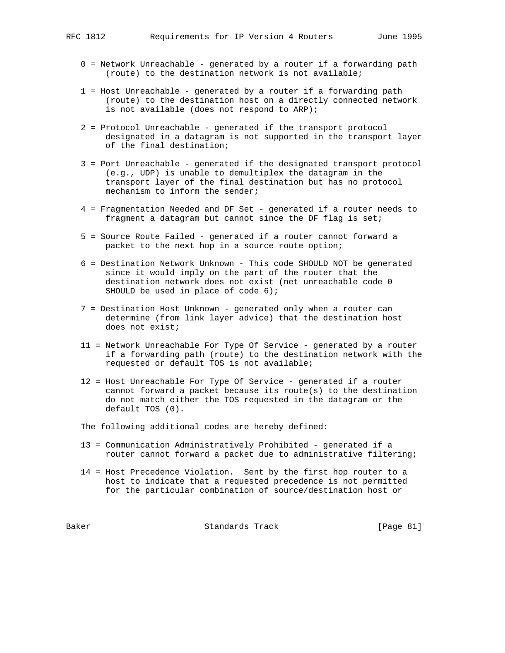- 0 = Network Unreachable generated by a router if a forwarding path (route) to the destination network is not available;
- 1 = Host Unreachable generated by a router if a forwarding path (route) to the destination host on a directly connected network is not available (does not respond to ARP);
- 2 = Protocol Unreachable generated if the transport protocol designated in a datagram is not supported in the transport layer of the final destination;
- 3 = Port Unreachable generated if the designated transport protocol (e.g., UDP) is unable to demultiplex the datagram in the transport layer of the final destination but has no protocol mechanism to inform the sender;
- 4 = Fragmentation Needed and DF Set generated if a router needs to fragment a datagram but cannot since the DF flag is set;
- 5 = Source Route Failed generated if a router cannot forward a packet to the next hop in a source route option;
- 6 = Destination Network Unknown This code SHOULD NOT be generated since it would imply on the part of the router that the destination network does not exist (net unreachable code 0 SHOULD be used in place of code 6);
- 7 = Destination Host Unknown generated only when a router can determine (from link layer advice) that the destination host does not exist;
- 11 = Network Unreachable For Type Of Service generated by a router if a forwarding path (route) to the destination network with the requested or default TOS is not available;
- 12 = Host Unreachable For Type Of Service generated if a router cannot forward a packet because its route(s) to the destination do not match either the TOS requested in the datagram or the default TOS (0).

The following additional codes are hereby defined:

- 13 = Communication Administratively Prohibited generated if a router cannot forward a packet due to administrative filtering;
- 14 = Host Precedence Violation. Sent by the first hop router to a host to indicate that a requested precedence is not permitted for the particular combination of source/destination host or

Baker Standards Track [Page 81]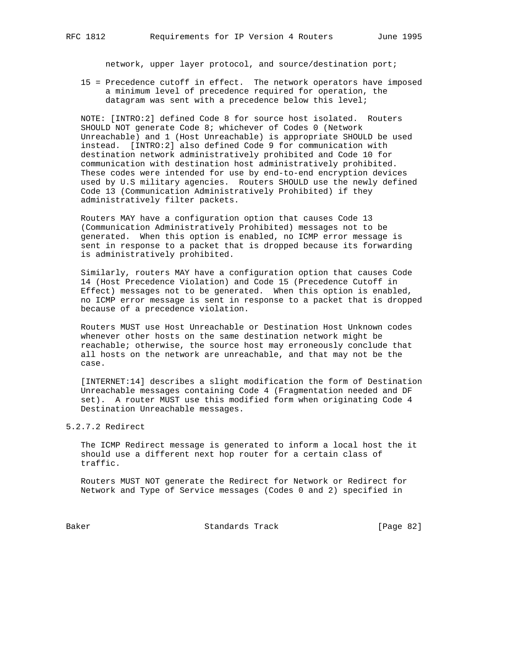network, upper layer protocol, and source/destination port;

 15 = Precedence cutoff in effect. The network operators have imposed a minimum level of precedence required for operation, the datagram was sent with a precedence below this level;

 NOTE: [INTRO:2] defined Code 8 for source host isolated. Routers SHOULD NOT generate Code 8; whichever of Codes 0 (Network Unreachable) and 1 (Host Unreachable) is appropriate SHOULD be used instead. [INTRO:2] also defined Code 9 for communication with destination network administratively prohibited and Code 10 for communication with destination host administratively prohibited. These codes were intended for use by end-to-end encryption devices used by U.S military agencies. Routers SHOULD use the newly defined Code 13 (Communication Administratively Prohibited) if they administratively filter packets.

 Routers MAY have a configuration option that causes Code 13 (Communication Administratively Prohibited) messages not to be generated. When this option is enabled, no ICMP error message is sent in response to a packet that is dropped because its forwarding is administratively prohibited.

 Similarly, routers MAY have a configuration option that causes Code 14 (Host Precedence Violation) and Code 15 (Precedence Cutoff in Effect) messages not to be generated. When this option is enabled, no ICMP error message is sent in response to a packet that is dropped because of a precedence violation.

 Routers MUST use Host Unreachable or Destination Host Unknown codes whenever other hosts on the same destination network might be reachable; otherwise, the source host may erroneously conclude that all hosts on the network are unreachable, and that may not be the case.

 [INTERNET:14] describes a slight modification the form of Destination Unreachable messages containing Code 4 (Fragmentation needed and DF set). A router MUST use this modified form when originating Code 4 Destination Unreachable messages.

5.2.7.2 Redirect

 The ICMP Redirect message is generated to inform a local host the it should use a different next hop router for a certain class of traffic.

 Routers MUST NOT generate the Redirect for Network or Redirect for Network and Type of Service messages (Codes 0 and 2) specified in

Baker Standards Track [Page 82]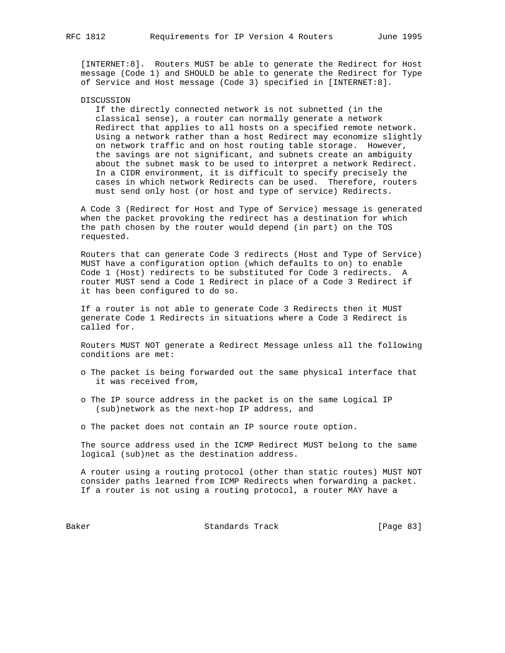[INTERNET:8]. Routers MUST be able to generate the Redirect for Host message (Code 1) and SHOULD be able to generate the Redirect for Type of Service and Host message (Code 3) specified in [INTERNET:8].

#### DISCUSSION

 If the directly connected network is not subnetted (in the classical sense), a router can normally generate a network Redirect that applies to all hosts on a specified remote network. Using a network rather than a host Redirect may economize slightly on network traffic and on host routing table storage. However, the savings are not significant, and subnets create an ambiguity about the subnet mask to be used to interpret a network Redirect. In a CIDR environment, it is difficult to specify precisely the cases in which network Redirects can be used. Therefore, routers must send only host (or host and type of service) Redirects.

 A Code 3 (Redirect for Host and Type of Service) message is generated when the packet provoking the redirect has a destination for which the path chosen by the router would depend (in part) on the TOS requested.

 Routers that can generate Code 3 redirects (Host and Type of Service) MUST have a configuration option (which defaults to on) to enable Code 1 (Host) redirects to be substituted for Code 3 redirects. A router MUST send a Code 1 Redirect in place of a Code 3 Redirect if it has been configured to do so.

 If a router is not able to generate Code 3 Redirects then it MUST generate Code 1 Redirects in situations where a Code 3 Redirect is called for.

 Routers MUST NOT generate a Redirect Message unless all the following conditions are met:

- o The packet is being forwarded out the same physical interface that it was received from,
- o The IP source address in the packet is on the same Logical IP (sub)network as the next-hop IP address, and
- o The packet does not contain an IP source route option.

 The source address used in the ICMP Redirect MUST belong to the same logical (sub)net as the destination address.

 A router using a routing protocol (other than static routes) MUST NOT consider paths learned from ICMP Redirects when forwarding a packet. If a router is not using a routing protocol, a router MAY have a

Baker Standards Track [Page 83]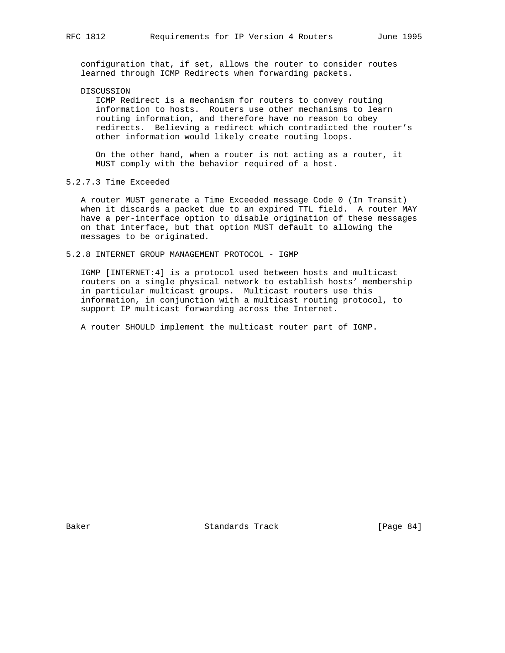configuration that, if set, allows the router to consider routes learned through ICMP Redirects when forwarding packets.

# DISCUSSION

 ICMP Redirect is a mechanism for routers to convey routing information to hosts. Routers use other mechanisms to learn routing information, and therefore have no reason to obey redirects. Believing a redirect which contradicted the router's other information would likely create routing loops.

 On the other hand, when a router is not acting as a router, it MUST comply with the behavior required of a host.

# 5.2.7.3 Time Exceeded

 A router MUST generate a Time Exceeded message Code 0 (In Transit) when it discards a packet due to an expired TTL field. A router MAY have a per-interface option to disable origination of these messages on that interface, but that option MUST default to allowing the messages to be originated.

# 5.2.8 INTERNET GROUP MANAGEMENT PROTOCOL - IGMP

 IGMP [INTERNET:4] is a protocol used between hosts and multicast routers on a single physical network to establish hosts' membership in particular multicast groups. Multicast routers use this information, in conjunction with a multicast routing protocol, to support IP multicast forwarding across the Internet.

A router SHOULD implement the multicast router part of IGMP.

Baker Standards Track [Page 84]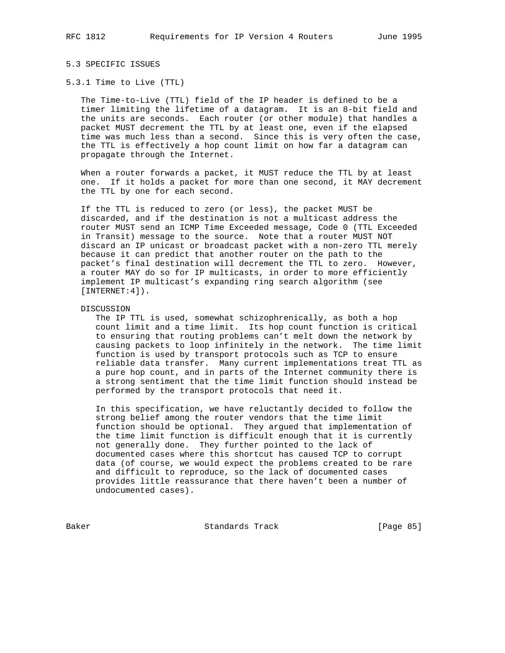# 5.3 SPECIFIC ISSUES

#### 5.3.1 Time to Live (TTL)

 The Time-to-Live (TTL) field of the IP header is defined to be a timer limiting the lifetime of a datagram. It is an 8-bit field and the units are seconds. Each router (or other module) that handles a packet MUST decrement the TTL by at least one, even if the elapsed time was much less than a second. Since this is very often the case, the TTL is effectively a hop count limit on how far a datagram can propagate through the Internet.

 When a router forwards a packet, it MUST reduce the TTL by at least one. If it holds a packet for more than one second, it MAY decrement the TTL by one for each second.

 If the TTL is reduced to zero (or less), the packet MUST be discarded, and if the destination is not a multicast address the router MUST send an ICMP Time Exceeded message, Code 0 (TTL Exceeded in Transit) message to the source. Note that a router MUST NOT discard an IP unicast or broadcast packet with a non-zero TTL merely because it can predict that another router on the path to the packet's final destination will decrement the TTL to zero. However, a router MAY do so for IP multicasts, in order to more efficiently implement IP multicast's expanding ring search algorithm (see [INTERNET:4]).

## DISCUSSION

 The IP TTL is used, somewhat schizophrenically, as both a hop count limit and a time limit. Its hop count function is critical to ensuring that routing problems can't melt down the network by causing packets to loop infinitely in the network. The time limit function is used by transport protocols such as TCP to ensure reliable data transfer. Many current implementations treat TTL as a pure hop count, and in parts of the Internet community there is a strong sentiment that the time limit function should instead be performed by the transport protocols that need it.

 In this specification, we have reluctantly decided to follow the strong belief among the router vendors that the time limit function should be optional. They argued that implementation of the time limit function is difficult enough that it is currently not generally done. They further pointed to the lack of documented cases where this shortcut has caused TCP to corrupt data (of course, we would expect the problems created to be rare and difficult to reproduce, so the lack of documented cases provides little reassurance that there haven't been a number of undocumented cases).

Baker Standards Track [Page 85]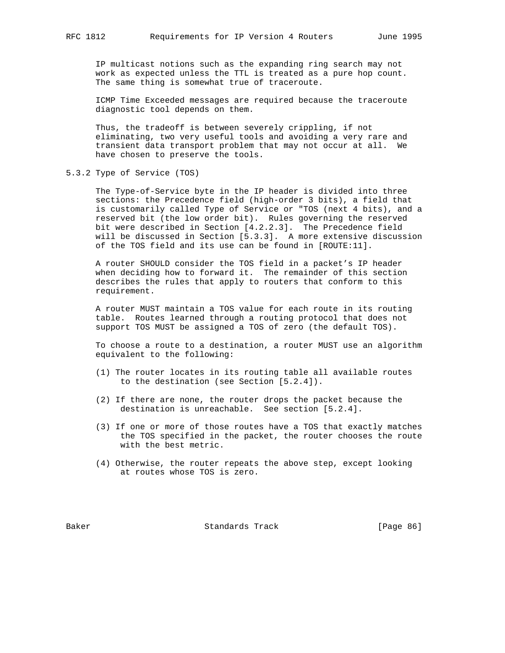IP multicast notions such as the expanding ring search may not work as expected unless the TTL is treated as a pure hop count. The same thing is somewhat true of traceroute.

 ICMP Time Exceeded messages are required because the traceroute diagnostic tool depends on them.

 Thus, the tradeoff is between severely crippling, if not eliminating, two very useful tools and avoiding a very rare and transient data transport problem that may not occur at all. We have chosen to preserve the tools.

5.3.2 Type of Service (TOS)

 The Type-of-Service byte in the IP header is divided into three sections: the Precedence field (high-order 3 bits), a field that is customarily called Type of Service or "TOS (next 4 bits), and a reserved bit (the low order bit). Rules governing the reserved bit were described in Section [4.2.2.3]. The Precedence field will be discussed in Section [5.3.3]. A more extensive discussion of the TOS field and its use can be found in [ROUTE:11].

 A router SHOULD consider the TOS field in a packet's IP header when deciding how to forward it. The remainder of this section describes the rules that apply to routers that conform to this requirement.

 A router MUST maintain a TOS value for each route in its routing table. Routes learned through a routing protocol that does not support TOS MUST be assigned a TOS of zero (the default TOS).

 To choose a route to a destination, a router MUST use an algorithm equivalent to the following:

- (1) The router locates in its routing table all available routes to the destination (see Section [5.2.4]).
- (2) If there are none, the router drops the packet because the destination is unreachable. See section [5.2.4].
- (3) If one or more of those routes have a TOS that exactly matches the TOS specified in the packet, the router chooses the route with the best metric.
- (4) Otherwise, the router repeats the above step, except looking at routes whose TOS is zero.

Baker Standards Track [Page 86]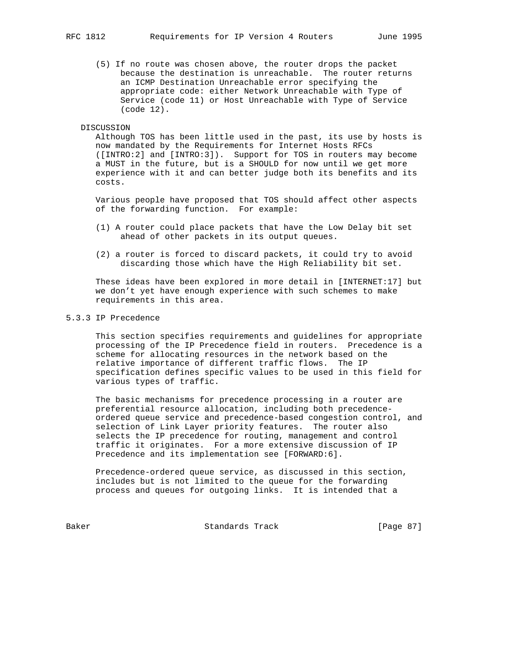(5) If no route was chosen above, the router drops the packet because the destination is unreachable. The router returns an ICMP Destination Unreachable error specifying the appropriate code: either Network Unreachable with Type of Service (code 11) or Host Unreachable with Type of Service (code 12).

## DISCUSSION

 Although TOS has been little used in the past, its use by hosts is now mandated by the Requirements for Internet Hosts RFCs ([INTRO:2] and [INTRO:3]). Support for TOS in routers may become a MUST in the future, but is a SHOULD for now until we get more experience with it and can better judge both its benefits and its costs.

 Various people have proposed that TOS should affect other aspects of the forwarding function. For example:

- (1) A router could place packets that have the Low Delay bit set ahead of other packets in its output queues.
- (2) a router is forced to discard packets, it could try to avoid discarding those which have the High Reliability bit set.

 These ideas have been explored in more detail in [INTERNET:17] but we don't yet have enough experience with such schemes to make requirements in this area.

# 5.3.3 IP Precedence

 This section specifies requirements and guidelines for appropriate processing of the IP Precedence field in routers. Precedence is a scheme for allocating resources in the network based on the relative importance of different traffic flows. The IP specification defines specific values to be used in this field for various types of traffic.

 The basic mechanisms for precedence processing in a router are preferential resource allocation, including both precedence ordered queue service and precedence-based congestion control, and selection of Link Layer priority features. The router also selects the IP precedence for routing, management and control traffic it originates. For a more extensive discussion of IP Precedence and its implementation see [FORWARD:6].

 Precedence-ordered queue service, as discussed in this section, includes but is not limited to the queue for the forwarding process and queues for outgoing links. It is intended that a

Baker Standards Track [Page 87]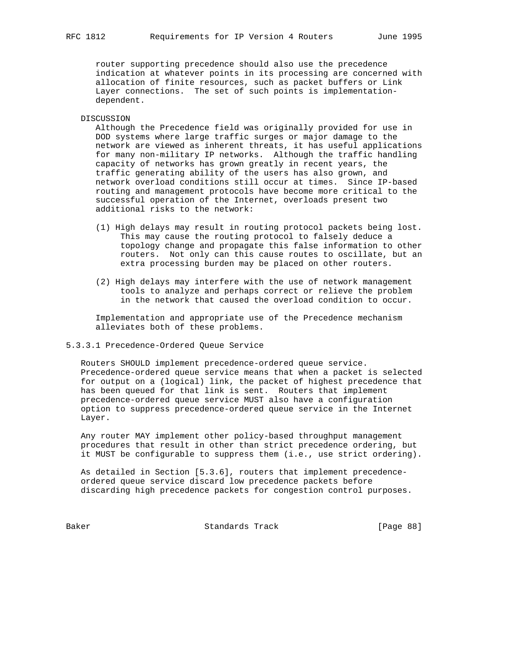router supporting precedence should also use the precedence indication at whatever points in its processing are concerned with allocation of finite resources, such as packet buffers or Link Layer connections. The set of such points is implementation dependent.

#### DISCUSSION

 Although the Precedence field was originally provided for use in DOD systems where large traffic surges or major damage to the network are viewed as inherent threats, it has useful applications for many non-military IP networks. Although the traffic handling capacity of networks has grown greatly in recent years, the traffic generating ability of the users has also grown, and network overload conditions still occur at times. Since IP-based routing and management protocols have become more critical to the successful operation of the Internet, overloads present two additional risks to the network:

- (1) High delays may result in routing protocol packets being lost. This may cause the routing protocol to falsely deduce a topology change and propagate this false information to other routers. Not only can this cause routes to oscillate, but an extra processing burden may be placed on other routers.
- (2) High delays may interfere with the use of network management tools to analyze and perhaps correct or relieve the problem in the network that caused the overload condition to occur.

 Implementation and appropriate use of the Precedence mechanism alleviates both of these problems.

# 5.3.3.1 Precedence-Ordered Queue Service

 Routers SHOULD implement precedence-ordered queue service. Precedence-ordered queue service means that when a packet is selected for output on a (logical) link, the packet of highest precedence that has been queued for that link is sent. Routers that implement precedence-ordered queue service MUST also have a configuration option to suppress precedence-ordered queue service in the Internet Layer.

 Any router MAY implement other policy-based throughput management procedures that result in other than strict precedence ordering, but it MUST be configurable to suppress them (i.e., use strict ordering).

 As detailed in Section [5.3.6], routers that implement precedence ordered queue service discard low precedence packets before discarding high precedence packets for congestion control purposes.

Baker Standards Track [Page 88]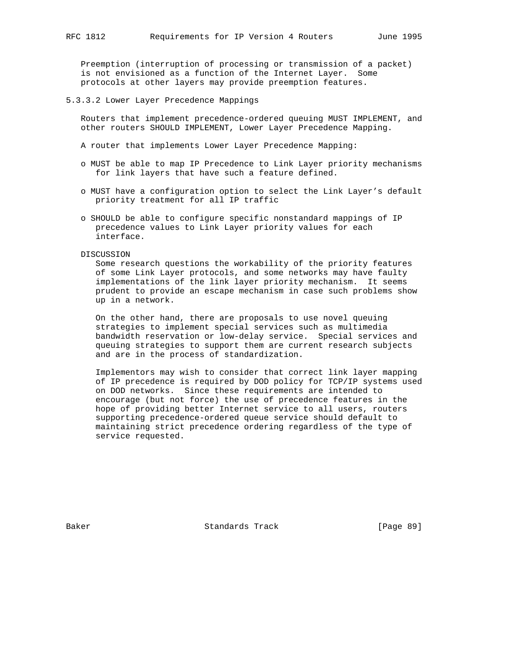Preemption (interruption of processing or transmission of a packet) is not envisioned as a function of the Internet Layer. Some protocols at other layers may provide preemption features.

## 5.3.3.2 Lower Layer Precedence Mappings

 Routers that implement precedence-ordered queuing MUST IMPLEMENT, and other routers SHOULD IMPLEMENT, Lower Layer Precedence Mapping.

- A router that implements Lower Layer Precedence Mapping:
- o MUST be able to map IP Precedence to Link Layer priority mechanisms for link layers that have such a feature defined.
- o MUST have a configuration option to select the Link Layer's default priority treatment for all IP traffic
- o SHOULD be able to configure specific nonstandard mappings of IP precedence values to Link Layer priority values for each interface.

DISCUSSION

 Some research questions the workability of the priority features of some Link Layer protocols, and some networks may have faulty implementations of the link layer priority mechanism. It seems prudent to provide an escape mechanism in case such problems show up in a network.

 On the other hand, there are proposals to use novel queuing strategies to implement special services such as multimedia bandwidth reservation or low-delay service. Special services and queuing strategies to support them are current research subjects and are in the process of standardization.

 Implementors may wish to consider that correct link layer mapping of IP precedence is required by DOD policy for TCP/IP systems used on DOD networks. Since these requirements are intended to encourage (but not force) the use of precedence features in the hope of providing better Internet service to all users, routers supporting precedence-ordered queue service should default to maintaining strict precedence ordering regardless of the type of service requested.

Baker Standards Track [Page 89]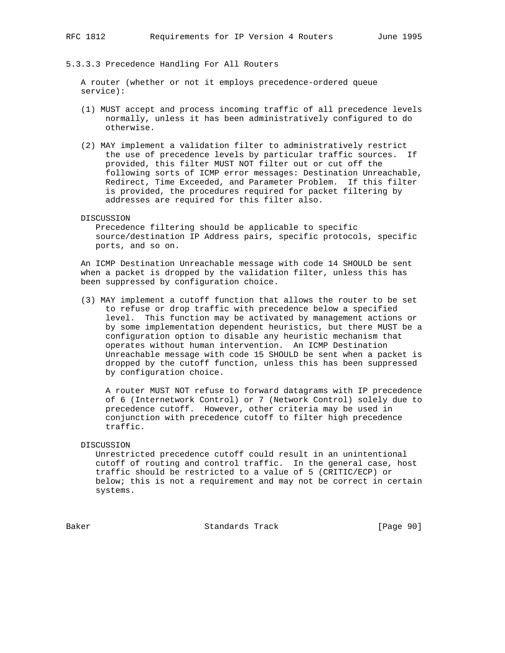# 5.3.3.3 Precedence Handling For All Routers

 A router (whether or not it employs precedence-ordered queue service):

- (1) MUST accept and process incoming traffic of all precedence levels normally, unless it has been administratively configured to do otherwise.
- (2) MAY implement a validation filter to administratively restrict the use of precedence levels by particular traffic sources. If provided, this filter MUST NOT filter out or cut off the following sorts of ICMP error messages: Destination Unreachable, Redirect, Time Exceeded, and Parameter Problem. If this filter is provided, the procedures required for packet filtering by addresses are required for this filter also.
- DISCUSSION

 Precedence filtering should be applicable to specific source/destination IP Address pairs, specific protocols, specific ports, and so on.

 An ICMP Destination Unreachable message with code 14 SHOULD be sent when a packet is dropped by the validation filter, unless this has been suppressed by configuration choice.

 (3) MAY implement a cutoff function that allows the router to be set to refuse or drop traffic with precedence below a specified level. This function may be activated by management actions or by some implementation dependent heuristics, but there MUST be a configuration option to disable any heuristic mechanism that operates without human intervention. An ICMP Destination Unreachable message with code 15 SHOULD be sent when a packet is dropped by the cutoff function, unless this has been suppressed by configuration choice.

 A router MUST NOT refuse to forward datagrams with IP precedence of 6 (Internetwork Control) or 7 (Network Control) solely due to precedence cutoff. However, other criteria may be used in conjunction with precedence cutoff to filter high precedence traffic.

# DISCUSSION

 Unrestricted precedence cutoff could result in an unintentional cutoff of routing and control traffic. In the general case, host traffic should be restricted to a value of 5 (CRITIC/ECP) or below; this is not a requirement and may not be correct in certain systems.

Baker Standards Track [Page 90]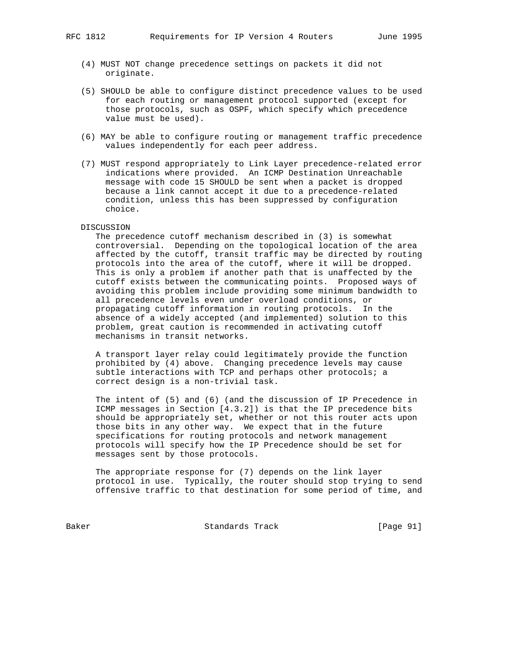- (4) MUST NOT change precedence settings on packets it did not originate.
- (5) SHOULD be able to configure distinct precedence values to be used for each routing or management protocol supported (except for those protocols, such as OSPF, which specify which precedence value must be used).
- (6) MAY be able to configure routing or management traffic precedence values independently for each peer address.
- (7) MUST respond appropriately to Link Layer precedence-related error indications where provided. An ICMP Destination Unreachable message with code 15 SHOULD be sent when a packet is dropped because a link cannot accept it due to a precedence-related condition, unless this has been suppressed by configuration choice.

#### DISCUSSION

 The precedence cutoff mechanism described in (3) is somewhat controversial. Depending on the topological location of the area affected by the cutoff, transit traffic may be directed by routing protocols into the area of the cutoff, where it will be dropped. This is only a problem if another path that is unaffected by the cutoff exists between the communicating points. Proposed ways of avoiding this problem include providing some minimum bandwidth to all precedence levels even under overload conditions, or propagating cutoff information in routing protocols. In the absence of a widely accepted (and implemented) solution to this problem, great caution is recommended in activating cutoff mechanisms in transit networks.

 A transport layer relay could legitimately provide the function prohibited by (4) above. Changing precedence levels may cause subtle interactions with TCP and perhaps other protocols; a correct design is a non-trivial task.

 The intent of (5) and (6) (and the discussion of IP Precedence in ICMP messages in Section [4.3.2]) is that the IP precedence bits should be appropriately set, whether or not this router acts upon those bits in any other way. We expect that in the future specifications for routing protocols and network management protocols will specify how the IP Precedence should be set for messages sent by those protocols.

 The appropriate response for (7) depends on the link layer protocol in use. Typically, the router should stop trying to send offensive traffic to that destination for some period of time, and

Baker Standards Track [Page 91]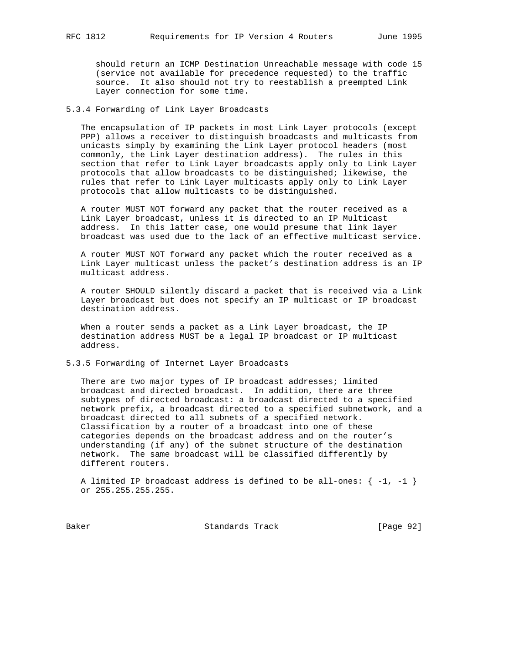should return an ICMP Destination Unreachable message with code 15 (service not available for precedence requested) to the traffic source. It also should not try to reestablish a preempted Link Layer connection for some time.

# 5.3.4 Forwarding of Link Layer Broadcasts

 The encapsulation of IP packets in most Link Layer protocols (except PPP) allows a receiver to distinguish broadcasts and multicasts from unicasts simply by examining the Link Layer protocol headers (most commonly, the Link Layer destination address). The rules in this section that refer to Link Layer broadcasts apply only to Link Layer protocols that allow broadcasts to be distinguished; likewise, the rules that refer to Link Layer multicasts apply only to Link Layer protocols that allow multicasts to be distinguished.

 A router MUST NOT forward any packet that the router received as a Link Layer broadcast, unless it is directed to an IP Multicast address. In this latter case, one would presume that link layer broadcast was used due to the lack of an effective multicast service.

 A router MUST NOT forward any packet which the router received as a Link Layer multicast unless the packet's destination address is an IP multicast address.

 A router SHOULD silently discard a packet that is received via a Link Layer broadcast but does not specify an IP multicast or IP broadcast destination address.

 When a router sends a packet as a Link Layer broadcast, the IP destination address MUST be a legal IP broadcast or IP multicast address.

5.3.5 Forwarding of Internet Layer Broadcasts

There are two major types of IP broadcast addresses; limited broadcast and directed broadcast. In addition, there are three subtypes of directed broadcast: a broadcast directed to a specified network prefix, a broadcast directed to a specified subnetwork, and a broadcast directed to all subnets of a specified network. Classification by a router of a broadcast into one of these categories depends on the broadcast address and on the router's understanding (if any) of the subnet structure of the destination network. The same broadcast will be classified differently by different routers.

A limited IP broadcast address is defined to be all-ones:  $\{-1, -1\}$ or 255.255.255.255.

Baker Standards Track [Page 92]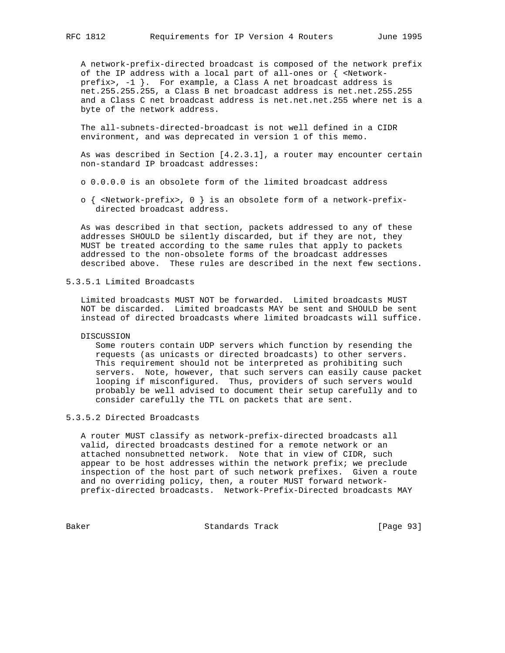A network-prefix-directed broadcast is composed of the network prefix of the IP address with a local part of all-ones or { <Network prefix>, -1 }. For example, a Class A net broadcast address is net.255.255.255, a Class B net broadcast address is net.net.255.255 and a Class C net broadcast address is net.net.net.255 where net is a byte of the network address.

 The all-subnets-directed-broadcast is not well defined in a CIDR environment, and was deprecated in version 1 of this memo.

 As was described in Section [4.2.3.1], a router may encounter certain non-standard IP broadcast addresses:

- o 0.0.0.0 is an obsolete form of the limited broadcast address
- o { <Network-prefix>, 0 } is an obsolete form of a network-prefix directed broadcast address.

 As was described in that section, packets addressed to any of these addresses SHOULD be silently discarded, but if they are not, they MUST be treated according to the same rules that apply to packets addressed to the non-obsolete forms of the broadcast addresses described above. These rules are described in the next few sections.

5.3.5.1 Limited Broadcasts

 Limited broadcasts MUST NOT be forwarded. Limited broadcasts MUST NOT be discarded. Limited broadcasts MAY be sent and SHOULD be sent instead of directed broadcasts where limited broadcasts will suffice.

# DISCUSSION

 Some routers contain UDP servers which function by resending the requests (as unicasts or directed broadcasts) to other servers. This requirement should not be interpreted as prohibiting such servers. Note, however, that such servers can easily cause packet looping if misconfigured. Thus, providers of such servers would probably be well advised to document their setup carefully and to consider carefully the TTL on packets that are sent.

# 5.3.5.2 Directed Broadcasts

 A router MUST classify as network-prefix-directed broadcasts all valid, directed broadcasts destined for a remote network or an attached nonsubnetted network. Note that in view of CIDR, such appear to be host addresses within the network prefix; we preclude inspection of the host part of such network prefixes. Given a route and no overriding policy, then, a router MUST forward network prefix-directed broadcasts. Network-Prefix-Directed broadcasts MAY

Baker Standards Track [Page 93]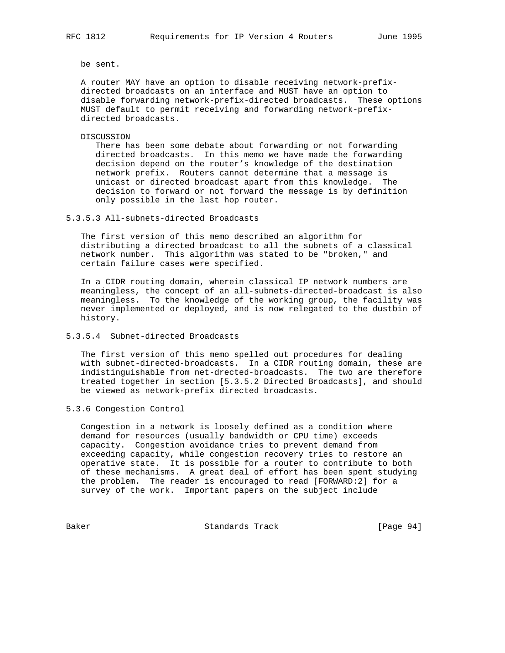be sent.

 A router MAY have an option to disable receiving network-prefix directed broadcasts on an interface and MUST have an option to disable forwarding network-prefix-directed broadcasts. These options MUST default to permit receiving and forwarding network-prefix directed broadcasts.

DISCUSSION

 There has been some debate about forwarding or not forwarding directed broadcasts. In this memo we have made the forwarding decision depend on the router's knowledge of the destination network prefix. Routers cannot determine that a message is unicast or directed broadcast apart from this knowledge. The decision to forward or not forward the message is by definition only possible in the last hop router.

5.3.5.3 All-subnets-directed Broadcasts

 The first version of this memo described an algorithm for distributing a directed broadcast to all the subnets of a classical network number. This algorithm was stated to be "broken," and certain failure cases were specified.

 In a CIDR routing domain, wherein classical IP network numbers are meaningless, the concept of an all-subnets-directed-broadcast is also meaningless. To the knowledge of the working group, the facility was never implemented or deployed, and is now relegated to the dustbin of history.

5.3.5.4 Subnet-directed Broadcasts

 The first version of this memo spelled out procedures for dealing with subnet-directed-broadcasts. In a CIDR routing domain, these are indistinguishable from net-drected-broadcasts. The two are therefore treated together in section [5.3.5.2 Directed Broadcasts], and should be viewed as network-prefix directed broadcasts.

5.3.6 Congestion Control

 Congestion in a network is loosely defined as a condition where demand for resources (usually bandwidth or CPU time) exceeds capacity. Congestion avoidance tries to prevent demand from exceeding capacity, while congestion recovery tries to restore an operative state. It is possible for a router to contribute to both of these mechanisms. A great deal of effort has been spent studying the problem. The reader is encouraged to read [FORWARD:2] for a survey of the work. Important papers on the subject include

Baker Standards Track [Page 94]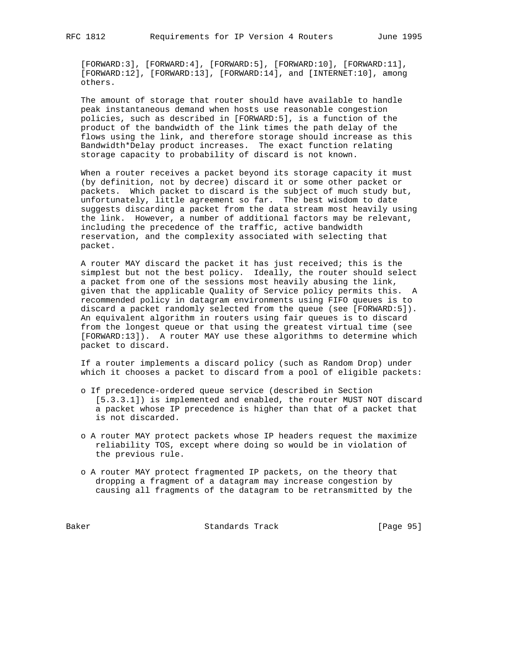[FORWARD:3], [FORWARD:4], [FORWARD:5], [FORWARD:10], [FORWARD:11], [FORWARD:12], [FORWARD:13], [FORWARD:14], and [INTERNET:10], among others.

 The amount of storage that router should have available to handle peak instantaneous demand when hosts use reasonable congestion policies, such as described in [FORWARD:5], is a function of the product of the bandwidth of the link times the path delay of the flows using the link, and therefore storage should increase as this Bandwidth\*Delay product increases. The exact function relating storage capacity to probability of discard is not known.

 When a router receives a packet beyond its storage capacity it must (by definition, not by decree) discard it or some other packet or packets. Which packet to discard is the subject of much study but, unfortunately, little agreement so far. The best wisdom to date suggests discarding a packet from the data stream most heavily using the link. However, a number of additional factors may be relevant, including the precedence of the traffic, active bandwidth reservation, and the complexity associated with selecting that packet.

 A router MAY discard the packet it has just received; this is the simplest but not the best policy. Ideally, the router should select a packet from one of the sessions most heavily abusing the link, given that the applicable Quality of Service policy permits this. A recommended policy in datagram environments using FIFO queues is to discard a packet randomly selected from the queue (see [FORWARD:5]). An equivalent algorithm in routers using fair queues is to discard from the longest queue or that using the greatest virtual time (see [FORWARD:13]). A router MAY use these algorithms to determine which packet to discard.

 If a router implements a discard policy (such as Random Drop) under which it chooses a packet to discard from a pool of eligible packets:

- o If precedence-ordered queue service (described in Section [5.3.3.1]) is implemented and enabled, the router MUST NOT discard a packet whose IP precedence is higher than that of a packet that is not discarded.
- o A router MAY protect packets whose IP headers request the maximize reliability TOS, except where doing so would be in violation of the previous rule.
- o A router MAY protect fragmented IP packets, on the theory that dropping a fragment of a datagram may increase congestion by causing all fragments of the datagram to be retransmitted by the

Baker Standards Track [Page 95]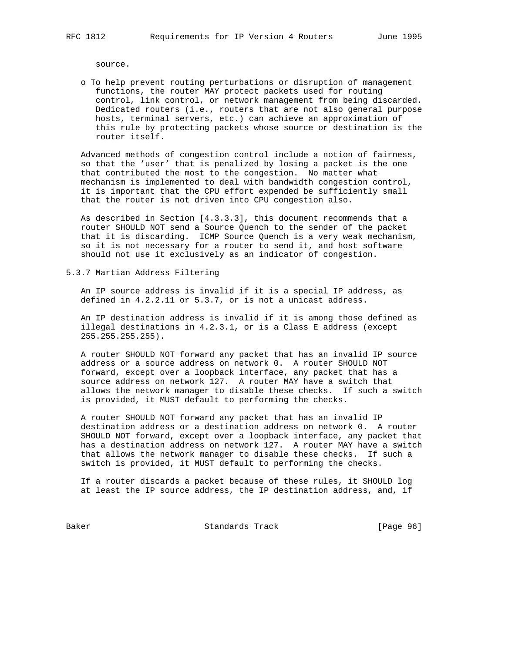source.

 o To help prevent routing perturbations or disruption of management functions, the router MAY protect packets used for routing control, link control, or network management from being discarded. Dedicated routers (i.e., routers that are not also general purpose hosts, terminal servers, etc.) can achieve an approximation of this rule by protecting packets whose source or destination is the router itself.

 Advanced methods of congestion control include a notion of fairness, so that the 'user' that is penalized by losing a packet is the one that contributed the most to the congestion. No matter what mechanism is implemented to deal with bandwidth congestion control, it is important that the CPU effort expended be sufficiently small that the router is not driven into CPU congestion also.

 As described in Section [4.3.3.3], this document recommends that a router SHOULD NOT send a Source Quench to the sender of the packet that it is discarding. ICMP Source Quench is a very weak mechanism, so it is not necessary for a router to send it, and host software should not use it exclusively as an indicator of congestion.

5.3.7 Martian Address Filtering

 An IP source address is invalid if it is a special IP address, as defined in 4.2.2.11 or 5.3.7, or is not a unicast address.

 An IP destination address is invalid if it is among those defined as illegal destinations in 4.2.3.1, or is a Class E address (except 255.255.255.255).

 A router SHOULD NOT forward any packet that has an invalid IP source address or a source address on network 0. A router SHOULD NOT forward, except over a loopback interface, any packet that has a source address on network 127. A router MAY have a switch that allows the network manager to disable these checks. If such a switch is provided, it MUST default to performing the checks.

 A router SHOULD NOT forward any packet that has an invalid IP destination address or a destination address on network 0. A router SHOULD NOT forward, except over a loopback interface, any packet that has a destination address on network 127. A router MAY have a switch that allows the network manager to disable these checks. If such a switch is provided, it MUST default to performing the checks.

 If a router discards a packet because of these rules, it SHOULD log at least the IP source address, the IP destination address, and, if

Baker Standards Track [Page 96]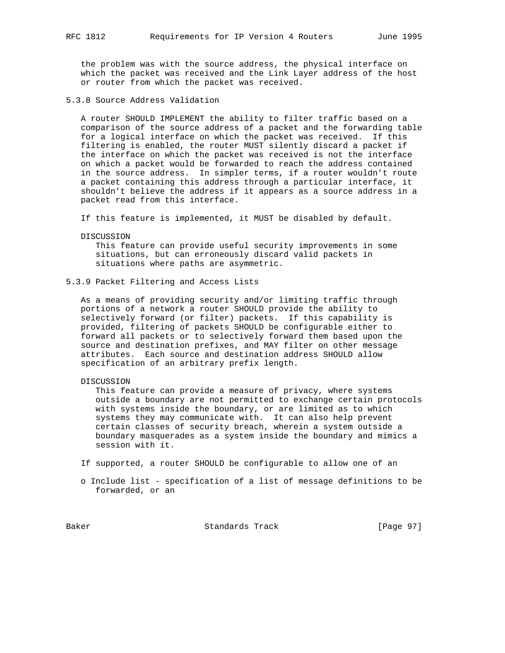the problem was with the source address, the physical interface on which the packet was received and the Link Layer address of the host or router from which the packet was received.

5.3.8 Source Address Validation

 A router SHOULD IMPLEMENT the ability to filter traffic based on a comparison of the source address of a packet and the forwarding table for a logical interface on which the packet was received. If this filtering is enabled, the router MUST silently discard a packet if the interface on which the packet was received is not the interface on which a packet would be forwarded to reach the address contained in the source address. In simpler terms, if a router wouldn't route a packet containing this address through a particular interface, it shouldn't believe the address if it appears as a source address in a packet read from this interface.

If this feature is implemented, it MUST be disabled by default.

DISCUSSION

 This feature can provide useful security improvements in some situations, but can erroneously discard valid packets in situations where paths are asymmetric.

5.3.9 Packet Filtering and Access Lists

 As a means of providing security and/or limiting traffic through portions of a network a router SHOULD provide the ability to selectively forward (or filter) packets. If this capability is provided, filtering of packets SHOULD be configurable either to forward all packets or to selectively forward them based upon the source and destination prefixes, and MAY filter on other message attributes. Each source and destination address SHOULD allow specification of an arbitrary prefix length.

DISCUSSION

 This feature can provide a measure of privacy, where systems outside a boundary are not permitted to exchange certain protocols with systems inside the boundary, or are limited as to which systems they may communicate with. It can also help prevent certain classes of security breach, wherein a system outside a boundary masquerades as a system inside the boundary and mimics a session with it.

If supported, a router SHOULD be configurable to allow one of an

 o Include list - specification of a list of message definitions to be forwarded, or an

Baker Standards Track [Page 97]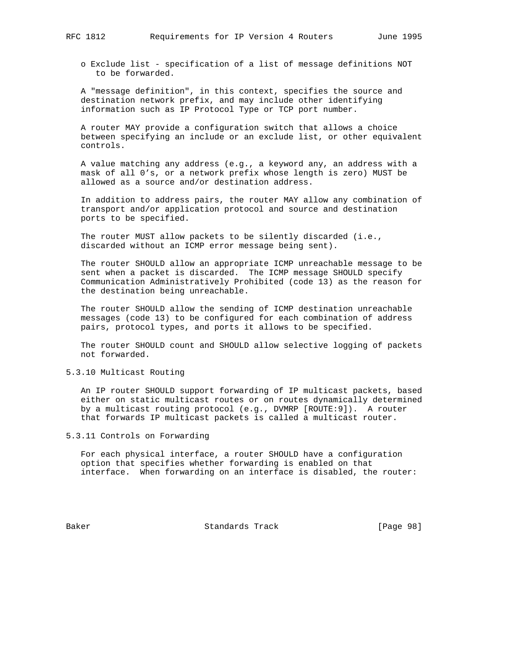o Exclude list - specification of a list of message definitions NOT to be forwarded.

 A "message definition", in this context, specifies the source and destination network prefix, and may include other identifying information such as IP Protocol Type or TCP port number.

 A router MAY provide a configuration switch that allows a choice between specifying an include or an exclude list, or other equivalent controls.

 A value matching any address (e.g., a keyword any, an address with a mask of all 0's, or a network prefix whose length is zero) MUST be allowed as a source and/or destination address.

 In addition to address pairs, the router MAY allow any combination of transport and/or application protocol and source and destination ports to be specified.

 The router MUST allow packets to be silently discarded (i.e., discarded without an ICMP error message being sent).

 The router SHOULD allow an appropriate ICMP unreachable message to be sent when a packet is discarded. The ICMP message SHOULD specify Communication Administratively Prohibited (code 13) as the reason for the destination being unreachable.

 The router SHOULD allow the sending of ICMP destination unreachable messages (code 13) to be configured for each combination of address pairs, protocol types, and ports it allows to be specified.

 The router SHOULD count and SHOULD allow selective logging of packets not forwarded.

# 5.3.10 Multicast Routing

 An IP router SHOULD support forwarding of IP multicast packets, based either on static multicast routes or on routes dynamically determined by a multicast routing protocol (e.g., DVMRP [ROUTE:9]). A router that forwards IP multicast packets is called a multicast router.

# 5.3.11 Controls on Forwarding

 For each physical interface, a router SHOULD have a configuration option that specifies whether forwarding is enabled on that interface. When forwarding on an interface is disabled, the router:

Baker Standards Track [Page 98]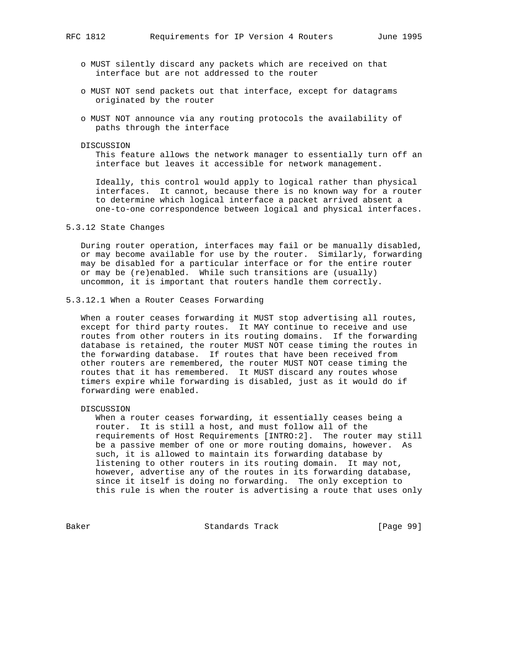- o MUST silently discard any packets which are received on that interface but are not addressed to the router
- o MUST NOT send packets out that interface, except for datagrams originated by the router
- o MUST NOT announce via any routing protocols the availability of paths through the interface

DISCUSSION

 This feature allows the network manager to essentially turn off an interface but leaves it accessible for network management.

 Ideally, this control would apply to logical rather than physical interfaces. It cannot, because there is no known way for a router to determine which logical interface a packet arrived absent a one-to-one correspondence between logical and physical interfaces.

#### 5.3.12 State Changes

 During router operation, interfaces may fail or be manually disabled, or may become available for use by the router. Similarly, forwarding may be disabled for a particular interface or for the entire router or may be (re)enabled. While such transitions are (usually) uncommon, it is important that routers handle them correctly.

5.3.12.1 When a Router Ceases Forwarding

 When a router ceases forwarding it MUST stop advertising all routes, except for third party routes. It MAY continue to receive and use routes from other routers in its routing domains. If the forwarding database is retained, the router MUST NOT cease timing the routes in the forwarding database. If routes that have been received from other routers are remembered, the router MUST NOT cease timing the routes that it has remembered. It MUST discard any routes whose timers expire while forwarding is disabled, just as it would do if forwarding were enabled.

DISCUSSION

 When a router ceases forwarding, it essentially ceases being a router. It is still a host, and must follow all of the requirements of Host Requirements [INTRO:2]. The router may still be a passive member of one or more routing domains, however. As such, it is allowed to maintain its forwarding database by listening to other routers in its routing domain. It may not, however, advertise any of the routes in its forwarding database, since it itself is doing no forwarding. The only exception to this rule is when the router is advertising a route that uses only

Baker Standards Track [Page 99]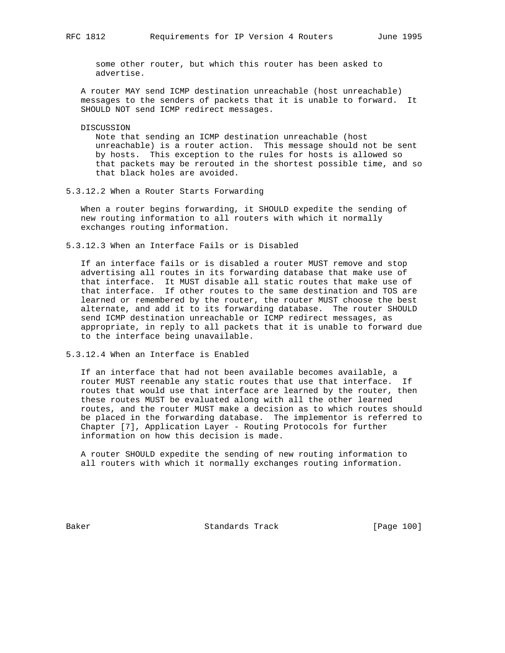some other router, but which this router has been asked to advertise.

 A router MAY send ICMP destination unreachable (host unreachable) messages to the senders of packets that it is unable to forward. It SHOULD NOT send ICMP redirect messages.

DISCUSSION

 Note that sending an ICMP destination unreachable (host unreachable) is a router action. This message should not be sent by hosts. This exception to the rules for hosts is allowed so that packets may be rerouted in the shortest possible time, and so that black holes are avoided.

5.3.12.2 When a Router Starts Forwarding

 When a router begins forwarding, it SHOULD expedite the sending of new routing information to all routers with which it normally exchanges routing information.

5.3.12.3 When an Interface Fails or is Disabled

 If an interface fails or is disabled a router MUST remove and stop advertising all routes in its forwarding database that make use of that interface. It MUST disable all static routes that make use of that interface. If other routes to the same destination and TOS are learned or remembered by the router, the router MUST choose the best alternate, and add it to its forwarding database. The router SHOULD send ICMP destination unreachable or ICMP redirect messages, as appropriate, in reply to all packets that it is unable to forward due to the interface being unavailable.

5.3.12.4 When an Interface is Enabled

 If an interface that had not been available becomes available, a router MUST reenable any static routes that use that interface. If routes that would use that interface are learned by the router, then these routes MUST be evaluated along with all the other learned routes, and the router MUST make a decision as to which routes should be placed in the forwarding database. The implementor is referred to Chapter [7], Application Layer - Routing Protocols for further information on how this decision is made.

 A router SHOULD expedite the sending of new routing information to all routers with which it normally exchanges routing information.

Baker Standards Track [Page 100]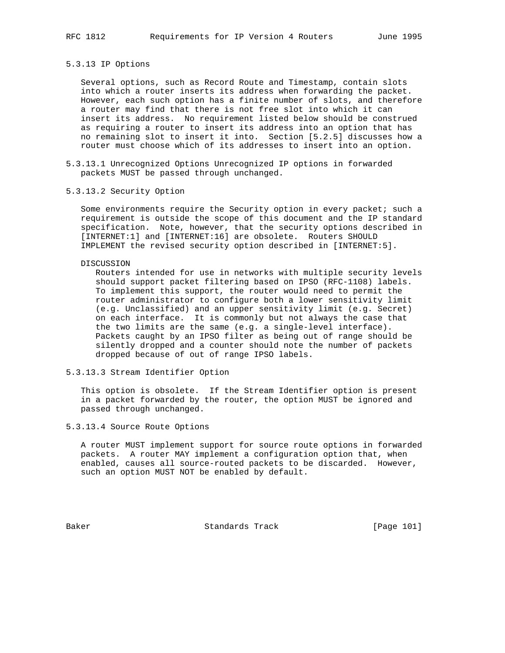# 5.3.13 IP Options

 Several options, such as Record Route and Timestamp, contain slots into which a router inserts its address when forwarding the packet. However, each such option has a finite number of slots, and therefore a router may find that there is not free slot into which it can insert its address. No requirement listed below should be construed as requiring a router to insert its address into an option that has no remaining slot to insert it into. Section [5.2.5] discusses how a router must choose which of its addresses to insert into an option.

- 5.3.13.1 Unrecognized Options Unrecognized IP options in forwarded packets MUST be passed through unchanged.
- 5.3.13.2 Security Option

Some environments require the Security option in every packet; such a requirement is outside the scope of this document and the IP standard specification. Note, however, that the security options described in [INTERNET:1] and [INTERNET:16] are obsolete. Routers SHOULD IMPLEMENT the revised security option described in [INTERNET:5].

#### DISCUSSION

 Routers intended for use in networks with multiple security levels should support packet filtering based on IPSO (RFC-1108) labels. To implement this support, the router would need to permit the router administrator to configure both a lower sensitivity limit (e.g. Unclassified) and an upper sensitivity limit (e.g. Secret) on each interface. It is commonly but not always the case that the two limits are the same (e.g. a single-level interface). Packets caught by an IPSO filter as being out of range should be silently dropped and a counter should note the number of packets dropped because of out of range IPSO labels.

# 5.3.13.3 Stream Identifier Option

 This option is obsolete. If the Stream Identifier option is present in a packet forwarded by the router, the option MUST be ignored and passed through unchanged.

# 5.3.13.4 Source Route Options

 A router MUST implement support for source route options in forwarded packets. A router MAY implement a configuration option that, when enabled, causes all source-routed packets to be discarded. However, such an option MUST NOT be enabled by default.

Baker Standards Track [Page 101]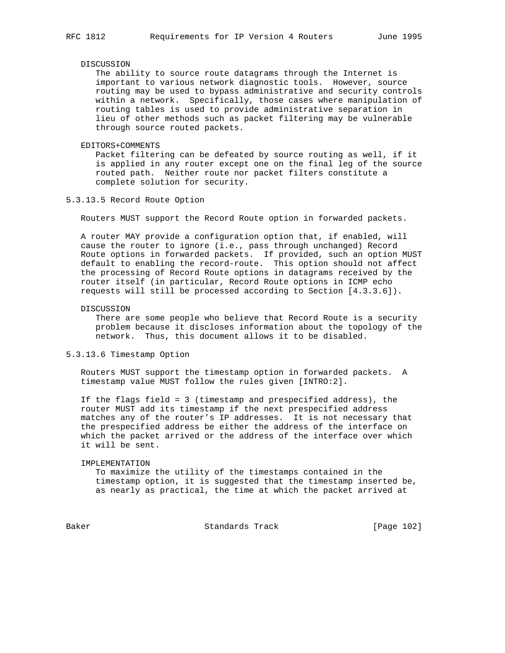#### DISCUSSION

 The ability to source route datagrams through the Internet is important to various network diagnostic tools. However, source routing may be used to bypass administrative and security controls within a network. Specifically, those cases where manipulation of routing tables is used to provide administrative separation in lieu of other methods such as packet filtering may be vulnerable through source routed packets.

#### EDITORS+COMMENTS

 Packet filtering can be defeated by source routing as well, if it is applied in any router except one on the final leg of the source routed path. Neither route nor packet filters constitute a complete solution for security.

# 5.3.13.5 Record Route Option

Routers MUST support the Record Route option in forwarded packets.

 A router MAY provide a configuration option that, if enabled, will cause the router to ignore (i.e., pass through unchanged) Record Route options in forwarded packets. If provided, such an option MUST default to enabling the record-route. This option should not affect the processing of Record Route options in datagrams received by the router itself (in particular, Record Route options in ICMP echo requests will still be processed according to Section [4.3.3.6]).

#### DISCUSSION

 There are some people who believe that Record Route is a security problem because it discloses information about the topology of the network. Thus, this document allows it to be disabled.

# 5.3.13.6 Timestamp Option

 Routers MUST support the timestamp option in forwarded packets. A timestamp value MUST follow the rules given [INTRO:2].

 If the flags field = 3 (timestamp and prespecified address), the router MUST add its timestamp if the next prespecified address matches any of the router's IP addresses. It is not necessary that the prespecified address be either the address of the interface on which the packet arrived or the address of the interface over which it will be sent.

#### IMPLEMENTATION

 To maximize the utility of the timestamps contained in the timestamp option, it is suggested that the timestamp inserted be, as nearly as practical, the time at which the packet arrived at

Baker Standards Track [Page 102]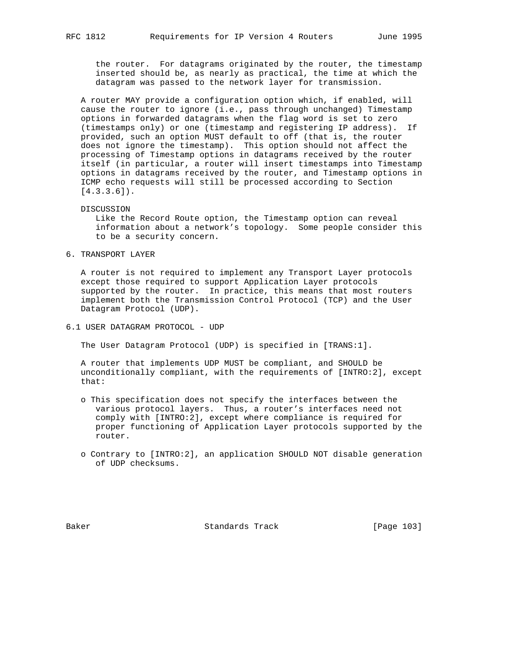the router. For datagrams originated by the router, the timestamp inserted should be, as nearly as practical, the time at which the datagram was passed to the network layer for transmission.

 A router MAY provide a configuration option which, if enabled, will cause the router to ignore (i.e., pass through unchanged) Timestamp options in forwarded datagrams when the flag word is set to zero (timestamps only) or one (timestamp and registering IP address). If provided, such an option MUST default to off (that is, the router does not ignore the timestamp). This option should not affect the processing of Timestamp options in datagrams received by the router itself (in particular, a router will insert timestamps into Timestamp options in datagrams received by the router, and Timestamp options in ICMP echo requests will still be processed according to Section  $[4.3.3.6]$ .

#### DISCUSSION

 Like the Record Route option, the Timestamp option can reveal information about a network's topology. Some people consider this to be a security concern.

# 6. TRANSPORT LAYER

 A router is not required to implement any Transport Layer protocols except those required to support Application Layer protocols supported by the router. In practice, this means that most routers implement both the Transmission Control Protocol (TCP) and the User Datagram Protocol (UDP).

6.1 USER DATAGRAM PROTOCOL - UDP

The User Datagram Protocol (UDP) is specified in [TRANS:1].

 A router that implements UDP MUST be compliant, and SHOULD be unconditionally compliant, with the requirements of [INTRO:2], except that:

- o This specification does not specify the interfaces between the various protocol layers. Thus, a router's interfaces need not comply with [INTRO:2], except where compliance is required for proper functioning of Application Layer protocols supported by the router.
- o Contrary to [INTRO:2], an application SHOULD NOT disable generation of UDP checksums.

Baker Standards Track [Page 103]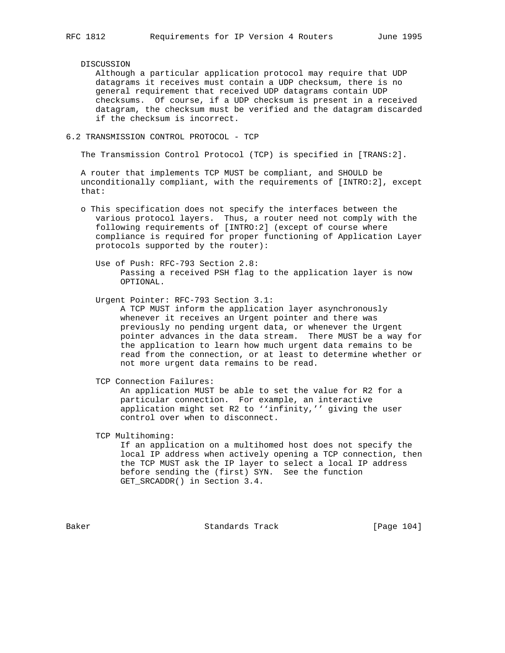## DISCUSSION

 Although a particular application protocol may require that UDP datagrams it receives must contain a UDP checksum, there is no general requirement that received UDP datagrams contain UDP checksums. Of course, if a UDP checksum is present in a received datagram, the checksum must be verified and the datagram discarded if the checksum is incorrect.

# 6.2 TRANSMISSION CONTROL PROTOCOL - TCP

The Transmission Control Protocol (TCP) is specified in [TRANS:2].

 A router that implements TCP MUST be compliant, and SHOULD be unconditionally compliant, with the requirements of [INTRO:2], except that:

- o This specification does not specify the interfaces between the various protocol layers. Thus, a router need not comply with the following requirements of [INTRO:2] (except of course where compliance is required for proper functioning of Application Layer protocols supported by the router):
	- Use of Push: RFC-793 Section 2.8: Passing a received PSH flag to the application layer is now OPTIONAL.

Urgent Pointer: RFC-793 Section 3.1:

 A TCP MUST inform the application layer asynchronously whenever it receives an Urgent pointer and there was previously no pending urgent data, or whenever the Urgent pointer advances in the data stream. There MUST be a way for the application to learn how much urgent data remains to be read from the connection, or at least to determine whether or not more urgent data remains to be read.

TCP Connection Failures:

 An application MUST be able to set the value for R2 for a particular connection. For example, an interactive application might set R2 to ''infinity,'' giving the user control over when to disconnect.

TCP Multihoming:

 If an application on a multihomed host does not specify the local IP address when actively opening a TCP connection, then the TCP MUST ask the IP layer to select a local IP address before sending the (first) SYN. See the function GET\_SRCADDR() in Section 3.4.

Baker Standards Track [Page 104]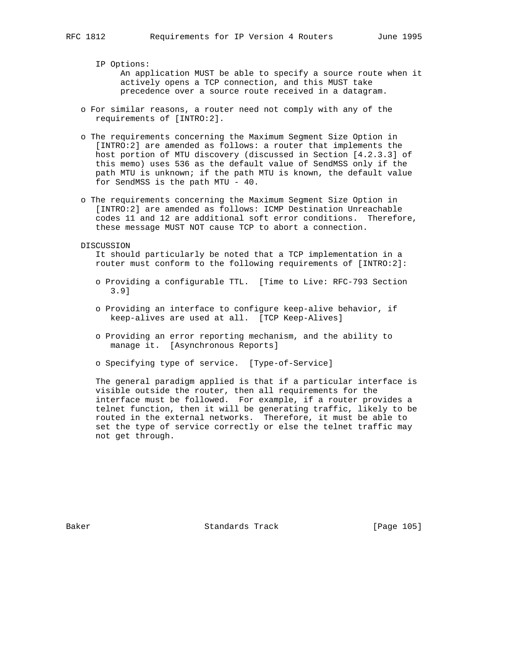IP Options: An application MUST be able to specify a source route when it actively opens a TCP connection, and this MUST take precedence over a source route received in a datagram.

- o For similar reasons, a router need not comply with any of the requirements of [INTRO:2].
- o The requirements concerning the Maximum Segment Size Option in [INTRO:2] are amended as follows: a router that implements the host portion of MTU discovery (discussed in Section [4.2.3.3] of this memo) uses 536 as the default value of SendMSS only if the path MTU is unknown; if the path MTU is known, the default value for SendMSS is the path MTU - 40.
- o The requirements concerning the Maximum Segment Size Option in [INTRO:2] are amended as follows: ICMP Destination Unreachable codes 11 and 12 are additional soft error conditions. Therefore, these message MUST NOT cause TCP to abort a connection.
- DISCUSSION

 It should particularly be noted that a TCP implementation in a router must conform to the following requirements of [INTRO:2]:

- o Providing a configurable TTL. [Time to Live: RFC-793 Section 3.9]
- o Providing an interface to configure keep-alive behavior, if keep-alives are used at all. [TCP Keep-Alives]
- o Providing an error reporting mechanism, and the ability to manage it. [Asynchronous Reports]
- o Specifying type of service. [Type-of-Service]

 The general paradigm applied is that if a particular interface is visible outside the router, then all requirements for the interface must be followed. For example, if a router provides a telnet function, then it will be generating traffic, likely to be routed in the external networks. Therefore, it must be able to set the type of service correctly or else the telnet traffic may not get through.

Baker Standards Track [Page 105]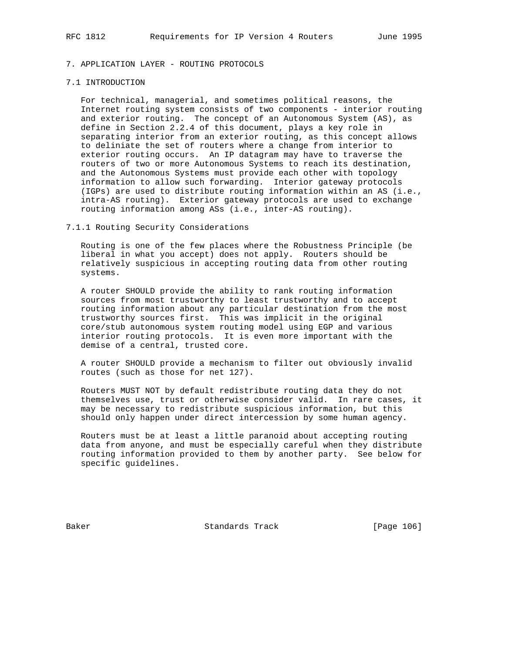# 7. APPLICATION LAYER - ROUTING PROTOCOLS

## 7.1 INTRODUCTION

 For technical, managerial, and sometimes political reasons, the Internet routing system consists of two components - interior routing and exterior routing. The concept of an Autonomous System (AS), as define in Section 2.2.4 of this document, plays a key role in separating interior from an exterior routing, as this concept allows to deliniate the set of routers where a change from interior to exterior routing occurs. An IP datagram may have to traverse the routers of two or more Autonomous Systems to reach its destination, and the Autonomous Systems must provide each other with topology information to allow such forwarding. Interior gateway protocols (IGPs) are used to distribute routing information within an AS (i.e., intra-AS routing). Exterior gateway protocols are used to exchange routing information among ASs (i.e., inter-AS routing).

# 7.1.1 Routing Security Considerations

 Routing is one of the few places where the Robustness Principle (be liberal in what you accept) does not apply. Routers should be relatively suspicious in accepting routing data from other routing systems.

 A router SHOULD provide the ability to rank routing information sources from most trustworthy to least trustworthy and to accept routing information about any particular destination from the most trustworthy sources first. This was implicit in the original core/stub autonomous system routing model using EGP and various interior routing protocols. It is even more important with the demise of a central, trusted core.

 A router SHOULD provide a mechanism to filter out obviously invalid routes (such as those for net 127).

 Routers MUST NOT by default redistribute routing data they do not themselves use, trust or otherwise consider valid. In rare cases, it may be necessary to redistribute suspicious information, but this should only happen under direct intercession by some human agency.

 Routers must be at least a little paranoid about accepting routing data from anyone, and must be especially careful when they distribute routing information provided to them by another party. See below for specific guidelines.

Baker Standards Track [Page 106]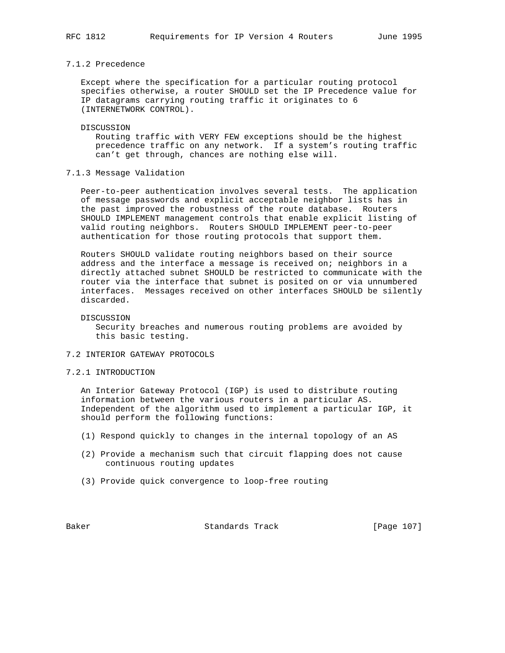# 7.1.2 Precedence

 Except where the specification for a particular routing protocol specifies otherwise, a router SHOULD set the IP Precedence value for IP datagrams carrying routing traffic it originates to 6 (INTERNETWORK CONTROL).

#### DISCUSSION

 Routing traffic with VERY FEW exceptions should be the highest precedence traffic on any network. If a system's routing traffic can't get through, chances are nothing else will.

# 7.1.3 Message Validation

 Peer-to-peer authentication involves several tests. The application of message passwords and explicit acceptable neighbor lists has in the past improved the robustness of the route database. Routers SHOULD IMPLEMENT management controls that enable explicit listing of valid routing neighbors. Routers SHOULD IMPLEMENT peer-to-peer authentication for those routing protocols that support them.

 Routers SHOULD validate routing neighbors based on their source address and the interface a message is received on; neighbors in a directly attached subnet SHOULD be restricted to communicate with the router via the interface that subnet is posited on or via unnumbered interfaces. Messages received on other interfaces SHOULD be silently discarded.

DISCUSSION

 Security breaches and numerous routing problems are avoided by this basic testing.

## 7.2 INTERIOR GATEWAY PROTOCOLS

7.2.1 INTRODUCTION

 An Interior Gateway Protocol (IGP) is used to distribute routing information between the various routers in a particular AS. Independent of the algorithm used to implement a particular IGP, it should perform the following functions:

- (1) Respond quickly to changes in the internal topology of an AS
- (2) Provide a mechanism such that circuit flapping does not cause continuous routing updates
- (3) Provide quick convergence to loop-free routing

Baker Standards Track [Page 107]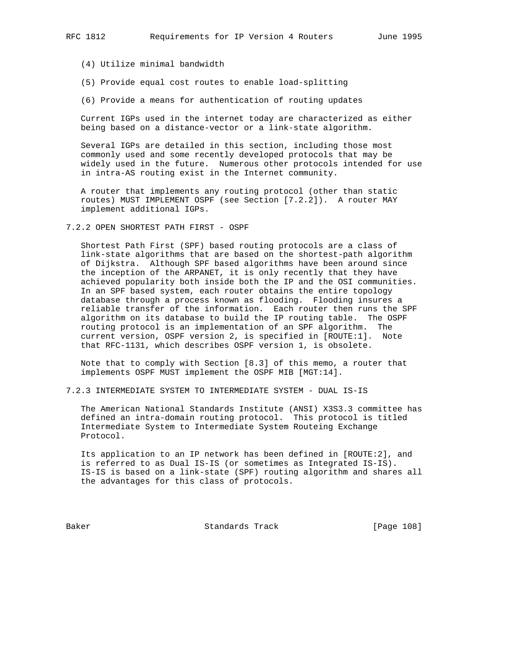(4) Utilize minimal bandwidth

- (5) Provide equal cost routes to enable load-splitting
- (6) Provide a means for authentication of routing updates

 Current IGPs used in the internet today are characterized as either being based on a distance-vector or a link-state algorithm.

 Several IGPs are detailed in this section, including those most commonly used and some recently developed protocols that may be widely used in the future. Numerous other protocols intended for use in intra-AS routing exist in the Internet community.

 A router that implements any routing protocol (other than static routes) MUST IMPLEMENT OSPF (see Section [7.2.2]). A router MAY implement additional IGPs.

7.2.2 OPEN SHORTEST PATH FIRST - OSPF

 Shortest Path First (SPF) based routing protocols are a class of link-state algorithms that are based on the shortest-path algorithm of Dijkstra. Although SPF based algorithms have been around since the inception of the ARPANET, it is only recently that they have achieved popularity both inside both the IP and the OSI communities. In an SPF based system, each router obtains the entire topology database through a process known as flooding. Flooding insures a reliable transfer of the information. Each router then runs the SPF algorithm on its database to build the IP routing table. The OSPF routing protocol is an implementation of an SPF algorithm. The current version, OSPF version 2, is specified in [ROUTE:1]. Note that RFC-1131, which describes OSPF version 1, is obsolete.

 Note that to comply with Section [8.3] of this memo, a router that implements OSPF MUST implement the OSPF MIB [MGT:14].

7.2.3 INTERMEDIATE SYSTEM TO INTERMEDIATE SYSTEM - DUAL IS-IS

 The American National Standards Institute (ANSI) X3S3.3 committee has defined an intra-domain routing protocol. This protocol is titled Intermediate System to Intermediate System Routeing Exchange Protocol.

 Its application to an IP network has been defined in [ROUTE:2], and is referred to as Dual IS-IS (or sometimes as Integrated IS-IS). IS-IS is based on a link-state (SPF) routing algorithm and shares all the advantages for this class of protocols.

Baker Standards Track [Page 108]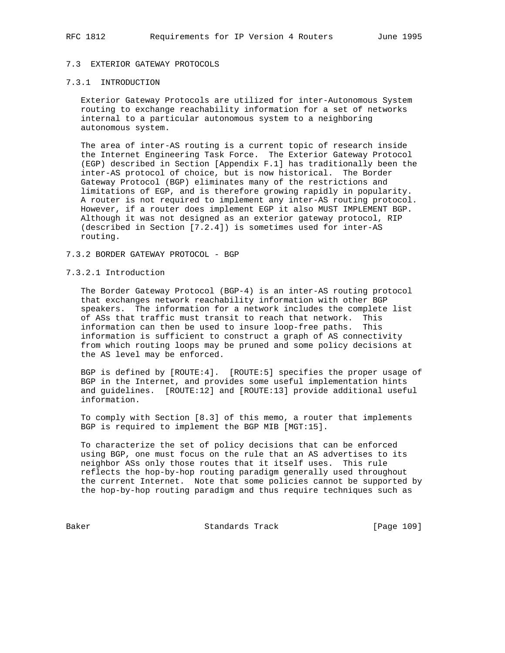# 7.3 EXTERIOR GATEWAY PROTOCOLS

# 7.3.1 INTRODUCTION

 Exterior Gateway Protocols are utilized for inter-Autonomous System routing to exchange reachability information for a set of networks internal to a particular autonomous system to a neighboring autonomous system.

 The area of inter-AS routing is a current topic of research inside the Internet Engineering Task Force. The Exterior Gateway Protocol (EGP) described in Section [Appendix F.1] has traditionally been the inter-AS protocol of choice, but is now historical. The Border Gateway Protocol (BGP) eliminates many of the restrictions and limitations of EGP, and is therefore growing rapidly in popularity. A router is not required to implement any inter-AS routing protocol. However, if a router does implement EGP it also MUST IMPLEMENT BGP. Although it was not designed as an exterior gateway protocol, RIP (described in Section [7.2.4]) is sometimes used for inter-AS routing.

# 7.3.2 BORDER GATEWAY PROTOCOL - BGP

# 7.3.2.1 Introduction

 The Border Gateway Protocol (BGP-4) is an inter-AS routing protocol that exchanges network reachability information with other BGP speakers. The information for a network includes the complete list of ASs that traffic must transit to reach that network. This information can then be used to insure loop-free paths. This information is sufficient to construct a graph of AS connectivity from which routing loops may be pruned and some policy decisions at the AS level may be enforced.

 BGP is defined by [ROUTE:4]. [ROUTE:5] specifies the proper usage of BGP in the Internet, and provides some useful implementation hints and guidelines. [ROUTE:12] and [ROUTE:13] provide additional useful information.

 To comply with Section [8.3] of this memo, a router that implements BGP is required to implement the BGP MIB [MGT:15].

 To characterize the set of policy decisions that can be enforced using BGP, one must focus on the rule that an AS advertises to its neighbor ASs only those routes that it itself uses. This rule reflects the hop-by-hop routing paradigm generally used throughout the current Internet. Note that some policies cannot be supported by the hop-by-hop routing paradigm and thus require techniques such as

Baker Standards Track [Page 109]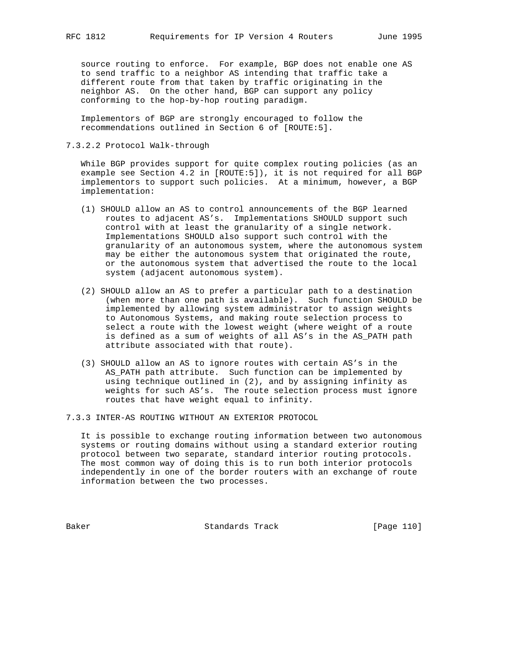source routing to enforce. For example, BGP does not enable one AS to send traffic to a neighbor AS intending that traffic take a different route from that taken by traffic originating in the neighbor AS. On the other hand, BGP can support any policy conforming to the hop-by-hop routing paradigm.

 Implementors of BGP are strongly encouraged to follow the recommendations outlined in Section 6 of [ROUTE:5].

# 7.3.2.2 Protocol Walk-through

 While BGP provides support for quite complex routing policies (as an example see Section 4.2 in [ROUTE:5]), it is not required for all BGP implementors to support such policies. At a minimum, however, a BGP implementation:

- (1) SHOULD allow an AS to control announcements of the BGP learned routes to adjacent AS's. Implementations SHOULD support such control with at least the granularity of a single network. Implementations SHOULD also support such control with the granularity of an autonomous system, where the autonomous system may be either the autonomous system that originated the route, or the autonomous system that advertised the route to the local system (adjacent autonomous system).
- (2) SHOULD allow an AS to prefer a particular path to a destination (when more than one path is available). Such function SHOULD be implemented by allowing system administrator to assign weights to Autonomous Systems, and making route selection process to select a route with the lowest weight (where weight of a route is defined as a sum of weights of all AS's in the AS\_PATH path attribute associated with that route).
- (3) SHOULD allow an AS to ignore routes with certain AS's in the AS\_PATH path attribute. Such function can be implemented by using technique outlined in (2), and by assigning infinity as weights for such AS's. The route selection process must ignore routes that have weight equal to infinity.
- 7.3.3 INTER-AS ROUTING WITHOUT AN EXTERIOR PROTOCOL

 It is possible to exchange routing information between two autonomous systems or routing domains without using a standard exterior routing protocol between two separate, standard interior routing protocols. The most common way of doing this is to run both interior protocols independently in one of the border routers with an exchange of route information between the two processes.

Baker Standards Track [Page 110]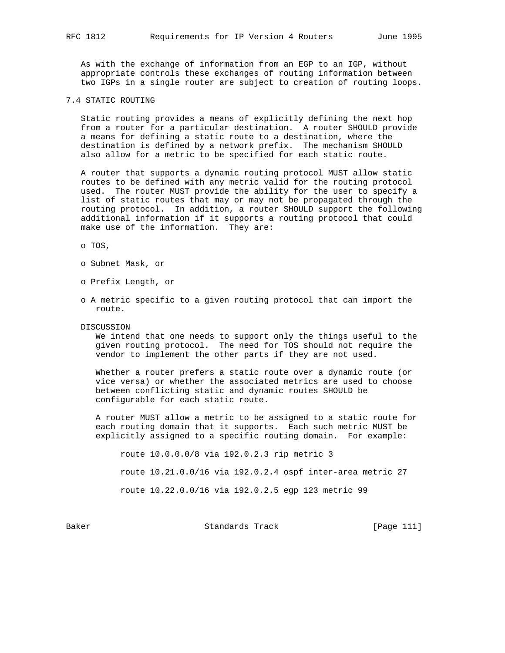As with the exchange of information from an EGP to an IGP, without appropriate controls these exchanges of routing information between two IGPs in a single router are subject to creation of routing loops.

# 7.4 STATIC ROUTING

 Static routing provides a means of explicitly defining the next hop from a router for a particular destination. A router SHOULD provide a means for defining a static route to a destination, where the destination is defined by a network prefix. The mechanism SHOULD also allow for a metric to be specified for each static route.

 A router that supports a dynamic routing protocol MUST allow static routes to be defined with any metric valid for the routing protocol used. The router MUST provide the ability for the user to specify a list of static routes that may or may not be propagated through the routing protocol. In addition, a router SHOULD support the following additional information if it supports a routing protocol that could make use of the information. They are:

o TOS,

- o Subnet Mask, or
- o Prefix Length, or
- o A metric specific to a given routing protocol that can import the route.
- DISCUSSION

 We intend that one needs to support only the things useful to the given routing protocol. The need for TOS should not require the vendor to implement the other parts if they are not used.

 Whether a router prefers a static route over a dynamic route (or vice versa) or whether the associated metrics are used to choose between conflicting static and dynamic routes SHOULD be configurable for each static route.

 A router MUST allow a metric to be assigned to a static route for each routing domain that it supports. Each such metric MUST be explicitly assigned to a specific routing domain. For example:

route 10.0.0.0/8 via 192.0.2.3 rip metric 3

route 10.21.0.0/16 via 192.0.2.4 ospf inter-area metric 27

route 10.22.0.0/16 via 192.0.2.5 egp 123 metric 99

Baker Standards Track [Page 111]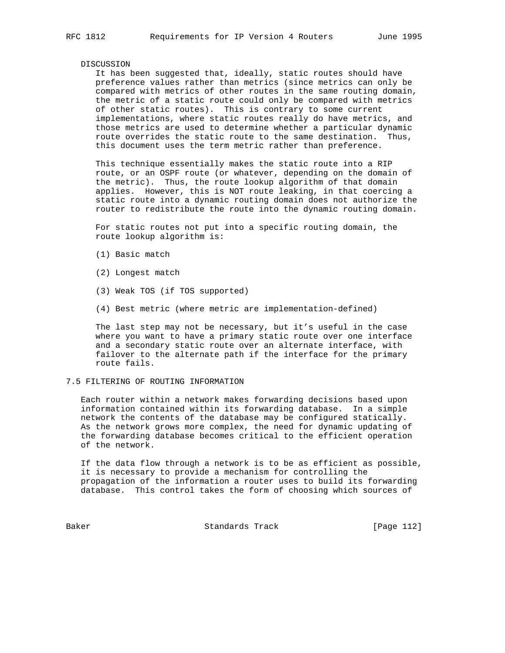#### DISCUSSION

 It has been suggested that, ideally, static routes should have preference values rather than metrics (since metrics can only be compared with metrics of other routes in the same routing domain, the metric of a static route could only be compared with metrics of other static routes). This is contrary to some current implementations, where static routes really do have metrics, and those metrics are used to determine whether a particular dynamic route overrides the static route to the same destination. Thus, this document uses the term metric rather than preference.

 This technique essentially makes the static route into a RIP route, or an OSPF route (or whatever, depending on the domain of the metric). Thus, the route lookup algorithm of that domain applies. However, this is NOT route leaking, in that coercing a static route into a dynamic routing domain does not authorize the router to redistribute the route into the dynamic routing domain.

 For static routes not put into a specific routing domain, the route lookup algorithm is:

- (1) Basic match
- (2) Longest match
- (3) Weak TOS (if TOS supported)
- (4) Best metric (where metric are implementation-defined)

 The last step may not be necessary, but it's useful in the case where you want to have a primary static route over one interface and a secondary static route over an alternate interface, with failover to the alternate path if the interface for the primary route fails.

# 7.5 FILTERING OF ROUTING INFORMATION

 Each router within a network makes forwarding decisions based upon information contained within its forwarding database. In a simple network the contents of the database may be configured statically. As the network grows more complex, the need for dynamic updating of the forwarding database becomes critical to the efficient operation of the network.

 If the data flow through a network is to be as efficient as possible, it is necessary to provide a mechanism for controlling the propagation of the information a router uses to build its forwarding database. This control takes the form of choosing which sources of

Baker Standards Track [Page 112]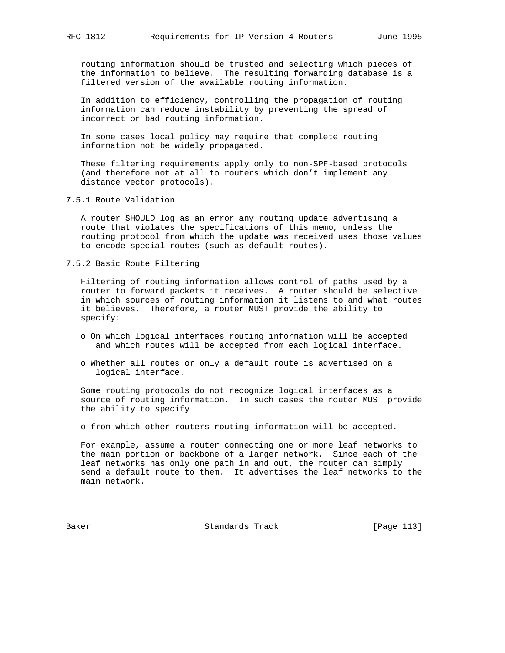routing information should be trusted and selecting which pieces of the information to believe. The resulting forwarding database is a filtered version of the available routing information.

 In addition to efficiency, controlling the propagation of routing information can reduce instability by preventing the spread of incorrect or bad routing information.

 In some cases local policy may require that complete routing information not be widely propagated.

 These filtering requirements apply only to non-SPF-based protocols (and therefore not at all to routers which don't implement any distance vector protocols).

7.5.1 Route Validation

 A router SHOULD log as an error any routing update advertising a route that violates the specifications of this memo, unless the routing protocol from which the update was received uses those values to encode special routes (such as default routes).

7.5.2 Basic Route Filtering

 Filtering of routing information allows control of paths used by a router to forward packets it receives. A router should be selective in which sources of routing information it listens to and what routes it believes. Therefore, a router MUST provide the ability to specify:

- o On which logical interfaces routing information will be accepted and which routes will be accepted from each logical interface.
- o Whether all routes or only a default route is advertised on a logical interface.

 Some routing protocols do not recognize logical interfaces as a source of routing information. In such cases the router MUST provide the ability to specify

o from which other routers routing information will be accepted.

 For example, assume a router connecting one or more leaf networks to the main portion or backbone of a larger network. Since each of the leaf networks has only one path in and out, the router can simply send a default route to them. It advertises the leaf networks to the main network.

Baker Standards Track [Page 113]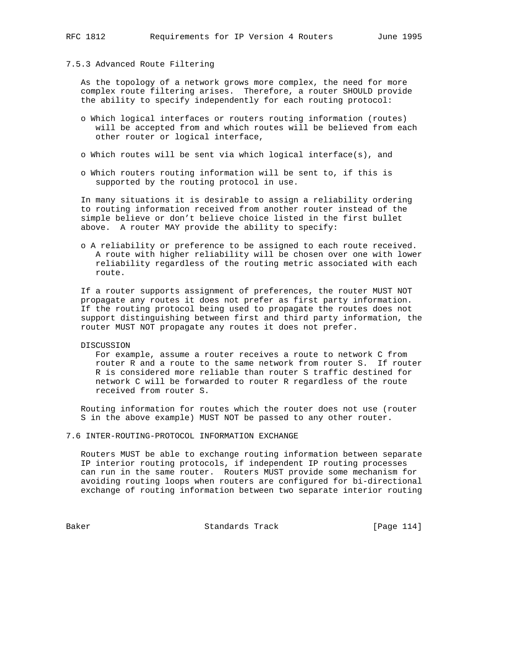# 7.5.3 Advanced Route Filtering

 As the topology of a network grows more complex, the need for more complex route filtering arises. Therefore, a router SHOULD provide the ability to specify independently for each routing protocol:

- o Which logical interfaces or routers routing information (routes) will be accepted from and which routes will be believed from each other router or logical interface,
- o Which routes will be sent via which logical interface(s), and
- o Which routers routing information will be sent to, if this is supported by the routing protocol in use.

 In many situations it is desirable to assign a reliability ordering to routing information received from another router instead of the simple believe or don't believe choice listed in the first bullet above. A router MAY provide the ability to specify:

 o A reliability or preference to be assigned to each route received. A route with higher reliability will be chosen over one with lower reliability regardless of the routing metric associated with each route.

 If a router supports assignment of preferences, the router MUST NOT propagate any routes it does not prefer as first party information. If the routing protocol being used to propagate the routes does not support distinguishing between first and third party information, the router MUST NOT propagate any routes it does not prefer.

DISCUSSION

 For example, assume a router receives a route to network C from router R and a route to the same network from router S. If router R is considered more reliable than router S traffic destined for network C will be forwarded to router R regardless of the route received from router S.

 Routing information for routes which the router does not use (router S in the above example) MUST NOT be passed to any other router.

7.6 INTER-ROUTING-PROTOCOL INFORMATION EXCHANGE

 Routers MUST be able to exchange routing information between separate IP interior routing protocols, if independent IP routing processes can run in the same router. Routers MUST provide some mechanism for avoiding routing loops when routers are configured for bi-directional exchange of routing information between two separate interior routing

Baker Standards Track [Page 114]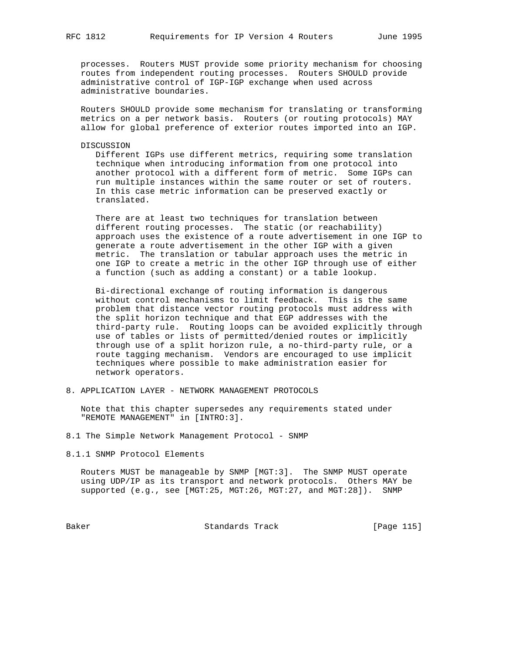processes. Routers MUST provide some priority mechanism for choosing routes from independent routing processes. Routers SHOULD provide administrative control of IGP-IGP exchange when used across administrative boundaries.

 Routers SHOULD provide some mechanism for translating or transforming metrics on a per network basis. Routers (or routing protocols) MAY allow for global preference of exterior routes imported into an IGP.

DISCUSSION

 Different IGPs use different metrics, requiring some translation technique when introducing information from one protocol into another protocol with a different form of metric. Some IGPs can run multiple instances within the same router or set of routers. In this case metric information can be preserved exactly or translated.

 There are at least two techniques for translation between different routing processes. The static (or reachability) approach uses the existence of a route advertisement in one IGP to generate a route advertisement in the other IGP with a given metric. The translation or tabular approach uses the metric in one IGP to create a metric in the other IGP through use of either a function (such as adding a constant) or a table lookup.

 Bi-directional exchange of routing information is dangerous without control mechanisms to limit feedback. This is the same problem that distance vector routing protocols must address with the split horizon technique and that EGP addresses with the third-party rule. Routing loops can be avoided explicitly through use of tables or lists of permitted/denied routes or implicitly through use of a split horizon rule, a no-third-party rule, or a route tagging mechanism. Vendors are encouraged to use implicit techniques where possible to make administration easier for network operators.

8. APPLICATION LAYER - NETWORK MANAGEMENT PROTOCOLS

 Note that this chapter supersedes any requirements stated under "REMOTE MANAGEMENT" in [INTRO:3].

8.1 The Simple Network Management Protocol - SNMP

8.1.1 SNMP Protocol Elements

 Routers MUST be manageable by SNMP [MGT:3]. The SNMP MUST operate using UDP/IP as its transport and network protocols. Others MAY be supported (e.g., see [MGT:25, MGT:26, MGT:27, and MGT:28]). SNMP

Baker Standards Track [Page 115]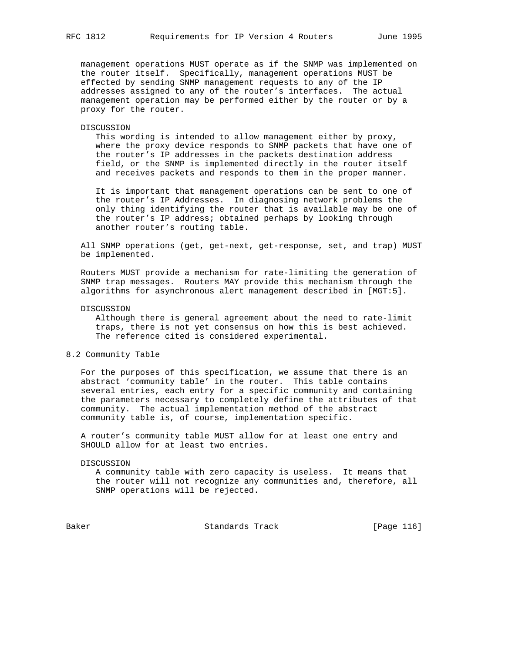management operations MUST operate as if the SNMP was implemented on the router itself. Specifically, management operations MUST be effected by sending SNMP management requests to any of the IP addresses assigned to any of the router's interfaces. The actual management operation may be performed either by the router or by a proxy for the router.

#### DISCUSSION

 This wording is intended to allow management either by proxy, where the proxy device responds to SNMP packets that have one of the router's IP addresses in the packets destination address field, or the SNMP is implemented directly in the router itself and receives packets and responds to them in the proper manner.

 It is important that management operations can be sent to one of the router's IP Addresses. In diagnosing network problems the only thing identifying the router that is available may be one of the router's IP address; obtained perhaps by looking through another router's routing table.

 All SNMP operations (get, get-next, get-response, set, and trap) MUST be implemented.

 Routers MUST provide a mechanism for rate-limiting the generation of SNMP trap messages. Routers MAY provide this mechanism through the algorithms for asynchronous alert management described in [MGT:5].

# DISCUSSION

 Although there is general agreement about the need to rate-limit traps, there is not yet consensus on how this is best achieved. The reference cited is considered experimental.

# 8.2 Community Table

 For the purposes of this specification, we assume that there is an abstract 'community table' in the router. This table contains several entries, each entry for a specific community and containing the parameters necessary to completely define the attributes of that community. The actual implementation method of the abstract community table is, of course, implementation specific.

 A router's community table MUST allow for at least one entry and SHOULD allow for at least two entries.

#### DISCUSSION

 A community table with zero capacity is useless. It means that the router will not recognize any communities and, therefore, all SNMP operations will be rejected.

Baker Standards Track [Page 116]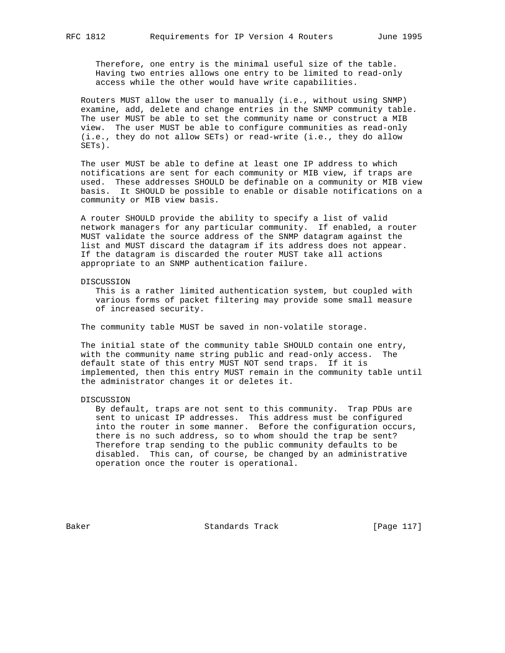Therefore, one entry is the minimal useful size of the table. Having two entries allows one entry to be limited to read-only access while the other would have write capabilities.

 Routers MUST allow the user to manually (i.e., without using SNMP) examine, add, delete and change entries in the SNMP community table. The user MUST be able to set the community name or construct a MIB view. The user MUST be able to configure communities as read-only (i.e., they do not allow SETs) or read-write (i.e., they do allow SETs).

 The user MUST be able to define at least one IP address to which notifications are sent for each community or MIB view, if traps are used. These addresses SHOULD be definable on a community or MIB view basis. It SHOULD be possible to enable or disable notifications on a community or MIB view basis.

 A router SHOULD provide the ability to specify a list of valid network managers for any particular community. If enabled, a router MUST validate the source address of the SNMP datagram against the list and MUST discard the datagram if its address does not appear. If the datagram is discarded the router MUST take all actions appropriate to an SNMP authentication failure.

DISCUSSION

 This is a rather limited authentication system, but coupled with various forms of packet filtering may provide some small measure of increased security.

The community table MUST be saved in non-volatile storage.

 The initial state of the community table SHOULD contain one entry, with the community name string public and read-only access. The default state of this entry MUST NOT send traps. If it is implemented, then this entry MUST remain in the community table until the administrator changes it or deletes it.

#### DISCUSSION

 By default, traps are not sent to this community. Trap PDUs are sent to unicast IP addresses. This address must be configured into the router in some manner. Before the configuration occurs, there is no such address, so to whom should the trap be sent? Therefore trap sending to the public community defaults to be disabled. This can, of course, be changed by an administrative operation once the router is operational.

Baker Standards Track [Page 117]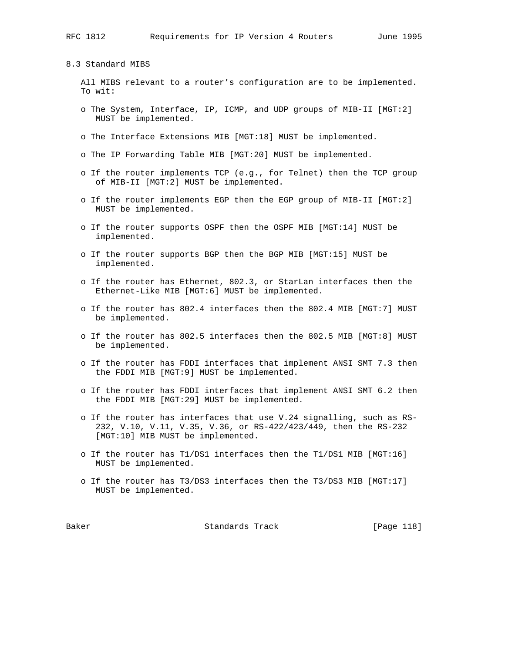8.3 Standard MIBS

 All MIBS relevant to a router's configuration are to be implemented. To wit:

- o The System, Interface, IP, ICMP, and UDP groups of MIB-II [MGT:2] MUST be implemented.
- o The Interface Extensions MIB [MGT:18] MUST be implemented.
- o The IP Forwarding Table MIB [MGT:20] MUST be implemented.
- o If the router implements TCP (e.g., for Telnet) then the TCP group of MIB-II [MGT:2] MUST be implemented.
- o If the router implements EGP then the EGP group of MIB-II [MGT:2] MUST be implemented.
- o If the router supports OSPF then the OSPF MIB [MGT:14] MUST be implemented.
- o If the router supports BGP then the BGP MIB [MGT:15] MUST be implemented.
- o If the router has Ethernet, 802.3, or StarLan interfaces then the Ethernet-Like MIB [MGT:6] MUST be implemented.
- o If the router has 802.4 interfaces then the 802.4 MIB [MGT:7] MUST be implemented.
- o If the router has 802.5 interfaces then the 802.5 MIB [MGT:8] MUST be implemented.
- o If the router has FDDI interfaces that implement ANSI SMT 7.3 then the FDDI MIB [MGT:9] MUST be implemented.
- o If the router has FDDI interfaces that implement ANSI SMT 6.2 then the FDDI MIB [MGT:29] MUST be implemented.
- o If the router has interfaces that use V.24 signalling, such as RS- 232, V.10, V.11, V.35, V.36, or RS-422/423/449, then the RS-232 [MGT:10] MIB MUST be implemented.
- o If the router has T1/DS1 interfaces then the T1/DS1 MIB [MGT:16] MUST be implemented.
- o If the router has T3/DS3 interfaces then the T3/DS3 MIB [MGT:17] MUST be implemented.

Baker Standards Track [Page 118]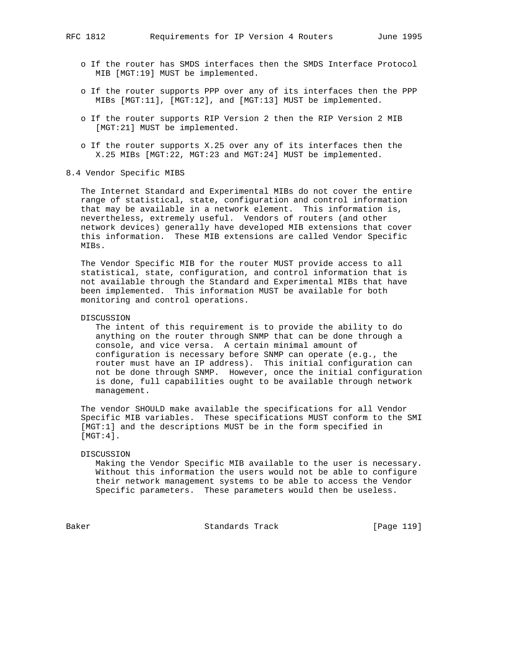- o If the router has SMDS interfaces then the SMDS Interface Protocol MIB [MGT:19] MUST be implemented.
- o If the router supports PPP over any of its interfaces then the PPP MIBs [MGT:11], [MGT:12], and [MGT:13] MUST be implemented.
- o If the router supports RIP Version 2 then the RIP Version 2 MIB [MGT:21] MUST be implemented.
- o If the router supports X.25 over any of its interfaces then the X.25 MIBs [MGT:22, MGT:23 and MGT:24] MUST be implemented.
- 8.4 Vendor Specific MIBS

 The Internet Standard and Experimental MIBs do not cover the entire range of statistical, state, configuration and control information that may be available in a network element. This information is, nevertheless, extremely useful. Vendors of routers (and other network devices) generally have developed MIB extensions that cover this information. These MIB extensions are called Vendor Specific MIBs.

 The Vendor Specific MIB for the router MUST provide access to all statistical, state, configuration, and control information that is not available through the Standard and Experimental MIBs that have been implemented. This information MUST be available for both monitoring and control operations.

## DISCUSSION

 The intent of this requirement is to provide the ability to do anything on the router through SNMP that can be done through a console, and vice versa. A certain minimal amount of configuration is necessary before SNMP can operate (e.g., the router must have an IP address). This initial configuration can not be done through SNMP. However, once the initial configuration is done, full capabilities ought to be available through network management.

 The vendor SHOULD make available the specifications for all Vendor Specific MIB variables. These specifications MUST conform to the SMI [MGT:1] and the descriptions MUST be in the form specified in  $[MGT:4]$ .

#### DISCUSSION

 Making the Vendor Specific MIB available to the user is necessary. Without this information the users would not be able to configure their network management systems to be able to access the Vendor Specific parameters. These parameters would then be useless.

Baker Standards Track [Page 119]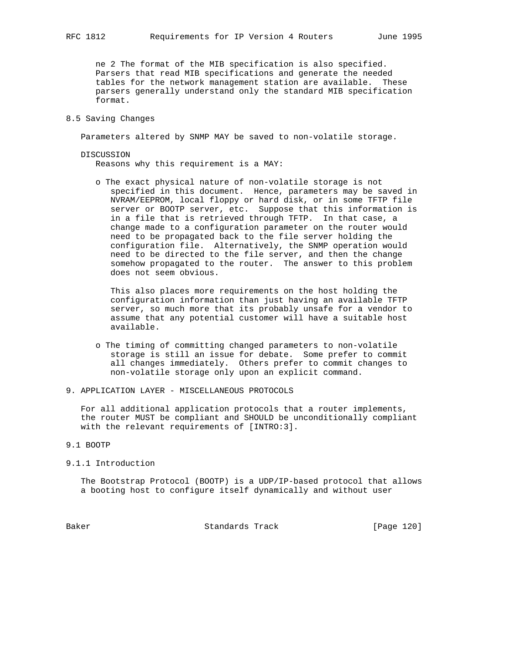ne 2 The format of the MIB specification is also specified. Parsers that read MIB specifications and generate the needed tables for the network management station are available. These parsers generally understand only the standard MIB specification format.

# 8.5 Saving Changes

Parameters altered by SNMP MAY be saved to non-volatile storage.

 DISCUSSION Reasons why this requirement is a MAY:

 o The exact physical nature of non-volatile storage is not specified in this document. Hence, parameters may be saved in NVRAM/EEPROM, local floppy or hard disk, or in some TFTP file server or BOOTP server, etc. Suppose that this information is in a file that is retrieved through TFTP. In that case, a change made to a configuration parameter on the router would need to be propagated back to the file server holding the configuration file. Alternatively, the SNMP operation would need to be directed to the file server, and then the change somehow propagated to the router. The answer to this problem does not seem obvious.

 This also places more requirements on the host holding the configuration information than just having an available TFTP server, so much more that its probably unsafe for a vendor to assume that any potential customer will have a suitable host available.

- o The timing of committing changed parameters to non-volatile storage is still an issue for debate. Some prefer to commit all changes immediately. Others prefer to commit changes to non-volatile storage only upon an explicit command.
- 9. APPLICATION LAYER MISCELLANEOUS PROTOCOLS

 For all additional application protocols that a router implements, the router MUST be compliant and SHOULD be unconditionally compliant with the relevant requirements of [INTRO:3].

# 9.1 BOOTP

#### 9.1.1 Introduction

 The Bootstrap Protocol (BOOTP) is a UDP/IP-based protocol that allows a booting host to configure itself dynamically and without user

Baker Standards Track [Page 120]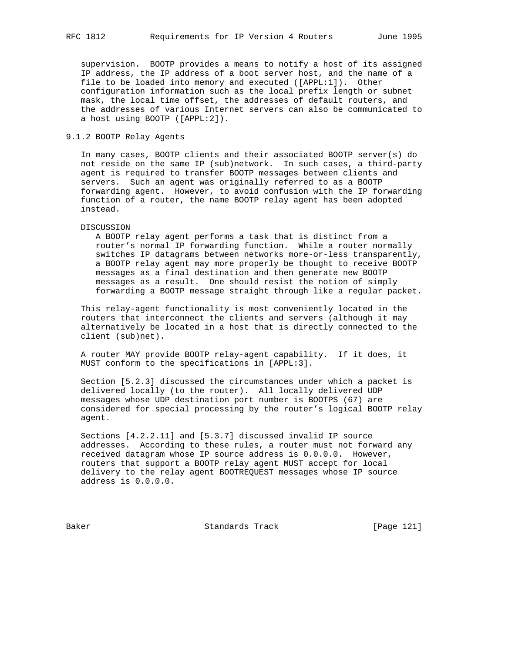supervision. BOOTP provides a means to notify a host of its assigned IP address, the IP address of a boot server host, and the name of a file to be loaded into memory and executed ([APPL:1]). Other configuration information such as the local prefix length or subnet mask, the local time offset, the addresses of default routers, and the addresses of various Internet servers can also be communicated to a host using BOOTP ([APPL:2]).

# 9.1.2 BOOTP Relay Agents

 In many cases, BOOTP clients and their associated BOOTP server(s) do not reside on the same IP (sub)network. In such cases, a third-party agent is required to transfer BOOTP messages between clients and servers. Such an agent was originally referred to as a BOOTP forwarding agent. However, to avoid confusion with the IP forwarding function of a router, the name BOOTP relay agent has been adopted instead.

#### DISCUSSION

 A BOOTP relay agent performs a task that is distinct from a router's normal IP forwarding function. While a router normally switches IP datagrams between networks more-or-less transparently, a BOOTP relay agent may more properly be thought to receive BOOTP messages as a final destination and then generate new BOOTP messages as a result. One should resist the notion of simply forwarding a BOOTP message straight through like a regular packet.

 This relay-agent functionality is most conveniently located in the routers that interconnect the clients and servers (although it may alternatively be located in a host that is directly connected to the client (sub)net).

 A router MAY provide BOOTP relay-agent capability. If it does, it MUST conform to the specifications in [APPL:3].

 Section [5.2.3] discussed the circumstances under which a packet is delivered locally (to the router). All locally delivered UDP messages whose UDP destination port number is BOOTPS (67) are considered for special processing by the router's logical BOOTP relay agent.

 Sections [4.2.2.11] and [5.3.7] discussed invalid IP source addresses. According to these rules, a router must not forward any received datagram whose IP source address is 0.0.0.0. However, routers that support a BOOTP relay agent MUST accept for local delivery to the relay agent BOOTREQUEST messages whose IP source address is 0.0.0.0.

Baker Standards Track [Page 121]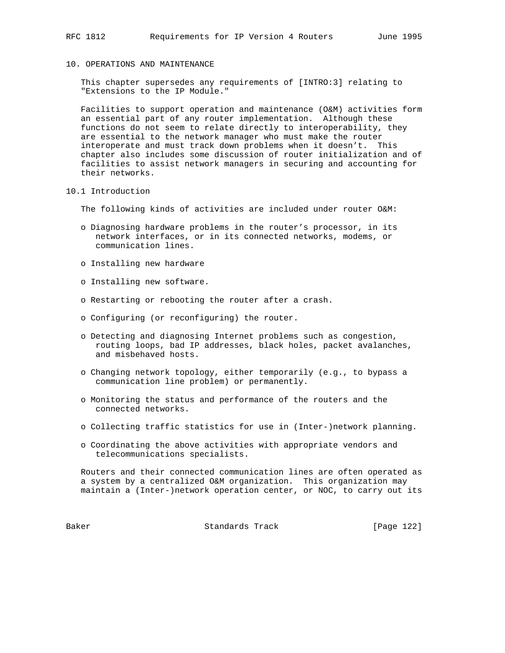10. OPERATIONS AND MAINTENANCE

 This chapter supersedes any requirements of [INTRO:3] relating to "Extensions to the IP Module."

 Facilities to support operation and maintenance (O&M) activities form an essential part of any router implementation. Although these functions do not seem to relate directly to interoperability, they are essential to the network manager who must make the router interoperate and must track down problems when it doesn't. This chapter also includes some discussion of router initialization and of facilities to assist network managers in securing and accounting for their networks.

10.1 Introduction

The following kinds of activities are included under router O&M:

- o Diagnosing hardware problems in the router's processor, in its network interfaces, or in its connected networks, modems, or communication lines.
- o Installing new hardware
- o Installing new software.
- o Restarting or rebooting the router after a crash.
- o Configuring (or reconfiguring) the router.
- o Detecting and diagnosing Internet problems such as congestion, routing loops, bad IP addresses, black holes, packet avalanches, and misbehaved hosts.
- o Changing network topology, either temporarily (e.g., to bypass a communication line problem) or permanently.
- o Monitoring the status and performance of the routers and the connected networks.
- o Collecting traffic statistics for use in (Inter-)network planning.
- o Coordinating the above activities with appropriate vendors and telecommunications specialists.

 Routers and their connected communication lines are often operated as a system by a centralized O&M organization. This organization may maintain a (Inter-)network operation center, or NOC, to carry out its

Baker Standards Track [Page 122]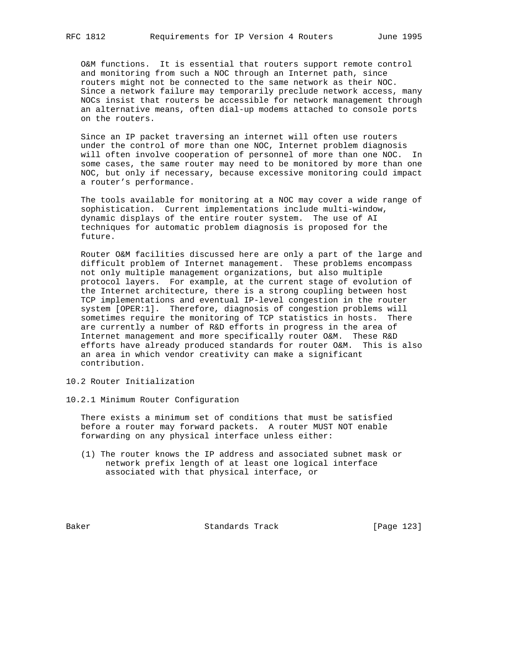O&M functions. It is essential that routers support remote control and monitoring from such a NOC through an Internet path, since routers might not be connected to the same network as their NOC. Since a network failure may temporarily preclude network access, many NOCs insist that routers be accessible for network management through an alternative means, often dial-up modems attached to console ports on the routers.

 Since an IP packet traversing an internet will often use routers under the control of more than one NOC, Internet problem diagnosis will often involve cooperation of personnel of more than one NOC. In some cases, the same router may need to be monitored by more than one NOC, but only if necessary, because excessive monitoring could impact a router's performance.

 The tools available for monitoring at a NOC may cover a wide range of sophistication. Current implementations include multi-window, dynamic displays of the entire router system. The use of AI techniques for automatic problem diagnosis is proposed for the future.

 Router O&M facilities discussed here are only a part of the large and difficult problem of Internet management. These problems encompass not only multiple management organizations, but also multiple protocol layers. For example, at the current stage of evolution of the Internet architecture, there is a strong coupling between host TCP implementations and eventual IP-level congestion in the router system [OPER:1]. Therefore, diagnosis of congestion problems will sometimes require the monitoring of TCP statistics in hosts. There are currently a number of R&D efforts in progress in the area of Internet management and more specifically router O&M. These R&D efforts have already produced standards for router O&M. This is also an area in which vendor creativity can make a significant contribution.

- 10.2 Router Initialization
- 10.2.1 Minimum Router Configuration

 There exists a minimum set of conditions that must be satisfied before a router may forward packets. A router MUST NOT enable forwarding on any physical interface unless either:

 (1) The router knows the IP address and associated subnet mask or network prefix length of at least one logical interface associated with that physical interface, or

Baker Standards Track [Page 123]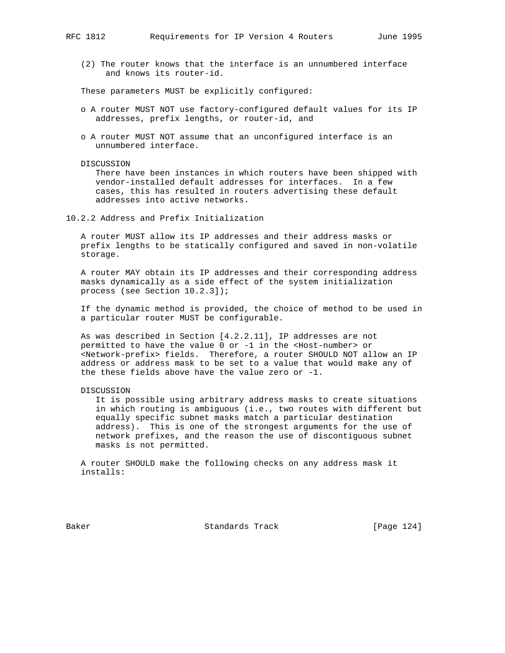(2) The router knows that the interface is an unnumbered interface and knows its router-id.

These parameters MUST be explicitly configured:

- o A router MUST NOT use factory-configured default values for its IP addresses, prefix lengths, or router-id, and
- o A router MUST NOT assume that an unconfigured interface is an unnumbered interface.

#### DISCUSSION

 There have been instances in which routers have been shipped with vendor-installed default addresses for interfaces. In a few cases, this has resulted in routers advertising these default addresses into active networks.

10.2.2 Address and Prefix Initialization

 A router MUST allow its IP addresses and their address masks or prefix lengths to be statically configured and saved in non-volatile storage.

 A router MAY obtain its IP addresses and their corresponding address masks dynamically as a side effect of the system initialization process (see Section 10.2.3]);

 If the dynamic method is provided, the choice of method to be used in a particular router MUST be configurable.

 As was described in Section [4.2.2.11], IP addresses are not permitted to have the value 0 or -1 in the <Host-number> or <Network-prefix> fields. Therefore, a router SHOULD NOT allow an IP address or address mask to be set to a value that would make any of the these fields above have the value zero or -1.

# DISCUSSION

 It is possible using arbitrary address masks to create situations in which routing is ambiguous (i.e., two routes with different but equally specific subnet masks match a particular destination address). This is one of the strongest arguments for the use of network prefixes, and the reason the use of discontiguous subnet masks is not permitted.

 A router SHOULD make the following checks on any address mask it installs:

Baker Standards Track [Page 124]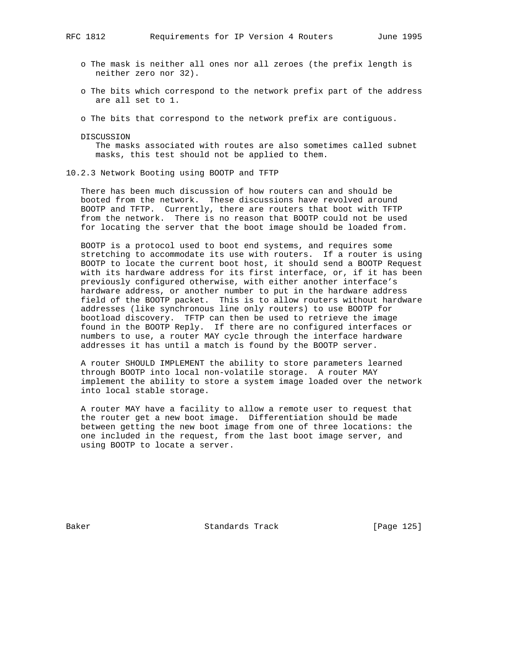- o The mask is neither all ones nor all zeroes (the prefix length is neither zero nor 32).
- o The bits which correspond to the network prefix part of the address are all set to 1.
- o The bits that correspond to the network prefix are contiguous.
- DISCUSSION

 The masks associated with routes are also sometimes called subnet masks, this test should not be applied to them.

10.2.3 Network Booting using BOOTP and TFTP

 There has been much discussion of how routers can and should be booted from the network. These discussions have revolved around BOOTP and TFTP. Currently, there are routers that boot with TFTP from the network. There is no reason that BOOTP could not be used for locating the server that the boot image should be loaded from.

 BOOTP is a protocol used to boot end systems, and requires some stretching to accommodate its use with routers. If a router is using BOOTP to locate the current boot host, it should send a BOOTP Request with its hardware address for its first interface, or, if it has been previously configured otherwise, with either another interface's hardware address, or another number to put in the hardware address field of the BOOTP packet. This is to allow routers without hardware addresses (like synchronous line only routers) to use BOOTP for bootload discovery. TFTP can then be used to retrieve the image found in the BOOTP Reply. If there are no configured interfaces or numbers to use, a router MAY cycle through the interface hardware addresses it has until a match is found by the BOOTP server.

 A router SHOULD IMPLEMENT the ability to store parameters learned through BOOTP into local non-volatile storage. A router MAY implement the ability to store a system image loaded over the network into local stable storage.

 A router MAY have a facility to allow a remote user to request that the router get a new boot image. Differentiation should be made between getting the new boot image from one of three locations: the one included in the request, from the last boot image server, and using BOOTP to locate a server.

Baker Standards Track [Page 125]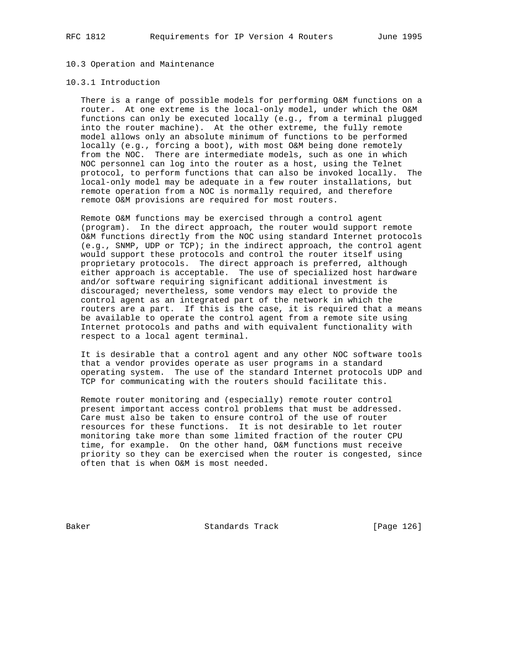# 10.3 Operation and Maintenance

#### 10.3.1 Introduction

 There is a range of possible models for performing O&M functions on a router. At one extreme is the local-only model, under which the O&M functions can only be executed locally (e.g., from a terminal plugged into the router machine). At the other extreme, the fully remote model allows only an absolute minimum of functions to be performed locally (e.g., forcing a boot), with most O&M being done remotely from the NOC. There are intermediate models, such as one in which NOC personnel can log into the router as a host, using the Telnet protocol, to perform functions that can also be invoked locally. The local-only model may be adequate in a few router installations, but remote operation from a NOC is normally required, and therefore remote O&M provisions are required for most routers.

 Remote O&M functions may be exercised through a control agent (program). In the direct approach, the router would support remote O&M functions directly from the NOC using standard Internet protocols (e.g., SNMP, UDP or TCP); in the indirect approach, the control agent would support these protocols and control the router itself using proprietary protocols. The direct approach is preferred, although either approach is acceptable. The use of specialized host hardware and/or software requiring significant additional investment is discouraged; nevertheless, some vendors may elect to provide the control agent as an integrated part of the network in which the routers are a part. If this is the case, it is required that a means be available to operate the control agent from a remote site using Internet protocols and paths and with equivalent functionality with respect to a local agent terminal.

 It is desirable that a control agent and any other NOC software tools that a vendor provides operate as user programs in a standard operating system. The use of the standard Internet protocols UDP and TCP for communicating with the routers should facilitate this.

 Remote router monitoring and (especially) remote router control present important access control problems that must be addressed. Care must also be taken to ensure control of the use of router resources for these functions. It is not desirable to let router monitoring take more than some limited fraction of the router CPU time, for example. On the other hand, O&M functions must receive priority so they can be exercised when the router is congested, since often that is when O&M is most needed.

Baker Standards Track [Page 126]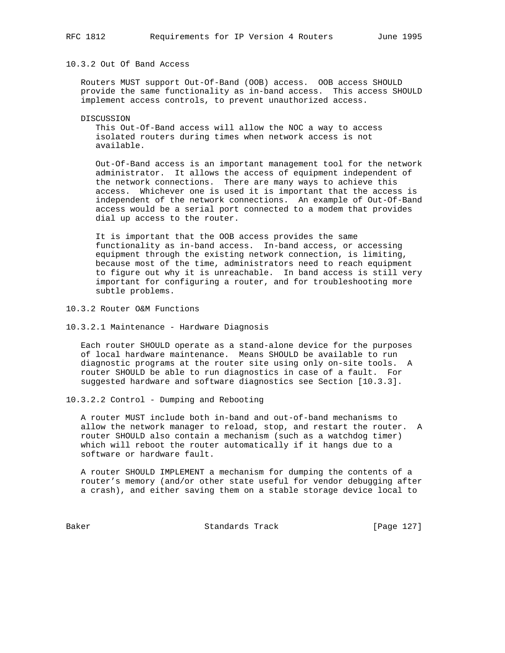# 10.3.2 Out Of Band Access

 Routers MUST support Out-Of-Band (OOB) access. OOB access SHOULD provide the same functionality as in-band access. This access SHOULD implement access controls, to prevent unauthorized access.

DISCUSSION

 This Out-Of-Band access will allow the NOC a way to access isolated routers during times when network access is not available.

 Out-Of-Band access is an important management tool for the network administrator. It allows the access of equipment independent of the network connections. There are many ways to achieve this access. Whichever one is used it is important that the access is independent of the network connections. An example of Out-Of-Band access would be a serial port connected to a modem that provides dial up access to the router.

 It is important that the OOB access provides the same functionality as in-band access. In-band access, or accessing equipment through the existing network connection, is limiting, because most of the time, administrators need to reach equipment to figure out why it is unreachable. In band access is still very important for configuring a router, and for troubleshooting more subtle problems.

10.3.2 Router O&M Functions

10.3.2.1 Maintenance - Hardware Diagnosis

 Each router SHOULD operate as a stand-alone device for the purposes of local hardware maintenance. Means SHOULD be available to run diagnostic programs at the router site using only on-site tools. A router SHOULD be able to run diagnostics in case of a fault. For suggested hardware and software diagnostics see Section [10.3.3].

10.3.2.2 Control - Dumping and Rebooting

 A router MUST include both in-band and out-of-band mechanisms to allow the network manager to reload, stop, and restart the router. A router SHOULD also contain a mechanism (such as a watchdog timer) which will reboot the router automatically if it hangs due to a software or hardware fault.

 A router SHOULD IMPLEMENT a mechanism for dumping the contents of a router's memory (and/or other state useful for vendor debugging after a crash), and either saving them on a stable storage device local to

Baker Standards Track [Page 127]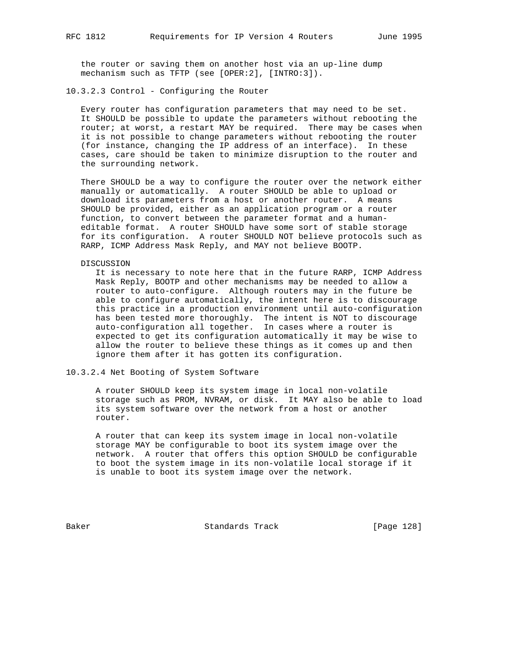the router or saving them on another host via an up-line dump mechanism such as TFTP (see [OPER:2], [INTRO:3]).

10.3.2.3 Control - Configuring the Router

 Every router has configuration parameters that may need to be set. It SHOULD be possible to update the parameters without rebooting the router; at worst, a restart MAY be required. There may be cases when it is not possible to change parameters without rebooting the router (for instance, changing the IP address of an interface). In these cases, care should be taken to minimize disruption to the router and the surrounding network.

 There SHOULD be a way to configure the router over the network either manually or automatically. A router SHOULD be able to upload or download its parameters from a host or another router. A means SHOULD be provided, either as an application program or a router function, to convert between the parameter format and a human editable format. A router SHOULD have some sort of stable storage for its configuration. A router SHOULD NOT believe protocols such as RARP, ICMP Address Mask Reply, and MAY not believe BOOTP.

#### DISCUSSION

 It is necessary to note here that in the future RARP, ICMP Address Mask Reply, BOOTP and other mechanisms may be needed to allow a router to auto-configure. Although routers may in the future be able to configure automatically, the intent here is to discourage this practice in a production environment until auto-configuration has been tested more thoroughly. The intent is NOT to discourage auto-configuration all together. In cases where a router is expected to get its configuration automatically it may be wise to allow the router to believe these things as it comes up and then ignore them after it has gotten its configuration.

## 10.3.2.4 Net Booting of System Software

 A router SHOULD keep its system image in local non-volatile storage such as PROM, NVRAM, or disk. It MAY also be able to load its system software over the network from a host or another router.

 A router that can keep its system image in local non-volatile storage MAY be configurable to boot its system image over the network. A router that offers this option SHOULD be configurable to boot the system image in its non-volatile local storage if it is unable to boot its system image over the network.

Baker Standards Track [Page 128]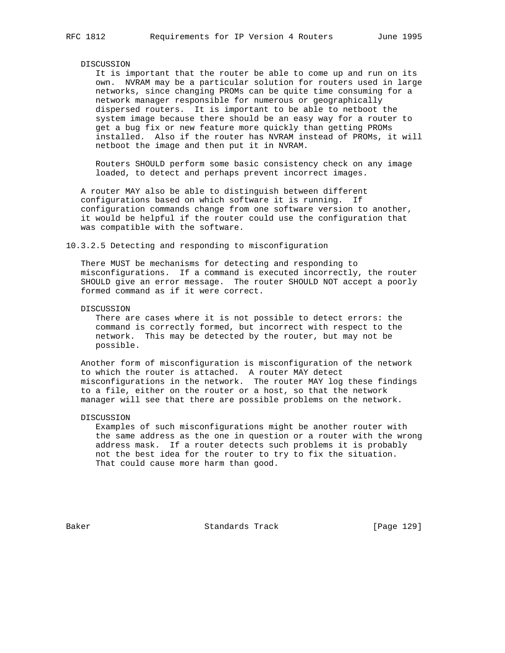# DISCUSSION

 It is important that the router be able to come up and run on its own. NVRAM may be a particular solution for routers used in large networks, since changing PROMs can be quite time consuming for a network manager responsible for numerous or geographically dispersed routers. It is important to be able to netboot the system image because there should be an easy way for a router to get a bug fix or new feature more quickly than getting PROMs installed. Also if the router has NVRAM instead of PROMs, it will netboot the image and then put it in NVRAM.

 Routers SHOULD perform some basic consistency check on any image loaded, to detect and perhaps prevent incorrect images.

 A router MAY also be able to distinguish between different configurations based on which software it is running. If configuration commands change from one software version to another, it would be helpful if the router could use the configuration that was compatible with the software.

#### 10.3.2.5 Detecting and responding to misconfiguration

 There MUST be mechanisms for detecting and responding to misconfigurations. If a command is executed incorrectly, the router SHOULD give an error message. The router SHOULD NOT accept a poorly formed command as if it were correct.

# DISCUSSION

 There are cases where it is not possible to detect errors: the command is correctly formed, but incorrect with respect to the network. This may be detected by the router, but may not be possible.

 Another form of misconfiguration is misconfiguration of the network to which the router is attached. A router MAY detect misconfigurations in the network. The router MAY log these findings to a file, either on the router or a host, so that the network manager will see that there are possible problems on the network.

# DISCUSSION

 Examples of such misconfigurations might be another router with the same address as the one in question or a router with the wrong address mask. If a router detects such problems it is probably not the best idea for the router to try to fix the situation. That could cause more harm than good.

Baker Standards Track [Page 129]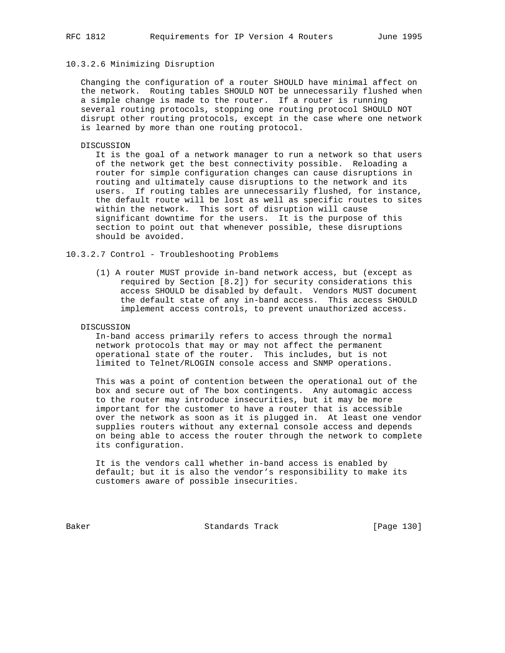# 10.3.2.6 Minimizing Disruption

 Changing the configuration of a router SHOULD have minimal affect on the network. Routing tables SHOULD NOT be unnecessarily flushed when a simple change is made to the router. If a router is running several routing protocols, stopping one routing protocol SHOULD NOT disrupt other routing protocols, except in the case where one network is learned by more than one routing protocol.

# DISCUSSION

 It is the goal of a network manager to run a network so that users of the network get the best connectivity possible. Reloading a router for simple configuration changes can cause disruptions in routing and ultimately cause disruptions to the network and its users. If routing tables are unnecessarily flushed, for instance, the default route will be lost as well as specific routes to sites within the network. This sort of disruption will cause significant downtime for the users. It is the purpose of this section to point out that whenever possible, these disruptions should be avoided.

# 10.3.2.7 Control - Troubleshooting Problems

 (1) A router MUST provide in-band network access, but (except as required by Section [8.2]) for security considerations this access SHOULD be disabled by default. Vendors MUST document the default state of any in-band access. This access SHOULD implement access controls, to prevent unauthorized access.

# DISCUSSION

 In-band access primarily refers to access through the normal network protocols that may or may not affect the permanent operational state of the router. This includes, but is not limited to Telnet/RLOGIN console access and SNMP operations.

 This was a point of contention between the operational out of the box and secure out of The box contingents. Any automagic access to the router may introduce insecurities, but it may be more important for the customer to have a router that is accessible over the network as soon as it is plugged in. At least one vendor supplies routers without any external console access and depends on being able to access the router through the network to complete its configuration.

 It is the vendors call whether in-band access is enabled by default; but it is also the vendor's responsibility to make its customers aware of possible insecurities.

Baker Standards Track [Page 130]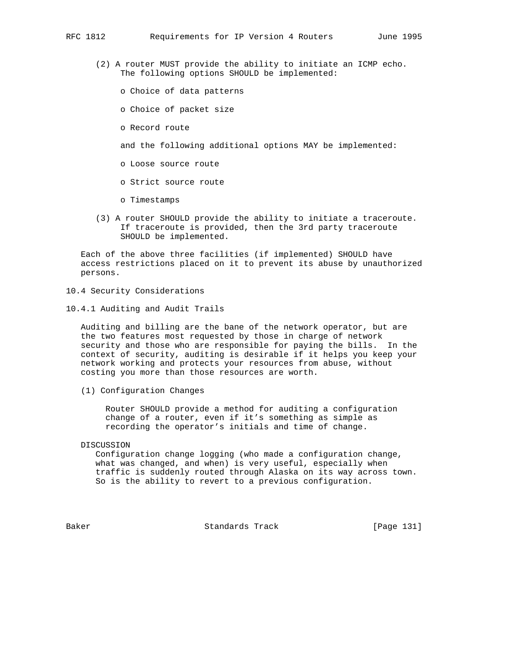- (2) A router MUST provide the ability to initiate an ICMP echo. The following options SHOULD be implemented:
	- o Choice of data patterns
	- o Choice of packet size
	- o Record route

and the following additional options MAY be implemented:

- o Loose source route
- o Strict source route
- o Timestamps
- (3) A router SHOULD provide the ability to initiate a traceroute. If traceroute is provided, then the 3rd party traceroute SHOULD be implemented.

 Each of the above three facilities (if implemented) SHOULD have access restrictions placed on it to prevent its abuse by unauthorized persons.

- 10.4 Security Considerations
- 10.4.1 Auditing and Audit Trails

 Auditing and billing are the bane of the network operator, but are the two features most requested by those in charge of network security and those who are responsible for paying the bills. In the context of security, auditing is desirable if it helps you keep your network working and protects your resources from abuse, without costing you more than those resources are worth.

(1) Configuration Changes

 Router SHOULD provide a method for auditing a configuration change of a router, even if it's something as simple as recording the operator's initials and time of change.

DISCUSSION

 Configuration change logging (who made a configuration change, what was changed, and when) is very useful, especially when traffic is suddenly routed through Alaska on its way across town. So is the ability to revert to a previous configuration.

Baker Standards Track [Page 131]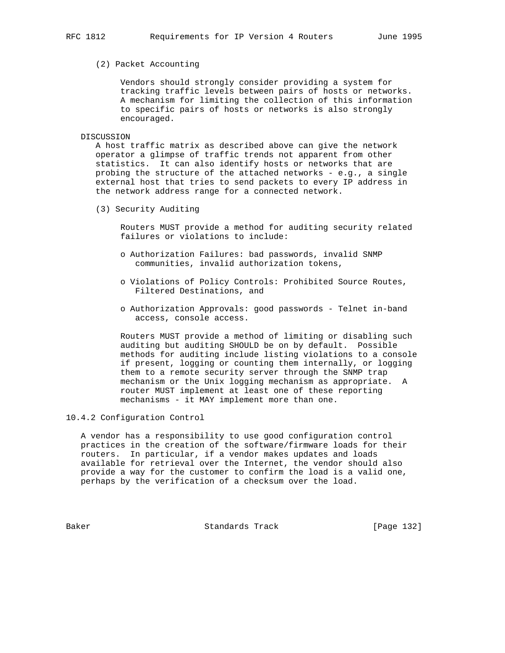# (2) Packet Accounting

 Vendors should strongly consider providing a system for tracking traffic levels between pairs of hosts or networks. A mechanism for limiting the collection of this information to specific pairs of hosts or networks is also strongly encouraged.

DISCUSSION

 A host traffic matrix as described above can give the network operator a glimpse of traffic trends not apparent from other statistics. It can also identify hosts or networks that are probing the structure of the attached networks - e.g., a single external host that tries to send packets to every IP address in the network address range for a connected network.

(3) Security Auditing

 Routers MUST provide a method for auditing security related failures or violations to include:

- o Authorization Failures: bad passwords, invalid SNMP communities, invalid authorization tokens,
- o Violations of Policy Controls: Prohibited Source Routes, Filtered Destinations, and
- o Authorization Approvals: good passwords Telnet in-band access, console access.

 Routers MUST provide a method of limiting or disabling such auditing but auditing SHOULD be on by default. Possible methods for auditing include listing violations to a console if present, logging or counting them internally, or logging them to a remote security server through the SNMP trap mechanism or the Unix logging mechanism as appropriate. A router MUST implement at least one of these reporting mechanisms - it MAY implement more than one.

10.4.2 Configuration Control

 A vendor has a responsibility to use good configuration control practices in the creation of the software/firmware loads for their routers. In particular, if a vendor makes updates and loads available for retrieval over the Internet, the vendor should also provide a way for the customer to confirm the load is a valid one, perhaps by the verification of a checksum over the load.

Baker Standards Track [Page 132]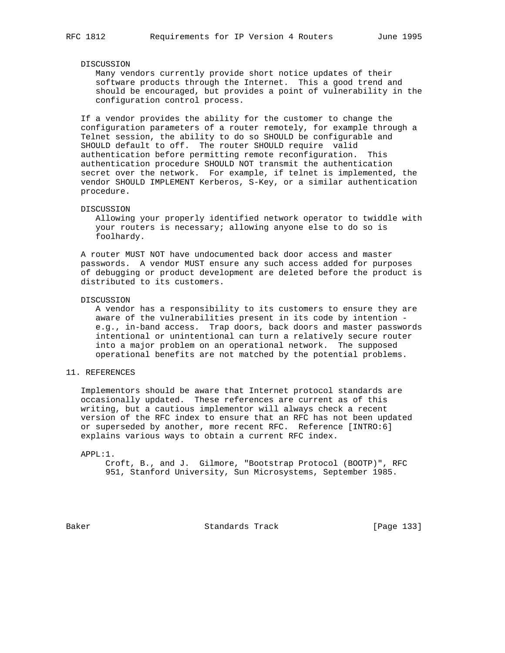# DISCUSSION

 Many vendors currently provide short notice updates of their software products through the Internet. This a good trend and should be encouraged, but provides a point of vulnerability in the configuration control process.

 If a vendor provides the ability for the customer to change the configuration parameters of a router remotely, for example through a Telnet session, the ability to do so SHOULD be configurable and SHOULD default to off. The router SHOULD require valid authentication before permitting remote reconfiguration. This authentication procedure SHOULD NOT transmit the authentication secret over the network. For example, if telnet is implemented, the vendor SHOULD IMPLEMENT Kerberos, S-Key, or a similar authentication procedure.

#### DISCUSSION

 Allowing your properly identified network operator to twiddle with your routers is necessary; allowing anyone else to do so is foolhardy.

 A router MUST NOT have undocumented back door access and master passwords. A vendor MUST ensure any such access added for purposes of debugging or product development are deleted before the product is distributed to its customers.

#### DISCUSSION

 A vendor has a responsibility to its customers to ensure they are aware of the vulnerabilities present in its code by intention e.g., in-band access. Trap doors, back doors and master passwords intentional or unintentional can turn a relatively secure router into a major problem on an operational network. The supposed operational benefits are not matched by the potential problems.

# 11. REFERENCES

 Implementors should be aware that Internet protocol standards are occasionally updated. These references are current as of this writing, but a cautious implementor will always check a recent version of the RFC index to ensure that an RFC has not been updated or superseded by another, more recent RFC. Reference [INTRO:6] explains various ways to obtain a current RFC index.

#### APPL:1.

 Croft, B., and J. Gilmore, "Bootstrap Protocol (BOOTP)", RFC 951, Stanford University, Sun Microsystems, September 1985.

Baker Standards Track [Page 133]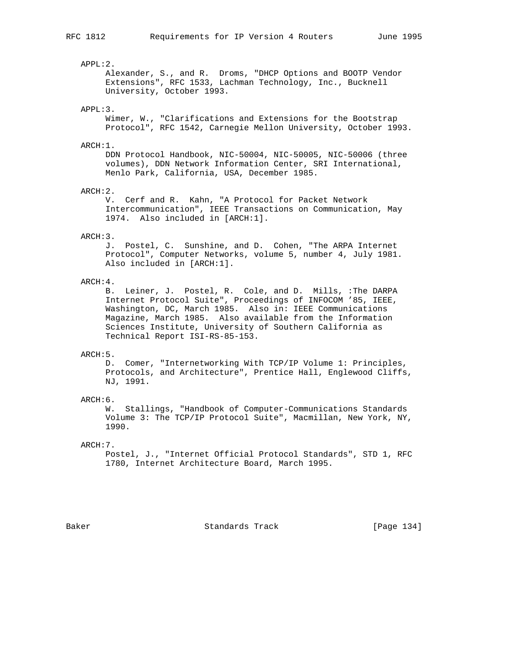#### APPL:2.

 Alexander, S., and R. Droms, "DHCP Options and BOOTP Vendor Extensions", RFC 1533, Lachman Technology, Inc., Bucknell University, October 1993.

# APPL:3.

 Wimer, W., "Clarifications and Extensions for the Bootstrap Protocol", RFC 1542, Carnegie Mellon University, October 1993.

# ARCH:1.

 DDN Protocol Handbook, NIC-50004, NIC-50005, NIC-50006 (three volumes), DDN Network Information Center, SRI International, Menlo Park, California, USA, December 1985.

#### ARCH:2.

 V. Cerf and R. Kahn, "A Protocol for Packet Network Intercommunication", IEEE Transactions on Communication, May 1974. Also included in [ARCH:1].

#### ARCH:3.

 J. Postel, C. Sunshine, and D. Cohen, "The ARPA Internet Protocol", Computer Networks, volume 5, number 4, July 1981. Also included in [ARCH:1].

# ARCH:4.

 B. Leiner, J. Postel, R. Cole, and D. Mills, :The DARPA Internet Protocol Suite", Proceedings of INFOCOM '85, IEEE, Washington, DC, March 1985. Also in: IEEE Communications Magazine, March 1985. Also available from the Information Sciences Institute, University of Southern California as Technical Report ISI-RS-85-153.

# ARCH:5.

 D. Comer, "Internetworking With TCP/IP Volume 1: Principles, Protocols, and Architecture", Prentice Hall, Englewood Cliffs, NJ, 1991.

#### ARCH:6.

 W. Stallings, "Handbook of Computer-Communications Standards Volume 3: The TCP/IP Protocol Suite", Macmillan, New York, NY, 1990.

# ARCH:7.

 Postel, J., "Internet Official Protocol Standards", STD 1, RFC 1780, Internet Architecture Board, March 1995.

Baker Standards Track [Page 134]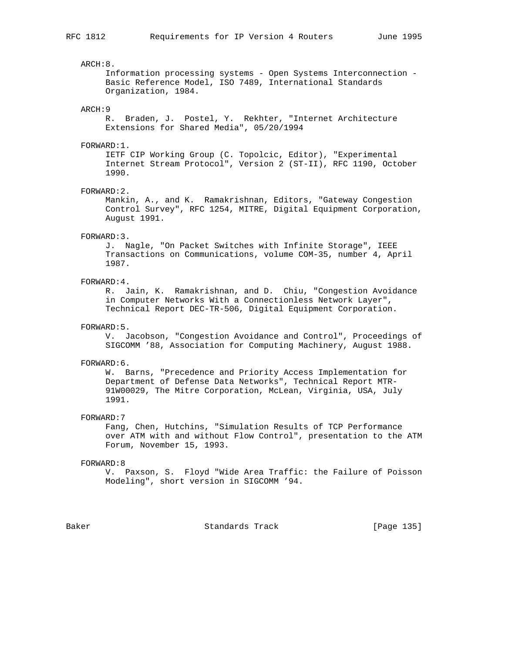#### ARCH:8.

 Information processing systems - Open Systems Interconnection - Basic Reference Model, ISO 7489, International Standards Organization, 1984.

#### ARCH:9

 R. Braden, J. Postel, Y. Rekhter, "Internet Architecture Extensions for Shared Media", 05/20/1994

#### FORWARD:1.

 IETF CIP Working Group (C. Topolcic, Editor), "Experimental Internet Stream Protocol", Version 2 (ST-II), RFC 1190, October 1990.

#### FORWARD:2.

 Mankin, A., and K. Ramakrishnan, Editors, "Gateway Congestion Control Survey", RFC 1254, MITRE, Digital Equipment Corporation, August 1991.

#### FORWARD:3.

 J. Nagle, "On Packet Switches with Infinite Storage", IEEE Transactions on Communications, volume COM-35, number 4, April 1987.

# FORWARD:4.

 R. Jain, K. Ramakrishnan, and D. Chiu, "Congestion Avoidance in Computer Networks With a Connectionless Network Layer", Technical Report DEC-TR-506, Digital Equipment Corporation.

# FORWARD:5.

 V. Jacobson, "Congestion Avoidance and Control", Proceedings of SIGCOMM '88, Association for Computing Machinery, August 1988.

## FORWARD:6.

 W. Barns, "Precedence and Priority Access Implementation for Department of Defense Data Networks", Technical Report MTR- 91W00029, The Mitre Corporation, McLean, Virginia, USA, July 1991.

#### FORWARD:7

 Fang, Chen, Hutchins, "Simulation Results of TCP Performance over ATM with and without Flow Control", presentation to the ATM Forum, November 15, 1993.

#### FORWARD:8

 V. Paxson, S. Floyd "Wide Area Traffic: the Failure of Poisson Modeling", short version in SIGCOMM '94.

Baker Standards Track [Page 135]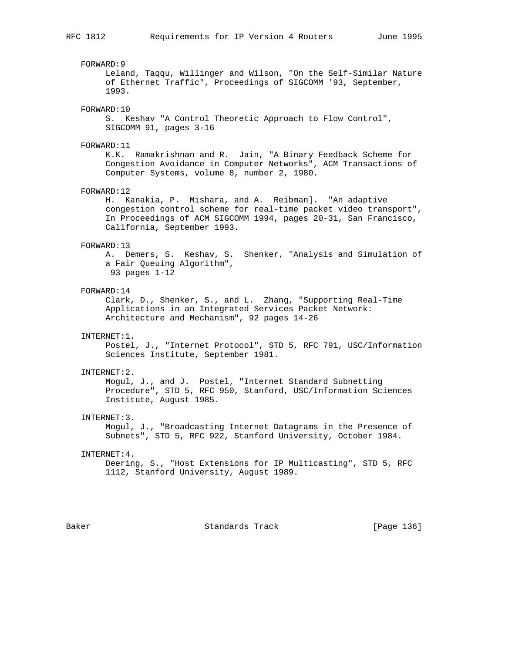FORWARD:9 Leland, Taqqu, Willinger and Wilson, "On the Self-Similar Nature of Ethernet Traffic", Proceedings of SIGCOMM '93, September, 1993. FORWARD:10 S. Keshav "A Control Theoretic Approach to Flow Control", SIGCOMM 91, pages 3-16 FORWARD:11 K.K. Ramakrishnan and R. Jain, "A Binary Feedback Scheme for Congestion Avoidance in Computer Networks", ACM Transactions of Computer Systems, volume 8, number 2, 1980. FORWARD:12 H. Kanakia, P. Mishara, and A. Reibman]. "An adaptive congestion control scheme for real-time packet video transport", In Proceedings of ACM SIGCOMM 1994, pages 20-31, San Francisco, California, September 1993. FORWARD:13 A. Demers, S. Keshav, S. Shenker, "Analysis and Simulation of a Fair Queuing Algorithm", 93 pages 1-12 FORWARD:14 Clark, D., Shenker, S., and L. Zhang, "Supporting Real-Time Applications in an Integrated Services Packet Network: Architecture and Mechanism", 92 pages 14-26 INTERNET:1. Postel, J., "Internet Protocol", STD 5, RFC 791, USC/Information Sciences Institute, September 1981. INTERNET:2. Mogul, J., and J. Postel, "Internet Standard Subnetting Procedure", STD 5, RFC 950, Stanford, USC/Information Sciences Institute, August 1985. INTERNET:3. Mogul, J., "Broadcasting Internet Datagrams in the Presence of Subnets", STD 5, RFC 922, Stanford University, October 1984. INTERNET:4. Deering, S., "Host Extensions for IP Multicasting", STD 5, RFC 1112, Stanford University, August 1989.

Baker Standards Track [Page 136]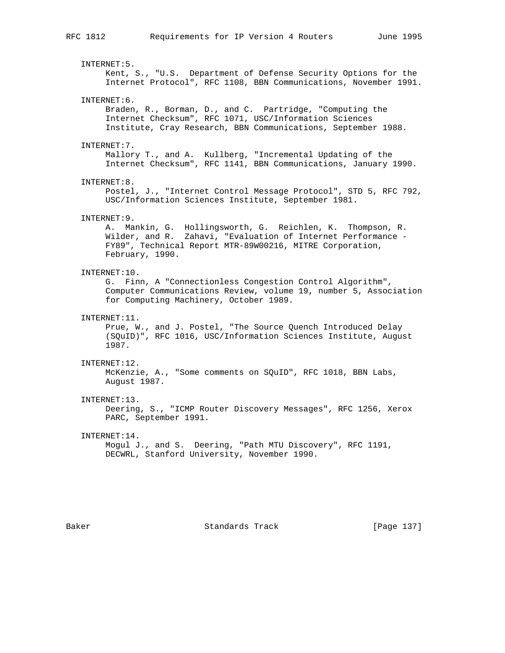INTERNET:5. Kent, S., "U.S. Department of Defense Security Options for the Internet Protocol", RFC 1108, BBN Communications, November 1991. INTERNET:6. Braden, R., Borman, D., and C. Partridge, "Computing the Internet Checksum", RFC 1071, USC/Information Sciences Institute, Cray Research, BBN Communications, September 1988. INTERNET:7. Mallory T., and A. Kullberg, "Incremental Updating of the Internet Checksum", RFC 1141, BBN Communications, January 1990. INTERNET:8. Postel, J., "Internet Control Message Protocol", STD 5, RFC 792, USC/Information Sciences Institute, September 1981. INTERNET:9. A. Mankin, G. Hollingsworth, G. Reichlen, K. Thompson, R. Wilder, and R. Zahavi, "Evaluation of Internet Performance - FY89", Technical Report MTR-89W00216, MITRE Corporation, February, 1990. INTERNET:10. G. Finn, A "Connectionless Congestion Control Algorithm", Computer Communications Review, volume 19, number 5, Association for Computing Machinery, October 1989. INTERNET:11. Prue, W., and J. Postel, "The Source Quench Introduced Delay (SQuID)", RFC 1016, USC/Information Sciences Institute, August 1987. INTERNET:12. McKenzie, A., "Some comments on SQuID", RFC 1018, BBN Labs, August 1987. INTERNET:13. Deering, S., "ICMP Router Discovery Messages", RFC 1256, Xerox PARC, September 1991. INTERNET:14. Mogul J., and S. Deering, "Path MTU Discovery", RFC 1191, DECWRL, Stanford University, November 1990.

Baker Standards Track [Page 137]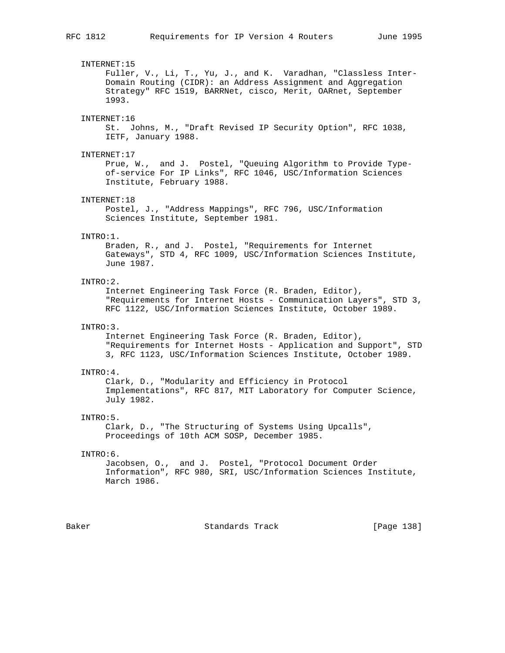# INTERNET:15 Fuller, V., Li, T., Yu, J., and K. Varadhan, "Classless Inter- Domain Routing (CIDR): an Address Assignment and Aggregation Strategy" RFC 1519, BARRNet, cisco, Merit, OARnet, September 1993. INTERNET:16 St. Johns, M., "Draft Revised IP Security Option", RFC 1038, IETF, January 1988. INTERNET:17 Prue, W., and J. Postel, "Queuing Algorithm to Provide Type of-service For IP Links", RFC 1046, USC/Information Sciences Institute, February 1988. INTERNET:18 Postel, J., "Address Mappings", RFC 796, USC/Information Sciences Institute, September 1981. INTRO:1. Braden, R., and J. Postel, "Requirements for Internet Gateways", STD 4, RFC 1009, USC/Information Sciences Institute, June 1987. INTRO:2. Internet Engineering Task Force (R. Braden, Editor), "Requirements for Internet Hosts - Communication Layers", STD 3, RFC 1122, USC/Information Sciences Institute, October 1989. INTRO:3. Internet Engineering Task Force (R. Braden, Editor), "Requirements for Internet Hosts - Application and Support", STD 3, RFC 1123, USC/Information Sciences Institute, October 1989. INTRO:4. Clark, D., "Modularity and Efficiency in Protocol Implementations", RFC 817, MIT Laboratory for Computer Science, July 1982. INTRO:5. Clark, D., "The Structuring of Systems Using Upcalls", Proceedings of 10th ACM SOSP, December 1985. INTRO:6. Jacobsen, O., and J. Postel, "Protocol Document Order Information", RFC 980, SRI, USC/Information Sciences Institute, March 1986.

Baker Standards Track [Page 138]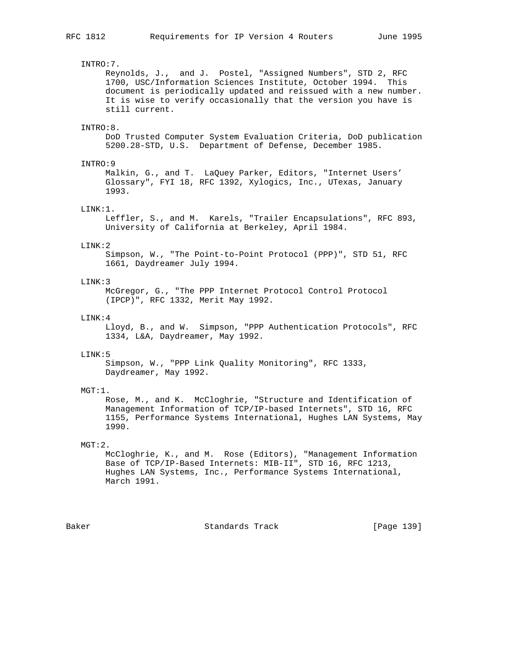# INTRO:7. Reynolds, J., and J. Postel, "Assigned Numbers", STD 2, RFC 1700, USC/Information Sciences Institute, October 1994. This document is periodically updated and reissued with a new number. It is wise to verify occasionally that the version you have is still current. INTRO:8. DoD Trusted Computer System Evaluation Criteria, DoD publication 5200.28-STD, U.S. Department of Defense, December 1985. INTRO:9 Malkin, G., and T. LaQuey Parker, Editors, "Internet Users' Glossary", FYI 18, RFC 1392, Xylogics, Inc., UTexas, January 1993. LINK:1. Leffler, S., and M. Karels, "Trailer Encapsulations", RFC 893, University of California at Berkeley, April 1984.  $I.INK:2$  Simpson, W., "The Point-to-Point Protocol (PPP)", STD 51, RFC 1661, Daydreamer July 1994. LINK:3 McGregor, G., "The PPP Internet Protocol Control Protocol (IPCP)", RFC 1332, Merit May 1992. LINK:4 Lloyd, B., and W. Simpson, "PPP Authentication Protocols", RFC 1334, L&A, Daydreamer, May 1992. LINK:5 Simpson, W., "PPP Link Quality Monitoring", RFC 1333, Daydreamer, May 1992. MGT:1. Rose, M., and K. McCloghrie, "Structure and Identification of Management Information of TCP/IP-based Internets", STD 16, RFC 1155, Performance Systems International, Hughes LAN Systems, May 1990. MGT:2. McCloghrie, K., and M. Rose (Editors), "Management Information Base of TCP/IP-Based Internets: MIB-II", STD 16, RFC 1213, Hughes LAN Systems, Inc., Performance Systems International, March 1991.

Baker Standards Track [Page 139]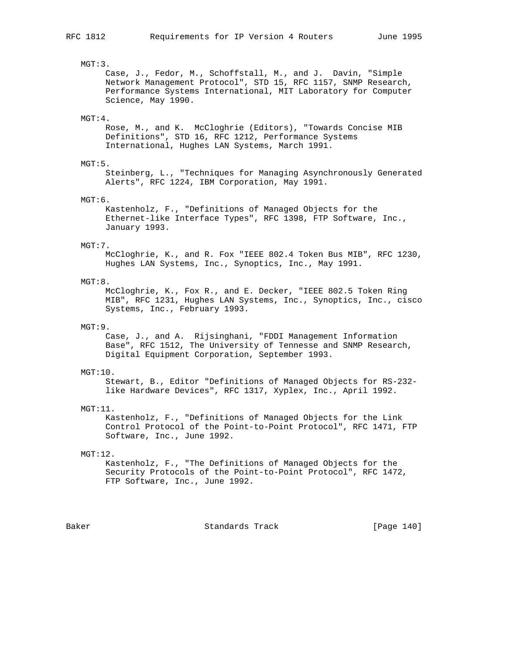# MGT:3.

 Case, J., Fedor, M., Schoffstall, M., and J. Davin, "Simple Network Management Protocol", STD 15, RFC 1157, SNMP Research, Performance Systems International, MIT Laboratory for Computer Science, May 1990.

# MGT:4.

 Rose, M., and K. McCloghrie (Editors), "Towards Concise MIB Definitions", STD 16, RFC 1212, Performance Systems International, Hughes LAN Systems, March 1991.

# MGT:5.

 Steinberg, L., "Techniques for Managing Asynchronously Generated Alerts", RFC 1224, IBM Corporation, May 1991.

# MGT:6.

 Kastenholz, F., "Definitions of Managed Objects for the Ethernet-like Interface Types", RFC 1398, FTP Software, Inc., January 1993.

#### MGT:7.

 McCloghrie, K., and R. Fox "IEEE 802.4 Token Bus MIB", RFC 1230, Hughes LAN Systems, Inc., Synoptics, Inc., May 1991.

# MGT:8.

 McCloghrie, K., Fox R., and E. Decker, "IEEE 802.5 Token Ring MIB", RFC 1231, Hughes LAN Systems, Inc., Synoptics, Inc., cisco Systems, Inc., February 1993.

# MGT:9.

 Case, J., and A. Rijsinghani, "FDDI Management Information Base", RFC 1512, The University of Tennesse and SNMP Research, Digital Equipment Corporation, September 1993.

#### MGT:10.

 Stewart, B., Editor "Definitions of Managed Objects for RS-232 like Hardware Devices", RFC 1317, Xyplex, Inc., April 1992.

#### MGT:11.

 Kastenholz, F., "Definitions of Managed Objects for the Link Control Protocol of the Point-to-Point Protocol", RFC 1471, FTP Software, Inc., June 1992.

## MGT:12.

 Kastenholz, F., "The Definitions of Managed Objects for the Security Protocols of the Point-to-Point Protocol", RFC 1472, FTP Software, Inc., June 1992.

Baker Standards Track [Page 140]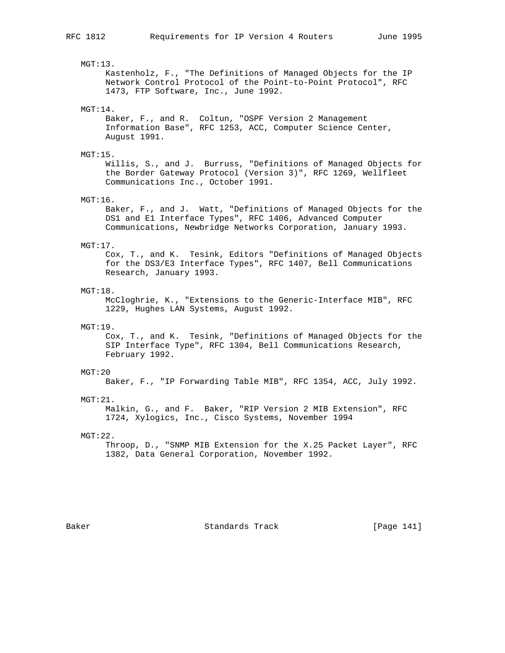MGT:13. Kastenholz, F., "The Definitions of Managed Objects for the IP Network Control Protocol of the Point-to-Point Protocol", RFC 1473, FTP Software, Inc., June 1992. MGT:14. Baker, F., and R. Coltun, "OSPF Version 2 Management Information Base", RFC 1253, ACC, Computer Science Center, August 1991. MGT:15. Willis, S., and J. Burruss, "Definitions of Managed Objects for the Border Gateway Protocol (Version 3)", RFC 1269, Wellfleet Communications Inc., October 1991. MGT:16. Baker, F., and J. Watt, "Definitions of Managed Objects for the DS1 and E1 Interface Types", RFC 1406, Advanced Computer Communications, Newbridge Networks Corporation, January 1993. MGT:17. Cox, T., and K. Tesink, Editors "Definitions of Managed Objects for the DS3/E3 Interface Types", RFC 1407, Bell Communications Research, January 1993. MGT:18. McCloghrie, K., "Extensions to the Generic-Interface MIB", RFC 1229, Hughes LAN Systems, August 1992. MGT:19. Cox, T., and K. Tesink, "Definitions of Managed Objects for the SIP Interface Type", RFC 1304, Bell Communications Research, February 1992. MGT:20 Baker, F., "IP Forwarding Table MIB", RFC 1354, ACC, July 1992. MGT:21. Malkin, G., and F. Baker, "RIP Version 2 MIB Extension", RFC 1724, Xylogics, Inc., Cisco Systems, November 1994  $MGT:22.$  Throop, D., "SNMP MIB Extension for the X.25 Packet Layer", RFC 1382, Data General Corporation, November 1992. Baker Standards Track [Page 141]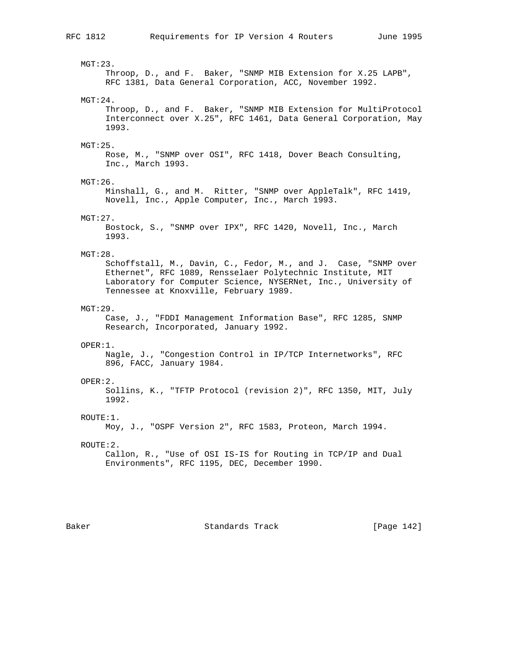MGT:23. Throop, D., and F. Baker, "SNMP MIB Extension for X.25 LAPB", RFC 1381, Data General Corporation, ACC, November 1992. MGT:24. Throop, D., and F. Baker, "SNMP MIB Extension for MultiProtocol Interconnect over X.25", RFC 1461, Data General Corporation, May 1993. MGT:25. Rose, M., "SNMP over OSI", RFC 1418, Dover Beach Consulting, Inc., March 1993. MGT:26. Minshall, G., and M. Ritter, "SNMP over AppleTalk", RFC 1419, Novell, Inc., Apple Computer, Inc., March 1993. MGT:27. Bostock, S., "SNMP over IPX", RFC 1420, Novell, Inc., March 1993. MGT:28. Schoffstall, M., Davin, C., Fedor, M., and J. Case, "SNMP over Ethernet", RFC 1089, Rensselaer Polytechnic Institute, MIT Laboratory for Computer Science, NYSERNet, Inc., University of Tennessee at Knoxville, February 1989. MGT:29. Case, J., "FDDI Management Information Base", RFC 1285, SNMP Research, Incorporated, January 1992. OPER:1. Nagle, J., "Congestion Control in IP/TCP Internetworks", RFC 896, FACC, January 1984. OPER:2. Sollins, K., "TFTP Protocol (revision 2)", RFC 1350, MIT, July 1992.  $ROUTR:1$ . Moy, J., "OSPF Version 2", RFC 1583, Proteon, March 1994. ROUTE:2. Callon, R., "Use of OSI IS-IS for Routing in TCP/IP and Dual Environments", RFC 1195, DEC, December 1990.

Baker Standards Track [Page 142]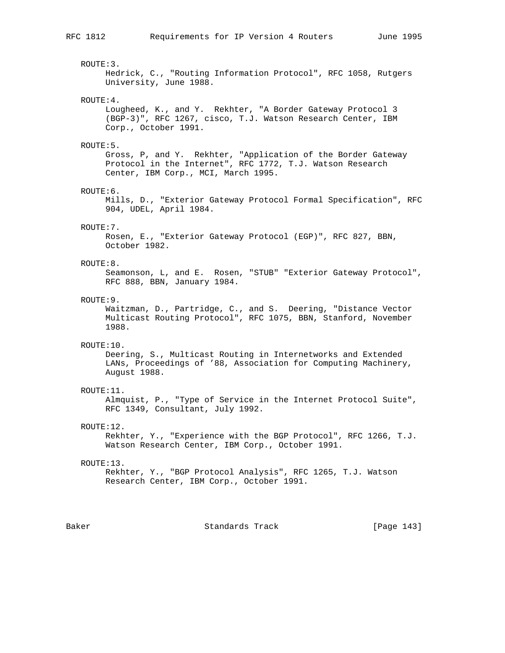ROUTE:3. Hedrick, C., "Routing Information Protocol", RFC 1058, Rutgers University, June 1988. ROUTE:4. Lougheed, K., and Y. Rekhter, "A Border Gateway Protocol 3 (BGP-3)", RFC 1267, cisco, T.J. Watson Research Center, IBM Corp., October 1991. ROUTE:5. Gross, P, and Y. Rekhter, "Application of the Border Gateway Protocol in the Internet", RFC 1772, T.J. Watson Research Center, IBM Corp., MCI, March 1995. ROUTE:6. Mills, D., "Exterior Gateway Protocol Formal Specification", RFC 904, UDEL, April 1984. ROUTE:7. Rosen, E., "Exterior Gateway Protocol (EGP)", RFC 827, BBN, October 1982. ROUTE:8. Seamonson, L, and E. Rosen, "STUB" "Exterior Gateway Protocol", RFC 888, BBN, January 1984. ROUTE:9. Waitzman, D., Partridge, C., and S. Deering, "Distance Vector Multicast Routing Protocol", RFC 1075, BBN, Stanford, November 1988. ROUTE:10. Deering, S., Multicast Routing in Internetworks and Extended LANs, Proceedings of '88, Association for Computing Machinery, August 1988. ROUTE:11. Almquist, P., "Type of Service in the Internet Protocol Suite", RFC 1349, Consultant, July 1992. ROUTE:12. Rekhter, Y., "Experience with the BGP Protocol", RFC 1266, T.J. Watson Research Center, IBM Corp., October 1991. ROUTE:13. Rekhter, Y., "BGP Protocol Analysis", RFC 1265, T.J. Watson Research Center, IBM Corp., October 1991.

Baker Standards Track [Page 143]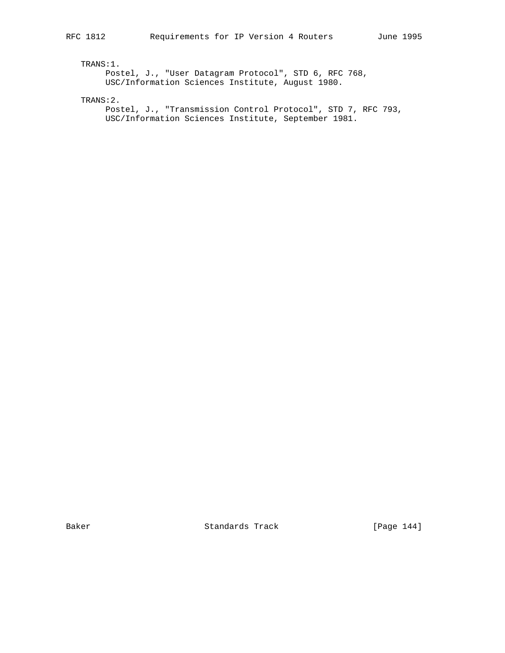TRANS:1.

 Postel, J., "User Datagram Protocol", STD 6, RFC 768, USC/Information Sciences Institute, August 1980.

TRANS:2.

 Postel, J., "Transmission Control Protocol", STD 7, RFC 793, USC/Information Sciences Institute, September 1981.

Baker Standards Track [Page 144]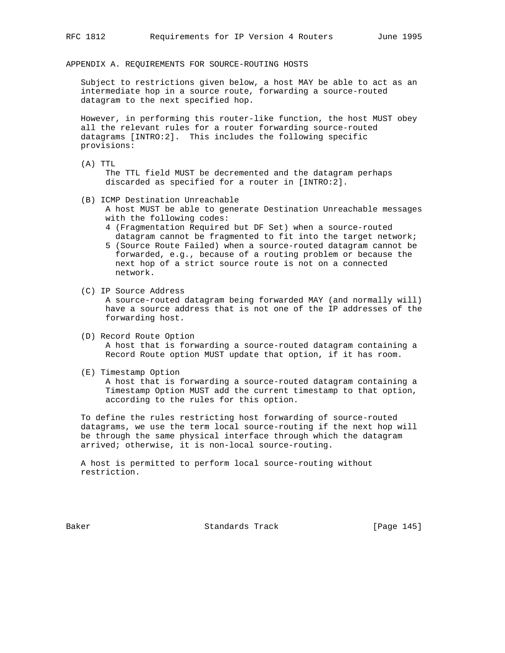APPENDIX A. REQUIREMENTS FOR SOURCE-ROUTING HOSTS

 Subject to restrictions given below, a host MAY be able to act as an intermediate hop in a source route, forwarding a source-routed datagram to the next specified hop.

 However, in performing this router-like function, the host MUST obey all the relevant rules for a router forwarding source-routed datagrams [INTRO:2]. This includes the following specific provisions:

(A) TTL

 The TTL field MUST be decremented and the datagram perhaps discarded as specified for a router in [INTRO:2].

- (B) ICMP Destination Unreachable
	- A host MUST be able to generate Destination Unreachable messages with the following codes:
	- 4 (Fragmentation Required but DF Set) when a source-routed datagram cannot be fragmented to fit into the target network;
	- 5 (Source Route Failed) when a source-routed datagram cannot be forwarded, e.g., because of a routing problem or because the next hop of a strict source route is not on a connected network.
- (C) IP Source Address

 A source-routed datagram being forwarded MAY (and normally will) have a source address that is not one of the IP addresses of the forwarding host.

- (D) Record Route Option A host that is forwarding a source-routed datagram containing a Record Route option MUST update that option, if it has room.
- (E) Timestamp Option

 A host that is forwarding a source-routed datagram containing a Timestamp Option MUST add the current timestamp to that option, according to the rules for this option.

 To define the rules restricting host forwarding of source-routed datagrams, we use the term local source-routing if the next hop will be through the same physical interface through which the datagram arrived; otherwise, it is non-local source-routing.

 A host is permitted to perform local source-routing without restriction.

Baker Standards Track [Page 145]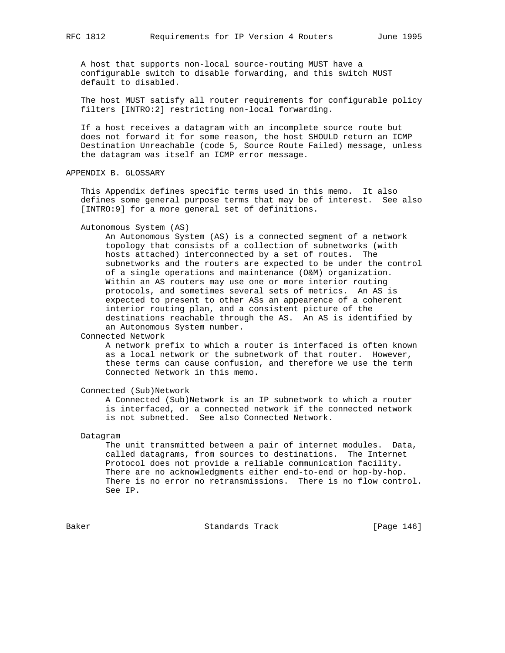A host that supports non-local source-routing MUST have a configurable switch to disable forwarding, and this switch MUST default to disabled.

 The host MUST satisfy all router requirements for configurable policy filters [INTRO:2] restricting non-local forwarding.

 If a host receives a datagram with an incomplete source route but does not forward it for some reason, the host SHOULD return an ICMP Destination Unreachable (code 5, Source Route Failed) message, unless the datagram was itself an ICMP error message.

APPENDIX B. GLOSSARY

 This Appendix defines specific terms used in this memo. It also defines some general purpose terms that may be of interest. See also [INTRO:9] for a more general set of definitions.

## Autonomous System (AS)

 An Autonomous System (AS) is a connected segment of a network topology that consists of a collection of subnetworks (with hosts attached) interconnected by a set of routes. The subnetworks and the routers are expected to be under the control of a single operations and maintenance (O&M) organization. Within an AS routers may use one or more interior routing protocols, and sometimes several sets of metrics. An AS is expected to present to other ASs an appearence of a coherent interior routing plan, and a consistent picture of the destinations reachable through the AS. An AS is identified by an Autonomous System number.

# Connected Network

 A network prefix to which a router is interfaced is often known as a local network or the subnetwork of that router. However, these terms can cause confusion, and therefore we use the term Connected Network in this memo.

Connected (Sub)Network

 A Connected (Sub)Network is an IP subnetwork to which a router is interfaced, or a connected network if the connected network is not subnetted. See also Connected Network.

## Datagram

 The unit transmitted between a pair of internet modules. Data, called datagrams, from sources to destinations. The Internet Protocol does not provide a reliable communication facility. There are no acknowledgments either end-to-end or hop-by-hop. There is no error no retransmissions. There is no flow control. See IP.

Baker Standards Track [Page 146]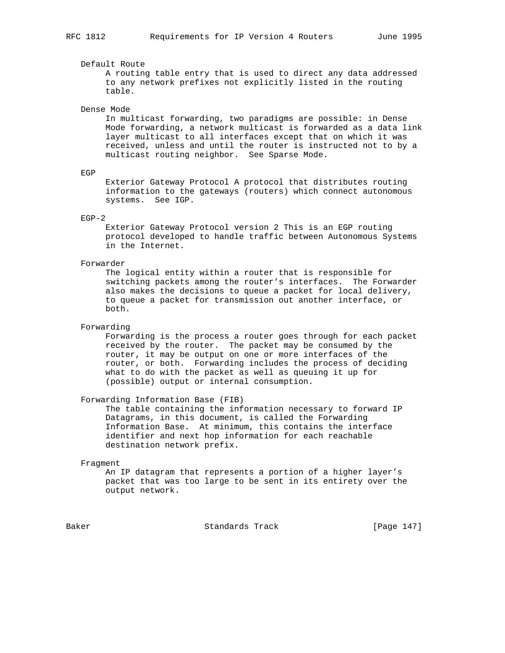# Default Route

 A routing table entry that is used to direct any data addressed to any network prefixes not explicitly listed in the routing table.

## Dense Mode

 In multicast forwarding, two paradigms are possible: in Dense Mode forwarding, a network multicast is forwarded as a data link layer multicast to all interfaces except that on which it was received, unless and until the router is instructed not to by a multicast routing neighbor. See Sparse Mode.

## EGP

 Exterior Gateway Protocol A protocol that distributes routing information to the gateways (routers) which connect autonomous systems. See IGP.

## EGP-2

 Exterior Gateway Protocol version 2 This is an EGP routing protocol developed to handle traffic between Autonomous Systems in the Internet.

# Forwarder

 The logical entity within a router that is responsible for switching packets among the router's interfaces. The Forwarder also makes the decisions to queue a packet for local delivery, to queue a packet for transmission out another interface, or both.

## Forwarding

 Forwarding is the process a router goes through for each packet received by the router. The packet may be consumed by the router, it may be output on one or more interfaces of the router, or both. Forwarding includes the process of deciding what to do with the packet as well as queuing it up for (possible) output or internal consumption.

## Forwarding Information Base (FIB)

 The table containing the information necessary to forward IP Datagrams, in this document, is called the Forwarding Information Base. At minimum, this contains the interface identifier and next hop information for each reachable destination network prefix.

### Fragment

 An IP datagram that represents a portion of a higher layer's packet that was too large to be sent in its entirety over the output network.

Baker Standards Track [Page 147]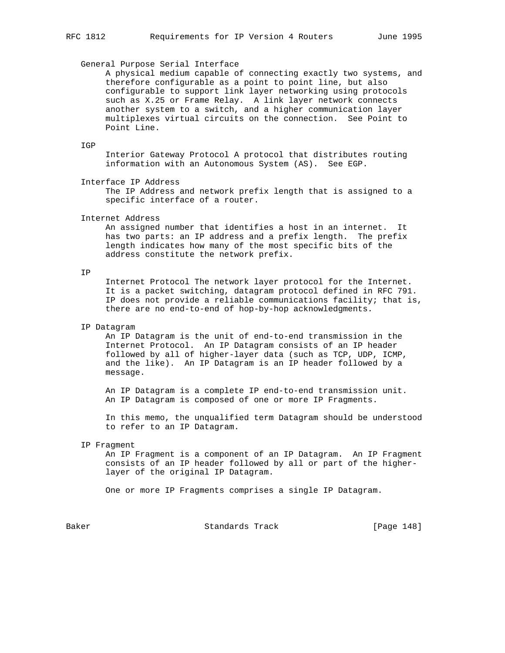### General Purpose Serial Interface

 A physical medium capable of connecting exactly two systems, and therefore configurable as a point to point line, but also configurable to support link layer networking using protocols such as X.25 or Frame Relay. A link layer network connects another system to a switch, and a higher communication layer multiplexes virtual circuits on the connection. See Point to Point Line.

## IGP

 Interior Gateway Protocol A protocol that distributes routing information with an Autonomous System (AS). See EGP.

Interface IP Address

 The IP Address and network prefix length that is assigned to a specific interface of a router.

# Internet Address

 An assigned number that identifies a host in an internet. It has two parts: an IP address and a prefix length. The prefix length indicates how many of the most specific bits of the address constitute the network prefix.

# IP

 Internet Protocol The network layer protocol for the Internet. It is a packet switching, datagram protocol defined in RFC 791. IP does not provide a reliable communications facility; that is, there are no end-to-end of hop-by-hop acknowledgments.

# IP Datagram

 An IP Datagram is the unit of end-to-end transmission in the Internet Protocol. An IP Datagram consists of an IP header followed by all of higher-layer data (such as TCP, UDP, ICMP, and the like). An IP Datagram is an IP header followed by a message.

 An IP Datagram is a complete IP end-to-end transmission unit. An IP Datagram is composed of one or more IP Fragments.

 In this memo, the unqualified term Datagram should be understood to refer to an IP Datagram.

# IP Fragment

 An IP Fragment is a component of an IP Datagram. An IP Fragment consists of an IP header followed by all or part of the higher layer of the original IP Datagram.

One or more IP Fragments comprises a single IP Datagram.

Baker Standards Track [Page 148]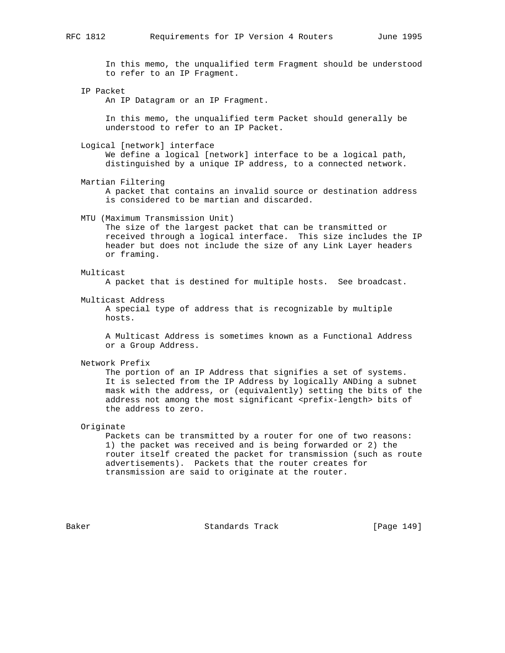In this memo, the unqualified term Fragment should be understood to refer to an IP Fragment.

IP Packet

An IP Datagram or an IP Fragment.

 In this memo, the unqualified term Packet should generally be understood to refer to an IP Packet.

Logical [network] interface

 We define a logical [network] interface to be a logical path, distinguished by a unique IP address, to a connected network.

 Martian Filtering A packet that contains an invalid source or destination address is considered to be martian and discarded.

MTU (Maximum Transmission Unit)

 The size of the largest packet that can be transmitted or received through a logical interface. This size includes the IP header but does not include the size of any Link Layer headers or framing.

Multicast

A packet that is destined for multiple hosts. See broadcast.

Multicast Address

 A special type of address that is recognizable by multiple hosts.

 A Multicast Address is sometimes known as a Functional Address or a Group Address.

Network Prefix

 The portion of an IP Address that signifies a set of systems. It is selected from the IP Address by logically ANDing a subnet mask with the address, or (equivalently) setting the bits of the address not among the most significant <prefix-length> bits of the address to zero.

Originate

 Packets can be transmitted by a router for one of two reasons: 1) the packet was received and is being forwarded or 2) the router itself created the packet for transmission (such as route advertisements). Packets that the router creates for transmission are said to originate at the router.

Baker Standards Track [Page 149]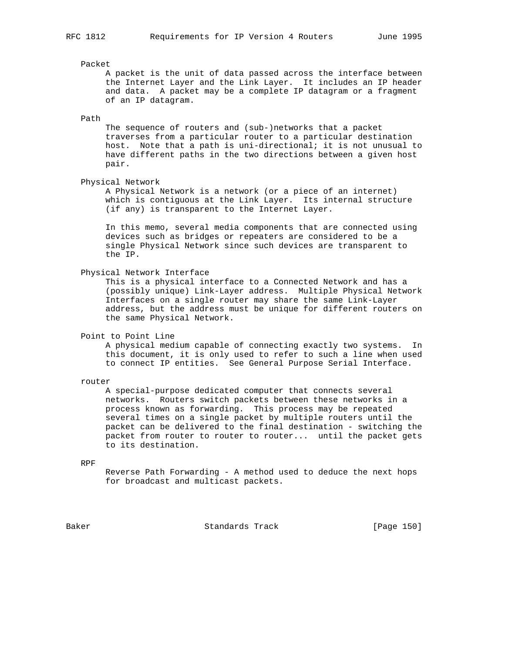# Packet

 A packet is the unit of data passed across the interface between the Internet Layer and the Link Layer. It includes an IP header and data. A packet may be a complete IP datagram or a fragment of an IP datagram.

# Path

 The sequence of routers and (sub-)networks that a packet traverses from a particular router to a particular destination host. Note that a path is uni-directional; it is not unusual to have different paths in the two directions between a given host pair.

# Physical Network

 A Physical Network is a network (or a piece of an internet) which is contiguous at the Link Layer. Its internal structure (if any) is transparent to the Internet Layer.

 In this memo, several media components that are connected using devices such as bridges or repeaters are considered to be a single Physical Network since such devices are transparent to the IP.

Physical Network Interface

 This is a physical interface to a Connected Network and has a (possibly unique) Link-Layer address. Multiple Physical Network Interfaces on a single router may share the same Link-Layer address, but the address must be unique for different routers on the same Physical Network.

Point to Point Line

 A physical medium capable of connecting exactly two systems. In this document, it is only used to refer to such a line when used to connect IP entities. See General Purpose Serial Interface.

router

 A special-purpose dedicated computer that connects several networks. Routers switch packets between these networks in a process known as forwarding. This process may be repeated several times on a single packet by multiple routers until the packet can be delivered to the final destination - switching the packet from router to router to router... until the packet gets to its destination.

RPF

 Reverse Path Forwarding - A method used to deduce the next hops for broadcast and multicast packets.

Baker Standards Track [Page 150]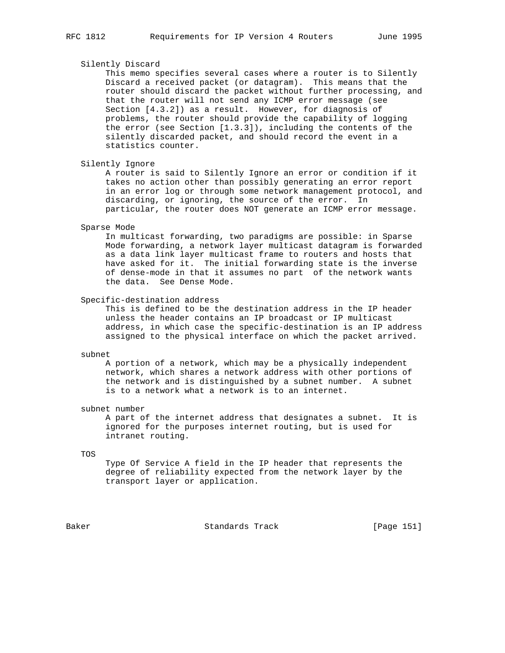# Silently Discard

 This memo specifies several cases where a router is to Silently Discard a received packet (or datagram). This means that the router should discard the packet without further processing, and that the router will not send any ICMP error message (see Section [4.3.2]) as a result. However, for diagnosis of problems, the router should provide the capability of logging the error (see Section [1.3.3]), including the contents of the silently discarded packet, and should record the event in a statistics counter.

Silently Ignore

 A router is said to Silently Ignore an error or condition if it takes no action other than possibly generating an error report in an error log or through some network management protocol, and discarding, or ignoring, the source of the error. In particular, the router does NOT generate an ICMP error message.

#### Sparse Mode

 In multicast forwarding, two paradigms are possible: in Sparse Mode forwarding, a network layer multicast datagram is forwarded as a data link layer multicast frame to routers and hosts that have asked for it. The initial forwarding state is the inverse of dense-mode in that it assumes no part of the network wants the data. See Dense Mode.

Specific-destination address

 This is defined to be the destination address in the IP header unless the header contains an IP broadcast or IP multicast address, in which case the specific-destination is an IP address assigned to the physical interface on which the packet arrived.

#### subnet

 A portion of a network, which may be a physically independent network, which shares a network address with other portions of the network and is distinguished by a subnet number. A subnet is to a network what a network is to an internet.

# subnet number

 A part of the internet address that designates a subnet. It is ignored for the purposes internet routing, but is used for intranet routing.

### TOS

 Type Of Service A field in the IP header that represents the degree of reliability expected from the network layer by the transport layer or application.

Baker Standards Track [Page 151]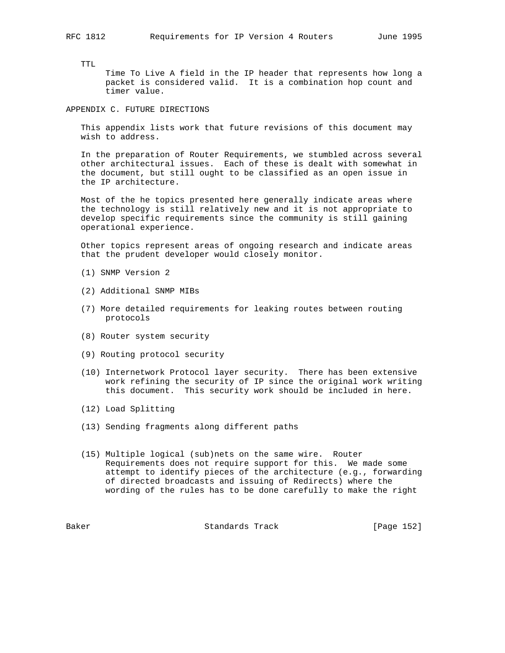TTL

 Time To Live A field in the IP header that represents how long a packet is considered valid. It is a combination hop count and timer value.

APPENDIX C. FUTURE DIRECTIONS

 This appendix lists work that future revisions of this document may wish to address.

 In the preparation of Router Requirements, we stumbled across several other architectural issues. Each of these is dealt with somewhat in the document, but still ought to be classified as an open issue in the IP architecture.

 Most of the he topics presented here generally indicate areas where the technology is still relatively new and it is not appropriate to develop specific requirements since the community is still gaining operational experience.

 Other topics represent areas of ongoing research and indicate areas that the prudent developer would closely monitor.

- (1) SNMP Version 2
- (2) Additional SNMP MIBs
- (7) More detailed requirements for leaking routes between routing protocols
- (8) Router system security
- (9) Routing protocol security
- (10) Internetwork Protocol layer security. There has been extensive work refining the security of IP since the original work writing this document. This security work should be included in here.
- (12) Load Splitting
- (13) Sending fragments along different paths
- (15) Multiple logical (sub)nets on the same wire. Router Requirements does not require support for this. We made some attempt to identify pieces of the architecture (e.g., forwarding of directed broadcasts and issuing of Redirects) where the wording of the rules has to be done carefully to make the right

Baker Standards Track [Page 152]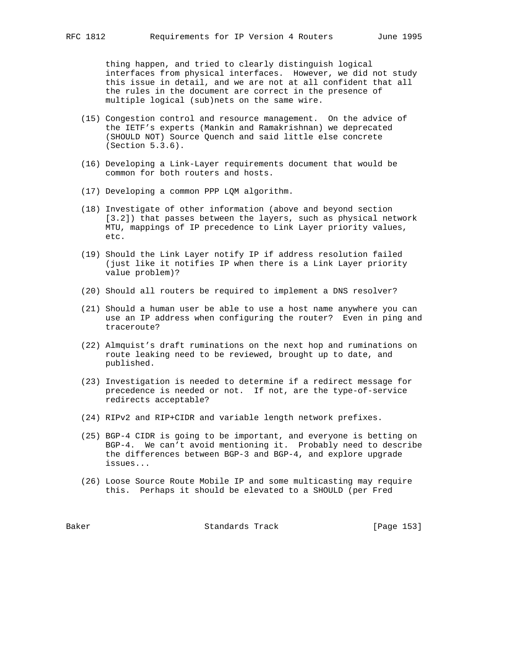thing happen, and tried to clearly distinguish logical interfaces from physical interfaces. However, we did not study this issue in detail, and we are not at all confident that all the rules in the document are correct in the presence of multiple logical (sub)nets on the same wire.

- (15) Congestion control and resource management. On the advice of the IETF's experts (Mankin and Ramakrishnan) we deprecated (SHOULD NOT) Source Quench and said little else concrete (Section 5.3.6).
- (16) Developing a Link-Layer requirements document that would be common for both routers and hosts.
- (17) Developing a common PPP LQM algorithm.
- (18) Investigate of other information (above and beyond section [3.2]) that passes between the layers, such as physical network MTU, mappings of IP precedence to Link Layer priority values, etc.
- (19) Should the Link Layer notify IP if address resolution failed (just like it notifies IP when there is a Link Layer priority value problem)?
- (20) Should all routers be required to implement a DNS resolver?
- (21) Should a human user be able to use a host name anywhere you can use an IP address when configuring the router? Even in ping and traceroute?
- (22) Almquist's draft ruminations on the next hop and ruminations on route leaking need to be reviewed, brought up to date, and published.
- (23) Investigation is needed to determine if a redirect message for precedence is needed or not. If not, are the type-of-service redirects acceptable?
- (24) RIPv2 and RIP+CIDR and variable length network prefixes.
- (25) BGP-4 CIDR is going to be important, and everyone is betting on BGP-4. We can't avoid mentioning it. Probably need to describe the differences between BGP-3 and BGP-4, and explore upgrade issues...
- (26) Loose Source Route Mobile IP and some multicasting may require this. Perhaps it should be elevated to a SHOULD (per Fred

Baker Standards Track [Page 153]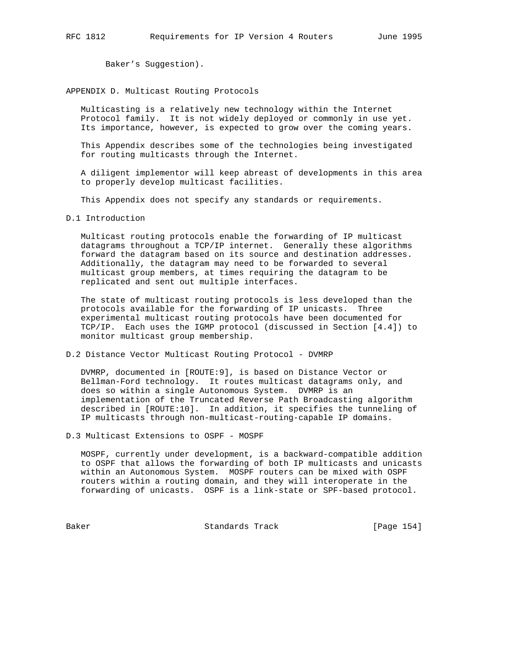Baker's Suggestion).

# APPENDIX D. Multicast Routing Protocols

 Multicasting is a relatively new technology within the Internet Protocol family. It is not widely deployed or commonly in use yet. Its importance, however, is expected to grow over the coming years.

 This Appendix describes some of the technologies being investigated for routing multicasts through the Internet.

 A diligent implementor will keep abreast of developments in this area to properly develop multicast facilities.

This Appendix does not specify any standards or requirements.

# D.1 Introduction

 Multicast routing protocols enable the forwarding of IP multicast datagrams throughout a TCP/IP internet. Generally these algorithms forward the datagram based on its source and destination addresses. Additionally, the datagram may need to be forwarded to several multicast group members, at times requiring the datagram to be replicated and sent out multiple interfaces.

 The state of multicast routing protocols is less developed than the protocols available for the forwarding of IP unicasts. Three experimental multicast routing protocols have been documented for TCP/IP. Each uses the IGMP protocol (discussed in Section [4.4]) to monitor multicast group membership.

D.2 Distance Vector Multicast Routing Protocol - DVMRP

 DVMRP, documented in [ROUTE:9], is based on Distance Vector or Bellman-Ford technology. It routes multicast datagrams only, and does so within a single Autonomous System. DVMRP is an implementation of the Truncated Reverse Path Broadcasting algorithm described in [ROUTE:10]. In addition, it specifies the tunneling of IP multicasts through non-multicast-routing-capable IP domains.

D.3 Multicast Extensions to OSPF - MOSPF

 MOSPF, currently under development, is a backward-compatible addition to OSPF that allows the forwarding of both IP multicasts and unicasts within an Autonomous System. MOSPF routers can be mixed with OSPF routers within a routing domain, and they will interoperate in the forwarding of unicasts. OSPF is a link-state or SPF-based protocol.

Baker Standards Track [Page 154]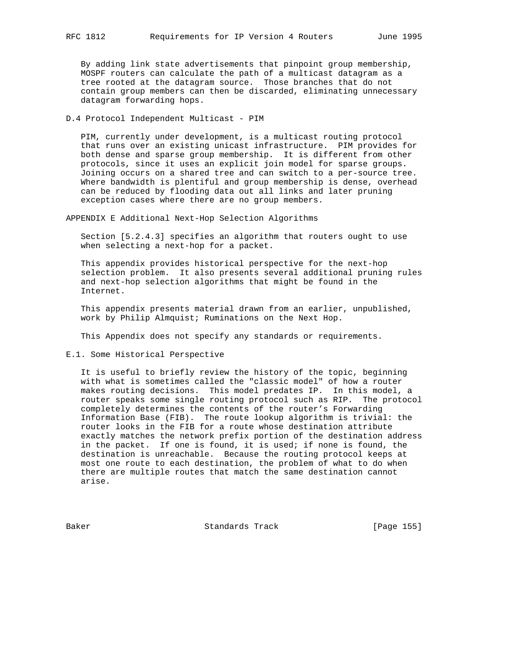By adding link state advertisements that pinpoint group membership, MOSPF routers can calculate the path of a multicast datagram as a tree rooted at the datagram source. Those branches that do not contain group members can then be discarded, eliminating unnecessary datagram forwarding hops.

D.4 Protocol Independent Multicast - PIM

 PIM, currently under development, is a multicast routing protocol that runs over an existing unicast infrastructure. PIM provides for both dense and sparse group membership. It is different from other protocols, since it uses an explicit join model for sparse groups. Joining occurs on a shared tree and can switch to a per-source tree. Where bandwidth is plentiful and group membership is dense, overhead can be reduced by flooding data out all links and later pruning exception cases where there are no group members.

APPENDIX E Additional Next-Hop Selection Algorithms

 Section [5.2.4.3] specifies an algorithm that routers ought to use when selecting a next-hop for a packet.

 This appendix provides historical perspective for the next-hop selection problem. It also presents several additional pruning rules and next-hop selection algorithms that might be found in the Internet.

 This appendix presents material drawn from an earlier, unpublished, work by Philip Almquist; Ruminations on the Next Hop.

This Appendix does not specify any standards or requirements.

E.1. Some Historical Perspective

 It is useful to briefly review the history of the topic, beginning with what is sometimes called the "classic model" of how a router makes routing decisions. This model predates IP. In this model, a router speaks some single routing protocol such as RIP. The protocol completely determines the contents of the router's Forwarding Information Base (FIB). The route lookup algorithm is trivial: the router looks in the FIB for a route whose destination attribute exactly matches the network prefix portion of the destination address in the packet. If one is found, it is used; if none is found, the destination is unreachable. Because the routing protocol keeps at most one route to each destination, the problem of what to do when there are multiple routes that match the same destination cannot arise.

Baker Standards Track [Page 155]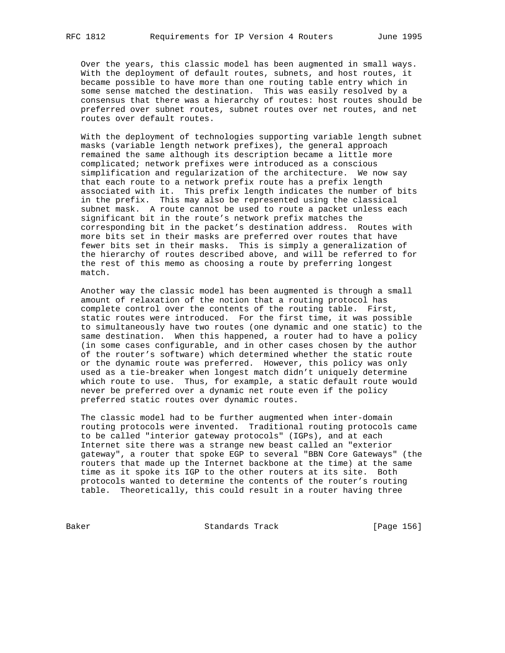Over the years, this classic model has been augmented in small ways. With the deployment of default routes, subnets, and host routes, it became possible to have more than one routing table entry which in some sense matched the destination. This was easily resolved by a consensus that there was a hierarchy of routes: host routes should be preferred over subnet routes, subnet routes over net routes, and net routes over default routes.

 With the deployment of technologies supporting variable length subnet masks (variable length network prefixes), the general approach remained the same although its description became a little more complicated; network prefixes were introduced as a conscious simplification and regularization of the architecture. We now say that each route to a network prefix route has a prefix length associated with it. This prefix length indicates the number of bits in the prefix. This may also be represented using the classical subnet mask. A route cannot be used to route a packet unless each significant bit in the route's network prefix matches the corresponding bit in the packet's destination address. Routes with more bits set in their masks are preferred over routes that have fewer bits set in their masks. This is simply a generalization of the hierarchy of routes described above, and will be referred to for the rest of this memo as choosing a route by preferring longest match.

 Another way the classic model has been augmented is through a small amount of relaxation of the notion that a routing protocol has complete control over the contents of the routing table. First, static routes were introduced. For the first time, it was possible to simultaneously have two routes (one dynamic and one static) to the same destination. When this happened, a router had to have a policy (in some cases configurable, and in other cases chosen by the author of the router's software) which determined whether the static route or the dynamic route was preferred. However, this policy was only used as a tie-breaker when longest match didn't uniquely determine which route to use. Thus, for example, a static default route would never be preferred over a dynamic net route even if the policy preferred static routes over dynamic routes.

 The classic model had to be further augmented when inter-domain routing protocols were invented. Traditional routing protocols came to be called "interior gateway protocols" (IGPs), and at each Internet site there was a strange new beast called an "exterior gateway", a router that spoke EGP to several "BBN Core Gateways" (the routers that made up the Internet backbone at the time) at the same time as it spoke its IGP to the other routers at its site. Both protocols wanted to determine the contents of the router's routing table. Theoretically, this could result in a router having three

Baker Standards Track [Page 156]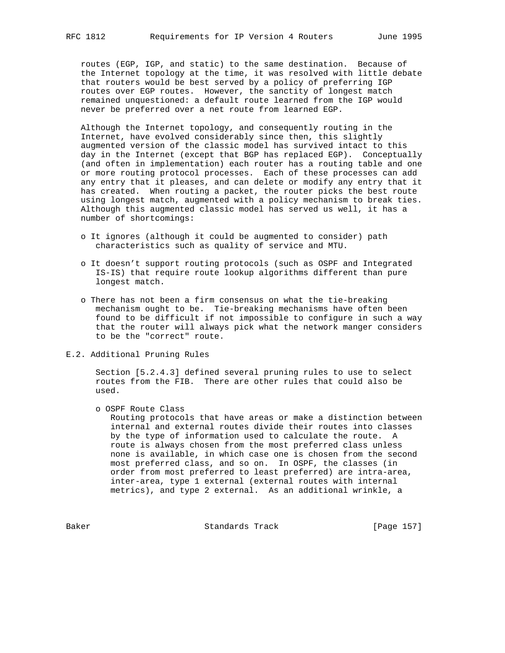routes (EGP, IGP, and static) to the same destination. Because of the Internet topology at the time, it was resolved with little debate that routers would be best served by a policy of preferring IGP routes over EGP routes. However, the sanctity of longest match remained unquestioned: a default route learned from the IGP would never be preferred over a net route from learned EGP.

 Although the Internet topology, and consequently routing in the Internet, have evolved considerably since then, this slightly augmented version of the classic model has survived intact to this day in the Internet (except that BGP has replaced EGP). Conceptually (and often in implementation) each router has a routing table and one or more routing protocol processes. Each of these processes can add any entry that it pleases, and can delete or modify any entry that it has created. When routing a packet, the router picks the best route using longest match, augmented with a policy mechanism to break ties. Although this augmented classic model has served us well, it has a number of shortcomings:

- o It ignores (although it could be augmented to consider) path characteristics such as quality of service and MTU.
- o It doesn't support routing protocols (such as OSPF and Integrated IS-IS) that require route lookup algorithms different than pure longest match.
- o There has not been a firm consensus on what the tie-breaking mechanism ought to be. Tie-breaking mechanisms have often been found to be difficult if not impossible to configure in such a way that the router will always pick what the network manger considers to be the "correct" route.
- E.2. Additional Pruning Rules

 Section [5.2.4.3] defined several pruning rules to use to select routes from the FIB. There are other rules that could also be used.

o OSPF Route Class

 Routing protocols that have areas or make a distinction between internal and external routes divide their routes into classes by the type of information used to calculate the route. A route is always chosen from the most preferred class unless none is available, in which case one is chosen from the second most preferred class, and so on. In OSPF, the classes (in order from most preferred to least preferred) are intra-area, inter-area, type 1 external (external routes with internal metrics), and type 2 external. As an additional wrinkle, a

Baker Standards Track [Page 157]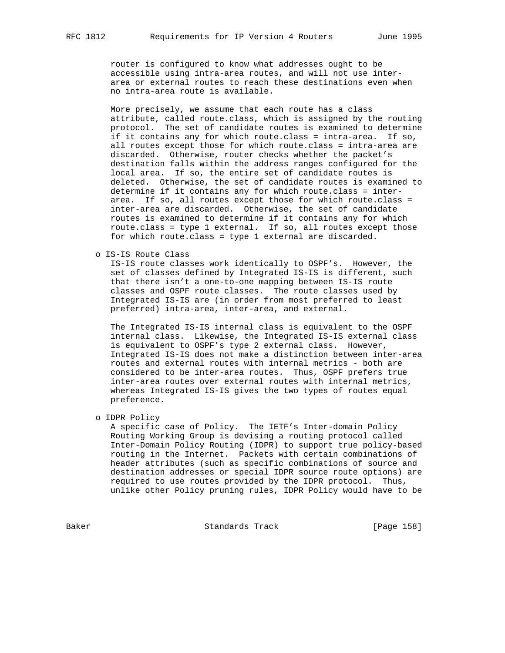router is configured to know what addresses ought to be accessible using intra-area routes, and will not use inter area or external routes to reach these destinations even when no intra-area route is available.

 More precisely, we assume that each route has a class attribute, called route.class, which is assigned by the routing protocol. The set of candidate routes is examined to determine if it contains any for which route.class = intra-area. If so, all routes except those for which route.class = intra-area are discarded. Otherwise, router checks whether the packet's destination falls within the address ranges configured for the local area. If so, the entire set of candidate routes is deleted. Otherwise, the set of candidate routes is examined to determine if it contains any for which route.class = inter area. If so, all routes except those for which route.class = inter-area are discarded. Otherwise, the set of candidate routes is examined to determine if it contains any for which route.class = type 1 external. If so, all routes except those for which route.class = type 1 external are discarded.

o IS-IS Route Class

 IS-IS route classes work identically to OSPF's. However, the set of classes defined by Integrated IS-IS is different, such that there isn't a one-to-one mapping between IS-IS route classes and OSPF route classes. The route classes used by Integrated IS-IS are (in order from most preferred to least preferred) intra-area, inter-area, and external.

 The Integrated IS-IS internal class is equivalent to the OSPF internal class. Likewise, the Integrated IS-IS external class is equivalent to OSPF's type 2 external class. However, Integrated IS-IS does not make a distinction between inter-area routes and external routes with internal metrics - both are considered to be inter-area routes. Thus, OSPF prefers true inter-area routes over external routes with internal metrics, whereas Integrated IS-IS gives the two types of routes equal preference.

o IDPR Policy

 A specific case of Policy. The IETF's Inter-domain Policy Routing Working Group is devising a routing protocol called Inter-Domain Policy Routing (IDPR) to support true policy-based routing in the Internet. Packets with certain combinations of header attributes (such as specific combinations of source and destination addresses or special IDPR source route options) are required to use routes provided by the IDPR protocol. Thus, unlike other Policy pruning rules, IDPR Policy would have to be

Baker Standards Track [Page 158]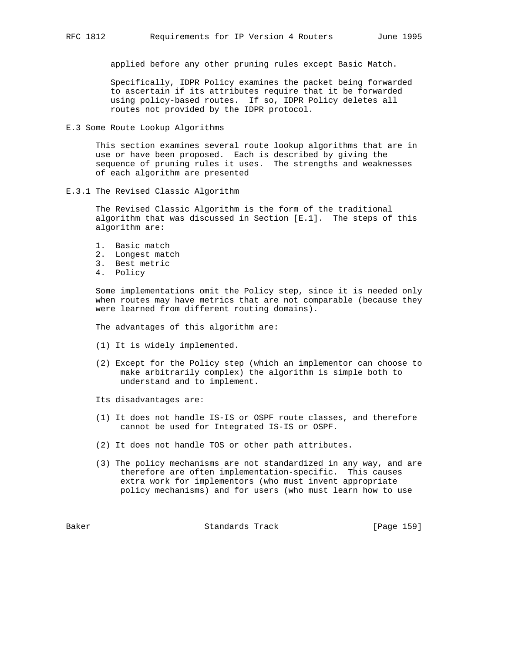applied before any other pruning rules except Basic Match.

 Specifically, IDPR Policy examines the packet being forwarded to ascertain if its attributes require that it be forwarded using policy-based routes. If so, IDPR Policy deletes all routes not provided by the IDPR protocol.

E.3 Some Route Lookup Algorithms

 This section examines several route lookup algorithms that are in use or have been proposed. Each is described by giving the sequence of pruning rules it uses. The strengths and weaknesses of each algorithm are presented

E.3.1 The Revised Classic Algorithm

 The Revised Classic Algorithm is the form of the traditional algorithm that was discussed in Section [E.1]. The steps of this algorithm are:

- 1. Basic match
- 2. Longest match
- 3. Best metric
- 4. Policy

 Some implementations omit the Policy step, since it is needed only when routes may have metrics that are not comparable (because they were learned from different routing domains).

The advantages of this algorithm are:

- (1) It is widely implemented.
- (2) Except for the Policy step (which an implementor can choose to make arbitrarily complex) the algorithm is simple both to understand and to implement.
- Its disadvantages are:
- (1) It does not handle IS-IS or OSPF route classes, and therefore cannot be used for Integrated IS-IS or OSPF.
- (2) It does not handle TOS or other path attributes.
- (3) The policy mechanisms are not standardized in any way, and are therefore are often implementation-specific. This causes extra work for implementors (who must invent appropriate policy mechanisms) and for users (who must learn how to use

Baker Standards Track [Page 159]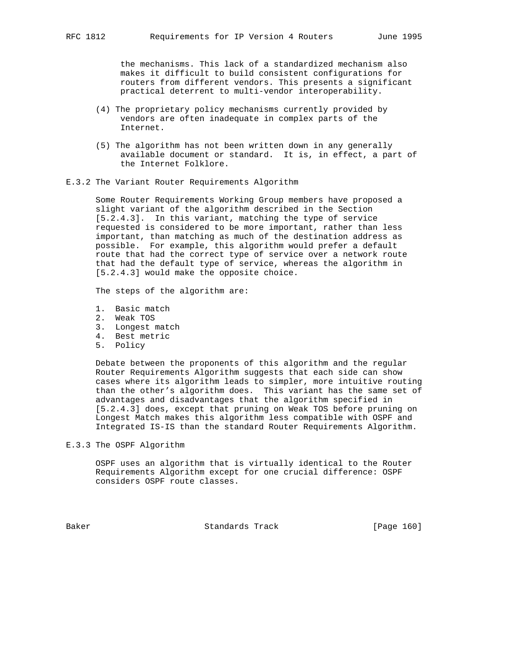the mechanisms. This lack of a standardized mechanism also makes it difficult to build consistent configurations for routers from different vendors. This presents a significant practical deterrent to multi-vendor interoperability.

- (4) The proprietary policy mechanisms currently provided by vendors are often inadequate in complex parts of the Internet.
- (5) The algorithm has not been written down in any generally available document or standard. It is, in effect, a part of the Internet Folklore.
- E.3.2 The Variant Router Requirements Algorithm

 Some Router Requirements Working Group members have proposed a slight variant of the algorithm described in the Section [5.2.4.3]. In this variant, matching the type of service requested is considered to be more important, rather than less important, than matching as much of the destination address as possible. For example, this algorithm would prefer a default route that had the correct type of service over a network route that had the default type of service, whereas the algorithm in [5.2.4.3] would make the opposite choice.

The steps of the algorithm are:

- 1. Basic match
- 2. Weak TOS
- 3. Longest match
- 4. Best metric
- 5. Policy

 Debate between the proponents of this algorithm and the regular Router Requirements Algorithm suggests that each side can show cases where its algorithm leads to simpler, more intuitive routing than the other's algorithm does. This variant has the same set of advantages and disadvantages that the algorithm specified in [5.2.4.3] does, except that pruning on Weak TOS before pruning on Longest Match makes this algorithm less compatible with OSPF and Integrated IS-IS than the standard Router Requirements Algorithm.

E.3.3 The OSPF Algorithm

 OSPF uses an algorithm that is virtually identical to the Router Requirements Algorithm except for one crucial difference: OSPF considers OSPF route classes.

Baker Standards Track [Page 160]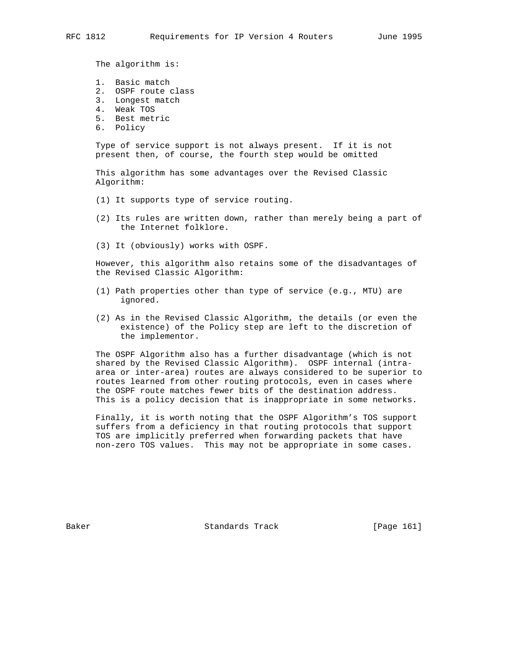The algorithm is:

- 1. Basic match
- 2. OSPF route class
- 3. Longest match
- 4. Weak TOS
- 5. Best metric
- 6. Policy

 Type of service support is not always present. If it is not present then, of course, the fourth step would be omitted

 This algorithm has some advantages over the Revised Classic Algorithm:

- (1) It supports type of service routing.
- (2) Its rules are written down, rather than merely being a part of the Internet folklore.
- (3) It (obviously) works with OSPF.

 However, this algorithm also retains some of the disadvantages of the Revised Classic Algorithm:

- (1) Path properties other than type of service (e.g., MTU) are ignored.
- (2) As in the Revised Classic Algorithm, the details (or even the existence) of the Policy step are left to the discretion of the implementor.

 The OSPF Algorithm also has a further disadvantage (which is not shared by the Revised Classic Algorithm). OSPF internal (intra area or inter-area) routes are always considered to be superior to routes learned from other routing protocols, even in cases where the OSPF route matches fewer bits of the destination address. This is a policy decision that is inappropriate in some networks.

 Finally, it is worth noting that the OSPF Algorithm's TOS support suffers from a deficiency in that routing protocols that support TOS are implicitly preferred when forwarding packets that have non-zero TOS values. This may not be appropriate in some cases.

Baker Standards Track [Page 161]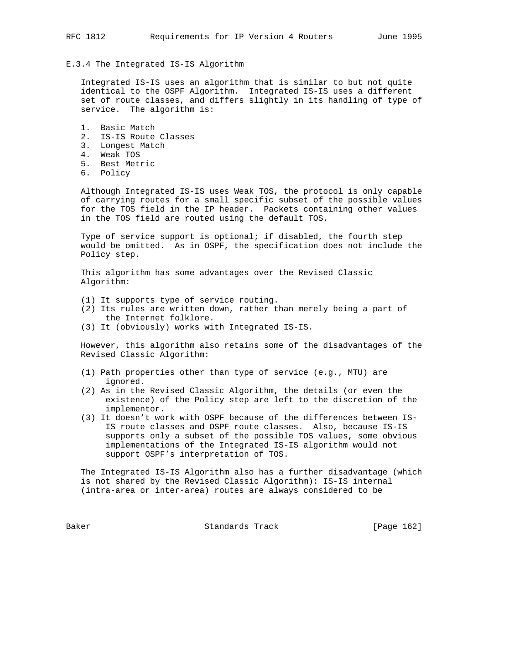# E.3.4 The Integrated IS-IS Algorithm

 Integrated IS-IS uses an algorithm that is similar to but not quite identical to the OSPF Algorithm. Integrated IS-IS uses a different set of route classes, and differs slightly in its handling of type of service. The algorithm is:

- 1. Basic Match 2. IS-IS Route Classes
- 3. Longest Match
- 4. Weak TOS
- 5. Best Metric
- 6. Policy

 Although Integrated IS-IS uses Weak TOS, the protocol is only capable of carrying routes for a small specific subset of the possible values for the TOS field in the IP header. Packets containing other values in the TOS field are routed using the default TOS.

 Type of service support is optional; if disabled, the fourth step would be omitted. As in OSPF, the specification does not include the Policy step.

 This algorithm has some advantages over the Revised Classic Algorithm:

- (1) It supports type of service routing.
- (2) Its rules are written down, rather than merely being a part of the Internet folklore.
- (3) It (obviously) works with Integrated IS-IS.

 However, this algorithm also retains some of the disadvantages of the Revised Classic Algorithm:

- (1) Path properties other than type of service (e.g., MTU) are ignored.
- (2) As in the Revised Classic Algorithm, the details (or even the existence) of the Policy step are left to the discretion of the implementor.
- (3) It doesn't work with OSPF because of the differences between IS- IS route classes and OSPF route classes. Also, because IS-IS supports only a subset of the possible TOS values, some obvious implementations of the Integrated IS-IS algorithm would not support OSPF's interpretation of TOS.

 The Integrated IS-IS Algorithm also has a further disadvantage (which is not shared by the Revised Classic Algorithm): IS-IS internal (intra-area or inter-area) routes are always considered to be

Baker Standards Track [Page 162]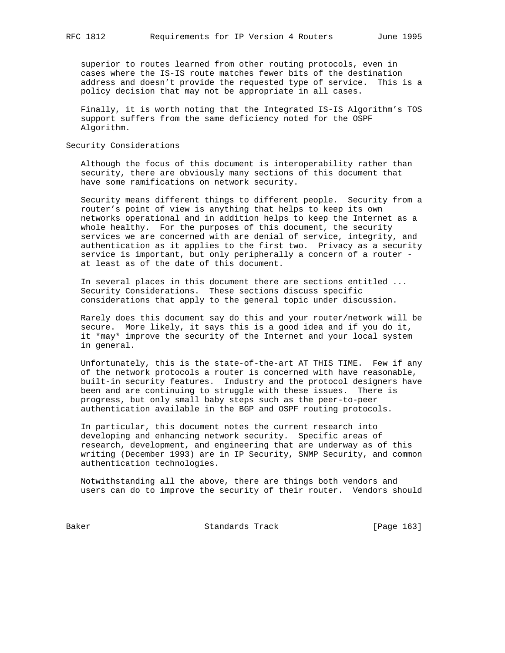superior to routes learned from other routing protocols, even in cases where the IS-IS route matches fewer bits of the destination address and doesn't provide the requested type of service. This is a policy decision that may not be appropriate in all cases.

 Finally, it is worth noting that the Integrated IS-IS Algorithm's TOS support suffers from the same deficiency noted for the OSPF Algorithm.

# Security Considerations

 Although the focus of this document is interoperability rather than security, there are obviously many sections of this document that have some ramifications on network security.

 Security means different things to different people. Security from a router's point of view is anything that helps to keep its own networks operational and in addition helps to keep the Internet as a whole healthy. For the purposes of this document, the security services we are concerned with are denial of service, integrity, and authentication as it applies to the first two. Privacy as a security service is important, but only peripherally a concern of a router at least as of the date of this document.

 In several places in this document there are sections entitled ... Security Considerations. These sections discuss specific considerations that apply to the general topic under discussion.

 Rarely does this document say do this and your router/network will be secure. More likely, it says this is a good idea and if you do it, it \*may\* improve the security of the Internet and your local system in general.

 Unfortunately, this is the state-of-the-art AT THIS TIME. Few if any of the network protocols a router is concerned with have reasonable, built-in security features. Industry and the protocol designers have been and are continuing to struggle with these issues. There is progress, but only small baby steps such as the peer-to-peer authentication available in the BGP and OSPF routing protocols.

 In particular, this document notes the current research into developing and enhancing network security. Specific areas of research, development, and engineering that are underway as of this writing (December 1993) are in IP Security, SNMP Security, and common authentication technologies.

 Notwithstanding all the above, there are things both vendors and users can do to improve the security of their router. Vendors should

Baker Standards Track [Page 163]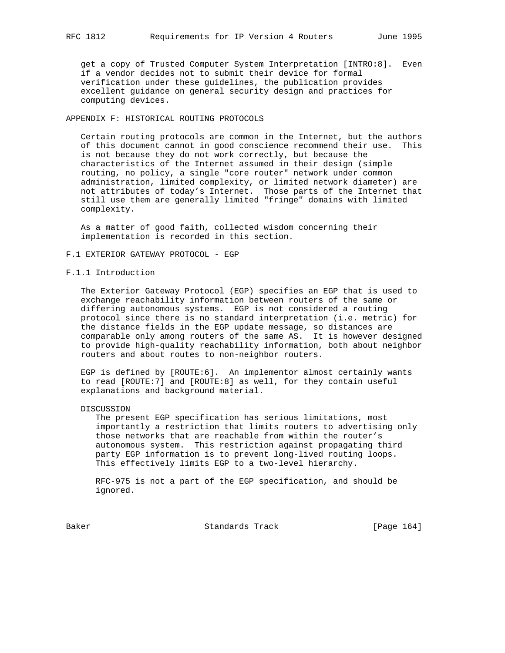get a copy of Trusted Computer System Interpretation [INTRO:8]. Even if a vendor decides not to submit their device for formal verification under these guidelines, the publication provides excellent guidance on general security design and practices for computing devices.

# APPENDIX F: HISTORICAL ROUTING PROTOCOLS

 Certain routing protocols are common in the Internet, but the authors of this document cannot in good conscience recommend their use. This is not because they do not work correctly, but because the characteristics of the Internet assumed in their design (simple routing, no policy, a single "core router" network under common administration, limited complexity, or limited network diameter) are not attributes of today's Internet. Those parts of the Internet that still use them are generally limited "fringe" domains with limited complexity.

 As a matter of good faith, collected wisdom concerning their implementation is recorded in this section.

# F.1 EXTERIOR GATEWAY PROTOCOL - EGP

# F.1.1 Introduction

 The Exterior Gateway Protocol (EGP) specifies an EGP that is used to exchange reachability information between routers of the same or differing autonomous systems. EGP is not considered a routing protocol since there is no standard interpretation (i.e. metric) for the distance fields in the EGP update message, so distances are comparable only among routers of the same AS. It is however designed to provide high-quality reachability information, both about neighbor routers and about routes to non-neighbor routers.

 EGP is defined by [ROUTE:6]. An implementor almost certainly wants to read [ROUTE:7] and [ROUTE:8] as well, for they contain useful explanations and background material.

## DISCUSSION

 The present EGP specification has serious limitations, most importantly a restriction that limits routers to advertising only those networks that are reachable from within the router's autonomous system. This restriction against propagating third party EGP information is to prevent long-lived routing loops. This effectively limits EGP to a two-level hierarchy.

 RFC-975 is not a part of the EGP specification, and should be ignored.

Baker Standards Track [Page 164]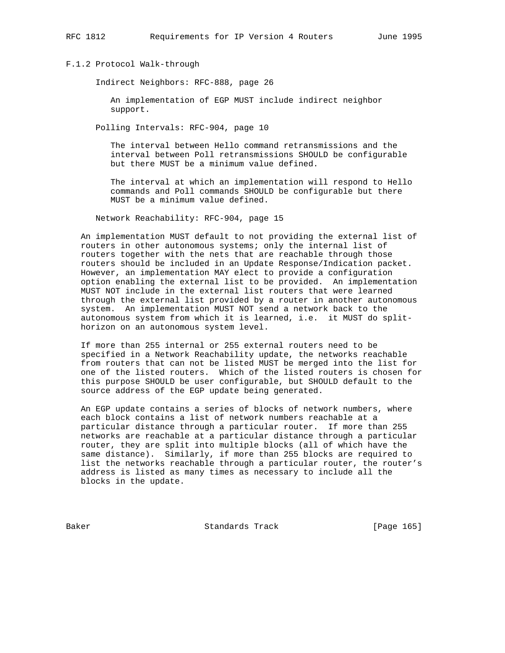# F.1.2 Protocol Walk-through

Indirect Neighbors: RFC-888, page 26

 An implementation of EGP MUST include indirect neighbor support.

Polling Intervals: RFC-904, page 10

 The interval between Hello command retransmissions and the interval between Poll retransmissions SHOULD be configurable but there MUST be a minimum value defined.

 The interval at which an implementation will respond to Hello commands and Poll commands SHOULD be configurable but there MUST be a minimum value defined.

Network Reachability: RFC-904, page 15

 An implementation MUST default to not providing the external list of routers in other autonomous systems; only the internal list of routers together with the nets that are reachable through those routers should be included in an Update Response/Indication packet. However, an implementation MAY elect to provide a configuration option enabling the external list to be provided. An implementation MUST NOT include in the external list routers that were learned through the external list provided by a router in another autonomous system. An implementation MUST NOT send a network back to the autonomous system from which it is learned, i.e. it MUST do split horizon on an autonomous system level.

 If more than 255 internal or 255 external routers need to be specified in a Network Reachability update, the networks reachable from routers that can not be listed MUST be merged into the list for one of the listed routers. Which of the listed routers is chosen for this purpose SHOULD be user configurable, but SHOULD default to the source address of the EGP update being generated.

 An EGP update contains a series of blocks of network numbers, where each block contains a list of network numbers reachable at a particular distance through a particular router. If more than 255 networks are reachable at a particular distance through a particular router, they are split into multiple blocks (all of which have the same distance). Similarly, if more than 255 blocks are required to list the networks reachable through a particular router, the router's address is listed as many times as necessary to include all the blocks in the update.

Baker Standards Track [Page 165]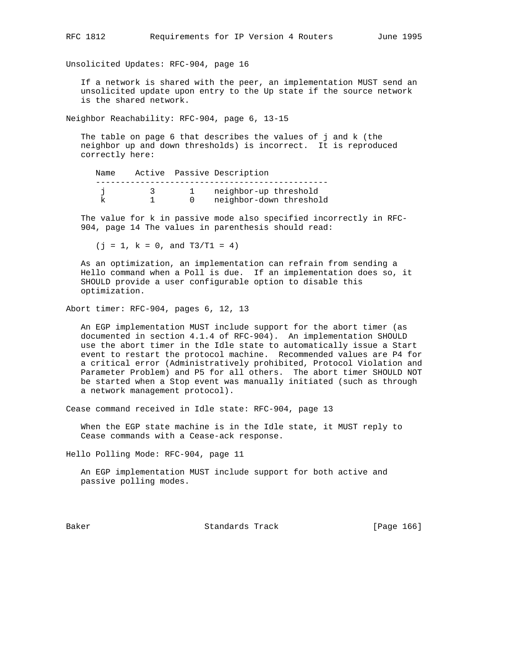Unsolicited Updates: RFC-904, page 16

 If a network is shared with the peer, an implementation MUST send an unsolicited update upon entry to the Up state if the source network is the shared network.

Neighbor Reachability: RFC-904, page 6, 13-15

 The table on page 6 that describes the values of j and k (the neighbor up and down thresholds) is incorrect. It is reproduced correctly here:

| Name |  | Active Passive Description |
|------|--|----------------------------|
|      |  |                            |
|      |  | neighbor-up threshold      |
|      |  | neighbor-down threshold    |

 The value for k in passive mode also specified incorrectly in RFC- 904, page 14 The values in parenthesis should read:

 $(j = 1, k = 0, and T3/T1 = 4)$ 

 As an optimization, an implementation can refrain from sending a Hello command when a Poll is due. If an implementation does so, it SHOULD provide a user configurable option to disable this optimization.

Abort timer: RFC-904, pages 6, 12, 13

 An EGP implementation MUST include support for the abort timer (as documented in section 4.1.4 of RFC-904). An implementation SHOULD use the abort timer in the Idle state to automatically issue a Start event to restart the protocol machine. Recommended values are P4 for a critical error (Administratively prohibited, Protocol Violation and Parameter Problem) and P5 for all others. The abort timer SHOULD NOT be started when a Stop event was manually initiated (such as through a network management protocol).

Cease command received in Idle state: RFC-904, page 13

 When the EGP state machine is in the Idle state, it MUST reply to Cease commands with a Cease-ack response.

Hello Polling Mode: RFC-904, page 11

 An EGP implementation MUST include support for both active and passive polling modes.

Baker Standards Track [Page 166]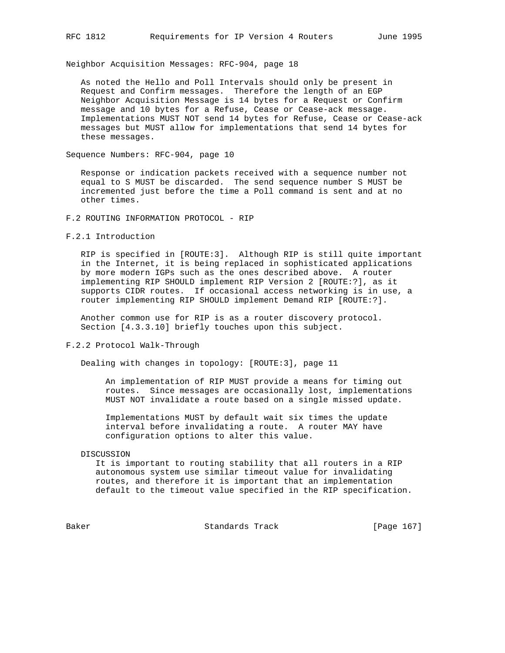Neighbor Acquisition Messages: RFC-904, page 18

 As noted the Hello and Poll Intervals should only be present in Request and Confirm messages. Therefore the length of an EGP Neighbor Acquisition Message is 14 bytes for a Request or Confirm message and 10 bytes for a Refuse, Cease or Cease-ack message. Implementations MUST NOT send 14 bytes for Refuse, Cease or Cease-ack messages but MUST allow for implementations that send 14 bytes for these messages.

Sequence Numbers: RFC-904, page 10

 Response or indication packets received with a sequence number not equal to S MUST be discarded. The send sequence number S MUST be incremented just before the time a Poll command is sent and at no other times.

F.2 ROUTING INFORMATION PROTOCOL - RIP

F.2.1 Introduction

 RIP is specified in [ROUTE:3]. Although RIP is still quite important in the Internet, it is being replaced in sophisticated applications by more modern IGPs such as the ones described above. A router implementing RIP SHOULD implement RIP Version 2 [ROUTE:?], as it supports CIDR routes. If occasional access networking is in use, a router implementing RIP SHOULD implement Demand RIP [ROUTE:?].

 Another common use for RIP is as a router discovery protocol. Section [4.3.3.10] briefly touches upon this subject.

F.2.2 Protocol Walk-Through

Dealing with changes in topology: [ROUTE:3], page 11

 An implementation of RIP MUST provide a means for timing out routes. Since messages are occasionally lost, implementations MUST NOT invalidate a route based on a single missed update.

 Implementations MUST by default wait six times the update interval before invalidating a route. A router MAY have configuration options to alter this value.

#### DISCUSSION

 It is important to routing stability that all routers in a RIP autonomous system use similar timeout value for invalidating routes, and therefore it is important that an implementation default to the timeout value specified in the RIP specification.

Baker Standards Track [Page 167]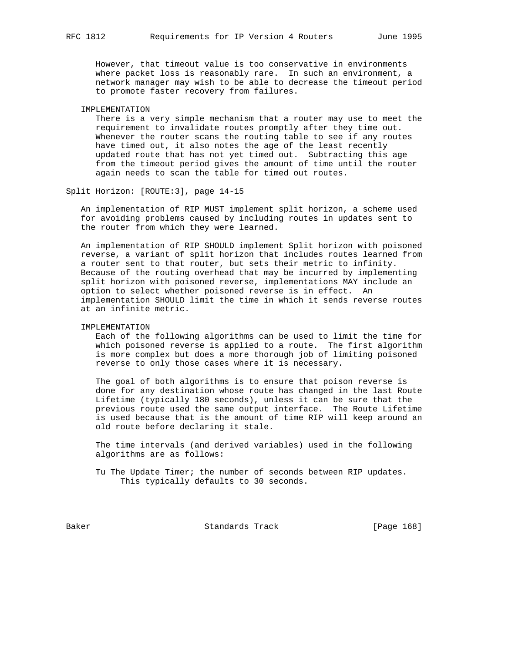However, that timeout value is too conservative in environments where packet loss is reasonably rare. In such an environment, a network manager may wish to be able to decrease the timeout period to promote faster recovery from failures.

## IMPLEMENTATION

 There is a very simple mechanism that a router may use to meet the requirement to invalidate routes promptly after they time out. Whenever the router scans the routing table to see if any routes have timed out, it also notes the age of the least recently updated route that has not yet timed out. Subtracting this age from the timeout period gives the amount of time until the router again needs to scan the table for timed out routes.

Split Horizon: [ROUTE:3], page 14-15

 An implementation of RIP MUST implement split horizon, a scheme used for avoiding problems caused by including routes in updates sent to the router from which they were learned.

 An implementation of RIP SHOULD implement Split horizon with poisoned reverse, a variant of split horizon that includes routes learned from a router sent to that router, but sets their metric to infinity. Because of the routing overhead that may be incurred by implementing split horizon with poisoned reverse, implementations MAY include an option to select whether poisoned reverse is in effect. An implementation SHOULD limit the time in which it sends reverse routes at an infinite metric.

# IMPLEMENTATION

 Each of the following algorithms can be used to limit the time for which poisoned reverse is applied to a route. The first algorithm is more complex but does a more thorough job of limiting poisoned reverse to only those cases where it is necessary.

 The goal of both algorithms is to ensure that poison reverse is done for any destination whose route has changed in the last Route Lifetime (typically 180 seconds), unless it can be sure that the previous route used the same output interface. The Route Lifetime is used because that is the amount of time RIP will keep around an old route before declaring it stale.

 The time intervals (and derived variables) used in the following algorithms are as follows:

 Tu The Update Timer; the number of seconds between RIP updates. This typically defaults to 30 seconds.

Baker Standards Track [Page 168]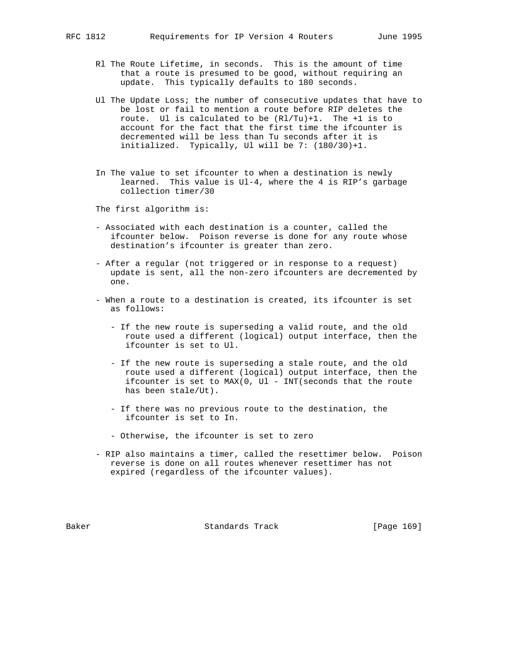- Rl The Route Lifetime, in seconds. This is the amount of time that a route is presumed to be good, without requiring an update. This typically defaults to 180 seconds.
- Ul The Update Loss; the number of consecutive updates that have to be lost or fail to mention a route before RIP deletes the route. Ul is calculated to be (Rl/Tu)+1. The +1 is to account for the fact that the first time the ifcounter is decremented will be less than Tu seconds after it is initialized. Typically, Ul will be 7: (180/30)+1.
- In The value to set ifcounter to when a destination is newly learned. This value is Ul-4, where the 4 is RIP's garbage collection timer/30

The first algorithm is:

- Associated with each destination is a counter, called the ifcounter below. Poison reverse is done for any route whose destination's ifcounter is greater than zero.
- After a regular (not triggered or in response to a request) update is sent, all the non-zero ifcounters are decremented by one.
- When a route to a destination is created, its ifcounter is set as follows:
	- If the new route is superseding a valid route, and the old route used a different (logical) output interface, then the ifcounter is set to Ul.
	- If the new route is superseding a stale route, and the old route used a different (logical) output interface, then the ifcounter is set to MAX(0, Ul - INT(seconds that the route has been stale/Ut).
	- If there was no previous route to the destination, the ifcounter is set to In.
	- Otherwise, the ifcounter is set to zero
- RIP also maintains a timer, called the resettimer below. Poison reverse is done on all routes whenever resettimer has not expired (regardless of the ifcounter values).

Baker Standards Track [Page 169]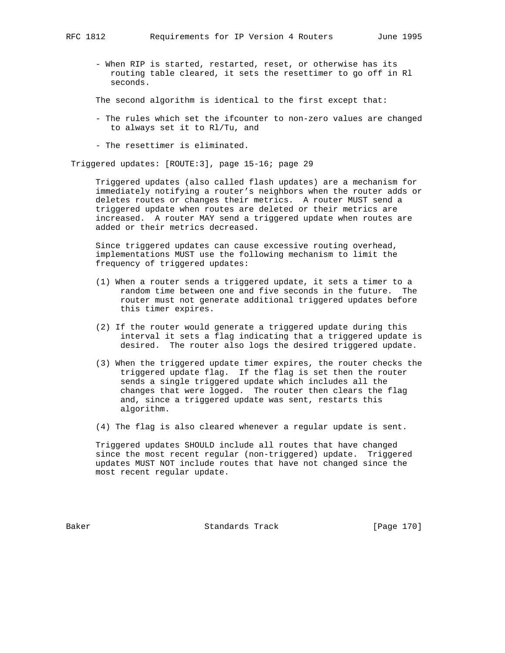- When RIP is started, restarted, reset, or otherwise has its routing table cleared, it sets the resettimer to go off in Rl seconds.

The second algorithm is identical to the first except that:

- The rules which set the ifcounter to non-zero values are changed to always set it to Rl/Tu, and
- The resettimer is eliminated.

Triggered updates: [ROUTE:3], page 15-16; page 29

 Triggered updates (also called flash updates) are a mechanism for immediately notifying a router's neighbors when the router adds or deletes routes or changes their metrics. A router MUST send a triggered update when routes are deleted or their metrics are increased. A router MAY send a triggered update when routes are added or their metrics decreased.

 Since triggered updates can cause excessive routing overhead, implementations MUST use the following mechanism to limit the frequency of triggered updates:

- (1) When a router sends a triggered update, it sets a timer to a random time between one and five seconds in the future. The router must not generate additional triggered updates before this timer expires.
- (2) If the router would generate a triggered update during this interval it sets a flag indicating that a triggered update is desired. The router also logs the desired triggered update.
- (3) When the triggered update timer expires, the router checks the triggered update flag. If the flag is set then the router sends a single triggered update which includes all the changes that were logged. The router then clears the flag and, since a triggered update was sent, restarts this algorithm.
- (4) The flag is also cleared whenever a regular update is sent.

 Triggered updates SHOULD include all routes that have changed since the most recent regular (non-triggered) update. Triggered updates MUST NOT include routes that have not changed since the most recent regular update.

Baker Standards Track [Page 170]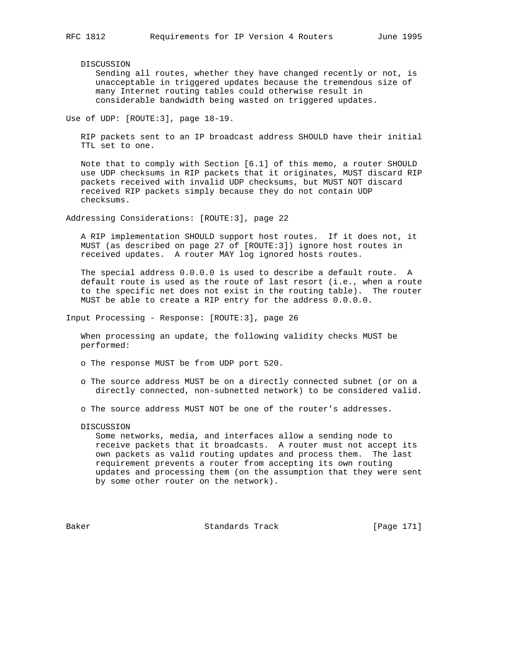DISCUSSION

 Sending all routes, whether they have changed recently or not, is unacceptable in triggered updates because the tremendous size of many Internet routing tables could otherwise result in considerable bandwidth being wasted on triggered updates.

Use of UDP: [ROUTE:3], page 18-19.

 RIP packets sent to an IP broadcast address SHOULD have their initial TTL set to one.

 Note that to comply with Section [6.1] of this memo, a router SHOULD use UDP checksums in RIP packets that it originates, MUST discard RIP packets received with invalid UDP checksums, but MUST NOT discard received RIP packets simply because they do not contain UDP checksums.

Addressing Considerations: [ROUTE:3], page 22

 A RIP implementation SHOULD support host routes. If it does not, it MUST (as described on page 27 of [ROUTE:3]) ignore host routes in received updates. A router MAY log ignored hosts routes.

 The special address 0.0.0.0 is used to describe a default route. A default route is used as the route of last resort (i.e., when a route to the specific net does not exist in the routing table). The router MUST be able to create a RIP entry for the address 0.0.0.0.

Input Processing - Response: [ROUTE:3], page 26

 When processing an update, the following validity checks MUST be performed:

o The response MUST be from UDP port 520.

- o The source address MUST be on a directly connected subnet (or on a directly connected, non-subnetted network) to be considered valid.
- o The source address MUST NOT be one of the router's addresses.
- DISCUSSION

 Some networks, media, and interfaces allow a sending node to receive packets that it broadcasts. A router must not accept its own packets as valid routing updates and process them. The last requirement prevents a router from accepting its own routing updates and processing them (on the assumption that they were sent by some other router on the network).

Baker Standards Track [Page 171]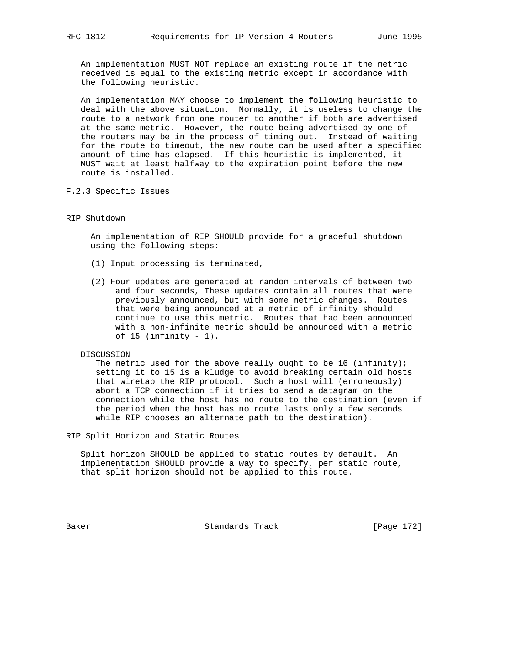An implementation MUST NOT replace an existing route if the metric received is equal to the existing metric except in accordance with the following heuristic.

 An implementation MAY choose to implement the following heuristic to deal with the above situation. Normally, it is useless to change the route to a network from one router to another if both are advertised at the same metric. However, the route being advertised by one of the routers may be in the process of timing out. Instead of waiting for the route to timeout, the new route can be used after a specified amount of time has elapsed. If this heuristic is implemented, it MUST wait at least halfway to the expiration point before the new route is installed.

F.2.3 Specific Issues

## RIP Shutdown

 An implementation of RIP SHOULD provide for a graceful shutdown using the following steps:

- (1) Input processing is terminated,
- (2) Four updates are generated at random intervals of between two and four seconds, These updates contain all routes that were previously announced, but with some metric changes. Routes that were being announced at a metric of infinity should continue to use this metric. Routes that had been announced with a non-infinite metric should be announced with a metric of  $15$  (infinity -  $1$ ).

DISCUSSION

The metric used for the above really ought to be 16 (infinity); setting it to 15 is a kludge to avoid breaking certain old hosts that wiretap the RIP protocol. Such a host will (erroneously) abort a TCP connection if it tries to send a datagram on the connection while the host has no route to the destination (even if the period when the host has no route lasts only a few seconds while RIP chooses an alternate path to the destination).

RIP Split Horizon and Static Routes

 Split horizon SHOULD be applied to static routes by default. An implementation SHOULD provide a way to specify, per static route, that split horizon should not be applied to this route.

Baker Standards Track [Page 172]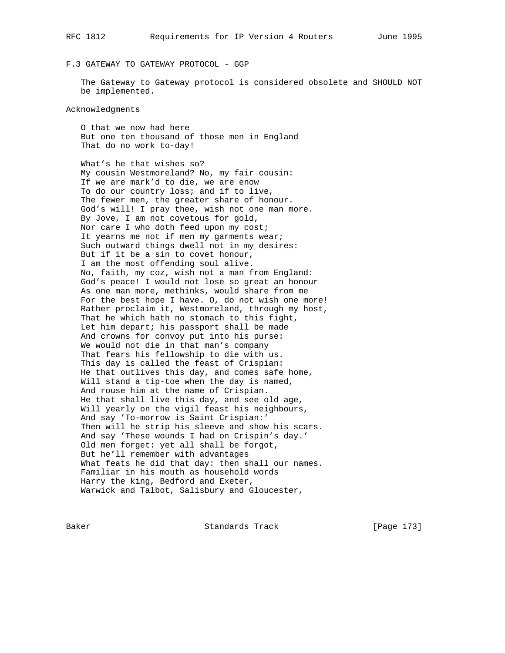# F.3 GATEWAY TO GATEWAY PROTOCOL - GGP

 The Gateway to Gateway protocol is considered obsolete and SHOULD NOT be implemented.

# Acknowledgments

 O that we now had here But one ten thousand of those men in England That do no work to-day!

 What's he that wishes so? My cousin Westmoreland? No, my fair cousin: If we are mark'd to die, we are enow To do our country loss; and if to live, The fewer men, the greater share of honour. God's will! I pray thee, wish not one man more. By Jove, I am not covetous for gold, Nor care I who doth feed upon my cost; It yearns me not if men my garments wear; Such outward things dwell not in my desires: But if it be a sin to covet honour, I am the most offending soul alive. No, faith, my coz, wish not a man from England: God's peace! I would not lose so great an honour As one man more, methinks, would share from me For the best hope I have. O, do not wish one more! Rather proclaim it, Westmoreland, through my host, That he which hath no stomach to this fight, Let him depart; his passport shall be made And crowns for convoy put into his purse: We would not die in that man's company That fears his fellowship to die with us. This day is called the feast of Crispian: He that outlives this day, and comes safe home, Will stand a tip-toe when the day is named, And rouse him at the name of Crispian. He that shall live this day, and see old age, Will yearly on the vigil feast his neighbours, And say 'To-morrow is Saint Crispian:' Then will he strip his sleeve and show his scars. And say 'These wounds I had on Crispin's day.' Old men forget: yet all shall be forgot, But he'll remember with advantages What feats he did that day: then shall our names. Familiar in his mouth as household words Harry the king, Bedford and Exeter, Warwick and Talbot, Salisbury and Gloucester,

Baker Standards Track [Page 173]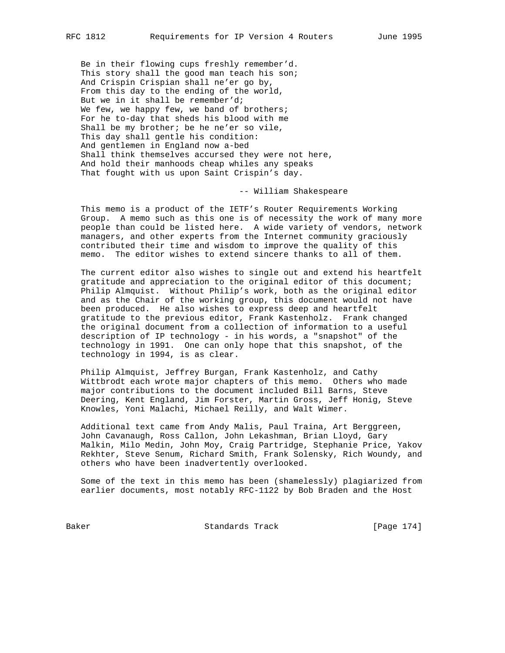Be in their flowing cups freshly remember'd. This story shall the good man teach his son; And Crispin Crispian shall ne'er go by, From this day to the ending of the world, But we in it shall be remember'd; We few, we happy few, we band of brothers; For he to-day that sheds his blood with me Shall be my brother; be he ne'er so vile, This day shall gentle his condition: And gentlemen in England now a-bed Shall think themselves accursed they were not here, And hold their manhoods cheap whiles any speaks That fought with us upon Saint Crispin's day.

# -- William Shakespeare

 This memo is a product of the IETF's Router Requirements Working Group. A memo such as this one is of necessity the work of many more people than could be listed here. A wide variety of vendors, network managers, and other experts from the Internet community graciously contributed their time and wisdom to improve the quality of this memo. The editor wishes to extend sincere thanks to all of them.

 The current editor also wishes to single out and extend his heartfelt gratitude and appreciation to the original editor of this document; Philip Almquist. Without Philip's work, both as the original editor and as the Chair of the working group, this document would not have been produced. He also wishes to express deep and heartfelt gratitude to the previous editor, Frank Kastenholz. Frank changed the original document from a collection of information to a useful description of IP technology - in his words, a "snapshot" of the technology in 1991. One can only hope that this snapshot, of the technology in 1994, is as clear.

 Philip Almquist, Jeffrey Burgan, Frank Kastenholz, and Cathy Wittbrodt each wrote major chapters of this memo. Others who made major contributions to the document included Bill Barns, Steve Deering, Kent England, Jim Forster, Martin Gross, Jeff Honig, Steve Knowles, Yoni Malachi, Michael Reilly, and Walt Wimer.

 Additional text came from Andy Malis, Paul Traina, Art Berggreen, John Cavanaugh, Ross Callon, John Lekashman, Brian Lloyd, Gary Malkin, Milo Medin, John Moy, Craig Partridge, Stephanie Price, Yakov Rekhter, Steve Senum, Richard Smith, Frank Solensky, Rich Woundy, and others who have been inadvertently overlooked.

 Some of the text in this memo has been (shamelessly) plagiarized from earlier documents, most notably RFC-1122 by Bob Braden and the Host

Baker Standards Track [Page 174]